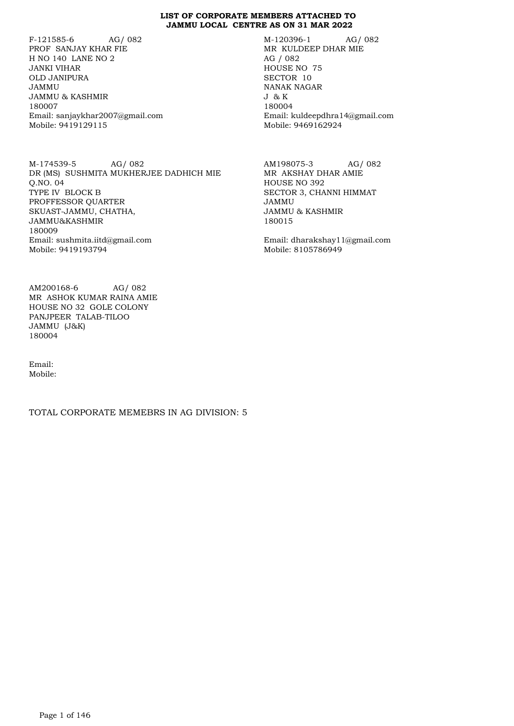F-121585-6 AG/ 082 PROF SANJAY KHAR FIE H NO 140 LANE NO 2 JANKI VIHAR OLD JANIPURA JAMMU JAMMU & KASHMIR 180007 Email: sanjaykhar2007@gmail.com Mobile: 9419129115

M-174539-5 AG/ 082 DR (MS) SUSHMITA MUKHERJEE DADHICH MIE Q.NO. 04 TYPE IV BLOCK B PROFFESSOR QUARTER SKUAST-JAMMU, CHATHA, JAMMU&KASHMIR 180009 Email: sushmita.iitd@gmail.com Mobile: 9419193794

AM200168-6 AG/ 082 MR ASHOK KUMAR RAINA AMIE HOUSE NO 32 GOLE COLONY PANJPEER TALAB-TILOO JAMMU (J&K) 180004

Email: Mobile:

TOTAL CORPORATE MEMEBRS IN AG DIVISION: 5

M-120396-1 AG/ 082 MR KULDEEP DHAR MIE AG / 082 HOUSE NO 75 SECTOR 10 NANAK NAGAR J & K 180004 Email: kuldeepdhra14@gmail.com Mobile: 9469162924

AM198075-3 AG/ 082 MR AKSHAY DHAR AMIE HOUSE NO 392 SECTOR 3, CHANNI HIMMAT JAMMU JAMMU & KASHMIR 180015

Email: dharakshay11@gmail.com Mobile: 8105786949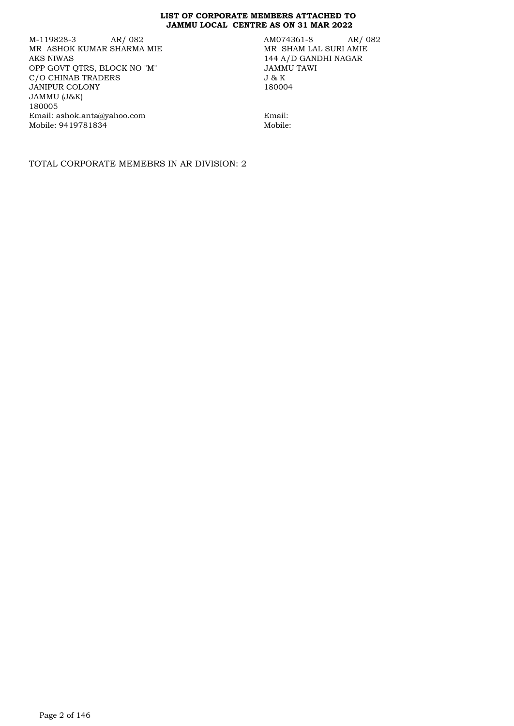M-119828-3 AR/ 082 MR ASHOK KUMAR SHARMA MIE AKS NIWAS OPP GOVT QTRS, BLOCK NO "M" C/O CHINAB TRADERS JANIPUR COLONY JAMMU (J&K) 180005 Email: ashok.anta@yahoo.com Mobile: 9419781834

AM074361-8 AR/ 082 MR SHAM LAL SURI AMIE 144 A/D GANDHI NAGAR JAMMU TAWI J & K 180004

Email: Mobile:

TOTAL CORPORATE MEMEBRS IN AR DIVISION: 2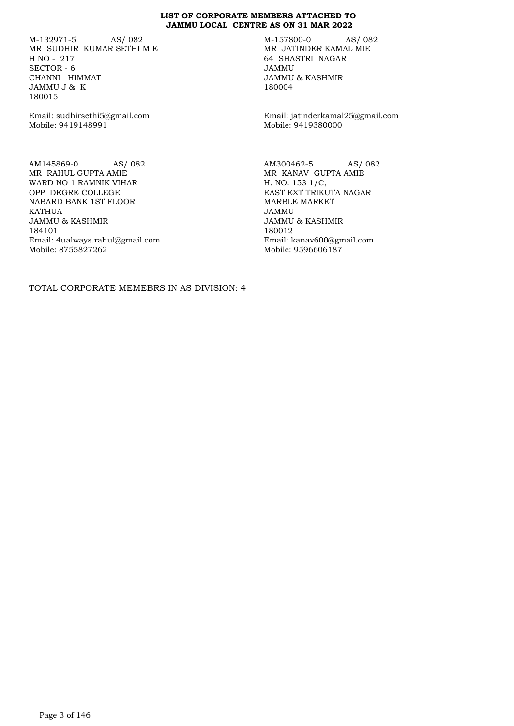M-132971-5 AS/ 082 MR SUDHIR KUMAR SETHI MIE H NO - 217 SECTOR - 6 CHANNI HIMMAT JAMMU J & K 180015

Email: sudhirsethi5@gmail.com Mobile: 9419148991

AM145869-0 AS/ 082 MR RAHUL GUPTA AMIE WARD NO 1 RAMNIK VIHAR OPP DEGRE COLLEGE NABARD BANK 1ST FLOOR KATHUA JAMMU & KASHMIR 184101 Email: 4ualways.rahul@gmail.com Mobile: 8755827262

M-157800-0 AS/ 082 MR JATINDER KAMAL MIE 64 SHASTRI NAGAR JAMMU JAMMU & KASHMIR 180004

Email: jatinderkamal25@gmail.com Mobile: 9419380000

AM300462-5 AS/ 082 MR KANAV GUPTA AMIE H. NO. 153 1/C, EAST EXT TRIKUTA NAGAR MARBLE MARKET JAMMU JAMMU & KASHMIR 180012 Email: kanav600@gmail.com Mobile: 9596606187

TOTAL CORPORATE MEMEBRS IN AS DIVISION: 4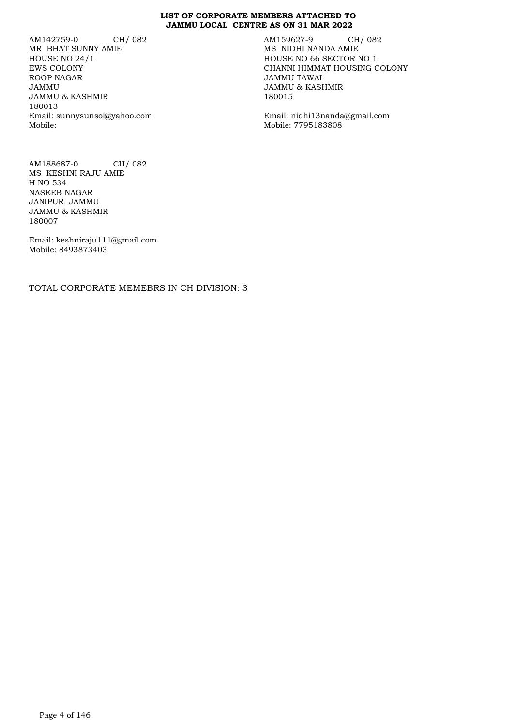AM142759-0 CH/ 082 MR BHAT SUNNY AMIE HOUSE NO 24/1 EWS COLONY ROOP NAGAR JAMMU JAMMU & KASHMIR 180013 Email: sunnysunsol@yahoo.com Mobile:

AM159627-9 CH/ 082 MS NIDHI NANDA AMIE HOUSE NO 66 SECTOR NO 1 CHANNI HIMMAT HOUSING COLONY JAMMU TAWAI JAMMU & KASHMIR 180015

Email: nidhi13nanda@gmail.com Mobile: 7795183808

AM188687-0 CH/ 082 MS KESHNI RAJU AMIE H NO 534 NASEEB NAGAR JANIPUR JAMMU JAMMU & KASHMIR 180007

Email: keshniraju111@gmail.com Mobile: 8493873403

TOTAL CORPORATE MEMEBRS IN CH DIVISION: 3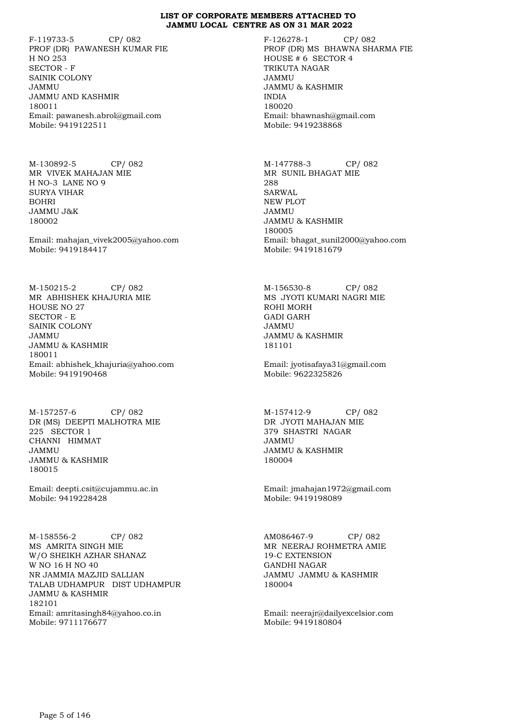F-119733-5 CP/ 082 PROF (DR) PAWANESH KUMAR FIE H NO 253 SECTOR - F SAINIK COLONY JAMMU JAMMU AND KASHMIR 180011 Email: pawanesh.abrol@gmail.com Mobile: 9419122511

M-130892-5 CP/ 082 MR VIVEK MAHAJAN MIE H NO-3 LANE NO 9 SURYA VIHAR BOHRI JAMMU J&K 180002

Email: mahajan\_vivek2005@yahoo.com Mobile: 9419184417

M-150215-2 CP/ 082 MR ABHISHEK KHAJURIA MIE HOUSE NO 27 SECTOR - E SAINIK COLONY JAMMU JAMMU & KASHMIR 180011 Email: abhishek\_khajuria@yahoo.com Mobile: 9419190468

M-157257-6 CP/ 082 DR (MS) DEEPTI MALHOTRA MIE 225 SECTOR 1 CHANNI HIMMAT JAMMU JAMMU & KASHMIR 180015

Email: deepti.csit@cujammu.ac.in Mobile: 9419228428

M-158556-2 CP/ 082 MS AMRITA SINGH MIE W/O SHEIKH AZHAR SHANAZ W NO 16 H NO 40 NR JAMMIA MAZJID SALLIAN TALAB UDHAMPUR DIST UDHAMPUR JAMMU & KASHMIR 182101 Email: amritasingh84@yahoo.co.in Mobile: 9711176677

F-126278-1 CP/ 082 PROF (DR) MS BHAWNA SHARMA FIE HOUSE # 6 SECTOR 4 TRIKUTA NAGAR JAMMU JAMMU & KASHMIR INDIA 180020 Email: bhawnash@gmail.com Mobile: 9419238868

M-147788-3 CP/ 082 MR SUNIL BHAGAT MIE 288 SARWAL NEW PLOT JAMMU JAMMU & KASHMIR 180005 Email: bhagat\_sunil2000@yahoo.com Mobile: 9419181679

M-156530-8 CP/ 082 MS JYOTI KUMARI NAGRI MIE ROHI MORH GADI GARH JAMMU JAMMU & KASHMIR 181101

Email: jyotisafaya31@gmail.com Mobile: 9622325826

M-157412-9 CP/ 082 DR JYOTI MAHAJAN MIE 379 SHASTRI NAGAR JAMMU JAMMU & KASHMIR 180004

Email: jmahajan1972@gmail.com Mobile: 9419198089

AM086467-9 CP/ 082 MR NEERAJ ROHMETRA AMIE 19-C EXTENSION GANDHI NAGAR JAMMU JAMMU & KASHMIR 180004

Email: neerajr@dailyexcelsior.com Mobile: 9419180804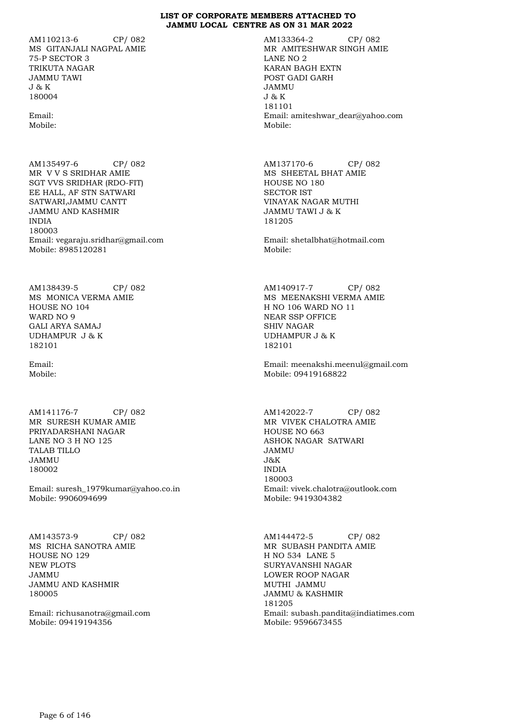AM110213-6 CP/ 082 MS GITANJALI NAGPAL AMIE 75-P SECTOR 3 TRIKUTA NAGAR JAMMU TAWI J & K 180004

Email: Mobile:

AM135497-6 CP/ 082 MR V V S SRIDHAR AMIE SGT VVS SRIDHAR (RDO-FIT) EE HALL, AF STN SATWARI SATWARI,JAMMU CANTT JAMMU AND KASHMIR INDIA 180003 Email: vegaraju.sridhar@gmail.com Mobile: 8985120281

AM138439-5 CP/ 082 MS MONICA VERMA AMIE HOUSE NO 104 WARD NO 9 GALI ARYA SAMAJ UDHAMPUR J & K 182101

Email: Mobile:

AM141176-7 CP/ 082 MR SURESH KUMAR AMIE PRIYADARSHANI NAGAR LANE NO 3 H NO 125 TALAB TILLO JAMMU 180002

Email: suresh\_1979kumar@yahoo.co.in Mobile: 9906094699

AM143573-9 CP/ 082 MS RICHA SANOTRA AMIE HOUSE NO 129 NEW PLOTS JAMMU JAMMU AND KASHMIR 180005

Email: richusanotra@gmail.com Mobile: 09419194356

AM133364-2 CP/ 082 MR AMITESHWAR SINGH AMIE LANE NO 2 KARAN BAGH EXTN POST GADI GARH JAMMU J & K 181101 Email: amiteshwar\_dear@yahoo.com Mobile:

AM137170-6 CP/ 082 MS SHEETAL BHAT AMIE HOUSE NO 180 SECTOR IST VINAYAK NAGAR MUTHI JAMMU TAWI J & K 181205

Email: shetalbhat@hotmail.com Mobile:

AM140917-7 CP/ 082 MS MEENAKSHI VERMA AMIE H NO 106 WARD NO 11 NEAR SSP OFFICE SHIV NAGAR UDHAMPUR J & K 182101

Email: meenakshi.meenul@gmail.com Mobile: 09419168822

AM142022-7 CP/ 082 MR VIVEK CHALOTRA AMIE HOUSE NO 663 ASHOK NAGAR SATWARI JAMMU J&K INDIA 180003 Email: vivek.chalotra@outlook.com Mobile: 9419304382

AM144472-5 CP/ 082 MR SUBASH PANDITA AMIE H NO 534 LANE 5 SURYAVANSHI NAGAR LOWER ROOP NAGAR MUTHI JAMMU JAMMU & KASHMIR 181205 Email: subash.pandita@indiatimes.com Mobile: 9596673455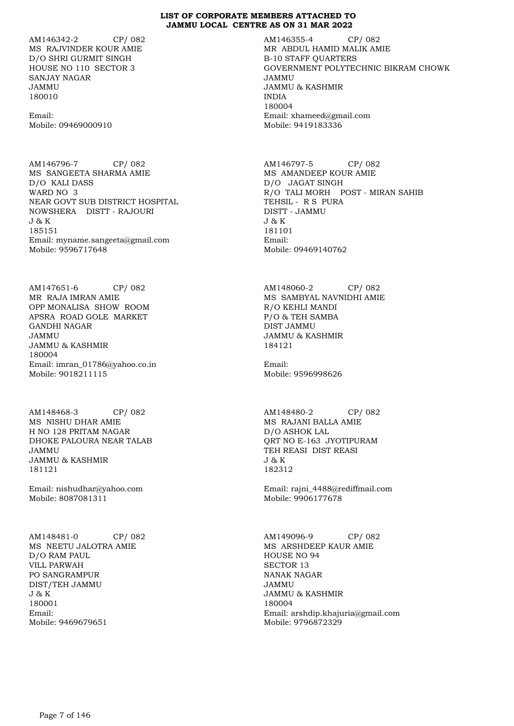AM146342-2 CP/ 082 MS RAJVINDER KOUR AMIE D/O SHRI GURMIT SINGH HOUSE NO 110 SECTOR 3 SANJAY NAGAR JAMMU 180010

Email: Mobile: 09469000910

AM146796-7 CP/ 082 MS SANGEETA SHARMA AMIE D/O KALI DASS WARD NO 3 NEAR GOVT SUB DISTRICT HOSPITAL NOWSHERA DISTT - RAJOURI J & K 185151 Email: myname.sangeeta@gmail.com Mobile: 9596717648

AM147651-6 CP/ 082 MR RAJA IMRAN AMIE OPP MONALISA SHOW ROOM APSRA ROAD GOLE MARKET GANDHI NAGAR JAMMU JAMMU & KASHMIR 180004 Email: imran\_01786@yahoo.co.in Mobile: 9018211115

AM148468-3 CP/ 082 MS NISHU DHAR AMIE H NO 128 PRITAM NAGAR DHOKE PALOURA NEAR TALAB JAMMU JAMMU & KASHMIR 181121

Email: nishudhar@yahoo.com Mobile: 8087081311

AM148481-0 CP/ 082 MS NEETU JALOTRA AMIE D/O RAM PAUL VILL PARWAH PO SANGRAMPUR DIST/TEH JAMMU J & K 180001 Email: Mobile: 9469679651

AM146355-4 CP/ 082 MR ABDUL HAMID MALIK AMIE B-10 STAFF QUARTERS GOVERNMENT POLYTECHNIC BIKRAM CHOWK JAMMU JAMMU & KASHMIR INDIA 180004 Email: xhameed@gmail.com Mobile: 9419183336

AM146797-5 CP/ 082 MS AMANDEEP KOUR AMIE D/O JAGAT SINGH R/O TALI MORH POST - MIRAN SAHIB TEHSIL - R S PURA DISTT - JAMMU J & K 181101 Email: Mobile: 09469140762

AM148060-2 CP/ 082 MS SAMBYAL NAVNIDHI AMIE R/O KEHLI MANDI P/O & TEH SAMBA DIST JAMMU JAMMU & KASHMIR 184121

Email: Mobile: 9596998626

AM148480-2 CP/ 082 MS RAJANI BALLA AMIE D/O ASHOK LAL QRT NO E-163 JYOTIPURAM TEH REASI DIST REASI J & K 182312

Email: rajni\_4488@rediffmail.com Mobile: 9906177678

AM149096-9 CP/ 082 MS ARSHDEEP KAUR AMIE HOUSE NO 94 SECTOR 13 NANAK NAGAR JAMMU JAMMU & KASHMIR 180004 Email: arshdip.khajuria@gmail.com Mobile: 9796872329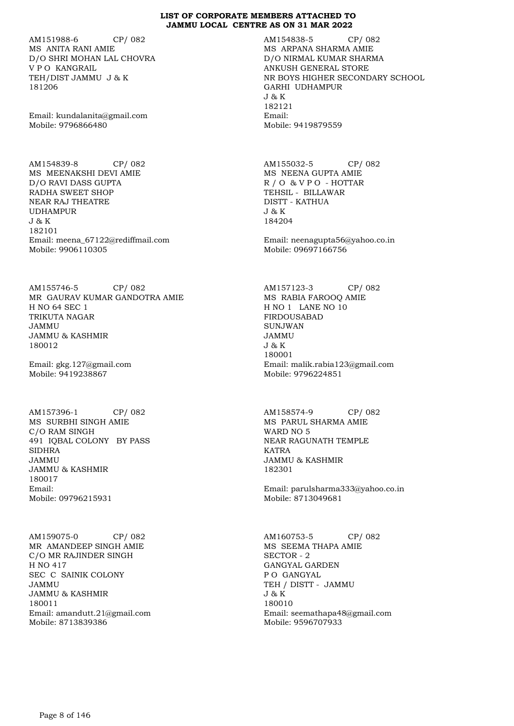AM151988-6 CP/ 082 MS ANITA RANI AMIE D/O SHRI MOHAN LAL CHOVRA V P O KANGRAIL TEH/DIST JAMMU J & K 181206

Email: kundalanita@gmail.com Mobile: 9796866480

AM154839-8 CP/ 082 MS MEENAKSHI DEVI AMIE D/O RAVI DASS GUPTA RADHA SWEET SHOP NEAR RAJ THEATRE UDHAMPUR J & K 182101 Email: meena\_67122@rediffmail.com Mobile: 9906110305

AM155746-5 CP/ 082 MR GAURAV KUMAR GANDOTRA AMIE H NO 64 SEC 1 TRIKUTA NAGAR JAMMU JAMMU & KASHMIR 180012

Email: gkg.127@gmail.com Mobile: 9419238867

AM157396-1 CP/ 082 MS SURBHI SINGH AMIE C/O RAM SINGH 491 IQBAL COLONY BY PASS SIDHRA JAMMU JAMMU & KASHMIR 180017 Email: Mobile: 09796215931

AM159075-0 CP/ 082 MR AMANDEEP SINGH AMIE C/O MR RAJINDER SINGH H NO 417 SEC C SAINIK COLONY JAMMU JAMMU & KASHMIR 180011 Email: amandutt.21@gmail.com Mobile: 8713839386

AM154838-5 CP/ 082 MS ARPANA SHARMA AMIE D/O NIRMAL KUMAR SHARMA ANKUSH GENERAL STORE NR BOYS HIGHER SECONDARY SCHOOL GARHI UDHAMPUR J & K 182121 Email: Mobile: 9419879559

AM155032-5 CP/ 082 MS NEENA GUPTA AMIE R / O & V P O - HOTTAR TEHSIL - BILLAWAR DISTT - KATHUA J & K 184204

Email: neenagupta56@yahoo.co.in Mobile: 09697166756

AM157123-3 CP/ 082 MS RABIA FAROOQ AMIE H NO 1 LANE NO 10 FIRDOUSABAD SUNJWAN JAMMU J & K 180001 Email: malik.rabia123@gmail.com Mobile: 9796224851

AM158574-9 CP/ 082 MS PARUL SHARMA AMIE WARD NO 5 NEAR RAGUNATH TEMPLE KATRA JAMMU & KASHMIR 182301

Email: parulsharma333@yahoo.co.in Mobile: 8713049681

AM160753-5 CP/ 082 MS SEEMA THAPA AMIE SECTOR - 2 GANGYAL GARDEN P O GANGYAL TEH / DISTT - JAMMU J & K 180010 Email: seemathapa48@gmail.com Mobile: 9596707933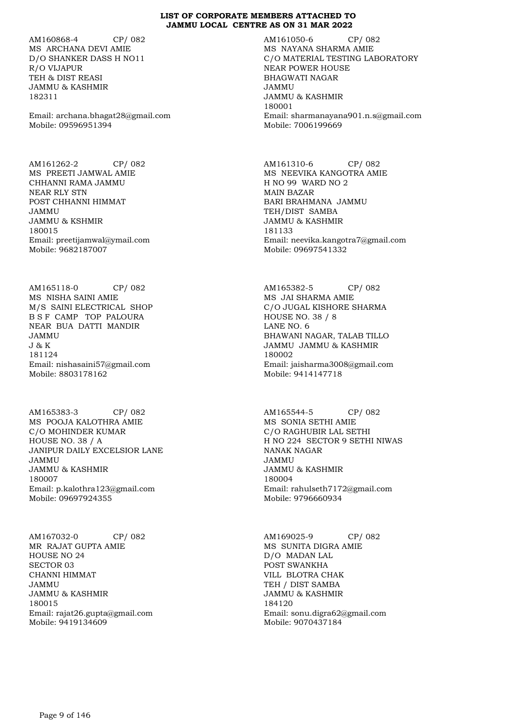AM160868-4 CP/ 082 MS ARCHANA DEVI AMIE D/O SHANKER DASS H NO11 R/O VIJAPUR TEH & DIST REASI JAMMU & KASHMIR 182311

Email: archana.bhagat28@gmail.com Mobile: 09596951394

AM161262-2 CP/ 082 MS PREETI JAMWAL AMIE CHHANNI RAMA JAMMU NEAR RLY STN POST CHHANNI HIMMAT JAMMU JAMMU & KSHMIR 180015 Email: preetijamwal@ymail.com Mobile: 9682187007

AM165118-0 CP/ 082 MS NISHA SAINI AMIE M/S SAINI ELECTRICAL SHOP B S F CAMP TOP PALOURA NEAR BUA DATTI MANDIR JAMMU J & K 181124 Email: nishasaini57@gmail.com Mobile: 8803178162

AM165383-3 CP/ 082 MS POOJA KALOTHRA AMIE C/O MOHINDER KUMAR HOUSE NO. 38 / A JANIPUR DAILY EXCELSIOR LANE JAMMU JAMMU & KASHMIR 180007 Email: p.kalothra123@gmail.com Mobile: 09697924355

AM167032-0 CP/ 082 MR RAJAT GUPTA AMIE HOUSE NO 24 SECTOR 03 CHANNI HIMMAT JAMMU JAMMU & KASHMIR 180015 Email: rajat26.gupta@gmail.com Mobile: 9419134609

AM161050-6 CP/ 082 MS NAYANA SHARMA AMIE C/O MATERIAL TESTING LABORATORY NEAR POWER HOUSE BHAGWATI NAGAR JAMMU JAMMU & KASHMIR 180001 Email: sharmanayana901.n.s@gmail.com Mobile: 7006199669

AM161310-6 CP/ 082 MS NEEVIKA KANGOTRA AMIE H NO 99 WARD NO 2 MAIN BAZAR BARI BRAHMANA JAMMU TEH/DIST SAMBA JAMMU & KASHMIR 181133 Email: neevika.kangotra7@gmail.com Mobile: 09697541332

AM165382-5 CP/ 082 MS JAI SHARMA AMIE C/O JUGAL KISHORE SHARMA HOUSE NO. 38 / 8 LANE NO. 6 BHAWANI NAGAR, TALAB TILLO JAMMU JAMMU & KASHMIR 180002 Email: jaisharma3008@gmail.com Mobile: 9414147718

AM165544-5 CP/ 082 MS SONIA SETHI AMIE C/O RAGHUBIR LAL SETHI H NO 224 SECTOR 9 SETHI NIWAS NANAK NAGAR JAMMU JAMMU & KASHMIR 180004 Email: rahulseth7172@gmail.com Mobile: 9796660934

AM169025-9 CP/ 082 MS SUNITA DIGRA AMIE D/O MADAN LAL POST SWANKHA VILL BLOTRA CHAK TEH / DIST SAMBA JAMMU & KASHMIR 184120 Email: sonu.digra62@gmail.com Mobile: 9070437184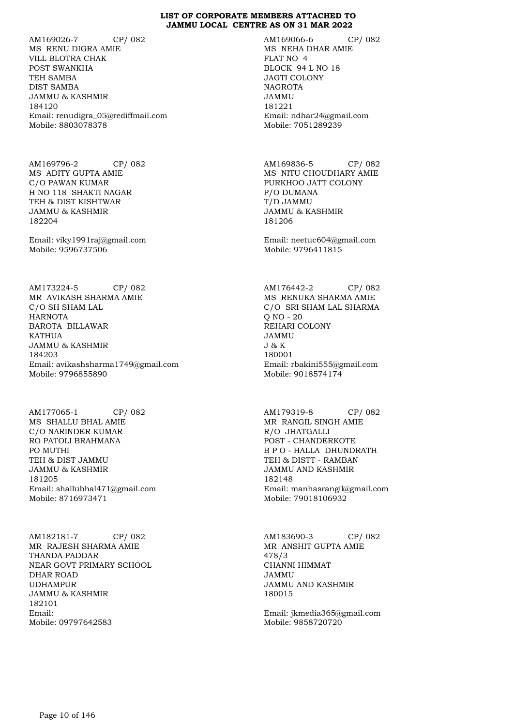AM169026-7 CP/ 082 MS RENU DIGRA AMIE VILL BLOTRA CHAK POST SWANKHA TEH SAMBA DIST SAMBA JAMMU & KASHMIR 184120 Email: renudigra\_05@rediffmail.com Mobile: 8803078378

AM169796-2 CP/ 082 MS ADITY GUPTA AMIE C/O PAWAN KUMAR H NO 118 SHAKTI NAGAR TEH & DIST KISHTWAR JAMMU & KASHMIR 182204

Email: viky1991raj@gmail.com Mobile: 9596737506

AM173224-5 CP/ 082 MR AVIKASH SHARMA AMIE C/O SH SHAM LAL HARNOTA BAROTA BILLAWAR KATHUA JAMMU & KASHMIR 184203 Email: avikashsharma1749@gmail.com Mobile: 9796855890

AM177065-1 CP/ 082 MS SHALLU BHAL AMIE C/O NARINDER KUMAR RO PATOLI BRAHMANA PO MUTHI TEH & DIST JAMMU JAMMU & KASHMIR 181205 Email: shallubhal471@gmail.com Mobile: 8716973471

AM182181-7 CP/ 082 MR RAJESH SHARMA AMIE THANDA PADDAR NEAR GOVT PRIMARY SCHOOL DHAR ROAD UDHAMPUR JAMMU & KASHMIR 182101 Email: Mobile: 09797642583

AM169066-6 CP/ 082 MS NEHA DHAR AMIE FLAT NO 4 BLOCK 94 L NO 18 JAGTI COLONY **NAGROTA** JAMMU 181221 Email: ndhar24@gmail.com Mobile: 7051289239

AM169836-5 CP/ 082 MS NITU CHOUDHARY AMIE PURKHOO JATT COLONY P/O DUMANA T/D JAMMU JAMMU & KASHMIR 181206

Email: neetuc604@gmail.com Mobile: 9796411815

AM176442-2 CP/ 082 MS RENUKA SHARMA AMIE C/O SRI SHAM LAL SHARMA Q NO - 20 REHARI COLONY JAMMU J & K 180001 Email: rbakini555@gmail.com Mobile: 9018574174

AM179319-8 CP/ 082 MR RANGIL SINGH AMIE R/O JHATGALLI POST - CHANDERKOTE B P O - HALLA DHUNDRATH TEH & DISTT - RAMBAN JAMMU AND KASHMIR 182148 Email: manhasrangil@gmail.com Mobile: 79018106932

AM183690-3 CP/ 082 MR ANSHIT GUPTA AMIE 478/3 CHANNI HIMMAT JAMMU JAMMU AND KASHMIR 180015

Email: jkmedia365@gmail.com Mobile: 9858720720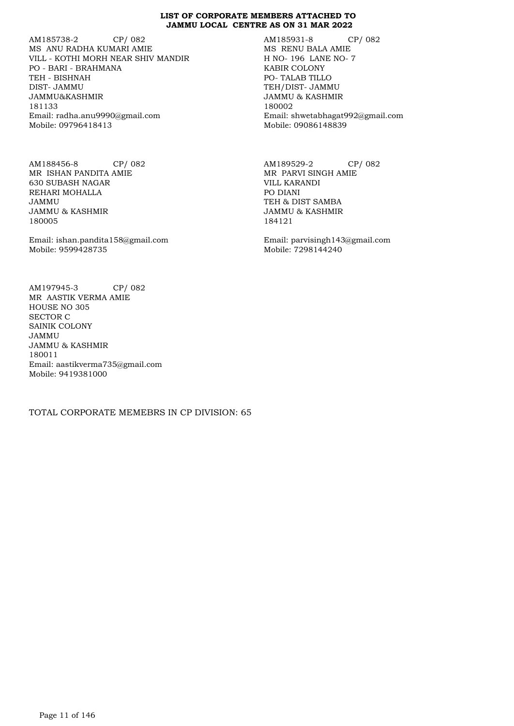AM185738-2 CP/ 082 MS ANU RADHA KUMARI AMIE VILL - KOTHI MORH NEAR SHIV MANDIR PO - BARI - BRAHMANA TEH - BISHNAH DIST- JAMMU JAMMU&KASHMIR 181133 Email: radha.anu9990@gmail.com Mobile: 09796418413

AM188456-8 CP/ 082 MR ISHAN PANDITA AMIE 630 SUBASH NAGAR REHARI MOHALLA JAMMU JAMMU & KASHMIR 180005

Email: ishan.pandita158@gmail.com Mobile: 9599428735

AM197945-3 CP/ 082 MR AASTIK VERMA AMIE HOUSE NO 305 SECTOR C SAINIK COLONY JAMMU JAMMU & KASHMIR 180011 Email: aastikverma735@gmail.com Mobile: 9419381000

TOTAL CORPORATE MEMEBRS IN CP DIVISION: 65

AM185931-8 CP/ 082 MS RENU BALA AMIE H NO- 196 LANE NO- 7 KABIR COLONY PO- TALAB TILLO TEH/DIST- JAMMU JAMMU & KASHMIR 180002 Email: shwetabhagat992@gmail.com Mobile: 09086148839

AM189529-2 CP/ 082 MR PARVI SINGH AMIE VILL KARANDI PO DIANI TEH & DIST SAMBA JAMMU & KASHMIR 184121

Email: parvisingh143@gmail.com Mobile: 7298144240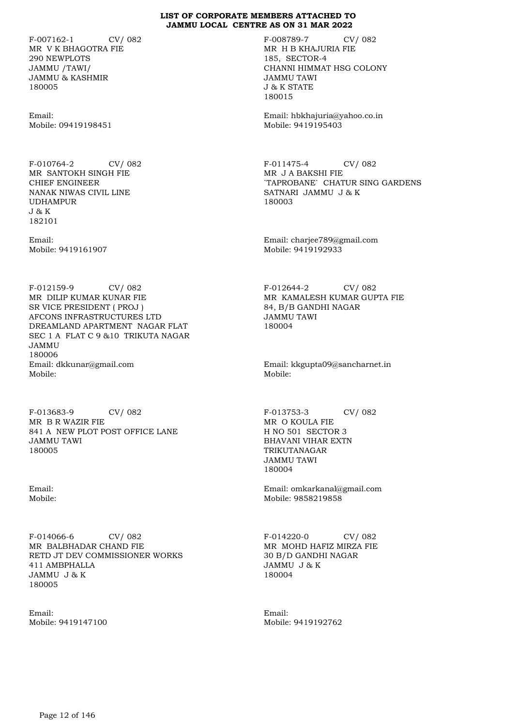F-007162-1 CV/ 082 MR V K BHAGOTRA FIE 290 NEWPLOTS JAMMU /TAWI/ JAMMU & KASHMIR 180005

Email: Mobile: 09419198451

F-010764-2 CV/ 082 MR SANTOKH SINGH FIE CHIEF ENGINEER NANAK NIWAS CIVIL LINE UDHAMPUR J & K 182101

Email: Mobile: 9419161907

F-012159-9 CV/ 082 MR DILIP KUMAR KUNAR FIE SR VICE PRESIDENT ( PROJ ) AFCONS INFRASTRUCTURES LTD DREAMLAND APARTMENT NAGAR FLAT SEC 1 A FLAT C 9 &10 TRIKUTA NAGAR JAMMU 180006 Email: dkkunar@gmail.com Mobile:

F-013683-9 CV/ 082 MR B R WAZIR FIE 841 A NEW PLOT POST OFFICE LANE JAMMU TAWI 180005

Email: Mobile:

F-014066-6 CV/ 082 MR BALBHADAR CHAND FIE RETD JT DEV COMMISSIONER WORKS 411 AMBPHALLA JAMMU J & K 180005

Email: Mobile: 9419147100 F-008789-7 CV/ 082 MR H B KHAJURIA FIE 185, SECTOR-4 CHANNI HIMMAT HSG COLONY JAMMU TAWI J & K STATE 180015

Email: hbkhajuria@yahoo.co.in Mobile: 9419195403

F-011475-4 CV/ 082 MR J A BAKSHI FIE `TAPROBANE` CHATUR SING GARDENS SATNARI JAMMU J & K 180003

Email: charjee789@gmail.com Mobile: 9419192933

F-012644-2 CV/ 082 MR KAMALESH KUMAR GUPTA FIE 84, B/B GANDHI NAGAR JAMMU TAWI 180004

Email: kkgupta09@sancharnet.in Mobile:

F-013753-3 CV/ 082 MR O KOULA FIE H NO 501 SECTOR 3 BHAVANI VIHAR EXTN TRIKUTANAGAR JAMMU TAWI 180004

Email: omkarkanal@gmail.com Mobile: 9858219858

F-014220-0 CV/ 082 MR MOHD HAFIZ MIRZA FIE 30 B/D GANDHI NAGAR JAMMU J & K 180004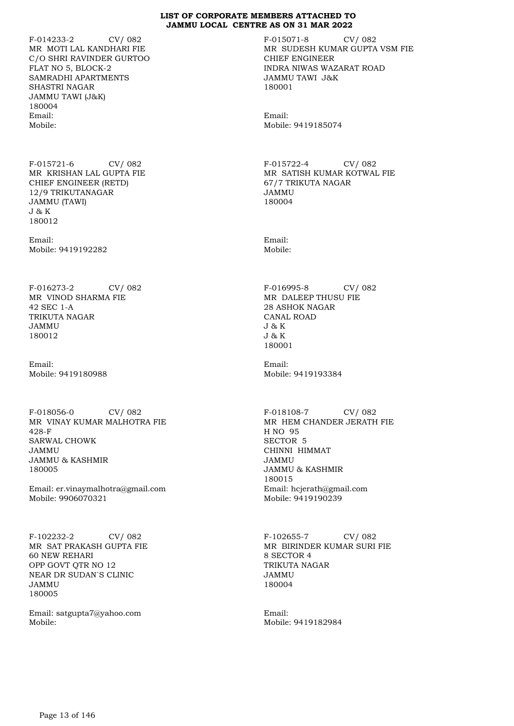F-014233-2 CV/ 082 MR MOTI LAL KANDHARI FIE C/O SHRI RAVINDER GURTOO FLAT NO 5, BLOCK-2 SAMRADHI APARTMENTS SHASTRI NAGAR JAMMU TAWI (J&K) 180004 Email: Mobile:

F-015721-6 CV/ 082 MR KRISHAN LAL GUPTA FIE CHIEF ENGINEER (RETD) 12/9 TRIKUTANAGAR JAMMU (TAWI) J & K 180012

Email: Mobile: 9419192282

F-016273-2 CV/ 082 MR VINOD SHARMA FIE 42 SEC 1-A TRIKUTA NAGAR JAMMU 180012

Email: Mobile: 9419180988

F-018056-0 CV/ 082 MR VINAY KUMAR MALHOTRA FIE 428-F SARWAL CHOWK JAMMU JAMMU & KASHMIR 180005

Email: er.vinaymalhotra@gmail.com Mobile: 9906070321

F-102232-2 CV/ 082 MR SAT PRAKASH GUPTA FIE 60 NEW REHARI OPP GOVT QTR NO 12 NEAR DR SUDAN`S CLINIC JAMMU 180005

Email: satgupta7@yahoo.com Mobile:

F-015071-8 CV/ 082 MR SUDESH KUMAR GUPTA VSM FIE CHIEF ENGINEER INDRA NIWAS WAZARAT ROAD JAMMU TAWI J&K 180001

Email: Mobile: 9419185074

F-015722-4 CV/ 082 MR SATISH KUMAR KOTWAL FIE 67/7 TRIKUTA NAGAR JAMMU 180004

Email: Mobile:

F-016995-8 CV/ 082 MR DALEEP THUSU FIE 28 ASHOK NAGAR CANAL ROAD J & K J & K 180001

Email: Mobile: 9419193384

F-018108-7 CV/ 082 MR HEM CHANDER JERATH FIE H NO 95 SECTOR 5 CHINNI HIMMAT JAMMU JAMMU & KASHMIR 180015 Email: hcjerath@gmail.com Mobile: 9419190239

F-102655-7 CV/ 082 MR BIRINDER KUMAR SURI FIE 8 SECTOR 4 TRIKUTA NAGAR JAMMU 180004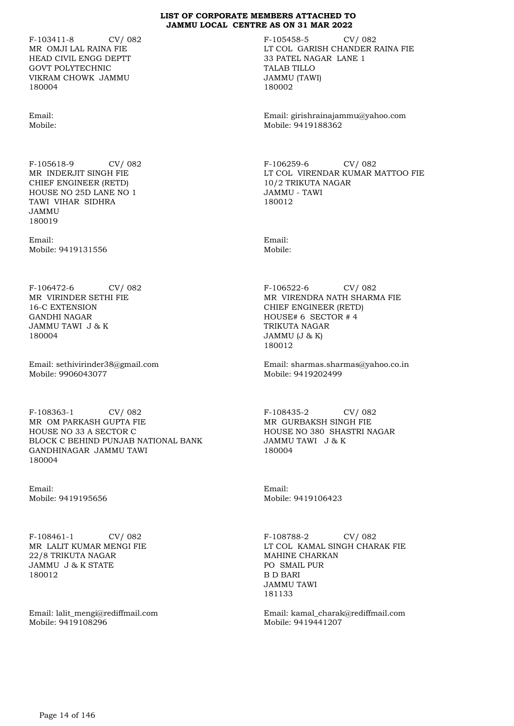F-103411-8 CV/ 082 MR OMJI LAL RAINA FIE HEAD CIVIL ENGG DEPTT GOVT POLYTECHNIC VIKRAM CHOWK JAMMU 180004

Email: Mobile:

F-105618-9 CV/ 082 MR INDERJIT SINGH FIE CHIEF ENGINEER (RETD) HOUSE NO 25D LANE NO 1 TAWI VIHAR SIDHRA JAMMU 180019

Email: Mobile: 9419131556

F-106472-6 CV/ 082 MR VIRINDER SETHI FIE 16-C EXTENSION GANDHI NAGAR JAMMU TAWI J & K 180004

Email: sethivirinder38@gmail.com Mobile: 9906043077

F-108363-1 CV/ 082 MR OM PARKASH GUPTA FIE HOUSE NO 33 A SECTOR C BLOCK C BEHIND PUNJAB NATIONAL BANK GANDHINAGAR JAMMU TAWI 180004

Email: Mobile: 9419195656

F-108461-1 CV/ 082 MR LALIT KUMAR MENGI FIE 22/8 TRIKUTA NAGAR JAMMU J & K STATE 180012

Email: lalit\_mengi@rediffmail.com Mobile: 9419108296

F-105458-5 CV/ 082 LT COL GARISH CHANDER RAINA FIE 33 PATEL NAGAR LANE 1 TALAB TILLO JAMMU (TAWI) 180002

Email: girishrainajammu@yahoo.com Mobile: 9419188362

F-106259-6 CV/ 082 LT COL VIRENDAR KUMAR MATTOO FIE 10/2 TRIKUTA NAGAR JAMMU - TAWI 180012

Email: Mobile:

F-106522-6 CV/ 082 MR VIRENDRA NATH SHARMA FIE CHIEF ENGINEER (RETD) HOUSE# 6 SECTOR # 4 TRIKUTA NAGAR JAMMU (J & K) 180012

Email: sharmas.sharmas@yahoo.co.in Mobile: 9419202499

F-108435-2 CV/ 082 MR GURBAKSH SINGH FIE HOUSE NO 380 SHASTRI NAGAR JAMMU TAWI J & K 180004

Email: Mobile: 9419106423

F-108788-2 CV/ 082 LT COL KAMAL SINGH CHARAK FIE MAHINE CHARKAN PO SMAIL PUR B D BARI JAMMU TAWI 181133

Email: kamal\_charak@rediffmail.com Mobile: 9419441207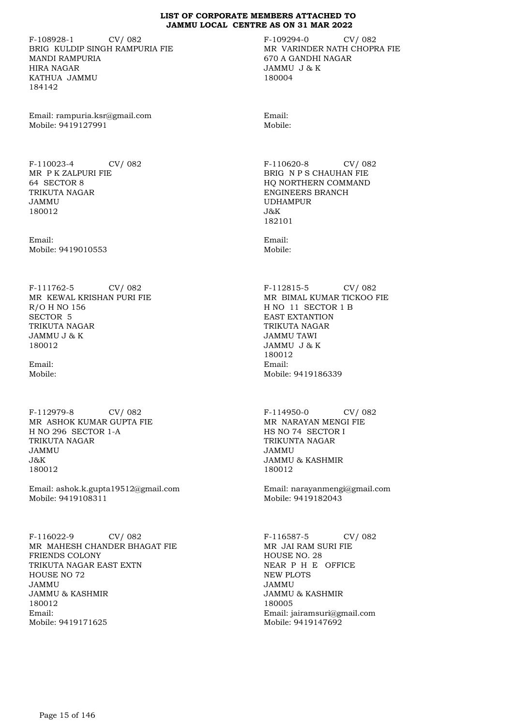F-108928-1 CV/ 082 BRIG KULDIP SINGH RAMPURIA FIE MANDI RAMPURIA HIRA NAGAR KATHUA JAMMU 184142

Email: rampuria.ksr@gmail.com Mobile: 9419127991

F-110023-4 CV/ 082 MR P K ZALPURI FIE 64 SECTOR 8 TRIKUTA NAGAR JAMMU 180012

Email: Mobile: 9419010553

F-111762-5 CV/ 082 MR KEWAL KRISHAN PURI FIE R/O H NO 156 SECTOR 5 TRIKUTA NAGAR JAMMU J & K 180012

Email: Mobile:

F-112979-8 CV/ 082 MR ASHOK KUMAR GUPTA FIE H NO 296 SECTOR 1-A TRIKUTA NAGAR JAMMU J&K 180012

Email: ashok.k.gupta19512@gmail.com Mobile: 9419108311

F-116022-9 CV/ 082 MR MAHESH CHANDER BHAGAT FIE FRIENDS COLONY TRIKUTA NAGAR EAST EXTN HOUSE NO 72 JAMMU JAMMU & KASHMIR 180012 Email: Mobile: 9419171625

F-109294-0 CV/ 082 MR VARINDER NATH CHOPRA FIE 670 A GANDHI NAGAR JAMMU J & K 180004

Email: Mobile:

F-110620-8 CV/ 082 BRIG N P S CHAUHAN FIE HQ NORTHERN COMMAND ENGINEERS BRANCH UDHAMPUR  $J\&K$ 182101

Email: Mobile:

F-112815-5 CV/ 082 MR BIMAL KUMAR TICKOO FIE H NO 11 SECTOR 1 B EAST EXTANTION TRIKUTA NAGAR JAMMU TAWI JAMMU J & K 180012 Email: Mobile: 9419186339

F-114950-0 CV/ 082 MR NARAYAN MENGI FIE HS NO 74 SECTOR I TRIKUNTA NAGAR JAMMU JAMMU & KASHMIR 180012

Email: narayanmengi@gmail.com Mobile: 9419182043

F-116587-5 CV/ 082 MR JAI RAM SURI FIE HOUSE NO. 28 NEAR P H E OFFICE NEW PLOTS JAMMU JAMMU & KASHMIR 180005 Email: jairamsuri@gmail.com Mobile: 9419147692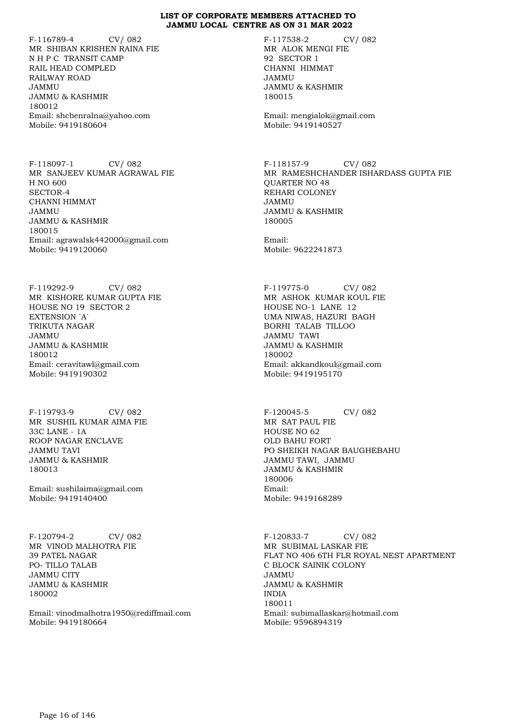F-116789-4 CV/ 082 MR SHIBAN KRISHEN RAINA FIE N H P C TRANSIT CAMP RAIL HEAD COMPLED RAILWAY ROAD JAMMU JAMMU & KASHMIR 180012 Email: shcbenralna@yahoo.com Mobile: 9419180604

F-118097-1 CV/ 082 MR SANJEEV KUMAR AGRAWAL FIE H NO 600 SECTOR-4 CHANNI HIMMAT JAMMU JAMMU & KASHMIR 180015 Email: agrawalsk442000@gmail.com Mobile: 9419120060

F-119292-9 CV/ 082 MR KISHORE KUMAR GUPTA FIE HOUSE NO 19 SECTOR 2 EXTENSION `A` TRIKUTA NAGAR JAMMU JAMMU & KASHMIR 180012 Email: ceravitawl@gmail.com Mobile: 9419190302

F-119793-9 CV/ 082 MR SUSHIL KUMAR AIMA FIE 33C LANE - 1A ROOP NAGAR ENCLAVE JAMMU TAVI JAMMU & KASHMIR 180013

Email: sushilaima@gmail.com Mobile: 9419140400

F-120794-2 CV/ 082 MR VINOD MALHOTRA FIE 39 PATEL NAGAR PO- TILLO TALAB JAMMU CITY JAMMU & KASHMIR 180002

Email: vinodmalhotra1950@rediffmail.com Mobile: 9419180664

F-117538-2 CV/ 082 MR ALOK MENGI FIE 92 SECTOR 1 CHANNI HIMMAT JAMMU JAMMU & KASHMIR 180015

Email: mengialok@gmail.com Mobile: 9419140527

F-118157-9 CV/ 082 MR RAMESHCHANDER ISHARDASS GUPTA FIE QUARTER NO 48 REHARI COLONEY JAMMU JAMMU & KASHMIR 180005

Email: Mobile: 9622241873

F-119775-0 CV/ 082 MR ASHOK KUMAR KOUL FIE HOUSE NO-1 LANE 12 UMA NIWAS, HAZURI BAGH BORHI TALAB TILLOO JAMMU TAWI JAMMU & KASHMIR 180002 Email: akkandkoul@gmail.com Mobile: 9419195170

F-120045-5 CV/ 082 MR SAT PAUL FIE HOUSE NO 62 OLD BAHU FORT PO SHEIKH NAGAR BAUGHEBAHU JAMMU TAWI, JAMMU JAMMU & KASHMIR 180006 Email: Mobile: 9419168289

F-120833-7 CV/ 082 MR SUBIMAL LASKAR FIE FLAT NO 406 6TH FLR ROYAL NEST APARTMENT C BLOCK SAINIK COLONY JAMMU JAMMU & KASHMIR INDIA 180011 Email: subimallaskar@hotmail.com Mobile: 9596894319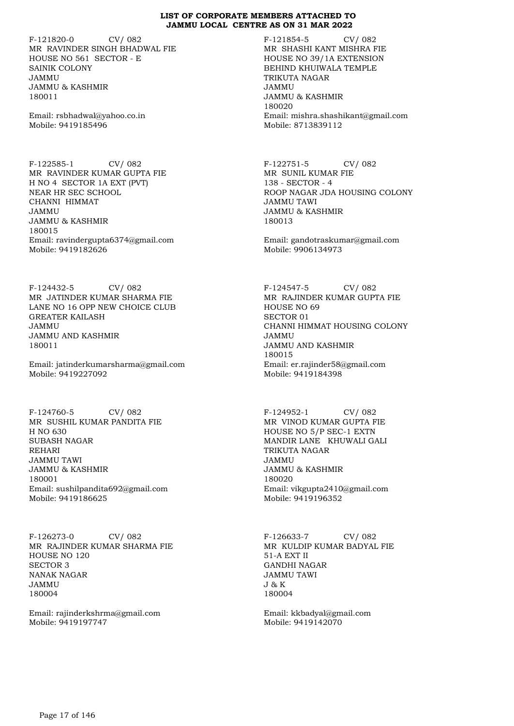F-121820-0 CV/ 082 MR RAVINDER SINGH BHADWAL FIE HOUSE NO 561 SECTOR - E SAINIK COLONY JAMMU JAMMU & KASHMIR 180011

Email: rsbhadwal@yahoo.co.in Mobile: 9419185496

F-122585-1 CV/ 082 MR RAVINDER KUMAR GUPTA FIE H NO 4 SECTOR 1A EXT (PVT) NEAR HR SEC SCHOOL CHANNI HIMMAT JAMMU JAMMU & KASHMIR 180015 Email: ravindergupta6374@gmail.com Mobile: 9419182626

F-124432-5 CV/ 082 MR JATINDER KUMAR SHARMA FIE LANE NO 16 OPP NEW CHOICE CLUB GREATER KAILASH JAMMU JAMMU AND KASHMIR 180011

Email: jatinderkumarsharma@gmail.com Mobile: 9419227092

F-124760-5 CV/ 082 MR SUSHIL KUMAR PANDITA FIE H NO 630 SUBASH NAGAR REHARI JAMMU TAWI JAMMU & KASHMIR 180001 Email: sushilpandita692@gmail.com Mobile: 9419186625

F-126273-0 CV/ 082 MR RAJINDER KUMAR SHARMA FIE HOUSE NO 120 SECTOR 3 NANAK NAGAR JAMMU 180004

Email: rajinderkshrma@gmail.com Mobile: 9419197747

F-121854-5 CV/ 082 MR SHASHI KANT MISHRA FIE HOUSE NO 39/1A EXTENSION BEHIND KHUIWALA TEMPLE TRIKUTA NAGAR JAMMU JAMMU & KASHMIR 180020 Email: mishra.shashikant@gmail.com Mobile: 8713839112

F-122751-5 CV/ 082 MR SUNIL KUMAR FIE 138 - SECTOR - 4 ROOP NAGAR JDA HOUSING COLONY JAMMU TAWI JAMMU & KASHMIR 180013

Email: gandotraskumar@gmail.com Mobile: 9906134973

F-124547-5 CV/ 082 MR RAJINDER KUMAR GUPTA FIE HOUSE NO 69 SECTOR 01 CHANNI HIMMAT HOUSING COLONY JAMMU JAMMU AND KASHMIR 180015 Email: er.rajinder58@gmail.com Mobile: 9419184398

F-124952-1 CV/ 082 MR VINOD KUMAR GUPTA FIE HOUSE NO 5/P SEC-1 EXTN MANDIR LANE KHUWALI GALI TRIKUTA NAGAR JAMMU JAMMU & KASHMIR 180020 Email: vikgupta2410@gmail.com Mobile: 9419196352

F-126633-7 CV/ 082 MR KULDIP KUMAR BADYAL FIE 51-A EXT II GANDHI NAGAR JAMMU TAWI J & K 180004

Email: kkbadyal@gmail.com Mobile: 9419142070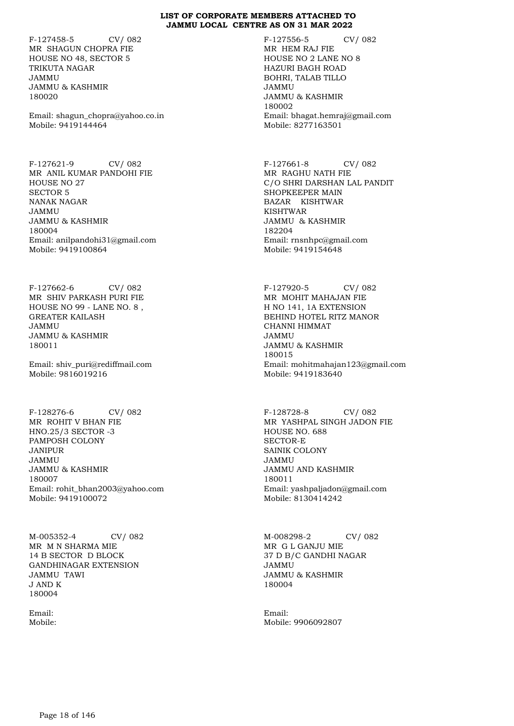F-127458-5 CV/ 082 MR SHAGUN CHOPRA FIE HOUSE NO 48, SECTOR 5 TRIKUTA NAGAR JAMMU JAMMU & KASHMIR 180020

Email: shagun\_chopra@yahoo.co.in Mobile: 9419144464

F-127621-9 CV/ 082 MR ANIL KUMAR PANDOHI FIE HOUSE NO 27 SECTOR 5 NANAK NAGAR JAMMU JAMMU & KASHMIR 180004 Email: anilpandohi31@gmail.com Mobile: 9419100864

F-127662-6 CV/ 082 MR SHIV PARKASH PURI FIE HOUSE NO 99 - LANE NO. 8 , GREATER KAILASH JAMMU JAMMU & KASHMIR 180011

Email: shiv\_puri@rediffmail.com Mobile: 9816019216

F-128276-6 CV/ 082 MR ROHIT V BHAN FIE HNO.25/3 SECTOR -3 PAMPOSH COLONY JANIPUR JAMMU JAMMU & KASHMIR 180007 Email: rohit\_bhan2003@yahoo.com Mobile: 9419100072

M-005352-4 CV/ 082 MR M N SHARMA MIE 14 B SECTOR D BLOCK GANDHINAGAR EXTENSION JAMMU TAWI J AND K 180004

Email: Mobile: F-127556-5 CV/ 082 MR HEM RAJ FIE HOUSE NO 2 LANE NO 8 HAZURI BAGH ROAD BOHRI, TALAB TILLO JAMMU JAMMU & KASHMIR 180002 Email: bhagat.hemraj@gmail.com Mobile: 8277163501

F-127661-8 CV/ 082 MR RAGHU NATH FIE C/O SHRI DARSHAN LAL PANDIT SHOPKEEPER MAIN BAZAR KISHTWAR KISHTWAR JAMMU & KASHMIR 182204 Email: rnsnhpc@gmail.com Mobile: 9419154648

F-127920-5 CV/ 082 MR MOHIT MAHAJAN FIE H NO 141, 1A EXTENSION BEHIND HOTEL RITZ MANOR CHANNI HIMMAT JAMMU JAMMU & KASHMIR 180015 Email: mohitmahajan123@gmail.com Mobile: 9419183640

F-128728-8 CV/ 082 MR YASHPAL SINGH JADON FIE HOUSE NO. 688 SECTOR-E SAINIK COLONY JAMMU JAMMU AND KASHMIR 180011 Email: yashpaljadon@gmail.com Mobile: 8130414242

M-008298-2 CV/ 082 MR G L GANJU MIE 37 D B/C GANDHI NAGAR JAMMU JAMMU & KASHMIR 180004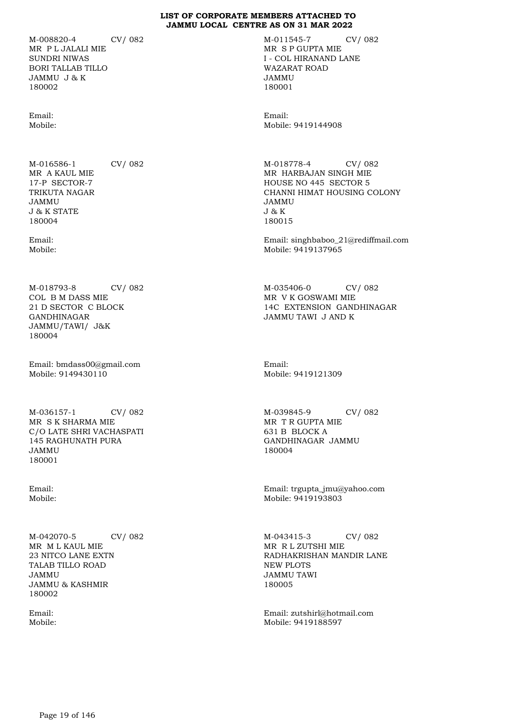M-008820-4 CV/ 082 MR P L JALALI MIE SUNDRI NIWAS BORI TALLAB TILLO JAMMU J & K 180002

Email: Mobile:

M-016586-1 CV/ 082 MR A KAUL MIE 17-P SECTOR-7 TRIKUTA NAGAR JAMMU J & K STATE 180004

Email: Mobile:

M-018793-8 CV/ 082 COL B M DASS MIE 21 D SECTOR C BLOCK GANDHINAGAR JAMMU/TAWI/ J&K 180004

Email: bmdass00@gmail.com Mobile: 9149430110

M-036157-1 CV/ 082 MR S K SHARMA MIE C/O LATE SHRI VACHASPATI 145 RAGHUNATH PURA JAMMU 180001

Email: Mobile:

M-042070-5 CV/ 082 MR M L KAUL MIE 23 NITCO LANE EXTN TALAB TILLO ROAD JAMMU JAMMU & KASHMIR 180002

Email: Mobile: M-011545-7 CV/ 082 MR S P GUPTA MIE I - COL HIRANAND LANE WAZARAT ROAD JAMMU 180001

Email: Mobile: 9419144908

M-018778-4 CV/ 082 MR HARBAJAN SINGH MIE HOUSE NO 445 SECTOR 5 CHANNI HIMAT HOUSING COLONY JAMMU J & K 180015

Email: singhbaboo\_21@rediffmail.com Mobile: 9419137965

M-035406-0 CV/ 082 MR V K GOSWAMI MIE 14C EXTENSION GANDHINAGAR JAMMU TAWI J AND K

Email: Mobile: 9419121309

M-039845-9 CV/ 082 MR T R GUPTA MIE 631 B BLOCK A GANDHINAGAR JAMMU 180004

Email: trgupta\_jmu@yahoo.com Mobile: 9419193803

M-043415-3 CV/ 082 MR R L ZUTSHI MIE RADHAKRISHAN MANDIR LANE NEW PLOTS JAMMU TAWI 180005

Email: zutshirl@hotmail.com Mobile: 9419188597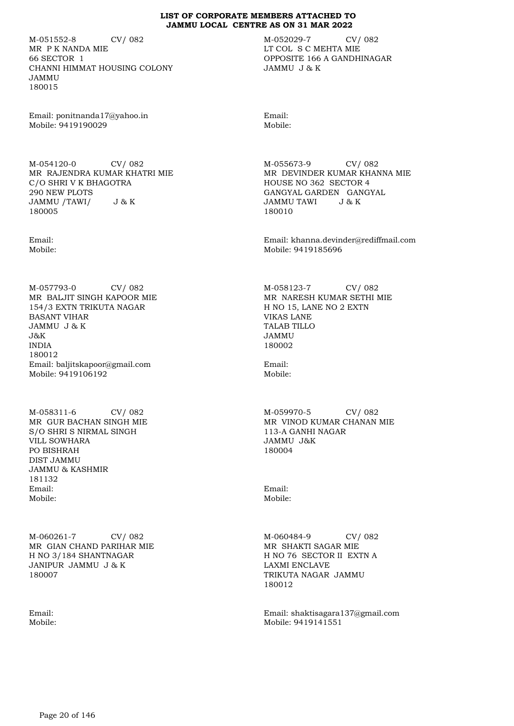M-051552-8 CV/ 082 MR P K NANDA MIE 66 SECTOR 1 CHANNI HIMMAT HOUSING COLONY JAMMU 180015

Email: ponitnanda17@yahoo.in Mobile: 9419190029

M-054120-0 CV/ 082 MR RAJENDRA KUMAR KHATRI MIE C/O SHRI V K BHAGOTRA 290 NEW PLOTS<br>JAMMU /TAWI/ J&K JAMMU /TAWI/ 180005

Email: Mobile:

M-057793-0 CV/ 082 MR BALJIT SINGH KAPOOR MIE 154/3 EXTN TRIKUTA NAGAR BASANT VIHAR JAMMU J & K  $J\&K$ INDIA 180012 Email: baljitskapoor@gmail.com Mobile: 9419106192

M-058311-6 CV/ 082 MR GUR BACHAN SINGH MIE S/O SHRI S NIRMAL SINGH VILL SOWHARA PO BISHRAH DIST JAMMU JAMMU & KASHMIR 181132 Email: Mobile:

M-060261-7 CV/ 082 MR GIAN CHAND PARIHAR MIE H NO 3/184 SHANTNAGAR JANIPUR JAMMU J & K 180007

Email: Mobile: M-052029-7 CV/ 082 LT COL S C MEHTA MIE OPPOSITE 166 A GANDHINAGAR JAMMU J & K

Email: Mobile:

M-055673-9 CV/ 082 MR DEVINDER KUMAR KHANNA MIE HOUSE NO 362 SECTOR 4 GANGYAL GARDEN GANGYAL JAMMU TAWI J & K 180010

Email: khanna.devinder@rediffmail.com Mobile: 9419185696

M-058123-7 CV/ 082 MR NARESH KUMAR SETHI MIE H NO 15, LANE NO 2 EXTN VIKAS LANE TALAB TILLO JAMMU 180002

Email: Mobile:

M-059970-5 CV/ 082 MR VINOD KUMAR CHANAN MIE 113-A GANHI NAGAR JAMMU J&K 180004

Email: Mobile:

M-060484-9 CV/ 082 MR SHAKTI SAGAR MIE H NO 76 SECTOR II EXTN A LAXMI ENCLAVE TRIKUTA NAGAR JAMMU 180012

Email: shaktisagara137@gmail.com Mobile: 9419141551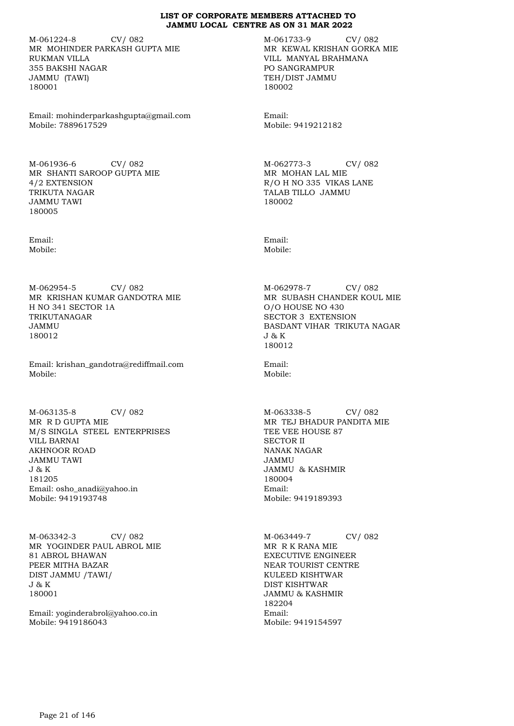M-061224-8 CV/ 082 MR MOHINDER PARKASH GUPTA MIE RUKMAN VILLA 355 BAKSHI NAGAR JAMMU (TAWI) 180001

Email: mohinderparkashgupta@gmail.com Mobile: 7889617529

M-061936-6 CV/ 082 MR SHANTI SAROOP GUPTA MIE 4/2 EXTENSION TRIKUTA NAGAR JAMMU TAWI 180005

Email: Mobile:

M-062954-5 CV/ 082 MR KRISHAN KUMAR GANDOTRA MIE H NO 341 SECTOR 1A TRIKUTANAGAR JAMMU 180012

Email: krishan\_gandotra@rediffmail.com Mobile:

M-063135-8 CV/ 082 MR R D GUPTA MIE M/S SINGLA STEEL ENTERPRISES VILL BARNAI AKHNOOR ROAD JAMMU TAWI J & K 181205 Email: osho\_anadi@yahoo.in Mobile: 9419193748

M-063342-3 CV/ 082 MR YOGINDER PAUL ABROL MIE 81 ABROL BHAWAN PEER MITHA BAZAR DIST JAMMU /TAWI/ J & K 180001

Email: yoginderabrol@yahoo.co.in Mobile: 9419186043

M-061733-9 CV/ 082 MR KEWAL KRISHAN GORKA MIE VILL MANYAL BRAHMANA PO SANGRAMPUR TEH/DIST JAMMU 180002

Email: Mobile: 9419212182

M-062773-3 CV/ 082 MR MOHAN LAL MIE R/O H NO 335 VIKAS LANE TALAB TILLO JAMMU 180002

Email: Mobile:

M-062978-7 CV/ 082 MR SUBASH CHANDER KOUL MIE O/O HOUSE NO 430 SECTOR 3 EXTENSION BASDANT VIHAR TRIKUTA NAGAR J & K 180012

Email: Mobile:

M-063338-5 CV/ 082 MR TEJ BHADUR PANDITA MIE TEE VEE HOUSE 87 SECTOR II NANAK NAGAR JAMMU JAMMU & KASHMIR 180004 Email: Mobile: 9419189393

M-063449-7 CV/ 082 MR R K RANA MIE EXECUTIVE ENGINEER NEAR TOURIST CENTRE KULEED KISHTWAR DIST KISHTWAR JAMMU & KASHMIR 182204 Email: Mobile: 9419154597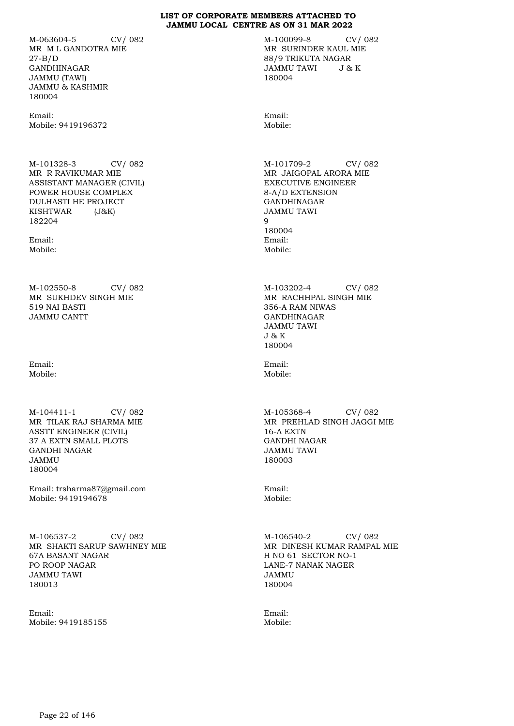M-063604-5 CV/ 082 MR M L GANDOTRA MIE 27-B/D GANDHINAGAR JAMMU (TAWI) JAMMU & KASHMIR 180004

Email: Mobile: 9419196372

M-101328-3 CV/ 082 MR R RAVIKUMAR MIE ASSISTANT MANAGER (CIVIL) POWER HOUSE COMPLEX DULHASTI HE PROJECT KISHTWAR (J&K) 182204

Email: Mobile:

M-102550-8 CV/ 082 MR SUKHDEV SINGH MIE 519 NAI BASTI JAMMU CANTT

Email: Mobile:

M-104411-1 CV/ 082 MR TILAK RAJ SHARMA MIE ASSTT ENGINEER (CIVIL) 37 A EXTN SMALL PLOTS GANDHI NAGAR JAMMU 180004

Email: trsharma87@gmail.com Mobile: 9419194678

M-106537-2 CV/ 082 MR SHAKTI SARUP SAWHNEY MIE 67A BASANT NAGAR PO ROOP NAGAR JAMMU TAWI 180013

Email: Mobile: 9419185155 M-100099-8 CV/ 082 MR SURINDER KAUL MIE 88/9 TRIKUTA NAGAR JAMMU TAWI J & K 180004

Email: Mobile:

M-101709-2 CV/ 082 MR JAIGOPAL ARORA MIE EXECUTIVE ENGINEER 8-A/D EXTENSION GANDHINAGAR JAMMU TAWI 9 180004 Email: Mobile:

M-103202-4 CV/ 082 MR RACHHPAL SINGH MIE 356-A RAM NIWAS GANDHINAGAR JAMMU TAWI J & K 180004

Email: Mobile:

M-105368-4 CV/ 082 MR PREHLAD SINGH JAGGI MIE 16-A EXTN GANDHI NAGAR JAMMU TAWI 180003

Email: Mobile:

M-106540-2 CV/ 082 MR DINESH KUMAR RAMPAL MIE H NO 61 SECTOR NO-1 LANE-7 NANAK NAGER JAMMU 180004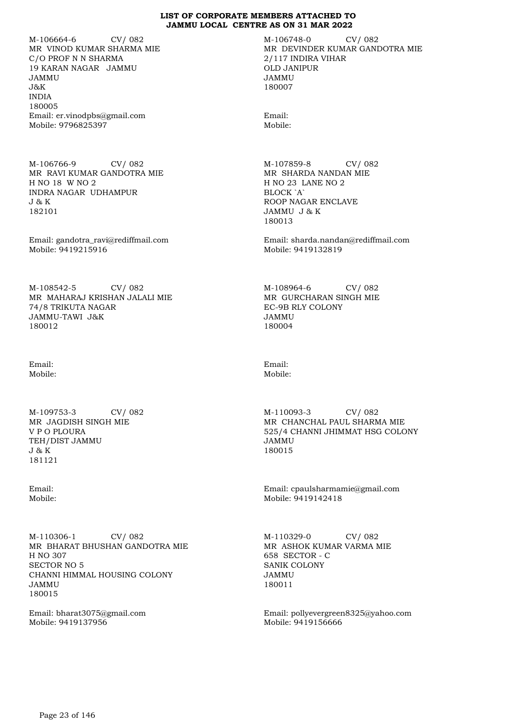M-106664-6 CV/ 082 MR VINOD KUMAR SHARMA MIE C/O PROF N N SHARMA 19 KARAN NAGAR JAMMU JAMMU J&K INDIA 180005 Email: er.vinodpbs@gmail.com Mobile: 9796825397

M-106766-9 CV/ 082 MR RAVI KUMAR GANDOTRA MIE H NO 18 W NO 2 INDRA NAGAR UDHAMPUR J & K 182101

Email: gandotra\_ravi@rediffmail.com Mobile: 9419215916

M-108542-5 CV/ 082 MR MAHARAJ KRISHAN JALALI MIE 74/8 TRIKUTA NAGAR JAMMU-TAWI J&K 180012

Email: Mobile:

M-109753-3 CV/ 082 MR JAGDISH SINGH MIE V P O PLOURA TEH/DIST JAMMU J & K 181121

Email: Mobile:

M-110306-1 CV/ 082 MR BHARAT BHUSHAN GANDOTRA MIE H NO 307 SECTOR NO 5 CHANNI HIMMAL HOUSING COLONY JAMMU 180015

Email: bharat3075@gmail.com Mobile: 9419137956

M-106748-0 CV/ 082 MR DEVINDER KUMAR GANDOTRA MIE 2/117 INDIRA VIHAR OLD JANIPUR JAMMU 180007

Email: Mobile:

M-107859-8 CV/ 082 MR SHARDA NANDAN MIE H NO 23 LANE NO 2 BLOCK `A` ROOP NAGAR ENCLAVE JAMMU J & K 180013

Email: sharda.nandan@rediffmail.com Mobile: 9419132819

M-108964-6 CV/ 082 MR GURCHARAN SINGH MIE EC-9B RLY COLONY JAMMU 180004

Email: Mobile:

M-110093-3 CV/ 082 MR CHANCHAL PAUL SHARMA MIE 525/4 CHANNI JHIMMAT HSG COLONY JAMMU 180015

Email: cpaulsharmamie@gmail.com Mobile: 9419142418

M-110329-0 CV/ 082 MR ASHOK KUMAR VARMA MIE 658 SECTOR - C SANIK COLONY JAMMU 180011

Email: pollyevergreen8325@yahoo.com Mobile: 9419156666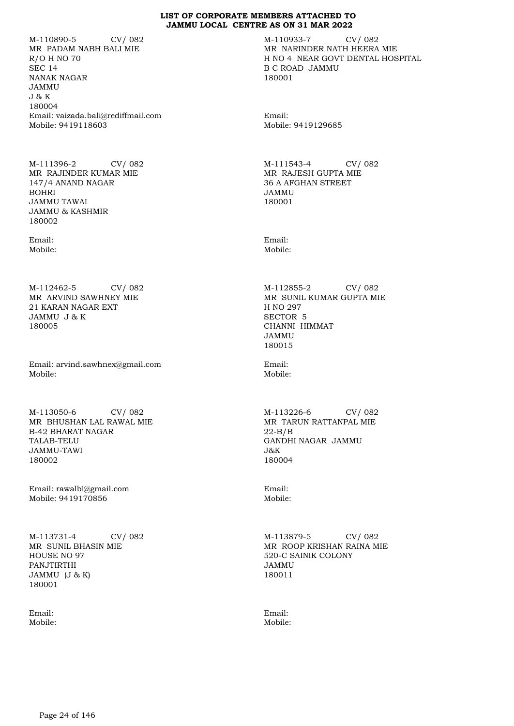M-110890-5 CV/ 082 MR PADAM NABH BALI MIE R/O H NO 70 SEC 14 NANAK NAGAR JAMMU J & K 180004 Email: vaizada.bali@rediffmail.com Mobile: 9419118603

M-111396-2 CV/ 082 MR RAJINDER KUMAR MIE 147/4 ANAND NAGAR BOHRI JAMMU TAWAI JAMMU & KASHMIR 180002

Email: Mobile:

M-112462-5 CV/ 082 MR ARVIND SAWHNEY MIE 21 KARAN NAGAR EXT JAMMU J & K 180005

Email: arvind.sawhnex@gmail.com Mobile:

M-113050-6 CV/ 082 MR BHUSHAN LAL RAWAL MIE B-42 BHARAT NAGAR TALAB-TELU JAMMU-TAWI 180002

Email: rawalbl@gmail.com Mobile: 9419170856

M-113731-4 CV/ 082 MR SUNIL BHASIN MIE HOUSE NO 97 PANJTIRTHI JAMMU (J & K) 180001

Email: Mobile: M-110933-7 CV/ 082 MR NARINDER NATH HEERA MIE H NO 4 NEAR GOVT DENTAL HOSPITAL B C ROAD JAMMU 180001

Email: Mobile: 9419129685

M-111543-4 CV/ 082 MR RAJESH GUPTA MIE 36 A AFGHAN STREET JAMMU 180001

Email: Mobile:

M-112855-2 CV/ 082 MR SUNIL KUMAR GUPTA MIE H NO 297 SECTOR 5 CHANNI HIMMAT JAMMU 180015

Email: Mobile:

M-113226-6 CV/ 082 MR TARUN RATTANPAL MIE 22-B/B GANDHI NAGAR JAMMU J&K 180004

Email: Mobile:

M-113879-5 CV/ 082 MR ROOP KRISHAN RAINA MIE 520-C SAINIK COLONY JAMMU 180011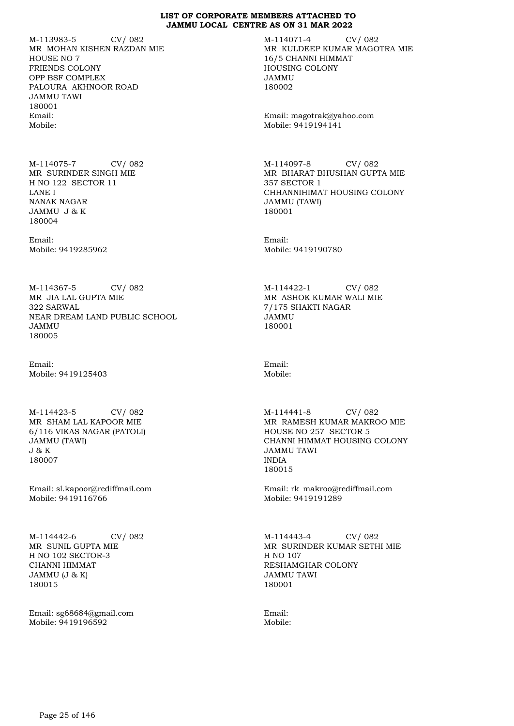M-113983-5 CV/ 082 MR MOHAN KISHEN RAZDAN MIE HOUSE NO 7 FRIENDS COLONY OPP BSF COMPLEX PALOURA AKHNOOR ROAD JAMMU TAWI 180001 Email: Mobile:

M-114075-7 CV/ 082 MR SURINDER SINGH MIE H NO 122 SECTOR 11 LANE I NANAK NAGAR JAMMU J & K 180004

Email: Mobile: 9419285962

M-114367-5 CV/ 082 MR JIA LAL GUPTA MIE 322 SARWAL NEAR DREAM LAND PUBLIC SCHOOL JAMMU 180005

Email: Mobile: 9419125403

M-114423-5 CV/ 082 MR SHAM LAL KAPOOR MIE 6/116 VIKAS NAGAR (PATOLI) JAMMU (TAWI) J & K 180007

Email: sl.kapoor@rediffmail.com Mobile: 9419116766

M-114442-6 CV/ 082 MR SUNIL GUPTA MIE H NO 102 SECTOR-3 CHANNI HIMMAT JAMMU (J & K) 180015

Email: sg68684@gmail.com Mobile: 9419196592

M-114071-4 CV/ 082 MR KULDEEP KUMAR MAGOTRA MIE 16/5 CHANNI HIMMAT HOUSING COLONY JAMMU 180002

Email: magotrak@yahoo.com Mobile: 9419194141

M-114097-8 CV/ 082 MR BHARAT BHUSHAN GUPTA MIE 357 SECTOR 1 CHHANNIHIMAT HOUSING COLONY JAMMU (TAWI) 180001

Email: Mobile: 9419190780

M-114422-1 CV/ 082 MR ASHOK KUMAR WALI MIE 7/175 SHAKTI NAGAR JAMMU 180001

Email: Mobile:

M-114441-8 CV/ 082 MR RAMESH KUMAR MAKROO MIE HOUSE NO 257 SECTOR 5 CHANNI HIMMAT HOUSING COLONY JAMMU TAWI INDIA 180015

Email: rk\_makroo@rediffmail.com Mobile: 9419191289

M-114443-4 CV/ 082 MR SURINDER KUMAR SETHI MIE H NO 107 RESHAMGHAR COLONY JAMMU TAWI 180001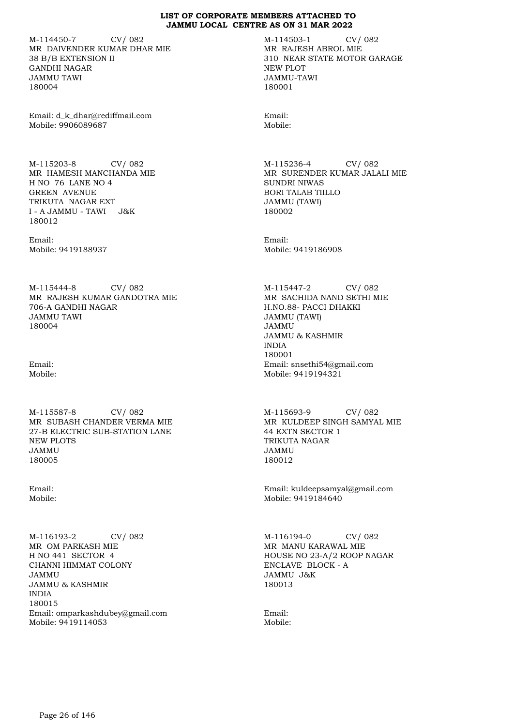M-114450-7 CV/ 082 MR DAIVENDER KUMAR DHAR MIE 38 B/B EXTENSION II GANDHI NAGAR JAMMU TAWI 180004

Email: d\_k\_dhar@rediffmail.com Mobile: 9906089687

M-115203-8 CV/ 082 MR HAMESH MANCHANDA MIE H NO 76 LANE NO 4 GREEN AVENUE TRIKUTA NAGAR EXT I - A JAMMU - TAWI J&K 180012

Email: Mobile: 9419188937

M-115444-8 CV/ 082 MR RAJESH KUMAR GANDOTRA MIE 706-A GANDHI NAGAR JAMMU TAWI 180004

Email: Mobile:

M-115587-8 CV/ 082 MR SUBASH CHANDER VERMA MIE 27-B ELECTRIC SUB-STATION LANE NEW PLOTS JAMMU 180005

Email: Mobile:

M-116193-2 CV/ 082 MR OM PARKASH MIE H NO 441 SECTOR 4 CHANNI HIMMAT COLONY JAMMU JAMMU & KASHMIR INDIA 180015 Email: omparkashdubey@gmail.com Mobile: 9419114053

M-114503-1 CV/ 082 MR RAJESH ABROL MIE 310 NEAR STATE MOTOR GARAGE NEW PLOT JAMMU-TAWI 180001

Email: Mobile:

M-115236-4 CV/ 082 MR SURENDER KUMAR JALALI MIE SUNDRI NIWAS BORI TALAB TIILLO JAMMU (TAWI) 180002

Email: Mobile: 9419186908

M-115447-2 CV/ 082 MR SACHIDA NAND SETHI MIE H.NO.88- PACCI DHAKKI JAMMU (TAWI) JAMMU JAMMU & KASHMIR INDIA 180001 Email: snsethi54@gmail.com Mobile: 9419194321

M-115693-9 CV/ 082 MR KULDEEP SINGH SAMYAL MIE 44 EXTN SECTOR 1 TRIKUTA NAGAR JAMMU 180012

Email: kuldeepsamyal@gmail.com Mobile: 9419184640

M-116194-0 CV/ 082 MR MANU KARAWAL MIE HOUSE NO 23-A/2 ROOP NAGAR ENCLAVE BLOCK - A JAMMU J&K 180013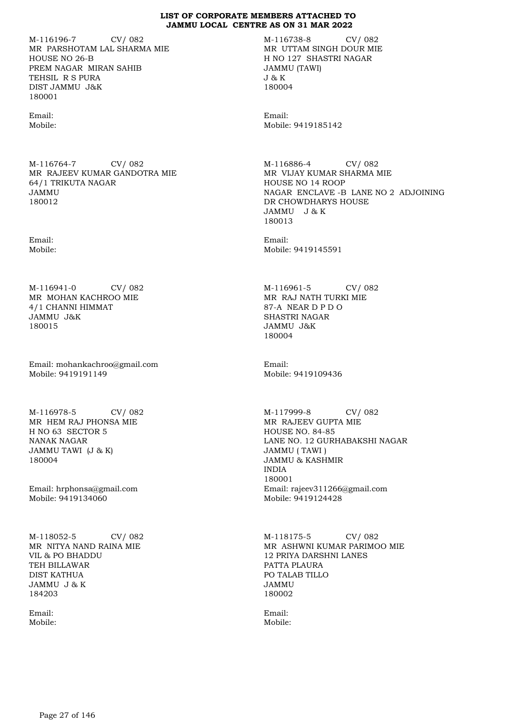M-116196-7 CV/ 082 MR PARSHOTAM LAL SHARMA MIE HOUSE NO 26-B PREM NAGAR MIRAN SAHIB TEHSIL R S PURA DIST JAMMU J&K 180001

Email: Mobile:

M-116764-7 CV/ 082 MR RAJEEV KUMAR GANDOTRA MIE 64/1 TRIKUTA NAGAR JAMMU 180012

Email: Mobile:

M-116941-0 CV/ 082 MR MOHAN KACHROO MIE 4/1 CHANNI HIMMAT JAMMU J&K 180015

Email: mohankachroo@gmail.com Mobile: 9419191149

M-116978-5 CV/ 082 MR HEM RAJ PHONSA MIE H NO 63 SECTOR 5 NANAK NAGAR JAMMU TAWI (J & K) 180004

Email: hrphonsa@gmail.com Mobile: 9419134060

M-118052-5 CV/ 082 MR NITYA NAND RAINA MIE VIL & PO BHADDU TEH BILLAWAR DIST KATHUA JAMMU J & K 184203

Email: Mobile: M-116738-8 CV/ 082 MR UTTAM SINGH DOUR MIE H NO 127 SHASTRI NAGAR JAMMU (TAWI) J & K 180004

Email: Mobile: 9419185142

M-116886-4 CV/ 082 MR VIJAY KUMAR SHARMA MIE HOUSE NO 14 ROOP NAGAR ENCLAVE -B LANE NO 2 ADJOINING DR CHOWDHARYS HOUSE JAMMU J & K 180013

Email: Mobile: 9419145591

M-116961-5 CV/ 082 MR RAJ NATH TURKI MIE 87-A NEAR D P D O SHASTRI NAGAR JAMMU J&K 180004

Email: Mobile: 9419109436

M-117999-8 CV/ 082 MR RAJEEV GUPTA MIE HOUSE NO. 84-85 LANE NO. 12 GURHABAKSHI NAGAR JAMMU ( TAWI ) JAMMU & KASHMIR INDIA 180001 Email: rajeev311266@gmail.com Mobile: 9419124428

M-118175-5 CV/ 082 MR ASHWNI KUMAR PARIMOO MIE 12 PRIYA DARSHNI LANES PATTA PLAURA PO TALAB TILLO JAMMU 180002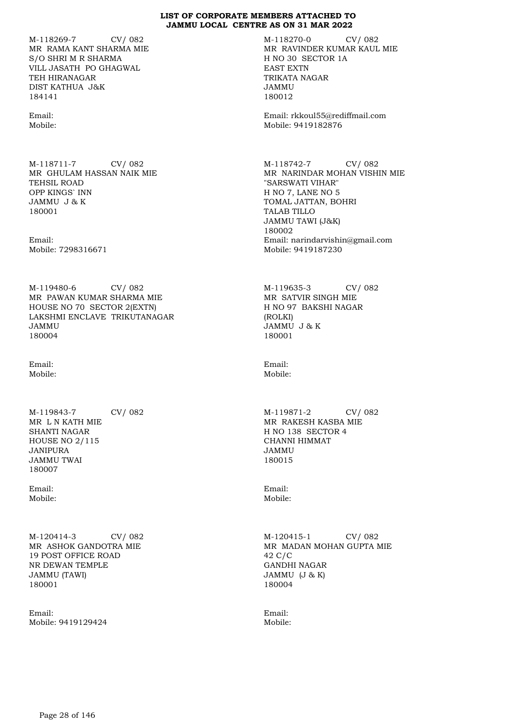M-118269-7 CV/ 082 MR RAMA KANT SHARMA MIE S/O SHRI M R SHARMA VILL JASATH PO GHAGWAL TEH HIRANAGAR DIST KATHUA J&K 184141

Email: Mobile:

M-118711-7 CV/ 082 MR GHULAM HASSAN NAIK MIE TEHSIL ROAD OPP KINGS` INN JAMMU J & K 180001

Email: Mobile: 7298316671

M-119480-6 CV/ 082 MR PAWAN KUMAR SHARMA MIE HOUSE NO 70 SECTOR 2(EXTN) LAKSHMI ENCLAVE TRIKUTANAGAR JAMMU 180004

Email: Mobile:

M-119843-7 CV/ 082 MR L N KATH MIE SHANTI NAGAR HOUSE NO 2/115 JANIPURA JAMMU TWAI 180007

Email: Mobile:

M-120414-3 CV/ 082 MR ASHOK GANDOTRA MIE 19 POST OFFICE ROAD NR DEWAN TEMPLE JAMMU (TAWI) 180001

Email: Mobile: 9419129424 M-118270-0 CV/ 082 MR RAVINDER KUMAR KAUL MIE H NO 30 SECTOR 1A EAST EXTN TRIKATA NAGAR JAMMU 180012

Email: rkkoul55@rediffmail.com Mobile: 9419182876

M-118742-7 CV/ 082 MR NARINDAR MOHAN VISHIN MIE "SARSWATI VIHAR" H NO 7, LANE NO 5 TOMAL JATTAN, BOHRI TALAB TILLO JAMMU TAWI (J&K) 180002 Email: narindarvishin@gmail.com Mobile: 9419187230

M-119635-3 CV/ 082 MR SATVIR SINGH MIE H NO 97 BAKSHI NAGAR (ROLKI) JAMMU J & K 180001

Email: Mobile:

M-119871-2 CV/ 082 MR RAKESH KASBA MIE H NO 138 SECTOR 4 CHANNI HIMMAT JAMMU 180015

Email: Mobile:

M-120415-1 CV/ 082 MR MADAN MOHAN GUPTA MIE 42 C/C GANDHI NAGAR JAMMU (J & K) 180004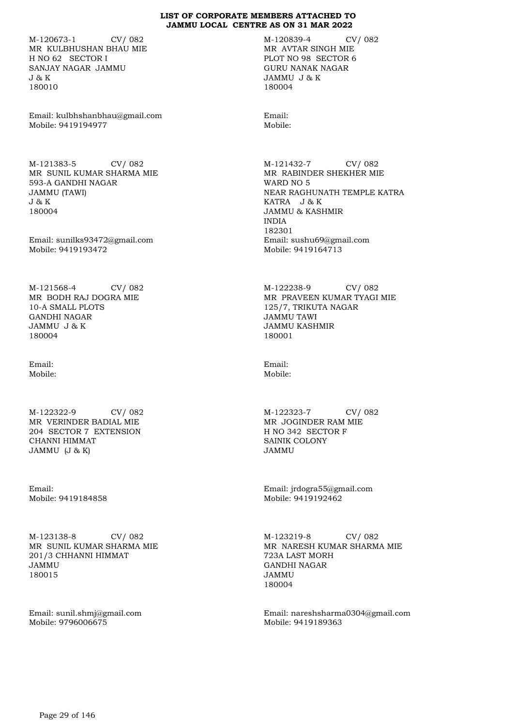M-120673-1 CV/ 082 MR KULBHUSHAN BHAU MIE H NO 62 SECTOR I SANJAY NAGAR JAMMU J & K 180010

Email: kulbhshanbhau@gmail.com Mobile: 9419194977

M-121383-5 CV/ 082 MR SUNIL KUMAR SHARMA MIE 593-A GANDHI NAGAR JAMMU (TAWI) J & K 180004

Email: sunilks93472@gmail.com Mobile: 9419193472

M-121568-4 CV/ 082 MR BODH RAJ DOGRA MIE 10-A SMALL PLOTS GANDHI NAGAR JAMMU J & K 180004

Email: Mobile:

M-122322-9 CV/ 082 MR VERINDER BADIAL MIE 204 SECTOR 7 EXTENSION CHANNI HIMMAT JAMMU (J & K)

Email: Mobile: 9419184858

M-123138-8 CV/ 082 MR SUNIL KUMAR SHARMA MIE 201/3 CHHANNI HIMMAT JAMMU 180015

Email: sunil.shmj@gmail.com Mobile: 9796006675

M-120839-4 CV/ 082 MR AVTAR SINGH MIE PLOT NO 98 SECTOR 6 GURU NANAK NAGAR JAMMU J & K 180004

Email: Mobile:

M-121432-7 CV/ 082 MR RABINDER SHEKHER MIE WARD NO 5 NEAR RAGHUNATH TEMPLE KATRA KATRA J & K JAMMU & KASHMIR INDIA 182301 Email: sushu69@gmail.com Mobile: 9419164713

M-122238-9 CV/ 082 MR PRAVEEN KUMAR TYAGI MIE 125/7, TRIKUTA NAGAR JAMMU TAWI JAMMU KASHMIR 180001

Email: Mobile:

M-122323-7 CV/ 082 MR JOGINDER RAM MIE H NO 342 SECTOR F SAINIK COLONY JAMMU

Email: jrdogra55@gmail.com Mobile: 9419192462

M-123219-8 CV/ 082 MR NARESH KUMAR SHARMA MIE 723A LAST MORH GANDHI NAGAR JAMMU 180004

Email: nareshsharma0304@gmail.com Mobile: 9419189363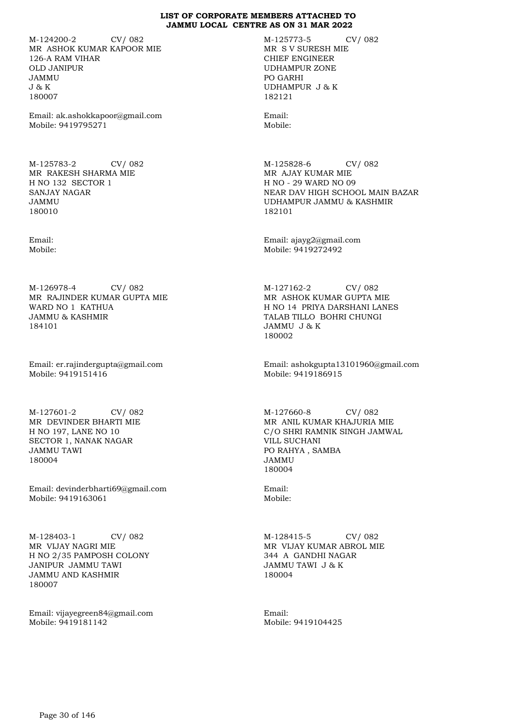M-124200-2 CV/ 082 MR ASHOK KUMAR KAPOOR MIE 126-A RAM VIHAR OLD JANIPUR JAMMU J & K 180007

Email: ak.ashokkapoor@gmail.com Mobile: 9419795271

M-125783-2 CV/ 082 MR RAKESH SHARMA MIE H NO 132 SECTOR 1 SANJAY NAGAR JAMMU 180010

Email: Mobile:

M-126978-4 CV/ 082 MR RAJINDER KUMAR GUPTA MIE WARD NO 1 KATHUA JAMMU & KASHMIR 184101

Email: er.rajindergupta@gmail.com Mobile: 9419151416

M-127601-2 CV/ 082 MR DEVINDER BHARTI MIE H NO 197, LANE NO 10 SECTOR 1, NANAK NAGAR JAMMU TAWI 180004

Email: devinderbharti69@gmail.com Mobile: 9419163061

M-128403-1 CV/ 082 MR VIJAY NAGRI MIE H NO 2/35 PAMPOSH COLONY JANIPUR JAMMU TAWI JAMMU AND KASHMIR 180007

Email: vijayegreen84@gmail.com Mobile: 9419181142

M-125773-5 CV/ 082 MR S V SURESH MIE CHIEF ENGINEER UDHAMPUR ZONE PO GARHI UDHAMPUR J & K 182121

Email: Mobile:

M-125828-6 CV/ 082 MR AJAY KUMAR MIE H NO - 29 WARD NO 09 NEAR DAV HIGH SCHOOL MAIN BAZAR UDHAMPUR JAMMU & KASHMIR 182101

Email: ajayg2@gmail.com Mobile: 9419272492

M-127162-2 CV/ 082 MR ASHOK KUMAR GUPTA MIE H NO 14 PRIYA DARSHANI LANES TALAB TILLO BOHRI CHUNGI JAMMU J & K 180002

Email: ashokgupta13101960@gmail.com Mobile: 9419186915

M-127660-8 CV/ 082 MR ANIL KUMAR KHAJURIA MIE C/O SHRI RAMNIK SINGH JAMWAL VILL SUCHANI PO RAHYA , SAMBA JAMMU 180004

Email: Mobile:

M-128415-5 CV/ 082 MR VIJAY KUMAR ABROL MIE 344 A GANDHI NAGAR JAMMU TAWI J & K 180004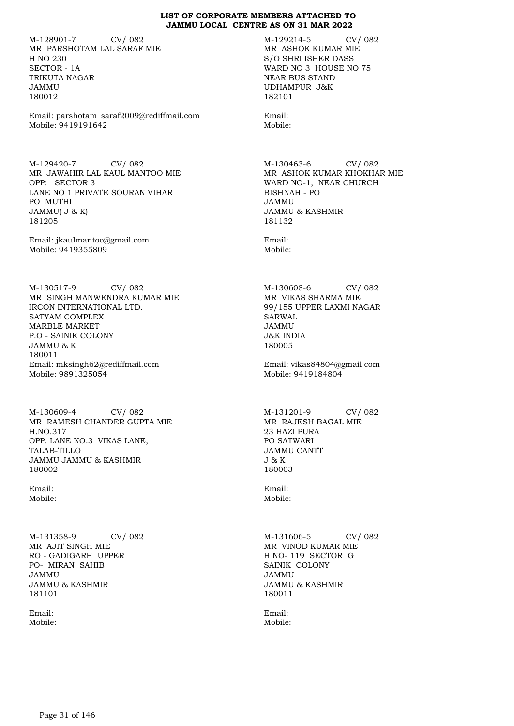M-128901-7 CV/ 082 MR PARSHOTAM LAL SARAF MIE H NO 230 SECTOR - 1A TRIKUTA NAGAR JAMMU 180012

Email: parshotam\_saraf2009@rediffmail.com Mobile: 9419191642

M-129420-7 CV/ 082 MR JAWAHIR LAL KAUL MANTOO MIE OPP: SECTOR 3 LANE NO 1 PRIVATE SOURAN VIHAR PO MUTHI JAMMU( J & K) 181205

Email: jkaulmantoo@gmail.com Mobile: 9419355809

M-130517-9 CV/ 082 MR SINGH MANWENDRA KUMAR MIE IRCON INTERNATIONAL LTD. SATYAM COMPLEX MARBLE MARKET P.O - SAINIK COLONY JAMMU & K 180011 Email: mksingh62@rediffmail.com Mobile: 9891325054

M-130609-4 CV/ 082 MR RAMESH CHANDER GUPTA MIE H.NO.317 OPP. LANE NO.3 VIKAS LANE, TALAB-TILLO JAMMU JAMMU & KASHMIR 180002

Email: Mobile:

M-131358-9 CV/ 082 MR AJIT SINGH MIE RO - GADIGARH UPPER PO- MIRAN SAHIB JAMMU JAMMU & KASHMIR 181101

Email: Mobile: M-129214-5 CV/ 082 MR ASHOK KUMAR MIE S/O SHRI ISHER DASS WARD NO 3 HOUSE NO 75 NEAR BUS STAND UDHAMPUR J&K 182101

Mobile:

M-130463-6 CV/ 082 MR ASHOK KUMAR KHOKHAR MIE WARD NO-1, NEAR CHURCH BISHNAH - PO JAMMU JAMMU & KASHMIR 181132

Email: Mobile:

M-130608-6 CV/ 082 MR VIKAS SHARMA MIE 99/155 UPPER LAXMI NAGAR SARWAL JAMMU J&K INDIA 180005

Email: vikas84804@gmail.com Mobile: 9419184804

M-131201-9 CV/ 082 MR RAJESH BAGAL MIE 23 HAZI PURA PO SATWARI JAMMU CANTT J & K 180003

Email: Mobile:

M-131606-5 CV/ 082 MR VINOD KUMAR MIE H NO- 119 SECTOR G SAINIK COLONY JAMMU JAMMU & KASHMIR 180011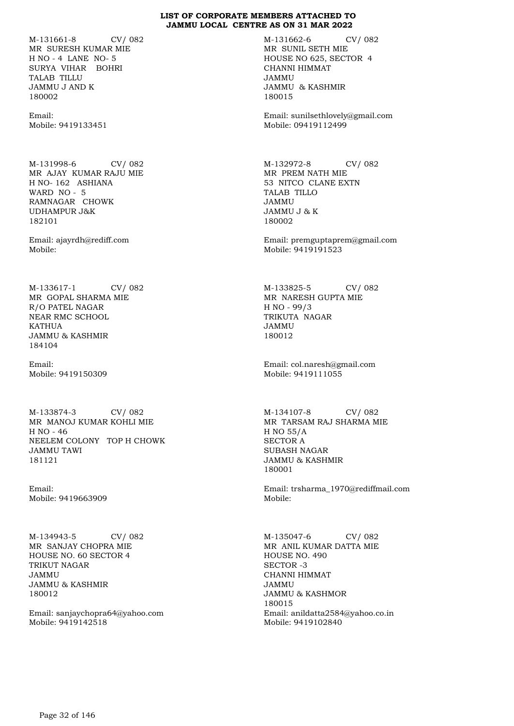M-131661-8 CV/ 082 MR SURESH KUMAR MIE H NO - 4 LANE NO- 5 SURYA VIHAR BOHRI TALAB TILLU JAMMU J AND K 180002

Email: Mobile: 9419133451

M-131998-6 CV/ 082 MR AJAY KUMAR RAJU MIE H NO- 162 ASHIANA WARD NO - 5 RAMNAGAR CHOWK UDHAMPUR J&K 182101

Email: ajayrdh@rediff.com Mobile:

M-133617-1 CV/ 082 MR GOPAL SHARMA MIE R/O PATEL NAGAR NEAR RMC SCHOOL KATHUA JAMMU & KASHMIR 184104

Email: Mobile: 9419150309

M-133874-3 CV/ 082 MR MANOJ KUMAR KOHLI MIE H NO - 46 NEELEM COLONY TOP H CHOWK JAMMU TAWI 181121

Email: Mobile: 9419663909

M-134943-5 CV/ 082 MR SANJAY CHOPRA MIE HOUSE NO. 60 SECTOR 4 TRIKUT NAGAR JAMMU JAMMU & KASHMIR 180012

Email: sanjaychopra64@yahoo.com Mobile: 9419142518

M-131662-6 CV/ 082 MR SUNIL SETH MIE HOUSE NO 625, SECTOR 4 CHANNI HIMMAT JAMMU JAMMU & KASHMIR 180015

Email: sunilsethlovely@gmail.com Mobile: 09419112499

M-132972-8 CV/ 082 MR PREM NATH MIE 53 NITCO CLANE EXTN TALAB TILLO JAMMU JAMMU J & K 180002

Email: premguptaprem@gmail.com Mobile: 9419191523

M-133825-5 CV/ 082 MR NARESH GUPTA MIE H NO - 99/3 TRIKUTA NAGAR JAMMU 180012

Email: col.naresh@gmail.com Mobile: 9419111055

M-134107-8 CV/ 082 MR TARSAM RAJ SHARMA MIE H NO 55/A SECTOR A SUBASH NAGAR JAMMU & KASHMIR 180001

Email: trsharma\_1970@rediffmail.com Mobile:

M-135047-6 CV/ 082 MR ANIL KUMAR DATTA MIE HOUSE NO. 490 SECTOR -3 CHANNI HIMMAT JAMMU JAMMU & KASHMOR 180015 Email: anildatta2584@yahoo.co.in Mobile: 9419102840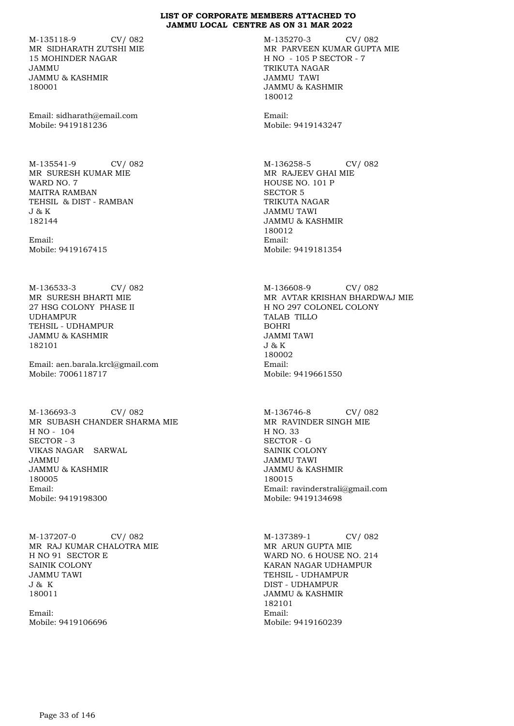M-135118-9 CV/ 082 MR SIDHARATH ZUTSHI MIE 15 MOHINDER NAGAR JAMMU JAMMU & KASHMIR 180001

Email: sidharath@email.com Mobile: 9419181236

M-135541-9 CV/ 082 MR SURESH KUMAR MIE WARD NO. 7 MAITRA RAMBAN TEHSIL & DIST - RAMBAN J & K 182144

Email: Mobile: 9419167415

M-136533-3 CV/ 082 MR SURESH BHARTI MIE 27 HSG COLONY PHASE II UDHAMPUR TEHSIL - UDHAMPUR JAMMU & KASHMIR 182101

Email: aen.barala.krcl@gmail.com Mobile: 7006118717

M-136693-3 CV/ 082 MR SUBASH CHANDER SHARMA MIE H NO - 104 SECTOR - 3 VIKAS NAGAR SARWAL JAMMU JAMMU & KASHMIR 180005 Email: Mobile: 9419198300

M-137207-0 CV/ 082 MR RAJ KUMAR CHALOTRA MIE H NO 91 SECTOR E SAINIK COLONY JAMMU TAWI J & K 180011

Email: Mobile: 9419106696 M-135270-3 CV/ 082 MR PARVEEN KUMAR GUPTA MIE H NO - 105 P SECTOR - 7 TRIKUTA NAGAR JAMMU TAWI JAMMU & KASHMIR 180012

Email: Mobile: 9419143247

M-136258-5 CV/ 082 MR RAJEEV GHAI MIE HOUSE NO. 101 P SECTOR 5 TRIKUTA NAGAR JAMMU TAWI JAMMU & KASHMIR 180012 Email: Mobile: 9419181354

M-136608-9 CV/ 082 MR AVTAR KRISHAN BHARDWAJ MIE H NO 297 COLONEL COLONY TALAB TILLO BOHRI JAMMI TAWI J & K 180002 Email: Mobile: 9419661550

M-136746-8 CV/ 082 MR RAVINDER SINGH MIE H NO. 33 SECTOR - G SAINIK COLONY JAMMU TAWI JAMMU & KASHMIR 180015 Email: ravinderstrali@gmail.com Mobile: 9419134698

M-137389-1 CV/ 082 MR ARUN GUPTA MIE WARD NO. 6 HOUSE NO. 214 KARAN NAGAR UDHAMPUR TEHSIL - UDHAMPUR DIST - UDHAMPUR JAMMU & KASHMIR 182101 Email: Mobile: 9419160239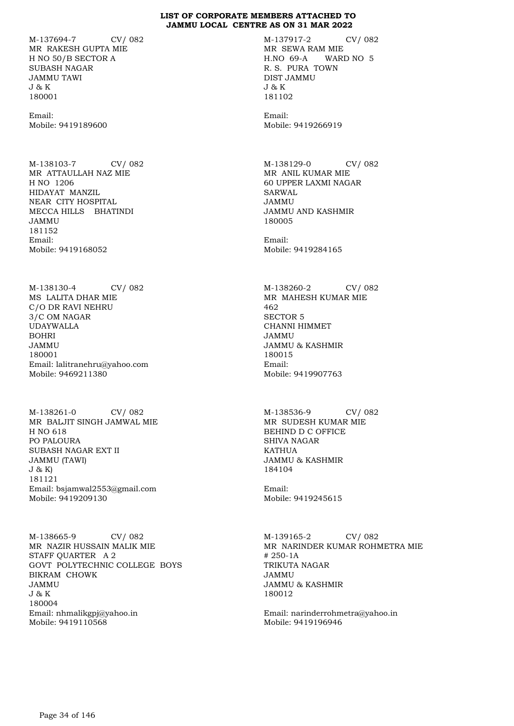M-137694-7 CV/ 082 MR RAKESH GUPTA MIE H NO 50/B SECTOR A SUBASH NAGAR JAMMU TAWI J & K 180001

Email: Mobile: 9419189600

M-138103-7 CV/ 082 MR ATTAULLAH NAZ MIE H NO 1206 HIDAYAT MANZIL NEAR CITY HOSPITAL MECCA HILLS BHATINDI JAMMU 181152 Email: Mobile: 9419168052

M-138130-4 CV/ 082 MS LALITA DHAR MIE C/O DR RAVI NEHRU 3/C OM NAGAR UDAYWALLA BOHRI JAMMU 180001 Email: lalitranehru@yahoo.com Mobile: 9469211380

M-138261-0 CV/ 082 MR BALJIT SINGH JAMWAL MIE H NO 618 PO PALOURA SUBASH NAGAR EXT II JAMMU (TAWI) J & K) 181121 Email: bsjamwal2553@gmail.com Mobile: 9419209130

M-138665-9 CV/ 082 MR NAZIR HUSSAIN MALIK MIE STAFF QUARTER A 2 GOVT POLYTECHNIC COLLEGE BOYS BIKRAM CHOWK JAMMU J & K 180004 Email: nhmalikgpj@yahoo.in Mobile: 9419110568

M-137917-2 CV/ 082 MR SEWA RAM MIE H.NO 69-A WARD NO 5 R. S. PURA TOWN DIST JAMMU J & K 181102

Email: Mobile: 9419266919

M-138129-0 CV/ 082 MR ANIL KUMAR MIE 60 UPPER LAXMI NAGAR SARWAL JAMMU JAMMU AND KASHMIR 180005

Email: Mobile: 9419284165

M-138260-2 CV/ 082 MR MAHESH KUMAR MIE 462 SECTOR 5 CHANNI HIMMET JAMMU JAMMU & KASHMIR 180015 Email: Mobile: 9419907763

M-138536-9 CV/ 082 MR SUDESH KUMAR MIE BEHIND D C OFFICE SHIVA NAGAR KATHUA JAMMU & KASHMIR 184104

Email: Mobile: 9419245615

M-139165-2 CV/ 082 MR NARINDER KUMAR ROHMETRA MIE # 250-1A TRIKUTA NAGAR JAMMU JAMMU & KASHMIR 180012

Email: narinderrohmetra@yahoo.in Mobile: 9419196946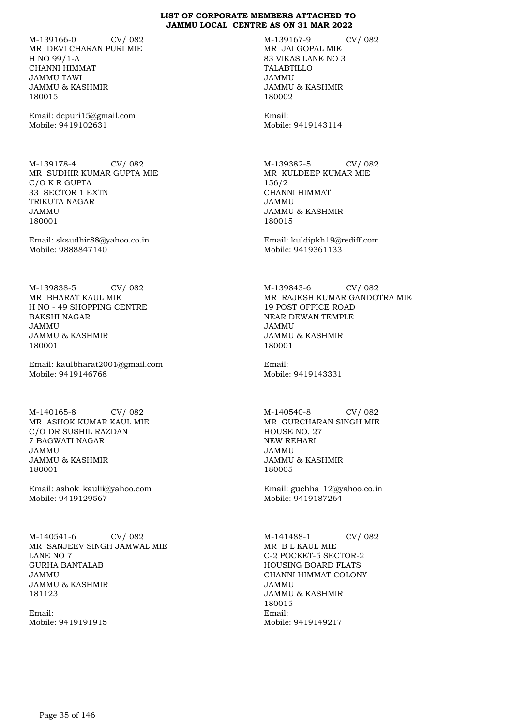M-139166-0 CV/ 082 MR DEVI CHARAN PURI MIE H NO 99/1-A CHANNI HIMMAT JAMMU TAWI JAMMU & KASHMIR 180015

Email: dcpuri15@gmail.com Mobile: 9419102631

M-139178-4 CV/ 082 MR SUDHIR KUMAR GUPTA MIE C/O K R GUPTA 33 SECTOR 1 EXTN TRIKUTA NAGAR JAMMU 180001

Email: sksudhir88@yahoo.co.in Mobile: 9888847140

M-139838-5 CV/ 082 MR BHARAT KAUL MIE H NO - 49 SHOPPING CENTRE BAKSHI NAGAR JAMMU JAMMU & KASHMIR 180001

Email: kaulbharat2001@gmail.com Mobile: 9419146768

M-140165-8 CV/ 082 MR ASHOK KUMAR KAUL MIE C/O DR SUSHIL RAZDAN 7 BAGWATI NAGAR JAMMU JAMMU & KASHMIR 180001

Email: ashok\_kaulii@yahoo.com Mobile: 9419129567

M-140541-6 CV/ 082 MR SANJEEV SINGH JAMWAL MIE LANE NO 7 GURHA BANTALAB JAMMU JAMMU & KASHMIR 181123

Email: Mobile: 9419191915 M-139167-9 CV/ 082 MR JAI GOPAL MIE 83 VIKAS LANE NO 3 TALABTILLO JAMMU JAMMU & KASHMIR 180002

Email: Mobile: 9419143114

M-139382-5 CV/ 082 MR KULDEEP KUMAR MIE 156/2 CHANNI HIMMAT JAMMU JAMMU & KASHMIR 180015

Email: kuldipkh19@rediff.com Mobile: 9419361133

M-139843-6 CV/ 082 MR RAJESH KUMAR GANDOTRA MIE 19 POST OFFICE ROAD NEAR DEWAN TEMPLE JAMMU JAMMU & KASHMIR 180001

Email: Mobile: 9419143331

M-140540-8 CV/ 082 MR GURCHARAN SINGH MIE HOUSE NO. 27 NEW REHARI JAMMU JAMMU & KASHMIR 180005

Email: guchha\_12@yahoo.co.in Mobile: 9419187264

M-141488-1 CV/ 082 MR B L KAUL MIE C-2 POCKET-5 SECTOR-2 HOUSING BOARD FLATS CHANNI HIMMAT COLONY JAMMU JAMMU & KASHMIR 180015 Email: Mobile: 9419149217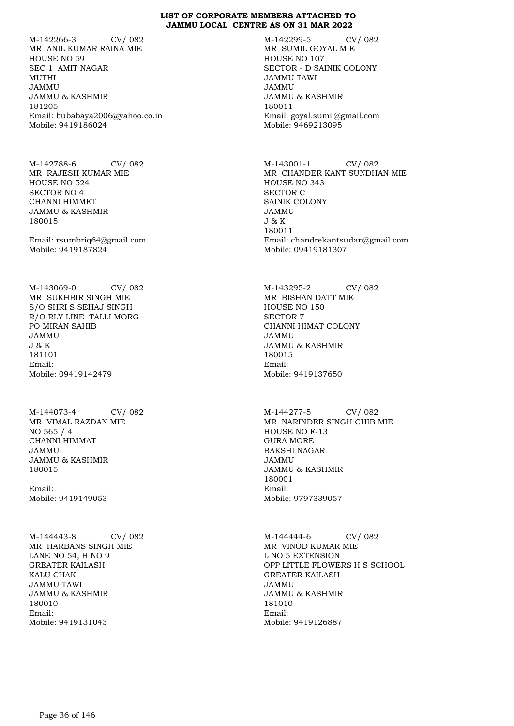M-142266-3 CV/ 082 MR ANIL KUMAR RAINA MIE HOUSE NO 59 SEC 1 AMIT NAGAR MUTHI JAMMU JAMMU & KASHMIR 181205 Email: bubabaya2006@yahoo.co.in Mobile: 9419186024

M-142788-6 CV/ 082 MR RAJESH KUMAR MIE HOUSE NO 524 SECTOR NO 4 CHANNI HIMMET JAMMU & KASHMIR 180015

Email: rsumbriq64@gmail.com Mobile: 9419187824

M-143069-0 CV/ 082 MR SUKHBIR SINGH MIE S/O SHRI S SEHAJ SINGH R/O RLY LINE TALLI MORG PO MIRAN SAHIB JAMMU J & K 181101 Email: Mobile: 09419142479

M-144073-4 CV/ 082 MR VIMAL RAZDAN MIE NO 565 / 4 CHANNI HIMMAT JAMMU JAMMU & KASHMIR 180015

Email: Mobile: 9419149053

M-144443-8 CV/ 082 MR HARBANS SINGH MIE LANE NO 54, H NO 9 GREATER KAILASH KALU CHAK JAMMU TAWI JAMMU & KASHMIR 180010 Email: Mobile: 9419131043

M-142299-5 CV/ 082 MR SUMIL GOYAL MIE HOUSE NO 107 SECTOR - D SAINIK COLONY JAMMU TAWI JAMMU JAMMU & KASHMIR 180011 Email: goyal.sumil@gmail.com Mobile: 9469213095

M-143001-1 CV/ 082 MR CHANDER KANT SUNDHAN MIE HOUSE NO 343 SECTOR C SAINIK COLONY JAMMU J & K 180011 Email: chandrekantsudan@gmail.com Mobile: 09419181307

M-143295-2 CV/ 082 MR BISHAN DATT MIE HOUSE NO 150 SECTOR 7 CHANNI HIMAT COLONY JAMMU JAMMU & KASHMIR 180015 Email: Mobile: 9419137650

M-144277-5 CV/ 082 MR NARINDER SINGH CHIB MIE HOUSE NO F-13 GURA MORE BAKSHI NAGAR JAMMU JAMMU & KASHMIR 180001 Email: Mobile: 9797339057

M-144444-6 CV/ 082 MR VINOD KUMAR MIE L NO 5 EXTENSION OPP LITTLE FLOWERS H S SCHOOL GREATER KAILASH JAMMU JAMMU & KASHMIR 181010 Email: Mobile: 9419126887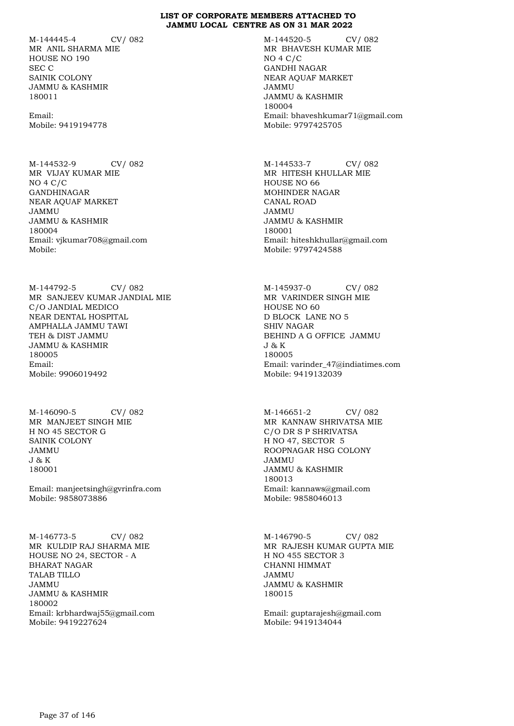M-144445-4 CV/ 082 MR ANIL SHARMA MIE HOUSE NO 190 SEC C SAINIK COLONY JAMMU & KASHMIR 180011

Email: Mobile: 9419194778

M-144532-9 CV/ 082 MR VIJAY KUMAR MIE NO 4 C/C GANDHINAGAR NEAR AQUAF MARKET JAMMU JAMMU & KASHMIR 180004 Email: vjkumar708@gmail.com Mobile:

M-144792-5 CV/ 082 MR SANJEEV KUMAR JANDIAL MIE C/O JANDIAL MEDICO NEAR DENTAL HOSPITAL AMPHALLA JAMMU TAWI TEH & DIST JAMMU JAMMU & KASHMIR 180005 Email: Mobile: 9906019492

M-146090-5 CV/ 082 MR MANJEET SINGH MIE H NO 45 SECTOR G SAINIK COLONY JAMMU J & K 180001

Email: manjeetsingh@gvrinfra.com Mobile: 9858073886

M-146773-5 CV/ 082 MR KULDIP RAJ SHARMA MIE HOUSE NO 24, SECTOR - A BHARAT NAGAR TALAB TILLO JAMMU JAMMU & KASHMIR 180002 Email: krbhardwaj55@gmail.com Mobile: 9419227624

M-144520-5 CV/ 082 MR BHAVESH KUMAR MIE NO 4 C/C GANDHI NAGAR NEAR AQUAF MARKET JAMMU JAMMU & KASHMIR 180004 Email: bhaveshkumar71@gmail.com Mobile: 9797425705

M-144533-7 CV/ 082 MR HITESH KHULLAR MIE HOUSE NO 66 MOHINDER NAGAR CANAL ROAD JAMMU JAMMU & KASHMIR 180001 Email: hiteshkhullar@gmail.com Mobile: 9797424588

M-145937-0 CV/ 082 MR VARINDER SINGH MIE HOUSE NO 60 D BLOCK LANE NO 5 SHIV NAGAR BEHIND A G OFFICE JAMMU J & K 180005 Email: varinder\_47@indiatimes.com Mobile: 9419132039

M-146651-2 CV/ 082 MR KANNAW SHRIVATSA MIE C/O DR S P SHRIVATSA H NO 47, SECTOR 5 ROOPNAGAR HSG COLONY JAMMU JAMMU & KASHMIR 180013 Email: kannaws@gmail.com Mobile: 9858046013

M-146790-5 CV/ 082 MR RAJESH KUMAR GUPTA MIE H NO 455 SECTOR 3 CHANNI HIMMAT JAMMU JAMMU & KASHMIR 180015

Email: guptarajesh@gmail.com Mobile: 9419134044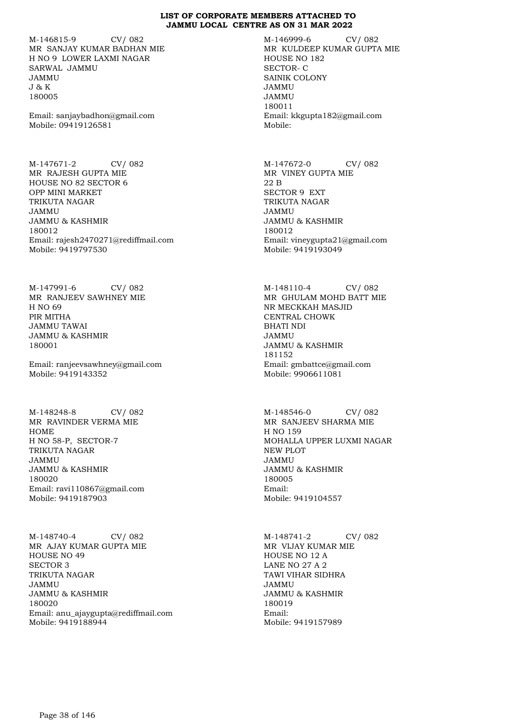M-146815-9 CV/ 082 MR SANJAY KUMAR BADHAN MIE H NO 9 LOWER LAXMI NAGAR SARWAL JAMMU JAMMU J & K 180005

Email: sanjaybadhon@gmail.com Mobile: 09419126581

M-147671-2 CV/ 082 MR RAJESH GUPTA MIE HOUSE NO 82 SECTOR 6 OPP MINI MARKET TRIKUTA NAGAR JAMMU JAMMU & KASHMIR 180012 Email: rajesh2470271@rediffmail.com Mobile: 9419797530

M-147991-6 CV/ 082 MR RANJEEV SAWHNEY MIE H NO 69 PIR MITHA JAMMU TAWAI JAMMU & KASHMIR 180001

Email: ranjeevsawhney@gmail.com Mobile: 9419143352

M-148248-8 CV/ 082 MR RAVINDER VERMA MIE HOME H NO 58-P, SECTOR-7 TRIKUTA NAGAR JAMMU JAMMU & KASHMIR 180020 Email: ravi110867@gmail.com Mobile: 9419187903

M-148740-4 CV/ 082 MR AJAY KUMAR GUPTA MIE HOUSE NO 49 SECTOR 3 TRIKUTA NAGAR JAMMU JAMMU & KASHMIR 180020 Email: anu\_ajaygupta@rediffmail.com Mobile: 9419188944

M-146999-6 CV/ 082 MR KULDEEP KUMAR GUPTA MIE HOUSE NO 182 SECTOR- C SAINIK COLONY JAMMU JAMMU 180011 Email: kkgupta182@gmail.com Mobile:

M-147672-0 CV/ 082 MR VINEY GUPTA MIE 22 B SECTOR 9 EXT TRIKUTA NAGAR JAMMU JAMMU & KASHMIR 180012 Email: vineygupta21@gmail.com Mobile: 9419193049

M-148110-4 CV/ 082 MR GHULAM MOHD BATT MIE NR MECKKAH MASJID CENTRAL CHOWK BHATI NDI JAMMU JAMMU & KASHMIR 181152 Email: gmbattce@gmail.com Mobile: 9906611081

M-148546-0 CV/ 082 MR SANJEEV SHARMA MIE H NO 159 MOHALLA UPPER LUXMI NAGAR NEW PLOT JAMMU JAMMU & KASHMIR 180005 Email: Mobile: 9419104557

M-148741-2 CV/ 082 MR VIJAY KUMAR MIE HOUSE NO 12 A LANE NO 27 A 2 TAWI VIHAR SIDHRA JAMMU JAMMU & KASHMIR 180019 Email: Mobile: 9419157989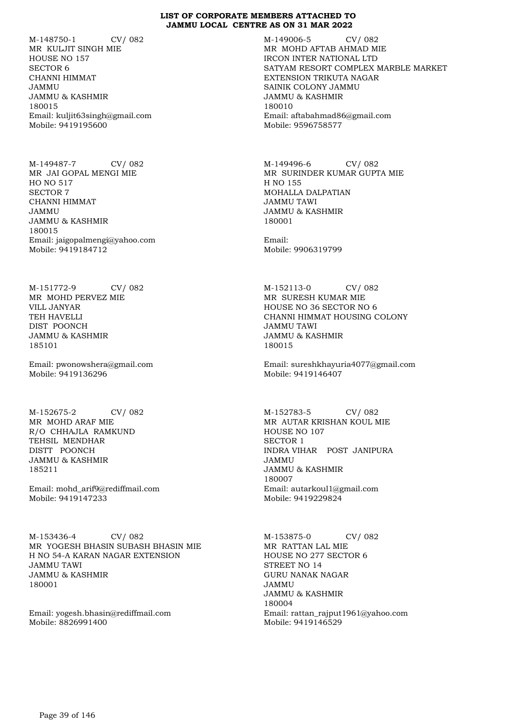M-148750-1 CV/ 082 MR KULJIT SINGH MIE HOUSE NO 157 SECTOR 6 CHANNI HIMMAT JAMMU JAMMU & KASHMIR 180015 Email: kuljit63singh@gmail.com Mobile: 9419195600

M-149487-7 CV/ 082 MR JAI GOPAL MENGI MIE HO NO 517 SECTOR 7 CHANNI HIMMAT JAMMU JAMMU & KASHMIR 180015 Email: jaigopalmengi@yahoo.com Mobile: 9419184712

M-151772-9 CV/ 082 MR MOHD PERVEZ MIE VILL JANYAR TEH HAVELLI DIST POONCH JAMMU & KASHMIR 185101

Email: pwonowshera@gmail.com Mobile: 9419136296

M-152675-2 CV/ 082 MR MOHD ARAF MIE R/O CHHAJLA RAMKUND TEHSIL MENDHAR DISTT POONCH JAMMU & KASHMIR 185211

Email: mohd\_arif9@rediffmail.com Mobile: 9419147233

M-153436-4 CV/ 082 MR YOGESH BHASIN SUBASH BHASIN MIE H NO 54-A KARAN NAGAR EXTENSION JAMMU TAWI JAMMU & KASHMIR 180001

Email: yogesh.bhasin@rediffmail.com Mobile: 8826991400

M-149006-5 CV/ 082 MR MOHD AFTAB AHMAD MIE IRCON INTER NATIONAL LTD SATYAM RESORT COMPLEX MARBLE MARKET EXTENSION TRIKUTA NAGAR SAINIK COLONY JAMMU JAMMU & KASHMIR 180010 Email: aftabahmad86@gmail.com Mobile: 9596758577

M-149496-6 CV/ 082 MR SURINDER KUMAR GUPTA MIE H NO 155 MOHALLA DALPATIAN JAMMU TAWI JAMMU & KASHMIR 180001

Email: Mobile: 9906319799

M-152113-0 CV/ 082 MR SURESH KUMAR MIE HOUSE NO 36 SECTOR NO 6 CHANNI HIMMAT HOUSING COLONY JAMMU TAWI JAMMU & KASHMIR 180015

Email: sureshkhayuria4077@gmail.com Mobile: 9419146407

M-152783-5 CV/ 082 MR AUTAR KRISHAN KOUL MIE HOUSE NO 107 SECTOR 1 INDRA VIHAR POST JANIPURA JAMMU JAMMU & KASHMIR 180007 Email: autarkoul1@gmail.com Mobile: 9419229824

M-153875-0 CV/ 082 MR RATTAN LAL MIE HOUSE NO 277 SECTOR 6 STREET NO 14 GURU NANAK NAGAR JAMMU JAMMU & KASHMIR 180004 Email: rattan\_rajput1961@yahoo.com Mobile: 9419146529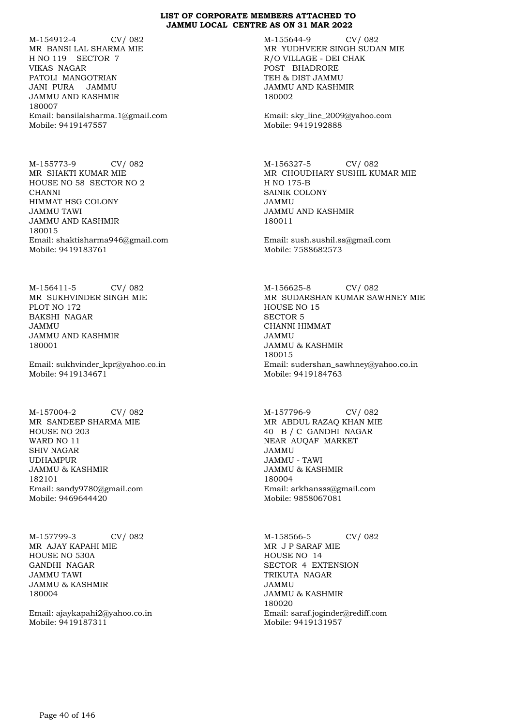M-154912-4 CV/ 082 MR BANSI LAL SHARMA MIE H NO 119 SECTOR 7 VIKAS NAGAR PATOLI MANGOTRIAN JANI PURA JAMMU JAMMU AND KASHMIR 180007 Email: bansilalsharma.1@gmail.com Mobile: 9419147557

M-155773-9 CV/ 082 MR SHAKTI KUMAR MIE HOUSE NO 58 SECTOR NO 2 CHANNI HIMMAT HSG COLONY JAMMU TAWI JAMMU AND KASHMIR 180015 Email: shaktisharma946@gmail.com Mobile: 9419183761

M-156411-5 CV/ 082 MR SUKHVINDER SINGH MIE PLOT NO 172 BAKSHI NAGAR JAMMU JAMMU AND KASHMIR 180001

Email: sukhvinder\_kpr@yahoo.co.in Mobile: 9419134671

M-157004-2 CV/ 082 MR SANDEEP SHARMA MIE HOUSE NO 203 WARD NO 11 SHIV NAGAR UDHAMPUR JAMMU & KASHMIR 182101 Email: sandy9780@gmail.com Mobile: 9469644420

M-157799-3 CV/ 082 MR AJAY KAPAHI MIE HOUSE NO 530A GANDHI NAGAR JAMMU TAWI JAMMU & KASHMIR 180004

Email: ajaykapahi2@yahoo.co.in Mobile: 9419187311

M-155644-9 CV/ 082 MR YUDHVEER SINGH SUDAN MIE R/O VILLAGE - DEI CHAK POST BHADRORE TEH & DIST JAMMU JAMMU AND KASHMIR 180002

Email: sky\_line\_2009@yahoo.com Mobile: 9419192888

M-156327-5 CV/ 082 MR CHOUDHARY SUSHIL KUMAR MIE H NO 175-B SAINIK COLONY JAMMU JAMMU AND KASHMIR 180011

Email: sush.sushil.ss@gmail.com Mobile: 7588682573

M-156625-8 CV/ 082 MR SUDARSHAN KUMAR SAWHNEY MIE HOUSE NO 15 SECTOR 5 CHANNI HIMMAT JAMMU JAMMU & KASHMIR 180015 Email: sudershan\_sawhney@yahoo.co.in Mobile: 9419184763

M-157796-9 CV/ 082 MR ABDUL RAZAQ KHAN MIE 40 B / C GANDHI NAGAR NEAR AUQAF MARKET JAMMU JAMMU - TAWI JAMMU & KASHMIR 180004 Email: arkhansss@gmail.com Mobile: 9858067081

M-158566-5 CV/ 082 MR J P SARAF MIE HOUSE NO 14 SECTOR 4 EXTENSION TRIKUTA NAGAR JAMMU JAMMU & KASHMIR 180020 Email: saraf.joginder@rediff.com Mobile: 9419131957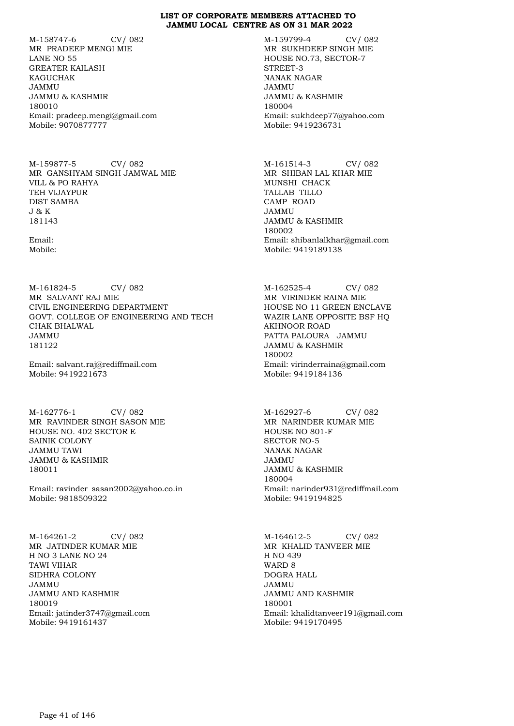M-158747-6 CV/ 082 MR PRADEEP MENGI MIE LANE NO 55 GREATER KAILASH KAGUCHAK JAMMU JAMMU & KASHMIR 180010 Email: pradeep.mengi@gmail.com Mobile: 9070877777

M-159877-5 CV/ 082 MR GANSHYAM SINGH JAMWAL MIE VILL & PO RAHYA TEH VIJAYPUR DIST SAMBA J & K 181143

Email: Mobile:

M-161824-5 CV/ 082 MR SALVANT RAJ MIE CIVIL ENGINEERING DEPARTMENT GOVT. COLLEGE OF ENGINEERING AND TECH CHAK BHALWAL JAMMU 181122

Email: salvant.raj@rediffmail.com Mobile: 9419221673

M-162776-1 CV/ 082 MR RAVINDER SINGH SASON MIE HOUSE NO. 402 SECTOR E SAINIK COLONY JAMMU TAWI JAMMU & KASHMIR 180011

Email: ravinder\_sasan2002@yahoo.co.in Mobile: 9818509322

M-164261-2 CV/ 082 MR JATINDER KUMAR MIE H NO 3 LANE NO 24 TAWI VIHAR SIDHRA COLONY JAMMU JAMMU AND KASHMIR 180019 Email: jatinder3747@gmail.com Mobile: 9419161437

M-159799-4 CV/ 082 MR SUKHDEEP SINGH MIE HOUSE NO.73, SECTOR-7 STREET-3 NANAK NAGAR JAMMU JAMMU & KASHMIR 180004 Email: sukhdeep77@yahoo.com Mobile: 9419236731

M-161514-3 CV/ 082 MR SHIBAN LAL KHAR MIE MUNSHI CHACK TALLAB TILLO CAMP ROAD JAMMU JAMMU & KASHMIR 180002 Email: shibanlalkhar@gmail.com Mobile: 9419189138

M-162525-4 CV/ 082 MR VIRINDER RAINA MIE HOUSE NO 11 GREEN ENCLAVE WAZIR LANE OPPOSITE BSF HQ AKHNOOR ROAD PATTA PALOURA JAMMU JAMMU & KASHMIR 180002 Email: virinderraina@gmail.com Mobile: 9419184136

M-162927-6 CV/ 082 MR NARINDER KUMAR MIE HOUSE NO 801-F SECTOR NO-5 NANAK NAGAR JAMMU JAMMU & KASHMIR 180004 Email: narinder931@rediffmail.com Mobile: 9419194825

M-164612-5 CV/ 082 MR KHALID TANVEER MIE H NO 439 WARD 8 DOGRA HALL JAMMU JAMMU AND KASHMIR 180001 Email: khalidtanveer191@gmail.com Mobile: 9419170495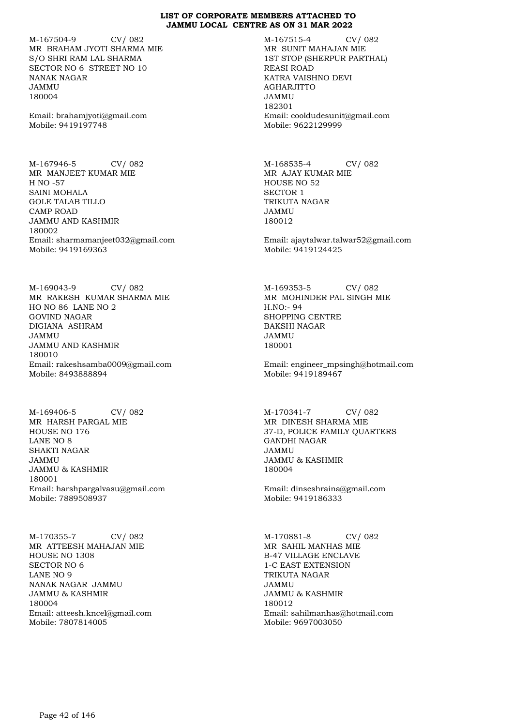M-167504-9 CV/ 082 MR BRAHAM JYOTI SHARMA MIE S/O SHRI RAM LAL SHARMA SECTOR NO 6 STREET NO 10 NANAK NAGAR JAMMU 180004

Email: brahamjyoti@gmail.com Mobile: 9419197748

M-167946-5 CV/ 082 MR MANJEET KUMAR MIE H NO -57 SAINI MOHALA GOLE TALAB TILLO CAMP ROAD JAMMU AND KASHMIR 180002 Email: sharmamanjeet032@gmail.com Mobile: 9419169363

M-169043-9 CV/ 082 MR RAKESH KUMAR SHARMA MIE HO NO 86 LANE NO 2 GOVIND NAGAR DIGIANA ASHRAM JAMMU JAMMU AND KASHMIR 180010 Email: rakeshsamba0009@gmail.com Mobile: 8493888894

M-169406-5 CV/ 082 MR HARSH PARGAL MIE HOUSE NO 176 LANE NO 8 SHAKTI NAGAR JAMMU JAMMU & KASHMIR 180001 Email: harshpargalvasu@gmail.com Mobile: 7889508937

M-170355-7 CV/ 082 MR ATTEESH MAHAJAN MIE HOUSE NO 1308 SECTOR NO 6 LANE NO 9 NANAK NAGAR JAMMU JAMMU & KASHMIR 180004 Email: atteesh.kncel@gmail.com Mobile: 7807814005

M-167515-4 CV/ 082 MR SUNIT MAHAJAN MIE 1ST STOP (SHERPUR PARTHAL) REASI ROAD KATRA VAISHNO DEVI AGHARJITTO JAMMU 182301 Email: cooldudesunit@gmail.com Mobile: 9622129999

M-168535-4 CV/ 082 MR AJAY KUMAR MIE HOUSE NO 52 SECTOR 1 TRIKUTA NAGAR JAMMU 180012

Email: ajaytalwar.talwar52@gmail.com Mobile: 9419124425

M-169353-5 CV/ 082 MR MOHINDER PAL SINGH MIE H.NO:- 94 SHOPPING CENTRE BAKSHI NAGAR JAMMU 180001

Email: engineer\_mpsingh@hotmail.com Mobile: 9419189467

M-170341-7 CV/ 082 MR DINESH SHARMA MIE 37-D, POLICE FAMILY QUARTERS GANDHI NAGAR JAMMU JAMMU & KASHMIR 180004

Email: dinseshraina@gmail.com Mobile: 9419186333

M-170881-8 CV/ 082 MR SAHIL MANHAS MIE B-47 VILLAGE ENCLAVE 1-C EAST EXTENSION TRIKUTA NAGAR JAMMU JAMMU & KASHMIR 180012 Email: sahilmanhas@hotmail.com Mobile: 9697003050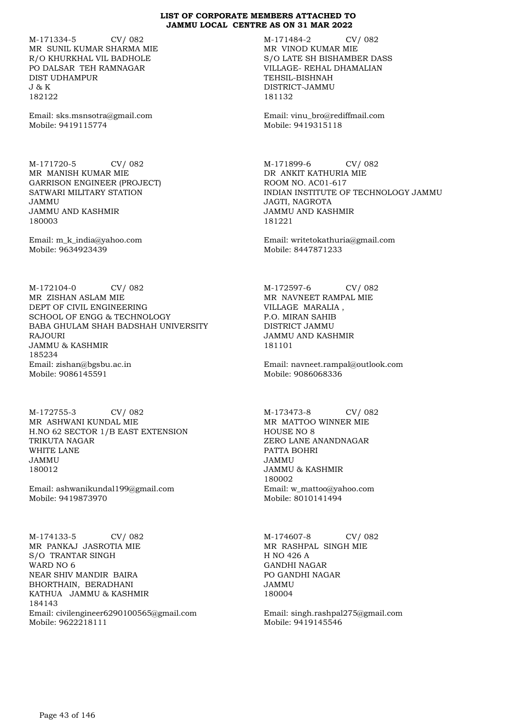M-171334-5 CV/ 082 MR SUNIL KUMAR SHARMA MIE R/O KHURKHAL VIL BADHOLE PO DALSAR TEH RAMNAGAR DIST UDHAMPUR J & K 182122

Email: sks.msnsotra@gmail.com Mobile: 9419115774

M-171720-5 CV/ 082 MR MANISH KUMAR MIE GARRISON ENGINEER (PROJECT) SATWARI MILITARY STATION JAMMU JAMMU AND KASHMIR 180003

Email: m\_k\_india@yahoo.com Mobile: 9634923439

M-172104-0 CV/ 082 MR ZISHAN ASLAM MIE DEPT OF CIVIL ENGINEERING SCHOOL OF ENGG & TECHNOLOGY BABA GHULAM SHAH BADSHAH UNIVERSITY RAJOURI JAMMU & KASHMIR 185234 Email: zishan@bgsbu.ac.in Mobile: 9086145591

M-172755-3 CV/ 082 MR ASHWANI KUNDAL MIE H.NO 62 SECTOR 1/B EAST EXTENSION TRIKUTA NAGAR WHITE LANE JAMMU 180012

Email: ashwanikundal199@gmail.com Mobile: 9419873970

M-174133-5 CV/ 082 MR PANKAJ JASROTIA MIE S/O TRANTAR SINGH WARD NO 6 NEAR SHIV MANDIR BAIRA BHORTHAIN, BERADHANI KATHUA JAMMU & KASHMIR 184143 Email: civilengineer6290100565@gmail.com Mobile: 9622218111

M-171484-2 CV/ 082 MR VINOD KUMAR MIE S/O LATE SH BISHAMBER DASS VILLAGE- REHAL DHAMALIAN TEHSIL-BISHNAH DISTRICT-JAMMU 181132

Email: vinu\_bro@rediffmail.com Mobile: 9419315118

M-171899-6 CV/ 082 DR ANKIT KATHURIA MIE ROOM NO. AC01-617 INDIAN INSTITUTE OF TECHNOLOGY JAMMU JAGTI, NAGROTA JAMMU AND KASHMIR 181221

Email: writetokathuria@gmail.com Mobile: 8447871233

M-172597-6 CV/ 082 MR NAVNEET RAMPAL MIE VILLAGE MARALIA , P.O. MIRAN SAHIB DISTRICT JAMMU JAMMU AND KASHMIR 181101

Email: navneet.rampal@outlook.com Mobile: 9086068336

M-173473-8 CV/ 082 MR MATTOO WINNER MIE HOUSE NO 8 ZERO LANE ANANDNAGAR PATTA BOHRI JAMMU JAMMU & KASHMIR 180002 Email: w\_mattoo@yahoo.com Mobile: 8010141494

M-174607-8 CV/ 082 MR RASHPAL SINGH MIE H NO 426 A GANDHI NAGAR PO GANDHI NAGAR JAMMU 180004

Email: singh.rashpal275@gmail.com Mobile: 9419145546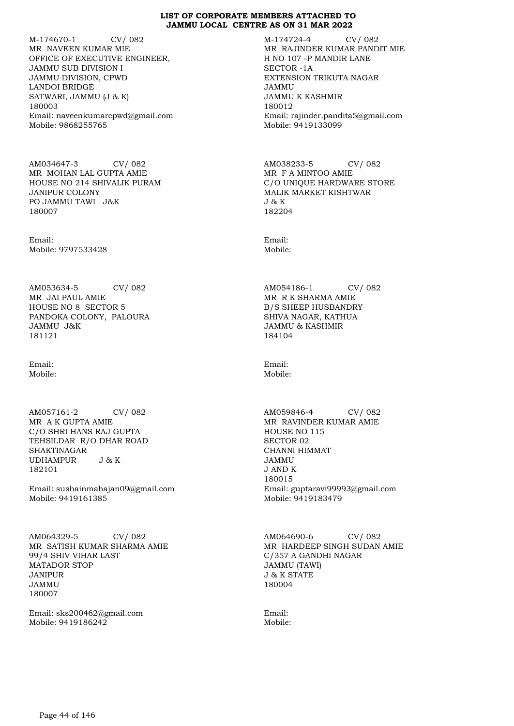M-174670-1 CV/ 082 MR NAVEEN KUMAR MIE OFFICE OF EXECUTIVE ENGINEER, JAMMU SUB DIVISION I JAMMU DIVISION, CPWD LANDOI BRIDGE SATWARI, JAMMU (J & K) 180003 Email: naveenkumarcpwd@gmail.com Mobile: 9868255765

AM034647-3 CV/ 082 MR MOHAN LAL GUPTA AMIE HOUSE NO 214 SHIVALIK PURAM JANIPUR COLONY PO JAMMU TAWI J&K 180007

Email: Mobile: 9797533428

AM053634-5 CV/ 082 MR JAI PAUL AMIE HOUSE NO 8 SECTOR 5 PANDOKA COLONY, PALOURA JAMMU J&K 181121

Email: Mobile:

AM057161-2 CV/ 082 MR A K GUPTA AMIE C/O SHRI HANS RAJ GUPTA TEHSILDAR R/O DHAR ROAD SHAKTINAGAR<br>UDHAMPUR J&K UDHAMPUR 182101

Email: sushainmahajan09@gmail.com Mobile: 9419161385

AM064329-5 CV/ 082 MR SATISH KUMAR SHARMA AMIE 99/4 SHIV VIHAR LAST MATADOR STOP JANIPUR JAMMU 180007

Email: sks200462@gmail.com Mobile: 9419186242

M-174724-4 CV/ 082 MR RAJINDER KUMAR PANDIT MIE H NO 107 -P MANDIR LANE SECTOR -1A EXTENSION TRIKUTA NAGAR JAMMU JAMMU K KASHMIR 180012 Email: rajinder.pandita5@gmail.com Mobile: 9419133099

AM038233-5 CV/ 082 MR F A MINTOO AMIE C/O UNIQUE HARDWARE STORE MALIK MARKET KISHTWAR J & K 182204

Email: Mobile:

AM054186-1 CV/ 082 MR R K SHARMA AMIE B/S SHEEP HUSBANDRY SHIVA NAGAR, KATHUA JAMMU & KASHMIR 184104

Email: Mobile:

AM059846-4 CV/ 082 MR RAVINDER KUMAR AMIE HOUSE NO 115 SECTOR 02 CHANNI HIMMAT JAMMU J AND K 180015 Email: guptaravi99993@gmail.com Mobile: 9419183479

AM064690-6 CV/ 082 MR HARDEEP SINGH SUDAN AMIE C/357 A GANDHI NAGAR JAMMU (TAWI) J & K STATE 180004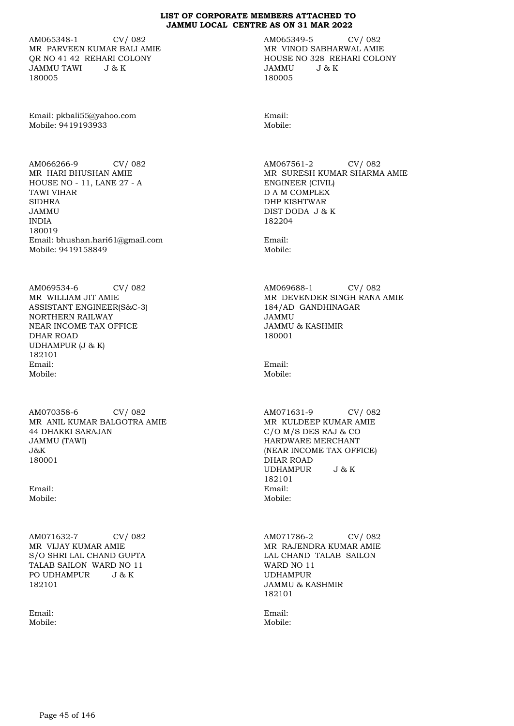AM065348-1 CV/ 082 MR PARVEEN KUMAR BALI AMIE QR NO 41 42 REHARI COLONY JAMMU TAWI J & K 180005

Email: pkbali55@yahoo.com Mobile: 9419193933

AM066266-9 CV/ 082 MR HARI BHUSHAN AMIE HOUSE NO - 11, LANE 27 - A TAWI VIHAR SIDHRA JAMMU INDIA 180019 Email: bhushan.hari61@gmail.com Mobile: 9419158849

AM069534-6 CV/ 082 MR WILLIAM JIT AMIE ASSISTANT ENGINEER(S&C-3) NORTHERN RAILWAY NEAR INCOME TAX OFFICE DHAR ROAD UDHAMPUR (J & K) 182101 Email: Mobile:

AM070358-6 CV/ 082 MR ANIL KUMAR BALGOTRA AMIE 44 DHAKKI SARAJAN JAMMU (TAWI) J&K 180001

Email: Mobile:

AM071632-7 CV/ 082 MR VIJAY KUMAR AMIE S/O SHRI LAL CHAND GUPTA TALAB SAILON WARD NO 11 PO UDHAMPUR J & K 182101

Email: Mobile: AM065349-5 CV/ 082 MR VINOD SABHARWAL AMIE HOUSE NO 328 REHARI COLONY<br>JAMMU J & K  $J \& K$ 180005

Email: Mobile:

AM067561-2 CV/ 082 MR SURESH KUMAR SHARMA AMIE ENGINEER (CIVIL) D A M COMPLEX DHP KISHTWAR DIST DODA J & K 182204

Email: Mobile:

AM069688-1 CV/ 082 MR DEVENDER SINGH RANA AMIE 184/AD GANDHINAGAR JAMMU JAMMU & KASHMIR 180001

Email: Mobile:

AM071631-9 CV/ 082 MR KULDEEP KUMAR AMIE C/O M/S DES RAJ & CO HARDWARE MERCHANT (NEAR INCOME TAX OFFICE) DHAR ROAD UDHAMPUR J & K 182101 Email: Mobile:

AM071786-2 CV/ 082 MR RAJENDRA KUMAR AMIE LAL CHAND TALAB SAILON WARD NO 11 UDHAMPUR JAMMU & KASHMIR 182101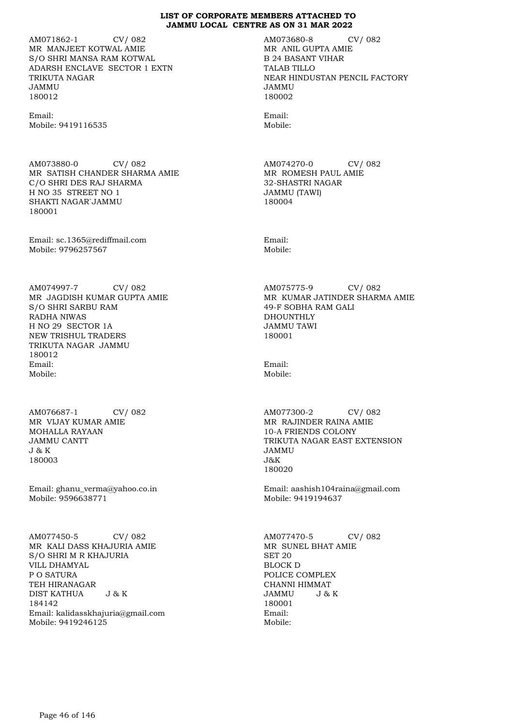AM071862-1 CV/ 082 MR MANJEET KOTWAL AMIE S/O SHRI MANSA RAM KOTWAL ADARSH ENCLAVE SECTOR 1 EXTN TRIKUTA NAGAR JAMMU 180012

Email: Mobile: 9419116535

AM073880-0 CV/ 082 MR SATISH CHANDER SHARMA AMIE C/O SHRI DES RAJ SHARMA H NO 35 STREET NO 1 SHAKTI NAGAR`JAMMU 180001

Email: sc.1365@rediffmail.com Mobile: 9796257567

AM074997-7 CV/ 082 MR JAGDISH KUMAR GUPTA AMIE S/O SHRI SARBU RAM RADHA NIWAS H NO 29 SECTOR 1A NEW TRISHUL TRADERS TRIKUTA NAGAR JAMMU 180012 Email: Mobile:

AM076687-1 CV/ 082 MR VIJAY KUMAR AMIE MOHALLA RAYAAN JAMMU CANTT J & K 180003

Email: ghanu\_verma@yahoo.co.in Mobile: 9596638771

AM077450-5 CV/ 082 MR KALI DASS KHAJURIA AMIE S/O SHRI M R KHAJURIA VILL DHAMYAL P O SATURA TEH HIRANAGAR DIST KATHUA J & K 184142 Email: kalidasskhajuria@gmail.com Mobile: 9419246125

AM073680-8 CV/ 082 MR ANIL GUPTA AMIE B 24 BASANT VIHAR TALAB TILLO NEAR HINDUSTAN PENCIL FACTORY JAMMU 180002

Email: Mobile:

AM074270-0 CV/ 082 MR ROMESH PAUL AMIE 32-SHASTRI NAGAR JAMMU (TAWI) 180004

Email: Mobile:

AM075775-9 CV/ 082 MR KUMAR JATINDER SHARMA AMIE 49-F SOBHA RAM GALI DHOUNTHLY JAMMU TAWI 180001

Email: Mobile:

AM077300-2 CV/ 082 MR RAJINDER RAINA AMIE 10-A FRIENDS COLONY TRIKUTA NAGAR EAST EXTENSION JAMMU J&K 180020

Email: aashish104raina@gmail.com Mobile: 9419194637

AM077470-5 CV/ 082 MR SUNEL BHAT AMIE SET 20 BLOCK D POLICE COMPLEX CHANNI HIMMAT JAMMU J & K 180001 Email: Mobile: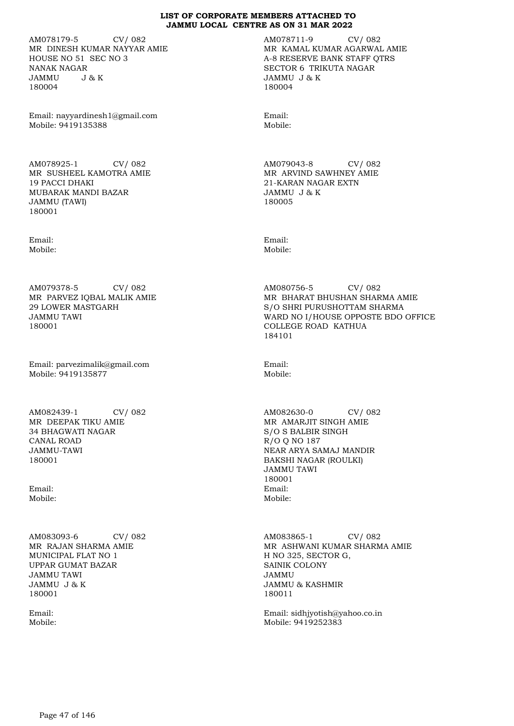AM078179-5 CV/ 082 MR DINESH KUMAR NAYYAR AMIE HOUSE NO 51 SEC NO 3 NANAK NAGAR JAMMU J & K 180004

Email: nayyardinesh1@gmail.com Mobile: 9419135388

AM078925-1 CV/ 082 MR SUSHEEL KAMOTRA AMIE 19 PACCI DHAKI MUBARAK MANDI BAZAR JAMMU (TAWI) 180001

Email: Mobile:

AM079378-5 CV/ 082 MR PARVEZ IQBAL MALIK AMIE 29 LOWER MASTGARH JAMMU TAWI 180001

Email: parvezimalik@gmail.com Mobile: 9419135877

AM082439-1 CV/ 082 MR DEEPAK TIKU AMIE 34 BHAGWATI NAGAR CANAL ROAD JAMMU-TAWI 180001

Email: Mobile:

AM083093-6 CV/ 082 MR RAJAN SHARMA AMIE MUNICIPAL FLAT NO 1 UPPAR GUMAT BAZAR JAMMU TAWI JAMMU J & K 180001

Email: Mobile: AM078711-9 CV/ 082 MR KAMAL KUMAR AGARWAL AMIE A-8 RESERVE BANK STAFF QTRS SECTOR 6 TRIKUTA NAGAR JAMMU J & K 180004

Email: Mobile:

AM079043-8 CV/ 082 MR ARVIND SAWHNEY AMIE 21-KARAN NAGAR EXTN JAMMU J & K 180005

Email: Mobile:

AM080756-5 CV/ 082 MR BHARAT BHUSHAN SHARMA AMIE S/O SHRI PURUSHOTTAM SHARMA WARD NO I/HOUSE OPPOSTE BDO OFFICE COLLEGE ROAD KATHUA 184101

Email: Mobile:

AM082630-0 CV/ 082 MR AMARJIT SINGH AMIE S/O S BALBIR SINGH R/O Q NO 187 NEAR ARYA SAMAJ MANDIR BAKSHI NAGAR (ROULKI) JAMMU TAWI 180001 Email: Mobile:

AM083865-1 CV/ 082 MR ASHWANI KUMAR SHARMA AMIE H NO 325, SECTOR G, SAINIK COLONY JAMMU JAMMU & KASHMIR 180011

Email: sidhjyotish@yahoo.co.in Mobile: 9419252383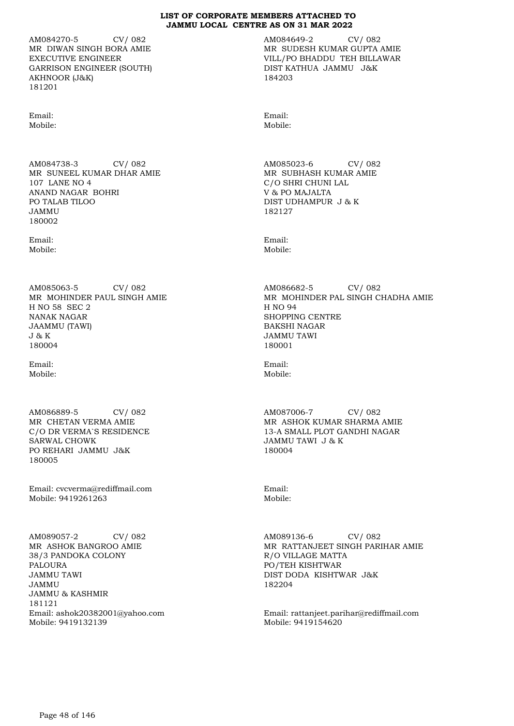AM084270-5 CV/ 082 MR DIWAN SINGH BORA AMIE EXECUTIVE ENGINEER GARRISON ENGINEER (SOUTH) AKHNOOR (J&K) 181201

Email: Mobile:

AM084738-3 CV/ 082 MR SUNEEL KUMAR DHAR AMIE 107 LANE NO 4 ANAND NAGAR BOHRI PO TALAB TILOO JAMMU 180002

Email: Mobile:

AM085063-5 CV/ 082 MR MOHINDER PAUL SINGH AMIE H NO 58 SEC 2 NANAK NAGAR JAAMMU (TAWI) J & K 180004

Email: Mobile:

AM086889-5 CV/ 082 MR CHETAN VERMA AMIE C/O DR VERMA`S RESIDENCE SARWAL CHOWK PO REHARI JAMMU J&K 180005

Email: cvcverma@rediffmail.com Mobile: 9419261263

AM089057-2 CV/ 082 MR ASHOK BANGROO AMIE 38/3 PANDOKA COLONY PALOURA JAMMU TAWI JAMMU JAMMU & KASHMIR 181121 Email: ashok20382001@yahoo.com Mobile: 9419132139

AM084649-2 CV/ 082 MR SUDESH KUMAR GUPTA AMIE VILL/PO BHADDU TEH BILLAWAR DIST KATHUA JAMMU J&K 184203

Email: Mobile:

AM085023-6 CV/ 082 MR SUBHASH KUMAR AMIE C/O SHRI CHUNI LAL V & PO MAJALTA DIST UDHAMPUR J & K 182127

Email: Mobile:

AM086682-5 CV/ 082 MR MOHINDER PAL SINGH CHADHA AMIE H NO 94 SHOPPING CENTRE BAKSHI NAGAR JAMMU TAWI 180001

Email: Mobile:

AM087006-7 CV/ 082 MR ASHOK KUMAR SHARMA AMIE 13-A SMALL PLOT GANDHI NAGAR JAMMU TAWI J & K 180004

Email: Mobile:

AM089136-6 CV/ 082 MR RATTANJEET SINGH PARIHAR AMIE R/O VILLAGE MATTA PO/TEH KISHTWAR DIST DODA KISHTWAR J&K 182204

Email: rattanjeet.parihar@rediffmail.com Mobile: 9419154620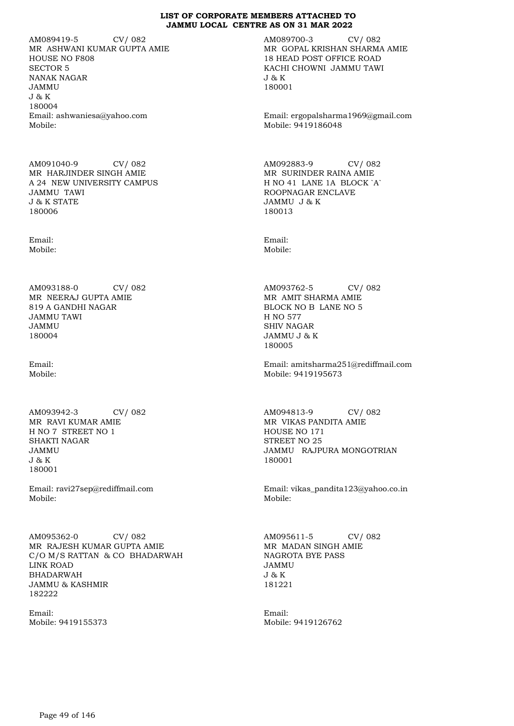AM089419-5 CV/ 082 MR ASHWANI KUMAR GUPTA AMIE HOUSE NO F808 SECTOR 5 NANAK NAGAR JAMMU J & K 180004 Email: ashwaniesa@yahoo.com Mobile:

AM091040-9 CV/ 082 MR HARJINDER SINGH AMIE A 24 NEW UNIVERSITY CAMPUS JAMMU TAWI J & K STATE 180006

Email: Mobile:

AM093188-0 CV/ 082 MR NEERAJ GUPTA AMIE 819 A GANDHI NAGAR JAMMU TAWI JAMMU 180004

Email: Mobile:

AM093942-3 CV/ 082 MR RAVI KUMAR AMIE H NO 7 STREET NO 1 SHAKTI NAGAR JAMMU J & K 180001

Email: ravi27sep@rediffmail.com Mobile:

AM095362-0 CV/ 082 MR RAJESH KUMAR GUPTA AMIE C/O M/S RATTAN & CO BHADARWAH LINK ROAD BHADARWAH JAMMU & KASHMIR 182222

Email: Mobile: 9419155373 AM089700-3 CV/ 082 MR GOPAL KRISHAN SHARMA AMIE 18 HEAD POST OFFICE ROAD KACHI CHOWNI JAMMU TAWI J & K 180001

Email: ergopalsharma1969@gmail.com Mobile: 9419186048

AM092883-9 CV/ 082 MR SURINDER RAINA AMIE H NO 41 LANE 1A BLOCK `A` ROOPNAGAR ENCLAVE JAMMU J & K 180013

Email: Mobile:

AM093762-5 CV/ 082 MR AMIT SHARMA AMIE BLOCK NO B LANE NO 5 H NO 577 SHIV NAGAR JAMMU J & K 180005

Email: amitsharma251@rediffmail.com Mobile: 9419195673

AM094813-9 CV/ 082 MR VIKAS PANDITA AMIE HOUSE NO 171 STREET NO 25 JAMMU RAJPURA MONGOTRIAN 180001

Email: vikas\_pandita123@yahoo.co.in Mobile:

AM095611-5 CV/ 082 MR MADAN SINGH AMIE NAGROTA BYE PASS JAMMU J & K 181221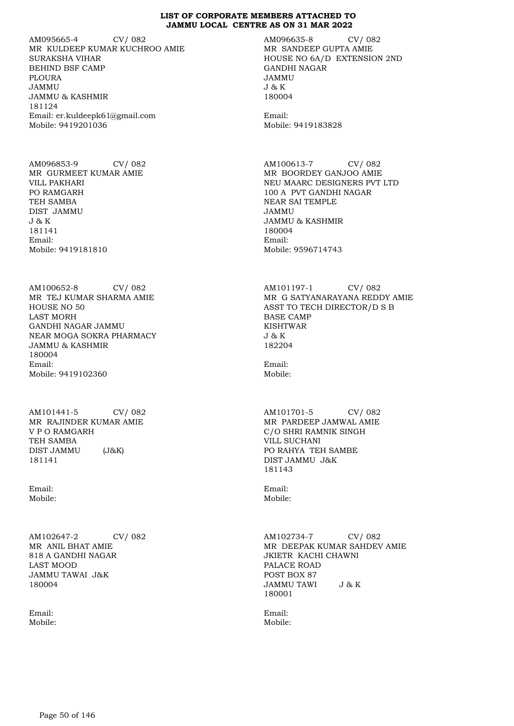AM095665-4 CV/ 082 MR KULDEEP KUMAR KUCHROO AMIE SURAKSHA VIHAR BEHIND BSF CAMP PLOURA JAMMU JAMMU & KASHMIR 181124 Email: er.kuldeepk61@gmail.com Mobile: 9419201036

AM096853-9 CV/ 082 MR GURMEET KUMAR AMIE VILL PAKHARI PO RAMGARH TEH SAMBA DIST JAMMU J & K 181141 Email: Mobile: 9419181810

AM100652-8 CV/ 082 MR TEJ KUMAR SHARMA AMIE HOUSE NO 50 LAST MORH GANDHI NAGAR JAMMU NEAR MOGA SOKRA PHARMACY JAMMU & KASHMIR 180004 Email: Mobile: 9419102360

AM101441-5 CV/ 082 MR RAJINDER KUMAR AMIE V P O RAMGARH TEH SAMBA DIST JAMMU (J&K) 181141

Email: Mobile:

AM102647-2 CV/ 082 MR ANIL BHAT AMIE 818 A GANDHI NAGAR LAST MOOD JAMMU TAWAI J&K 180004

Email: Mobile: AM096635-8 CV/ 082 MR SANDEEP GUPTA AMIE HOUSE NO 6A/D EXTENSION 2ND GANDHI NAGAR JAMMU J & K 180004

Email: Mobile: 9419183828

AM100613-7 CV/ 082 MR BOORDEY GANJOO AMIE NEU MAARC DESIGNERS PVT LTD 100 A PVT GANDHI NAGAR NEAR SAI TEMPLE JAMMU JAMMU & KASHMIR 180004 Email: Mobile: 9596714743

AM101197-1 CV/ 082 MR G SATYANARAYANA REDDY AMIE ASST TO TECH DIRECTOR/D S B BASE CAMP KISHTWAR J & K 182204

Email: Mobile:

AM101701-5 CV/ 082 MR PARDEEP JAMWAL AMIE C/O SHRI RAMNIK SINGH VILL SUCHANI PO RAHYA TEH SAMBE DIST JAMMU J&K 181143

Email: Mobile:

AM102734-7 CV/ 082 MR DEEPAK KUMAR SAHDEV AMIE JKIETR KACHI CHAWNI PALACE ROAD POST BOX 87<br>JAMMU TAWI J&K JAMMU TAWI 180001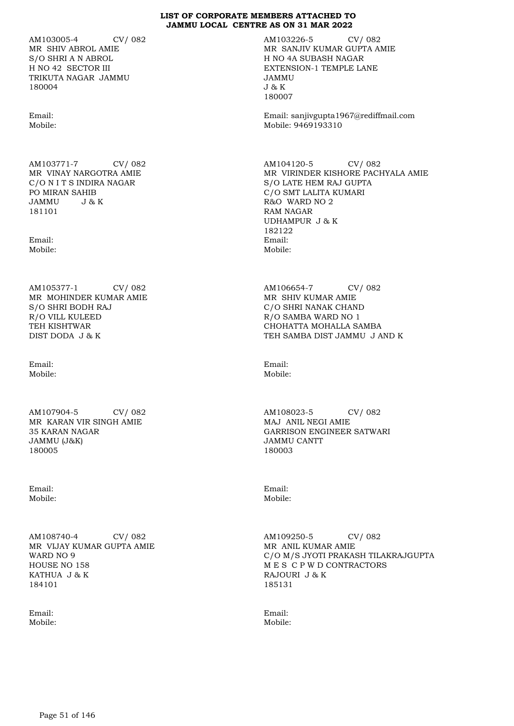AM103005-4 CV/ 082 MR SHIV ABROL AMIE S/O SHRI A N ABROL H NO 42 SECTOR III TRIKUTA NAGAR JAMMU 180004

Email: Mobile:

AM103771-7 CV/ 082 MR VINAY NARGOTRA AMIE C/O N I T S INDIRA NAGAR PO MIRAN SAHIB<br>JAMMU J&  $J \& K$ 181101

Email: Mobile:

AM105377-1 CV/ 082 MR MOHINDER KUMAR AMIE S/O SHRI BODH RAJ R/O VILL KULEED TEH KISHTWAR DIST DODA J & K

Email: Mobile:

AM107904-5 CV/ 082 MR KARAN VIR SINGH AMIE 35 KARAN NAGAR JAMMU (J&K) 180005

Email: Mobile:

AM108740-4 CV/ 082 MR VIJAY KUMAR GUPTA AMIE WARD NO 9 HOUSE NO 158 KATHUA J & K 184101

Email: Mobile: AM103226-5 CV/ 082 MR SANJIV KUMAR GUPTA AMIE H NO 4A SUBASH NAGAR EXTENSION-1 TEMPLE LANE JAMMU J & K 180007

Email: sanjivgupta1967@rediffmail.com Mobile: 9469193310

AM104120-5 CV/ 082 MR VIRINDER KISHORE PACHYALA AMIE S/O LATE HEM RAJ GUPTA C/O SMT LALITA KUMARI R&O WARD NO 2 RAM NAGAR UDHAMPUR J & K 182122 Email: Mobile:

AM106654-7 CV/ 082 MR SHIV KUMAR AMIE C/O SHRI NANAK CHAND R/O SAMBA WARD NO 1 CHOHATTA MOHALLA SAMBA TEH SAMBA DIST JAMMU J AND K

Email: Mobile:

AM108023-5 CV/ 082 MAJ ANIL NEGI AMIE GARRISON ENGINEER SATWARI JAMMU CANTT 180003

Email: Mobile:

AM109250-5 CV/ 082 MR ANIL KUMAR AMIE C/O M/S JYOTI PRAKASH TILAKRAJGUPTA M E S C P W D CONTRACTORS RAJOURI J & K 185131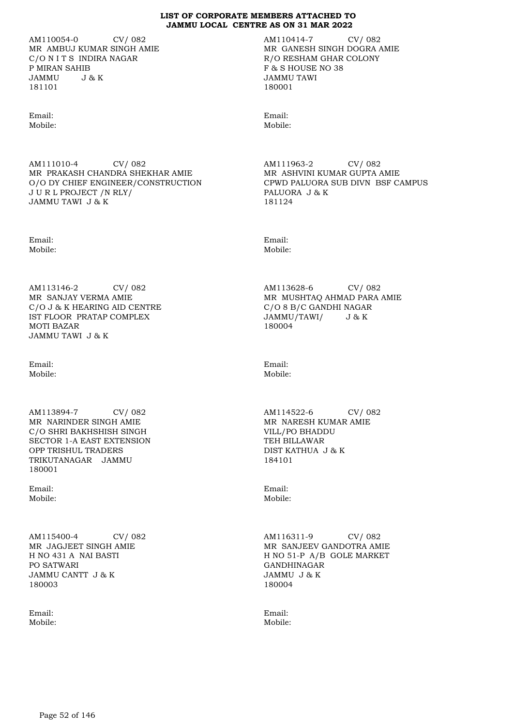AM110054-0 CV/ 082 MR AMBUJ KUMAR SINGH AMIE C/O N I T S INDIRA NAGAR P MIRAN SAHIB JAMMU J & K 181101

Email: Mobile:

AM111010-4 CV/ 082 MR PRAKASH CHANDRA SHEKHAR AMIE O/O DY CHIEF ENGINEER/CONSTRUCTION J U R L PROJECT /N RLY/ JAMMU TAWI J & K

Email: Mobile:

AM113146-2 CV/ 082 MR SANJAY VERMA AMIE C/O J & K HEARING AID CENTRE IST FLOOR PRATAP COMPLEX MOTI BAZAR JAMMU TAWI J & K

Email: Mobile:

AM113894-7 CV/ 082 MR NARINDER SINGH AMIE C/O SHRI BAKHSHISH SINGH SECTOR 1-A EAST EXTENSION OPP TRISHUL TRADERS TRIKUTANAGAR JAMMU 180001

Email: Mobile:

AM115400-4 CV/ 082 MR JAGJEET SINGH AMIE H NO 431 A NAI BASTI PO SATWARI JAMMU CANTT J & K 180003

Email: Mobile: AM110414-7 CV/ 082 MR GANESH SINGH DOGRA AMIE R/O RESHAM GHAR COLONY F & S HOUSE NO 38 JAMMU TAWI 180001

Email: Mobile:

AM111963-2 CV/ 082 MR ASHVINI KUMAR GUPTA AMIE CPWD PALUORA SUB DIVN BSF CAMPUS PALUORA J & K 181124

Email: Mobile:

AM113628-6 CV/ 082 MR MUSHTAQ AHMAD PARA AMIE C/O 8 B/C GANDHI NAGAR JAMMU/TAWI/ J & K 180004

Email: Mobile:

AM114522-6 CV/ 082 MR NARESH KUMAR AMIE VILL/PO BHADDU TEH BILLAWAR DIST KATHUA J & K 184101

Email: Mobile:

AM116311-9 CV/ 082 MR SANJEEV GANDOTRA AMIE H NO 51-P A/B GOLE MARKET GANDHINAGAR JAMMU J & K 180004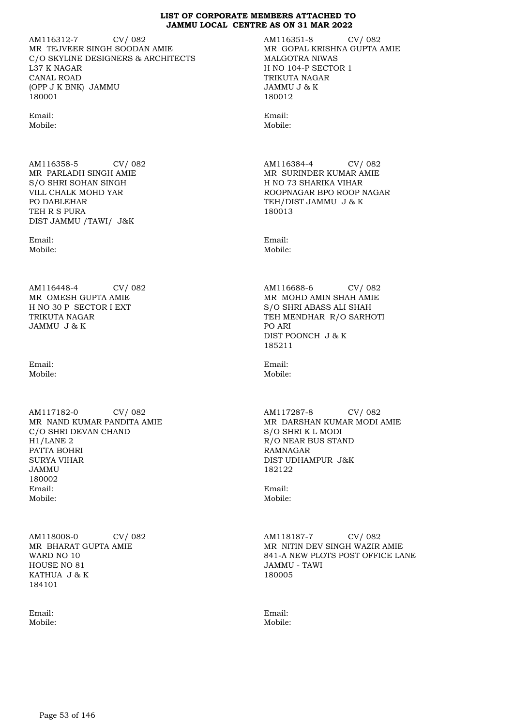AM116312-7 CV/ 082 MR TEJVEER SINGH SOODAN AMIE C/O SKYLINE DESIGNERS & ARCHITECTS L37 K NAGAR CANAL ROAD (OPP J K BNK) JAMMU 180001

Email: Mobile:

AM116358-5 CV/ 082 MR PARLADH SINGH AMIE S/O SHRI SOHAN SINGH VILL CHALK MOHD YAR PO DABLEHAR TEH R S PURA DIST JAMMU /TAWI/ J&K

Email: Mobile:

AM116448-4 CV/ 082 MR OMESH GUPTA AMIE H NO 30 P SECTOR I EXT TRIKUTA NAGAR JAMMU J & K

Email: Mobile:

AM117182-0 CV/ 082 MR NAND KUMAR PANDITA AMIE C/O SHRI DEVAN CHAND H1/LANE 2 PATTA BOHRI SURYA VIHAR JAMMU 180002 Email: Mobile:

AM118008-0 CV/ 082 MR BHARAT GUPTA AMIE WARD NO 10 HOUSE NO 81 KATHUA J & K 184101

Email: Mobile: AM116351-8 CV/ 082 MR GOPAL KRISHNA GUPTA AMIE MALGOTRA NIWAS H NO 104-P SECTOR 1 TRIKUTA NAGAR JAMMU J & K 180012

Email: Mobile:

AM116384-4 CV/ 082 MR SURINDER KUMAR AMIE H NO 73 SHARIKA VIHAR ROOPNAGAR BPO ROOP NAGAR TEH/DIST JAMMU J & K 180013

Email: Mobile:

AM116688-6 CV/ 082 MR MOHD AMIN SHAH AMIE S/O SHRI ABASS ALI SHAH TEH MENDHAR R/O SARHOTI PO ARI DIST POONCH J & K 185211

Email: Mobile:

AM117287-8 CV/ 082 MR DARSHAN KUMAR MODI AMIE S/O SHRI K L MODI R/O NEAR BUS STAND RAMNAGAR DIST UDHAMPUR J&K 182122

Email: Mobile:

AM118187-7 CV/ 082 MR NITIN DEV SINGH WAZIR AMIE 841-A NEW PLOTS POST OFFICE LANE JAMMU - TAWI 180005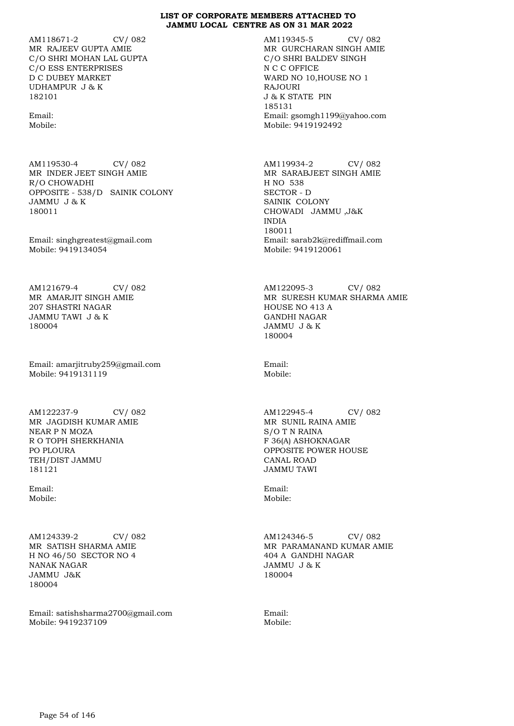AM118671-2 CV/ 082 MR RAJEEV GUPTA AMIE C/O SHRI MOHAN LAL GUPTA C/O ESS ENTERPRISES D C DUBEY MARKET UDHAMPUR J & K 182101

Email: Mobile:

AM119530-4 CV/ 082 MR INDER JEET SINGH AMIE R/O CHOWADHI OPPOSITE - 538/D SAINIK COLONY JAMMU J & K 180011

Email: singhgreatest@gmail.com Mobile: 9419134054

AM121679-4 CV/ 082 MR AMARJIT SINGH AMIE 207 SHASTRI NAGAR JAMMU TAWI J & K 180004

Email: amarjitruby259@gmail.com Mobile: 9419131119

AM122237-9 CV/ 082 MR JAGDISH KUMAR AMIE NEAR P N MOZA R O TOPH SHERKHANIA PO PLOURA TEH/DIST JAMMU 181121

Email: Mobile:

AM124339-2 CV/ 082 MR SATISH SHARMA AMIE H NO 46/50 SECTOR NO 4 NANAK NAGAR JAMMU J&K 180004

Email: satishsharma2700@gmail.com Mobile: 9419237109

AM119345-5 CV/ 082 MR GURCHARAN SINGH AMIE C/O SHRI BALDEV SINGH N C C OFFICE WARD NO 10,HOUSE NO 1 RAJOURI J & K STATE PIN 185131 Email: gsomgh1199@yahoo.com Mobile: 9419192492

AM119934-2 CV/ 082 MR SARABJEET SINGH AMIE H NO 538 SECTOR - D SAINIK COLONY CHOWADI JAMMU ,J&K INDIA 180011 Email: sarab2k@rediffmail.com Mobile: 9419120061

AM122095-3 CV/ 082 MR SURESH KUMAR SHARMA AMIE HOUSE NO 413 A GANDHI NAGAR JAMMU J & K 180004

Email: Mobile:

AM122945-4 CV/ 082 MR SUNIL RAINA AMIE S/O T N RAINA F 36(A) ASHOKNAGAR OPPOSITE POWER HOUSE CANAL ROAD JAMMU TAWI

Email: Mobile:

AM124346-5 CV/ 082 MR PARAMANAND KUMAR AMIE 404 A GANDHI NAGAR JAMMU J & K 180004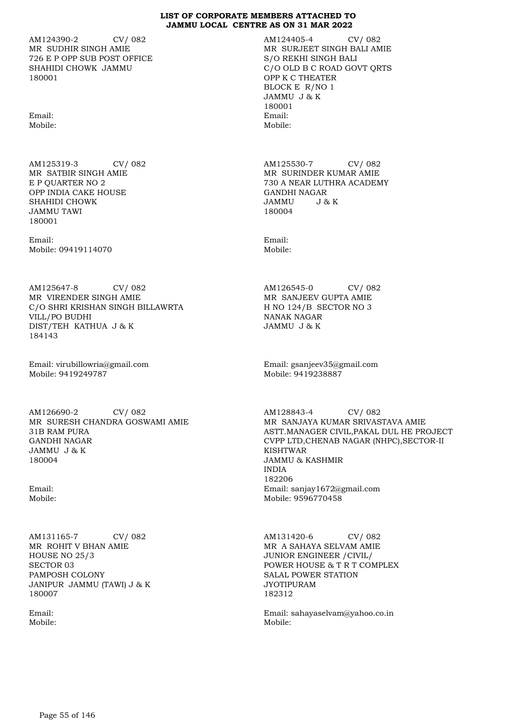AM124390-2 CV/ 082 MR SUDHIR SINGH AMIE 726 E P OPP SUB POST OFFICE SHAHIDI CHOWK JAMMU 180001

Email: Mobile:

AM125319-3 CV/ 082 MR SATBIR SINGH AMIE E P QUARTER NO 2 OPP INDIA CAKE HOUSE SHAHIDI CHOWK JAMMU TAWI 180001

Email: Mobile: 09419114070

AM125647-8 CV/ 082 MR VIRENDER SINGH AMIE C/O SHRI KRISHAN SINGH BILLAWRTA VILL/PO BUDHI DIST/TEH KATHUA J & K 184143

Email: virubillowria@gmail.com Mobile: 9419249787

AM126690-2 CV/ 082 MR SURESH CHANDRA GOSWAMI AMIE 31B RAM PURA GANDHI NAGAR JAMMU J & K 180004

Email: Mobile:

AM131165-7 CV/ 082 MR ROHIT V BHAN AMIE HOUSE NO 25/3 SECTOR 03 PAMPOSH COLONY JANIPUR JAMMU (TAWI) J & K 180007

Email: Mobile: AM124405-4 CV/ 082 MR SURJEET SINGH BALI AMIE S/O REKHI SINGH BALI C/O OLD B C ROAD GOVT QRTS OPP K C THEATER BLOCK E R/NO 1 JAMMU J & K 180001 Email: Mobile:

AM125530-7 CV/ 082 MR SURINDER KUMAR AMIE 730 A NEAR LUTHRA ACADEMY GANDHI NAGAR JAMMU J & K 180004

Email: Mobile:

AM126545-0 CV/ 082 MR SANJEEV GUPTA AMIE H NO 124/B SECTOR NO 3 NANAK NAGAR JAMMU J & K

Email: gsanjeev35@gmail.com Mobile: 9419238887

AM128843-4 CV/ 082 MR SANJAYA KUMAR SRIVASTAVA AMIE ASTT.MANAGER CIVIL,PAKAL DUL HE PROJECT CVPP LTD,CHENAB NAGAR (NHPC),SECTOR-II KISHTWAR JAMMU & KASHMIR INDIA 182206 Email: sanjay1672@gmail.com Mobile: 9596770458

AM131420-6 CV/ 082 MR A SAHAYA SELVAM AMIE JUNIOR ENGINEER /CIVIL/ POWER HOUSE & T R T COMPLEX SALAL POWER STATION JYOTIPURAM 182312

Email: sahayaselvam@yahoo.co.in Mobile: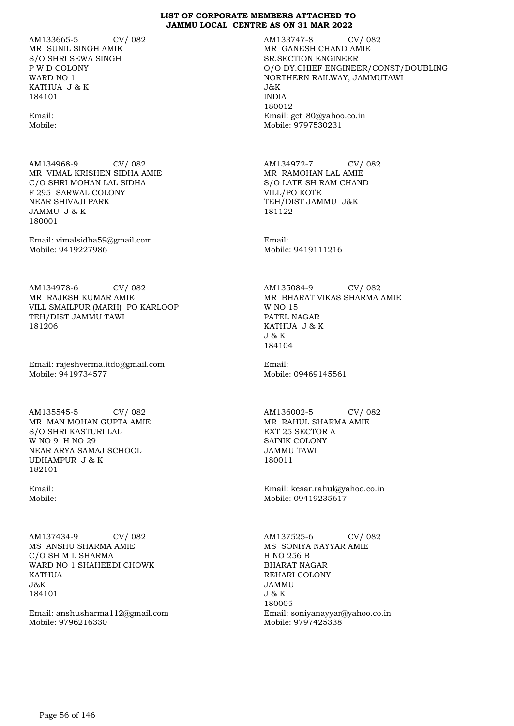AM133665-5 CV/ 082 MR SUNIL SINGH AMIE S/O SHRI SEWA SINGH P W D COLONY WARD NO 1 KATHUA J & K 184101

Email: Mobile:

AM134968-9 CV/ 082 MR VIMAL KRISHEN SIDHA AMIE C/O SHRI MOHAN LAL SIDHA F 295 SARWAL COLONY NEAR SHIVAJI PARK JAMMU J & K 180001

Email: vimalsidha59@gmail.com Mobile: 9419227986

AM134978-6 CV/ 082 MR RAJESH KUMAR AMIE VILL SMAILPUR (MARH) PO KARLOOP TEH/DIST JAMMU TAWI 181206

Email: rajeshverma.itdc@gmail.com Mobile: 9419734577

AM135545-5 CV/ 082 MR MAN MOHAN GUPTA AMIE S/O SHRI KASTURI LAL W NO 9 H NO 29 NEAR ARYA SAMAJ SCHOOL UDHAMPUR J & K 182101

Email: Mobile:

AM137434-9 CV/ 082 MS ANSHU SHARMA AMIE C/O SH M L SHARMA WARD NO 1 SHAHEEDI CHOWK KATHUA  $J\&K$ 184101

Email: anshusharma112@gmail.com Mobile: 9796216330

AM133747-8 CV/ 082 MR GANESH CHAND AMIE SR.SECTION ENGINEER O/O DY.CHIEF ENGINEER/CONST/DOUBLING NORTHERN RAILWAY, JAMMUTAWI J&K INDIA 180012 Email: gct\_80@yahoo.co.in Mobile: 9797530231

AM134972-7 CV/ 082 MR RAMOHAN LAL AMIE S/O LATE SH RAM CHAND VILL/PO KOTE TEH/DIST JAMMU J&K 181122

Email: Mobile: 9419111216

AM135084-9 CV/ 082 MR BHARAT VIKAS SHARMA AMIE W NO 15 PATEL NAGAR KATHUA J & K J & K 184104

Email: Mobile: 09469145561

AM136002-5 CV/ 082 MR RAHUL SHARMA AMIE EXT 25 SECTOR A SAINIK COLONY JAMMU TAWI 180011

Email: kesar.rahul@yahoo.co.in Mobile: 09419235617

AM137525-6 CV/ 082 MS SONIYA NAYYAR AMIE H NO 256 B BHARAT NAGAR REHARI COLONY JAMMU J & K 180005 Email: soniyanayyar@yahoo.co.in Mobile: 9797425338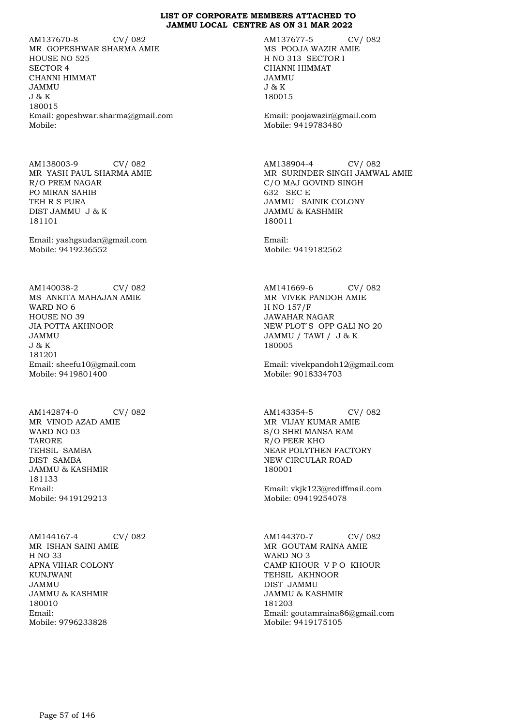AM137670-8 CV/ 082 MR GOPESHWAR SHARMA AMIE HOUSE NO 525 SECTOR 4 CHANNI HIMMAT JAMMU J & K 180015 Email: gopeshwar.sharma@gmail.com Mobile:

AM138003-9 CV/ 082 MR YASH PAUL SHARMA AMIE R/O PREM NAGAR PO MIRAN SAHIB TEH R S PURA DIST JAMMU J & K 181101

Email: yashgsudan@gmail.com Mobile: 9419236552

AM140038-2 CV/ 082 MS ANKITA MAHAJAN AMIE WARD NO 6 HOUSE NO 39 JIA POTTA AKHNOOR JAMMU J & K 181201 Email: sheefu10@gmail.com Mobile: 9419801400

AM142874-0 CV/ 082 MR VINOD AZAD AMIE WARD NO 03 TARORE TEHSIL SAMBA DIST SAMBA JAMMU & KASHMIR 181133 Email: Mobile: 9419129213

AM144167-4 CV/ 082 MR ISHAN SAINI AMIE H NO 33 APNA VIHAR COLONY KUNJWANI JAMMU JAMMU & KASHMIR 180010 Email: Mobile: 9796233828

AM137677-5 CV/ 082 MS POOJA WAZIR AMIE H NO 313 SECTOR I CHANNI HIMMAT JAMMU J & K 180015

Email: poojawazir@gmail.com Mobile: 9419783480

AM138904-4 CV/ 082 MR SURINDER SINGH JAMWAL AMIE C/O MAJ GOVIND SINGH 632 SEC E JAMMU SAINIK COLONY JAMMU & KASHMIR 180011

Email: Mobile: 9419182562

AM141669-6 CV/ 082 MR VIVEK PANDOH AMIE H NO 157/F JAWAHAR NAGAR NEW PLOT`S OPP GALI NO 20 JAMMU / TAWI / J & K 180005

Email: vivekpandoh12@gmail.com Mobile: 9018334703

AM143354-5 CV/ 082 MR VIJAY KUMAR AMIE S/O SHRI MANSA RAM R/O PEER KHO NEAR POLYTHEN FACTORY NEW CIRCULAR ROAD 180001

Email: vkjk123@rediffmail.com Mobile: 09419254078

AM144370-7 CV/ 082 MR GOUTAM RAINA AMIE WARD NO 3 CAMP KHOUR V P O KHOUR TEHSIL AKHNOOR DIST JAMMU JAMMU & KASHMIR 181203 Email: goutamraina86@gmail.com Mobile: 9419175105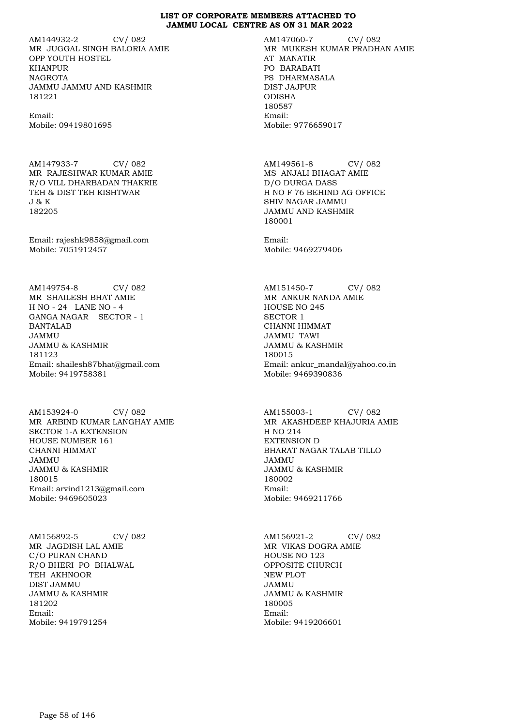AM144932-2 CV/ 082 MR JUGGAL SINGH BALORIA AMIE OPP YOUTH HOSTEL KHANPUR **NAGROTA** JAMMU JAMMU AND KASHMIR 181221

Email: Mobile: 09419801695

AM147933-7 CV/ 082 MR RAJESHWAR KUMAR AMIE R/O VILL DHARBADAN THAKRIE TEH & DIST TEH KISHTWAR J & K 182205

Email: rajeshk9858@gmail.com Mobile: 7051912457

AM149754-8 CV/ 082 MR SHAILESH BHAT AMIE H NO - 24 LANE NO - 4 GANGA NAGAR SECTOR - 1 BANTALAB JAMMU JAMMU & KASHMIR 181123 Email: shailesh87bhat@gmail.com Mobile: 9419758381

AM153924-0 CV/ 082 MR ARBIND KUMAR LANGHAY AMIE SECTOR 1-A EXTENSION HOUSE NUMBER 161 CHANNI HIMMAT JAMMU JAMMU & KASHMIR 180015 Email: arvind1213@gmail.com Mobile: 9469605023

AM156892-5 CV/ 082 MR JAGDISH LAL AMIE C/O PURAN CHAND R/O BHERI PO BHALWAL TEH AKHNOOR DIST JAMMU JAMMU & KASHMIR 181202 Email: Mobile: 9419791254

AM147060-7 CV/ 082 MR MUKESH KUMAR PRADHAN AMIE AT MANATIR PO BARABATI PS DHARMASALA DIST JAJPUR ODISHA 180587 Email: Mobile: 9776659017

AM149561-8 CV/ 082 MS ANJALI BHAGAT AMIE D/O DURGA DASS H NO F 76 BEHIND AG OFFICE SHIV NAGAR JAMMU JAMMU AND KASHMIR 180001

Email: Mobile: 9469279406

AM151450-7 CV/ 082 MR ANKUR NANDA AMIE HOUSE NO 245 SECTOR 1 CHANNI HIMMAT JAMMU TAWI JAMMU & KASHMIR 180015 Email: ankur\_mandal@yahoo.co.in Mobile: 9469390836

AM155003-1 CV/ 082 MR AKASHDEEP KHAJURIA AMIE H NO 214 EXTENSION D BHARAT NAGAR TALAB TILLO JAMMU JAMMU & KASHMIR 180002 Email: Mobile: 9469211766

AM156921-2 CV/ 082 MR VIKAS DOGRA AMIE HOUSE NO 123 OPPOSITE CHURCH NEW PLOT JAMMU JAMMU & KASHMIR 180005 Email: Mobile: 9419206601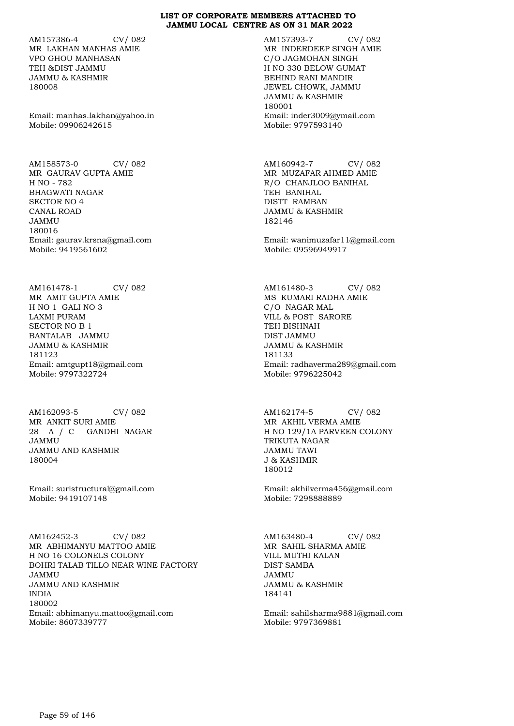AM157386-4 CV/ 082 MR LAKHAN MANHAS AMIE VPO GHOU MANHASAN TEH &DIST JAMMU JAMMU & KASHMIR 180008

Email: manhas.lakhan@yahoo.in Mobile: 09906242615

AM158573-0 CV/ 082 MR GAURAV GUPTA AMIE H NO - 782 BHAGWATI NAGAR SECTOR NO 4 CANAL ROAD JAMMU 180016 Email: gaurav.krsna@gmail.com Mobile: 9419561602

AM161478-1 CV/ 082 MR AMIT GUPTA AMIE H NO 1 GALI NO 3 LAXMI PURAM SECTOR NO B 1 BANTALAB JAMMU JAMMU & KASHMIR 181123 Email: amtgupt18@gmail.com Mobile: 9797322724

AM162093-5 CV/ 082 MR ANKIT SURI AMIE 28 A / C GANDHI NAGAR JAMMU JAMMU AND KASHMIR 180004

Email: suristructural@gmail.com Mobile: 9419107148

AM162452-3 CV/ 082 MR ABHIMANYU MATTOO AMIE H NO 16 COLONELS COLONY BOHRI TALAB TILLO NEAR WINE FACTORY JAMMU JAMMU AND KASHMIR INDIA 180002 Email: abhimanyu.mattoo@gmail.com Mobile: 8607339777

AM157393-7 CV/ 082 MR INDERDEEP SINGH AMIE C/O JAGMOHAN SINGH H NO 330 BELOW GUMAT BEHIND RANI MANDIR JEWEL CHOWK, JAMMU JAMMU & KASHMIR 180001 Email: inder3009@ymail.com Mobile: 9797593140

AM160942-7 CV/ 082 MR MUZAFAR AHMED AMIE R/O CHANJLOO BANIHAL TEH BANIHAL DISTT RAMBAN JAMMU & KASHMIR 182146

Email: wanimuzafar11@gmail.com Mobile: 09596949917

AM161480-3 CV/ 082 MS KUMARI RADHA AMIE C/O NAGAR MAL VILL & POST SARORE TEH BISHNAH DIST JAMMU JAMMU & KASHMIR 181133 Email: radhaverma289@gmail.com Mobile: 9796225042

AM162174-5 CV/ 082 MR AKHIL VERMA AMIE H NO 129/1A PARVEEN COLONY TRIKUTA NAGAR JAMMU TAWI J & KASHMIR 180012

Email: akhilverma456@gmail.com Mobile: 7298888889

AM163480-4 CV/ 082 MR SAHIL SHARMA AMIE VILL MUTHI KALAN DIST SAMBA JAMMU JAMMU & KASHMIR 184141

Email: sahilsharma9881@gmail.com Mobile: 9797369881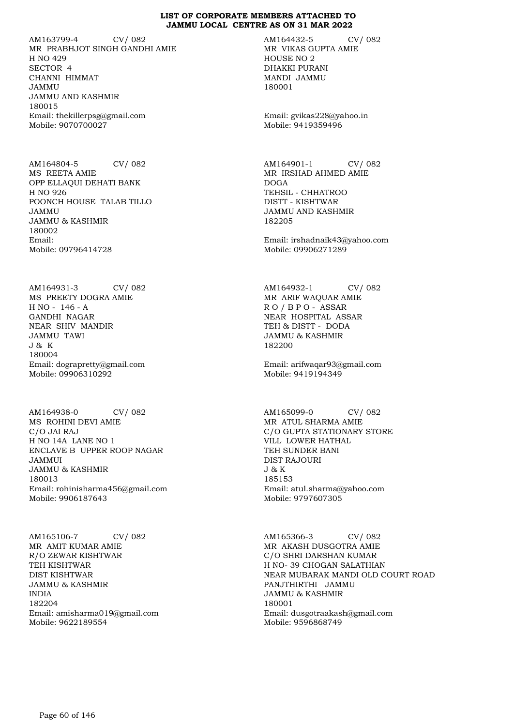AM163799-4 CV/ 082 MR PRABHJOT SINGH GANDHI AMIE H NO 429 SECTOR 4 CHANNI HIMMAT JAMMU JAMMU AND KASHMIR 180015 Email: thekillerpsg@gmail.com Mobile: 9070700027

AM164804-5 CV/ 082 MS REETA AMIE OPP ELLAQUI DEHATI BANK H NO 926 POONCH HOUSE TALAB TILLO JAMMU JAMMU & KASHMIR 180002 Email: Mobile: 09796414728

AM164931-3 CV/ 082 MS PREETY DOGRA AMIE H NO - 146 - A GANDHI NAGAR NEAR SHIV MANDIR JAMMU TAWI J & K 180004 Email: dograpretty@gmail.com Mobile: 09906310292

AM164938-0 CV/ 082 MS ROHINI DEVI AMIE C/O JAI RAJ H NO 14A LANE NO 1 ENCLAVE B UPPER ROOP NAGAR JAMMUI JAMMU & KASHMIR 180013 Email: rohinisharma456@gmail.com Mobile: 9906187643

AM165106-7 CV/ 082 MR AMIT KUMAR AMIE R/O ZEWAR KISHTWAR TEH KISHTWAR DIST KISHTWAR JAMMU & KASHMIR INDIA 182204 Email: amisharma019@gmail.com Mobile: 9622189554

AM164432-5 CV/ 082 MR VIKAS GUPTA AMIE HOUSE NO 2 DHAKKI PURANI MANDI JAMMU 180001

Email: gvikas228@yahoo.in Mobile: 9419359496

AM164901-1 CV/ 082 MR IRSHAD AHMED AMIE DOGA TEHSIL - CHHATROO DISTT - KISHTWAR JAMMU AND KASHMIR 182205

Email: irshadnaik43@yahoo.com Mobile: 09906271289

AM164932-1 CV/ 082 MR ARIF WAQUAR AMIE R O / B P O - ASSAR NEAR HOSPITAL ASSAR TEH & DISTT - DODA JAMMU & KASHMIR 182200

Email: arifwaqar93@gmail.com Mobile: 9419194349

AM165099-0 CV/ 082 MR ATUL SHARMA AMIE C/O GUPTA STATIONARY STORE VILL LOWER HATHAL TEH SUNDER BANI DIST RAJOURI J & K 185153 Email: atul.sharma@yahoo.com Mobile: 9797607305

AM165366-3 CV/ 082 MR AKASH DUSGOTRA AMIE C/O SHRI DARSHAN KUMAR H NO- 39 CHOGAN SALATHIAN NEAR MUBARAK MANDI OLD COURT ROAD PANJTHIRTHI JAMMU JAMMU & KASHMIR 180001 Email: dusgotraakash@gmail.com Mobile: 9596868749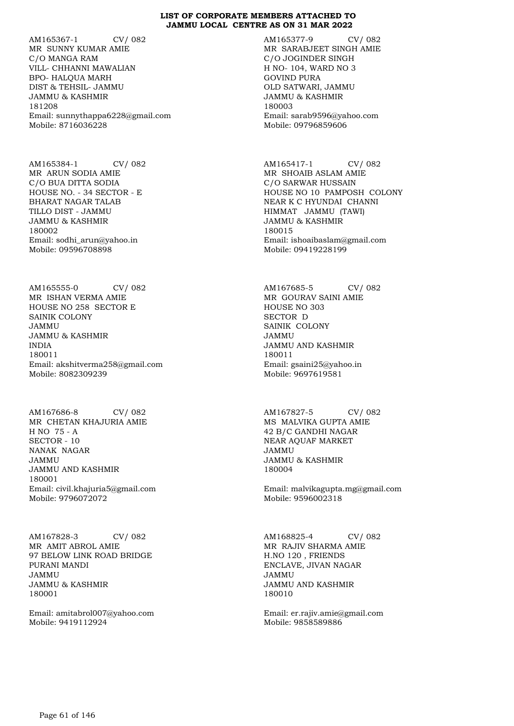AM165367-1 CV/ 082 MR SUNNY KUMAR AMIE C/O MANGA RAM VILL- CHHANNI MAWALIAN BPO- HALQUA MARH DIST & TEHSIL- JAMMU JAMMU & KASHMIR 181208 Email: sunnythappa6228@gmail.com Mobile: 8716036228

AM165384-1 CV/ 082 MR ARUN SODIA AMIE C/O BUA DITTA SODIA HOUSE NO. - 34 SECTOR - E BHARAT NAGAR TALAB TILLO DIST - JAMMU JAMMU & KASHMIR 180002 Email: sodhi\_arun@yahoo.in Mobile: 09596708898

AM165555-0 CV/ 082 MR ISHAN VERMA AMIE HOUSE NO 258 SECTOR E SAINIK COLONY JAMMU JAMMU & KASHMIR INDIA 180011 Email: akshitverma258@gmail.com Mobile: 8082309239

AM167686-8 CV/ 082 MR CHETAN KHAJURIA AMIE H NO 75 - A SECTOR - 10 NANAK NAGAR JAMMU JAMMU AND KASHMIR 180001 Email: civil.khajuria5@gmail.com Mobile: 9796072072

AM167828-3 CV/ 082 MR AMIT ABROL AMIE 97 BELOW LINK ROAD BRIDGE PURANI MANDI JAMMU JAMMU & KASHMIR 180001

Email: amitabrol007@yahoo.com Mobile: 9419112924

AM165377-9 CV/ 082 MR SARABJEET SINGH AMIE C/O JOGINDER SINGH H NO- 104, WARD NO 3 GOVIND PURA OLD SATWARI, JAMMU JAMMU & KASHMIR 180003 Email: sarab9596@yahoo.com Mobile: 09796859606

AM165417-1 CV/ 082 MR SHOAIB ASLAM AMIE C/O SARWAR HUSSAIN HOUSE NO 10 PAMPOSH COLONY NEAR K C HYUNDAI CHANNI HIMMAT JAMMU (TAWI) JAMMU & KASHMIR 180015 Email: ishoaibaslam@gmail.com Mobile: 09419228199

AM167685-5 CV/ 082 MR GOURAV SAINI AMIE HOUSE NO 303 SECTOR D SAINIK COLONY JAMMU JAMMU AND KASHMIR 180011 Email: gsaini25@yahoo.in Mobile: 9697619581

AM167827-5 CV/ 082 MS MALVIKA GUPTA AMIE 42 B/C GANDHI NAGAR NEAR AQUAF MARKET JAMMU JAMMU & KASHMIR 180004

Email: malvikagupta.mg@gmail.com Mobile: 9596002318

AM168825-4 CV/ 082 MR RAJIV SHARMA AMIE H.NO 120 , FRIENDS ENCLAVE, JIVAN NAGAR JAMMU JAMMU AND KASHMIR 180010

Email: er.rajiv.amie@gmail.com Mobile: 9858589886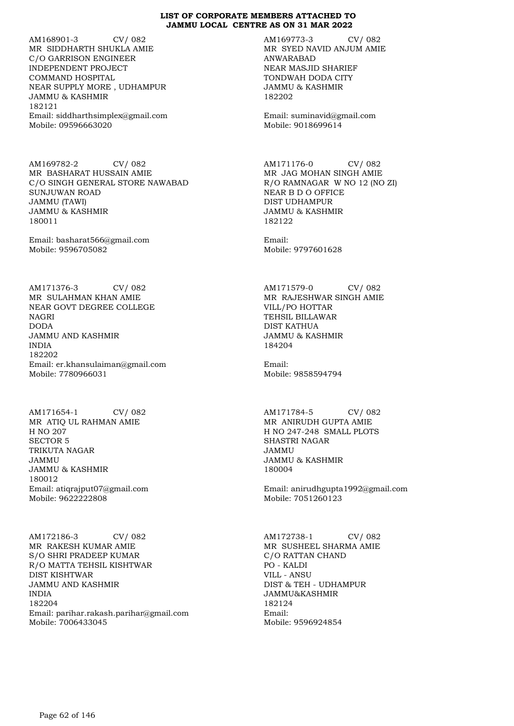AM168901-3 CV/ 082 MR SIDDHARTH SHUKLA AMIE C/O GARRISON ENGINEER INDEPENDENT PROJECT COMMAND HOSPITAL NEAR SUPPLY MORE , UDHAMPUR JAMMU & KASHMIR 182121 Email: siddharthsimplex@gmail.com Mobile: 09596663020

AM169782-2 CV/ 082 MR BASHARAT HUSSAIN AMIE C/O SINGH GENERAL STORE NAWABAD SUNJUWAN ROAD JAMMU (TAWI) JAMMU & KASHMIR 180011

Email: basharat566@gmail.com Mobile: 9596705082

AM171376-3 CV/ 082 MR SULAHMAN KHAN AMIE NEAR GOVT DEGREE COLLEGE NAGRI DODA JAMMU AND KASHMIR INDIA 182202 Email: er.khansulaiman@gmail.com Mobile: 7780966031

AM171654-1 CV/ 082 MR ATIQ UL RAHMAN AMIE H NO 207 SECTOR 5 TRIKUTA NAGAR JAMMU JAMMU & KASHMIR 180012 Email: atiqrajput07@gmail.com Mobile: 9622222808

AM172186-3 CV/ 082 MR RAKESH KUMAR AMIE S/O SHRI PRADEEP KUMAR R/O MATTA TEHSIL KISHTWAR DIST KISHTWAR JAMMU AND KASHMIR INDIA 182204 Email: parihar.rakash.parihar@gmail.com Mobile: 7006433045

AM169773-3 CV/ 082 MR SYED NAVID ANJUM AMIE ANWARABAD NEAR MASJID SHARIEF TONDWAH DODA CITY JAMMU & KASHMIR 182202

Email: suminavid@gmail.com Mobile: 9018699614

AM171176-0 CV/ 082 MR JAG MOHAN SINGH AMIE R/O RAMNAGAR W NO 12 (NO ZI) NEAR B D O OFFICE DIST UDHAMPUR JAMMU & KASHMIR 182122

Email: Mobile: 9797601628

AM171579-0 CV/ 082 MR RAJESHWAR SINGH AMIE VILL/PO HOTTAR TEHSIL BILLAWAR DIST KATHUA JAMMU & KASHMIR 184204

Email: Mobile: 9858594794

AM171784-5 CV/ 082 MR ANIRUDH GUPTA AMIE H NO 247-248 SMALL PLOTS SHASTRI NAGAR JAMMU JAMMU & KASHMIR 180004

Email: anirudhgupta1992@gmail.com Mobile: 7051260123

AM172738-1 CV/ 082 MR SUSHEEL SHARMA AMIE C/O RATTAN CHAND PO - KALDI VILL - ANSU DIST & TEH - UDHAMPUR JAMMU&KASHMIR 182124 Email: Mobile: 9596924854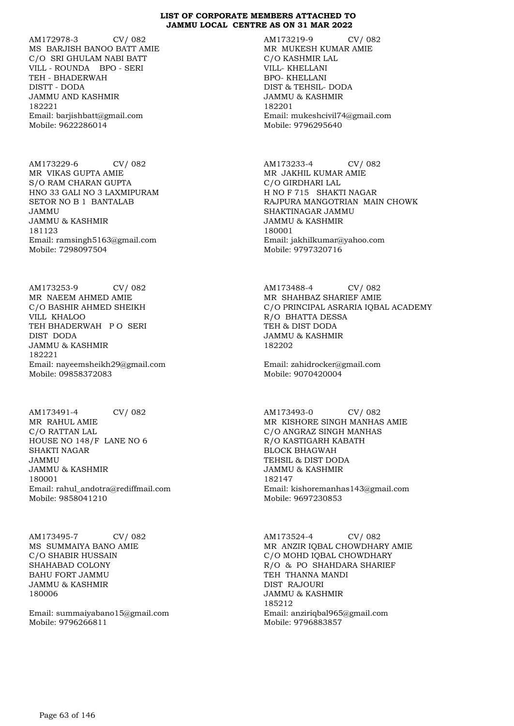AM172978-3 CV/ 082 MS BARJISH BANOO BATT AMIE C/O SRI GHULAM NABI BATT VILL - ROUNDA BPO - SERI TEH - BHADERWAH DISTT - DODA JAMMU AND KASHMIR 182221 Email: barjishbatt@gmail.com Mobile: 9622286014

AM173229-6 CV/ 082 MR VIKAS GUPTA AMIE S/O RAM CHARAN GUPTA HNO 33 GALI NO 3 LAXMIPURAM SETOR NO B 1 BANTALAB JAMMU JAMMU & KASHMIR 181123 Email: ramsingh5163@gmail.com Mobile: 7298097504

AM173253-9 CV/ 082 MR NAEEM AHMED AMIE C/O BASHIR AHMED SHEIKH VILL KHALOO TEH BHADERWAH P O SERI DIST DODA JAMMU & KASHMIR 182221 Email: nayeemsheikh29@gmail.com Mobile: 09858372083

AM173491-4 CV/ 082 MR RAHUL AMIE C/O RATTAN LAL HOUSE NO 148/F LANE NO 6 SHAKTI NAGAR JAMMU JAMMU & KASHMIR 180001 Email: rahul\_andotra@rediffmail.com Mobile: 9858041210

AM173495-7 CV/ 082 MS SUMMAIYA BANO AMIE C/O SHABIR HUSSAIN SHAHABAD COLONY BAHU FORT JAMMU JAMMU & KASHMIR 180006

Email: summaiyabano15@gmail.com Mobile: 9796266811

AM173219-9 CV/ 082 MR MUKESH KUMAR AMIE C/O KASHMIR LAL VILL- KHELLANI BPO- KHELLANI DIST & TEHSIL- DODA JAMMU & KASHMIR 182201 Email: mukeshcivil74@gmail.com Mobile: 9796295640

AM173233-4 CV/ 082 MR JAKHIL KUMAR AMIE C/O GIRDHARI LAL H NO F 715 SHAKTI NAGAR RAJPURA MANGOTRIAN MAIN CHOWK SHAKTINAGAR JAMMU JAMMU & KASHMIR 180001 Email: jakhilkumar@yahoo.com Mobile: 9797320716

AM173488-4 CV/ 082 MR SHAHBAZ SHARIEF AMIE C/O PRINCIPAL ASRARIA IQBAL ACADEMY R/O BHATTA DESSA TEH & DIST DODA JAMMU & KASHMIR 182202

Email: zahidrocker@gmail.com Mobile: 9070420004

AM173493-0 CV/ 082 MR KISHORE SINGH MANHAS AMIE C/O ANGRAZ SINGH MANHAS R/O KASTIGARH KABATH BLOCK BHAGWAH TEHSIL & DIST DODA JAMMU & KASHMIR 182147 Email: kishoremanhas143@gmail.com Mobile: 9697230853

AM173524-4 CV/ 082 MR ANZIR IQBAL CHOWDHARY AMIE C/O MOHD IQBAL CHOWDHARY R/O & PO SHAHDARA SHARIEF TEH THANNA MANDI DIST RAJOURI JAMMU & KASHMIR 185212 Email: anziriqbal965@gmail.com Mobile: 9796883857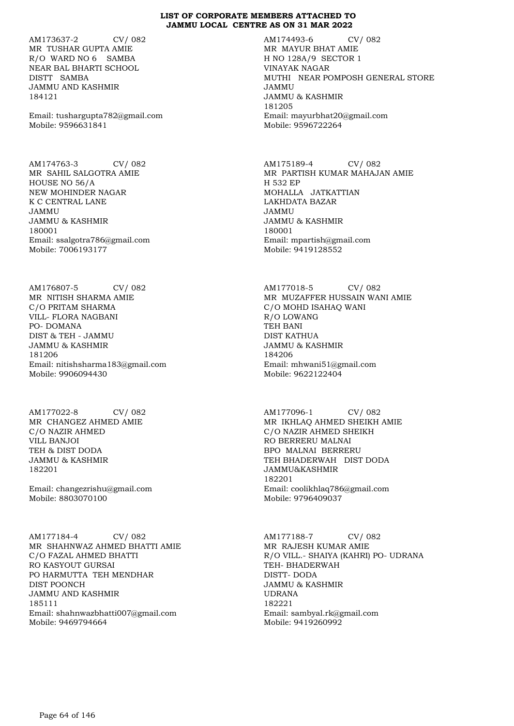AM173637-2 CV/ 082 MR TUSHAR GUPTA AMIE R/O WARD NO 6 SAMBA NEAR BAL BHARTI SCHOOL DISTT SAMBA JAMMU AND KASHMIR 184121

Email: tushargupta782@gmail.com Mobile: 9596631841

AM174763-3 CV/ 082 MR SAHIL SALGOTRA AMIE HOUSE NO 56/A NEW MOHINDER NAGAR K C CENTRAL LANE JAMMU JAMMU & KASHMIR 180001 Email: ssalgotra786@gmail.com Mobile: 7006193177

AM176807-5 CV/ 082 MR NITISH SHARMA AMIE C/O PRITAM SHARMA VILL- FLORA NAGBANI PO- DOMANA DIST & TEH - JAMMU JAMMU & KASHMIR 181206 Email: nitishsharma183@gmail.com Mobile: 9906094430

AM177022-8 CV/ 082 MR CHANGEZ AHMED AMIE C/O NAZIR AHMED VILL BANJOI TEH & DIST DODA JAMMU & KASHMIR 182201

Email: changezrishu@gmail.com Mobile: 8803070100

AM177184-4 CV/ 082 MR SHAHNWAZ AHMED BHATTI AMIE C/O FAZAL AHMED BHATTI RO KASYOUT GURSAI PO HARMUTTA TEH MENDHAR DIST POONCH JAMMU AND KASHMIR 185111 Email: shahnwazbhatti007@gmail.com Mobile: 9469794664

AM174493-6 CV/ 082 MR MAYUR BHAT AMIE H NO 128A/9 SECTOR 1 VINAYAK NAGAR MUTHI NEAR POMPOSH GENERAL STORE JAMMU JAMMU & KASHMIR 181205 Email: mayurbhat20@gmail.com Mobile: 9596722264

AM175189-4 CV/ 082 MR PARTISH KUMAR MAHAJAN AMIE H 532 EP MOHALLA JATKATTIAN LAKHDATA BAZAR JAMMU JAMMU & KASHMIR 180001 Email: mpartish@gmail.com Mobile: 9419128552

AM177018-5 CV/ 082 MR MUZAFFER HUSSAIN WANI AMIE C/O MOHD ISAHAQ WANI R/O LOWANG TEH BANI DIST KATHUA JAMMU & KASHMIR 184206 Email: mhwani51@gmail.com Mobile: 9622122404

AM177096-1 CV/ 082 MR IKHLAQ AHMED SHEIKH AMIE C/O NAZIR AHMED SHEIKH RO BERRERU MALNAI BPO MALNAI BERRERU TEH BHADERWAH DIST DODA JAMMU&KASHMIR 182201 Email: coolikhlaq786@gmail.com Mobile: 9796409037

AM177188-7 CV/ 082 MR RAJESH KUMAR AMIE R/O VILL.- SHAIYA (KAHRI) PO- UDRANA TEH- BHADERWAH DISTT- DODA JAMMU & KASHMIR UDRANA 182221 Email: sambyal.rk@gmail.com Mobile: 9419260992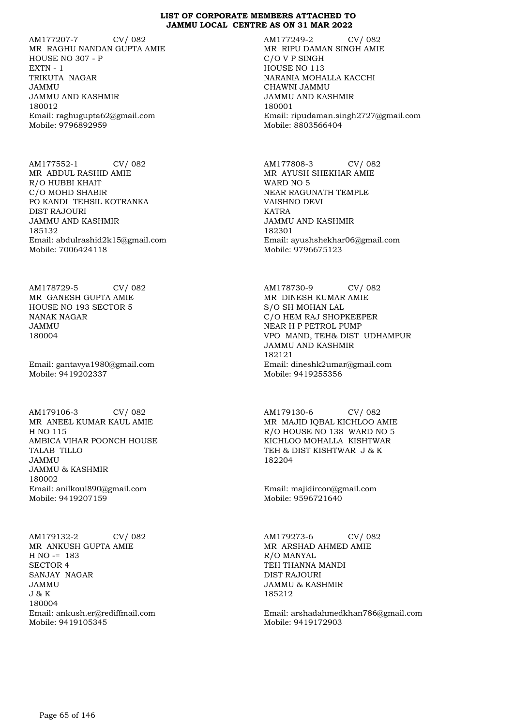AM177207-7 CV/ 082 MR RAGHU NANDAN GUPTA AMIE HOUSE NO 307 - P EXTN - 1 TRIKUTA NAGAR JAMMU JAMMU AND KASHMIR 180012 Email: raghugupta62@gmail.com Mobile: 9796892959

AM177552-1 CV/ 082 MR ABDUL RASHID AMIE R/O HUBBI KHAIT C/O MOHD SHABIR PO KANDI TEHSIL KOTRANKA DIST RAJOURI JAMMU AND KASHMIR 185132 Email: abdulrashid2k15@gmail.com Mobile: 7006424118

AM178729-5 CV/ 082 MR GANESH GUPTA AMIE HOUSE NO 193 SECTOR 5 NANAK NAGAR JAMMU 180004

Email: gantavya1980@gmail.com Mobile: 9419202337

AM179106-3 CV/ 082 MR ANEEL KUMAR KAUL AMIE H NO 115 AMBICA VIHAR POONCH HOUSE TALAB TILLO JAMMU JAMMU & KASHMIR 180002 Email: anilkoul890@gmail.com Mobile: 9419207159

AM179132-2 CV/ 082 MR ANKUSH GUPTA AMIE  $H NO = 183$ SECTOR 4 SANJAY NAGAR JAMMU  $J \& K$ 180004 Email: ankush.er@rediffmail.com Mobile: 9419105345

AM177249-2 CV/ 082 MR RIPU DAMAN SINGH AMIE C/O V P SINGH HOUSE NO 113 NARANIA MOHALLA KACCHI CHAWNI JAMMU JAMMU AND KASHMIR 180001 Email: ripudaman.singh2727@gmail.com Mobile: 8803566404

AM177808-3 CV/ 082 MR AYUSH SHEKHAR AMIE WARD NO 5 NEAR RAGUNATH TEMPLE VAISHNO DEVI KATRA JAMMU AND KASHMIR 182301 Email: ayushshekhar06@gmail.com Mobile: 9796675123

AM178730-9 CV/ 082 MR DINESH KUMAR AMIE S/O SH MOHAN LAL C/O HEM RAJ SHOPKEEPER NEAR H P PETROL PUMP VPO MAND, TEH& DIST UDHAMPUR JAMMU AND KASHMIR 182121 Email: dineshk2umar@gmail.com Mobile: 9419255356

AM179130-6 CV/ 082 MR MAJID IQBAL KICHLOO AMIE R/O HOUSE NO 138 WARD NO 5 KICHLOO MOHALLA KISHTWAR TEH & DIST KISHTWAR J & K 182204

Email: majidircon@gmail.com Mobile: 9596721640

AM179273-6 CV/ 082 MR ARSHAD AHMED AMIE R/O MANYAL TEH THANNA MANDI DIST RAJOURI JAMMU & KASHMIR 185212

Email: arshadahmedkhan786@gmail.com Mobile: 9419172903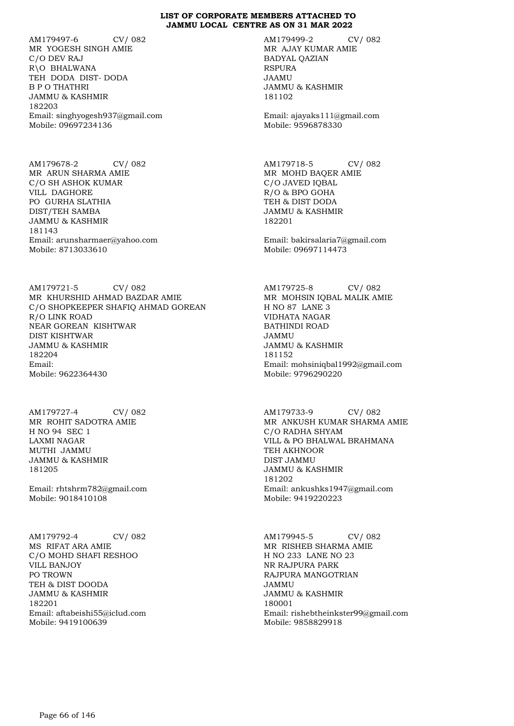AM179497-6 CV/ 082 MR YOGESH SINGH AMIE C/O DEV RAJ R\O BHALWANA TEH DODA DIST- DODA B P O THATHRI JAMMU & KASHMIR 182203 Email: singhyogesh937@gmail.com Mobile: 09697234136

AM179678-2 CV/ 082 MR ARUN SHARMA AMIE C/O SH ASHOK KUMAR VILL DAGHORE PO GURHA SLATHIA DIST/TEH SAMBA JAMMU & KASHMIR 181143 Email: arunsharmaer@yahoo.com Mobile: 8713033610

AM179721-5 CV/ 082 MR KHURSHID AHMAD BAZDAR AMIE C/O SHOPKEEPER SHAFIQ AHMAD GOREAN R/O LINK ROAD NEAR GOREAN KISHTWAR DIST KISHTWAR JAMMU & KASHMIR 182204 Email: Mobile: 9622364430

AM179727-4 CV/ 082 MR ROHIT SADOTRA AMIE H NO 94 SEC 1 LAXMI NAGAR MUTHI JAMMU JAMMU & KASHMIR 181205

Email: rhtshrm782@gmail.com Mobile: 9018410108

AM179792-4 CV/ 082 MS RIFAT ARA AMIE C/O MOHD SHAFI RESHOO VILL BANJOY PO TROWN TEH & DIST DOODA JAMMU & KASHMIR 182201 Email: aftabeishi55@iclud.com Mobile: 9419100639

AM179499-2 CV/ 082 MR AJAY KUMAR AMIE BADYAL QAZIAN RSPURA JAAMU JAMMU & KASHMIR 181102

Email: ajayaks111@gmail.com Mobile: 9596878330

AM179718-5 CV/ 082 MR MOHD BAQER AMIE C/O JAVED IQBAL R/O & BPO GOHA TEH & DIST DODA JAMMU & KASHMIR 182201

Email: bakirsalaria7@gmail.com Mobile: 09697114473

AM179725-8 CV/ 082 MR MOHSIN IQBAL MALIK AMIE H NO 87 LANE 3 VIDHATA NAGAR BATHINDI ROAD JAMMU JAMMU & KASHMIR 181152 Email: mohsiniqbal1992@gmail.com Mobile: 9796290220

AM179733-9 CV/ 082 MR ANKUSH KUMAR SHARMA AMIE C/O RADHA SHYAM VILL & PO BHALWAL BRAHMANA TEH AKHNOOR DIST JAMMU JAMMU & KASHMIR 181202 Email: ankushks1947@gmail.com Mobile: 9419220223

AM179945-5 CV/ 082 MR RISHEB SHARMA AMIE H NO 233 LANE NO 23 NR RAJPURA PARK RAJPURA MANGOTRIAN JAMMU JAMMU & KASHMIR 180001 Email: rishebtheinkster99@gmail.com Mobile: 9858829918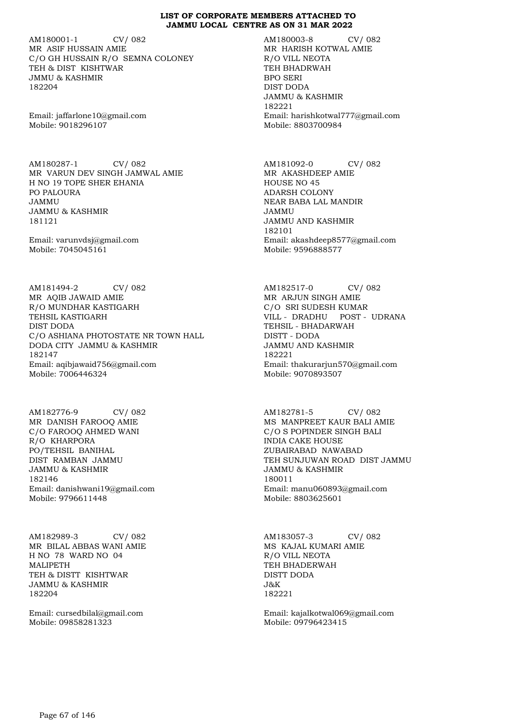AM180001-1 CV/ 082 MR ASIF HUSSAIN AMIE C/O GH HUSSAIN R/O SEMNA COLONEY TEH & DIST KISHTWAR JMMU & KASHMIR 182204

Email: jaffarlone10@gmail.com Mobile: 9018296107

AM180287-1 CV/ 082 MR VARUN DEV SINGH JAMWAL AMIE H NO 19 TOPE SHER EHANIA PO PALOURA JAMMU JAMMU & KASHMIR 181121

Email: varunvdsj@gmail.com Mobile: 7045045161

AM181494-2 CV/ 082 MR AQIB JAWAID AMIE R/O MUNDHAR KASTIGARH TEHSIL KASTIGARH DIST DODA C/O ASHIANA PHOTOSTATE NR TOWN HALL DODA CITY JAMMU & KASHMIR 182147 Email: aqibjawaid756@gmail.com Mobile: 7006446324

AM182776-9 CV/ 082 MR DANISH FAROOQ AMIE C/O FAROOQ AHMED WANI R/O KHARPORA PO/TEHSIL BANIHAL DIST RAMBAN JAMMU JAMMU & KASHMIR 182146 Email: danishwani19@gmail.com Mobile: 9796611448

AM182989-3 CV/ 082 MR BILAL ABBAS WANI AMIE H NO 78 WARD NO 04 MALIPETH TEH & DISTT KISHTWAR JAMMU & KASHMIR 182204

Email: cursedbilal@gmail.com Mobile: 09858281323

AM180003-8 CV/ 082 MR HARISH KOTWAL AMIE R/O VILL NEOTA TEH BHADRWAH BPO SERI DIST DODA JAMMU & KASHMIR 182221 Email: harishkotwal777@gmail.com Mobile: 8803700984

AM181092-0 CV/ 082 MR AKASHDEEP AMIE HOUSE NO 45 ADARSH COLONY NEAR BABA LAL MANDIR JAMMU JAMMU AND KASHMIR 182101 Email: akashdeep8577@gmail.com Mobile: 9596888577

AM182517-0 CV/ 082 MR ARJUN SINGH AMIE C/O SRI SUDESH KUMAR VILL - DRADHU POST - UDRANA TEHSIL - BHADARWAH DISTT - DODA JAMMU AND KASHMIR 182221 Email: thakurarjun570@gmail.com Mobile: 9070893507

AM182781-5 CV/ 082 MS MANPREET KAUR BALI AMIE C/O S POPINDER SINGH BALI INDIA CAKE HOUSE ZUBAIRABAD NAWABAD TEH SUNJUWAN ROAD DIST JAMMU JAMMU & KASHMIR 180011 Email: manu060893@gmail.com Mobile: 8803625601

AM183057-3 CV/ 082 MS KAJAL KUMARI AMIE R/O VILL NEOTA TEH BHADERWAH DISTT DODA  $J\&K$ 182221

Email: kajalkotwal069@gmail.com Mobile: 09796423415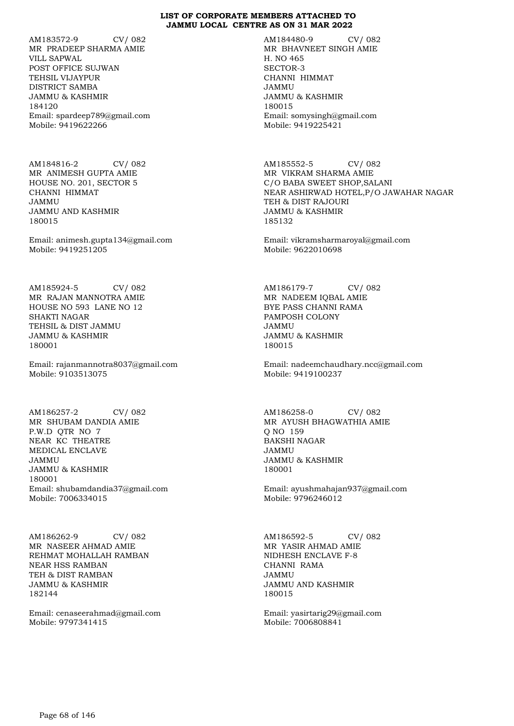AM183572-9 CV/ 082 MR PRADEEP SHARMA AMIE VILL SAPWAL POST OFFICE SUJWAN TEHSIL VIJAYPUR DISTRICT SAMBA JAMMU & KASHMIR 184120 Email: spardeep789@gmail.com Mobile: 9419622266

AM184816-2 CV/ 082 MR ANIMESH GUPTA AMIE HOUSE NO. 201, SECTOR 5 CHANNI HIMMAT JAMMU JAMMU AND KASHMIR 180015

Email: animesh.gupta134@gmail.com Mobile: 9419251205

AM185924-5 CV/ 082 MR RAJAN MANNOTRA AMIE HOUSE NO 593 LANE NO 12 SHAKTI NAGAR TEHSIL & DIST JAMMU JAMMU & KASHMIR 180001

Email: rajanmannotra8037@gmail.com Mobile: 9103513075

AM186257-2 CV/ 082 MR SHUBAM DANDIA AMIE P.W.D QTR NO 7 NEAR KC THEATRE MEDICAL ENCLAVE JAMMU JAMMU & KASHMIR 180001 Email: shubamdandia37@gmail.com Mobile: 7006334015

AM186262-9 CV/ 082 MR NASEER AHMAD AMIE REHMAT MOHALLAH RAMBAN NEAR HSS RAMBAN TEH & DIST RAMBAN JAMMU & KASHMIR 182144

Email: cenaseerahmad@gmail.com Mobile: 9797341415

AM184480-9 CV/ 082 MR BHAVNEET SINGH AMIE H. NO 465 SECTOR-3 CHANNI HIMMAT JAMMU JAMMU & KASHMIR 180015 Email: somysingh@gmail.com Mobile: 9419225421

AM185552-5 CV/ 082 MR VIKRAM SHARMA AMIE C/O BABA SWEET SHOP,SALANI NEAR ASHIRWAD HOTEL,P/O JAWAHAR NAGAR TEH & DIST RAJOURI JAMMU & KASHMIR 185132

Email: vikramsharmaroyal@gmail.com Mobile: 9622010698

AM186179-7 CV/ 082 MR NADEEM IQBAL AMIE BYE PASS CHANNI RAMA PAMPOSH COLONY JAMMU JAMMU & KASHMIR 180015

Email: nadeemchaudhary.ncc@gmail.com Mobile: 9419100237

AM186258-0 CV/ 082 MR AYUSH BHAGWATHIA AMIE Q NO 159 BAKSHI NAGAR JAMMU JAMMU & KASHMIR 180001

Email: ayushmahajan937@gmail.com Mobile: 9796246012

AM186592-5 CV/ 082 MR YASIR AHMAD AMIE NIDHESH ENCLAVE F-8 CHANNI RAMA JAMMU JAMMU AND KASHMIR 180015

Email: yasirtarig29@gmail.com Mobile: 7006808841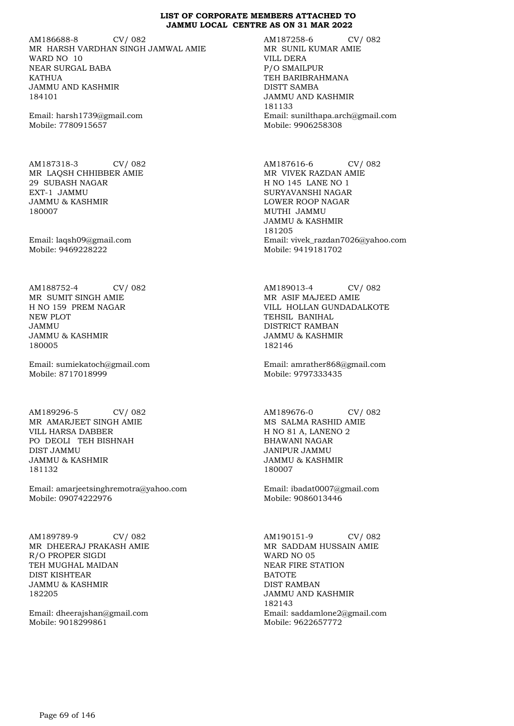AM186688-8 CV/ 082 MR HARSH VARDHAN SINGH JAMWAL AMIE WARD NO 10 NEAR SURGAL BABA **KATHUA** JAMMU AND KASHMIR 184101

Email: harsh1739@gmail.com Mobile: 7780915657

AM187318-3 CV/ 082 MR LAQSH CHHIBBER AMIE 29 SUBASH NAGAR EXT-1 JAMMU JAMMU & KASHMIR 180007

Email: laqsh09@gmail.com Mobile: 9469228222

AM188752-4 CV/ 082 MR SUMIT SINGH AMIE H NO 159 PREM NAGAR NEW PLOT JAMMU JAMMU & KASHMIR 180005

Email: sumiekatoch@gmail.com Mobile: 8717018999

AM189296-5 CV/ 082 MR AMARJEET SINGH AMIE VILL HARSA DABBER PO DEOLI TEH BISHNAH DIST JAMMU JAMMU & KASHMIR 181132

Email: amarjeetsinghremotra@yahoo.com Mobile: 09074222976

AM189789-9 CV/ 082 MR DHEERAJ PRAKASH AMIE R/O PROPER SIGDI TEH MUGHAL MAIDAN DIST KISHTEAR JAMMU & KASHMIR 182205

Email: dheerajshan@gmail.com Mobile: 9018299861

AM187258-6 CV/ 082 MR SUNIL KUMAR AMIE VILL DERA P/O SMAILPUR TEH BARIBRAHMANA DISTT SAMBA JAMMU AND KASHMIR 181133 Email: sunilthapa.arch@gmail.com Mobile: 9906258308

AM187616-6 CV/ 082 MR VIVEK RAZDAN AMIE H NO 145 LANE NO 1 SURYAVANSHI NAGAR LOWER ROOP NAGAR MUTHI JAMMU JAMMU & KASHMIR 181205 Email: vivek\_razdan7026@yahoo.com Mobile: 9419181702

AM189013-4 CV/ 082 MR ASIF MAJEED AMIE VILL HOLLAN GUNDADALKOTE TEHSIL BANIHAL DISTRICT RAMBAN JAMMU & KASHMIR 182146

Email: amrather868@gmail.com Mobile: 9797333435

AM189676-0 CV/ 082 MS SALMA RASHID AMIE H NO 81 A, LANENO 2 BHAWANI NAGAR JANIPUR JAMMU JAMMU & KASHMIR 180007

Email: ibadat0007@gmail.com Mobile: 9086013446

AM190151-9 CV/ 082 MR SADDAM HUSSAIN AMIE WARD NO 05 NEAR FIRE STATION BATOTE DIST RAMBAN JAMMU AND KASHMIR 182143 Email: saddamlone2@gmail.com Mobile: 9622657772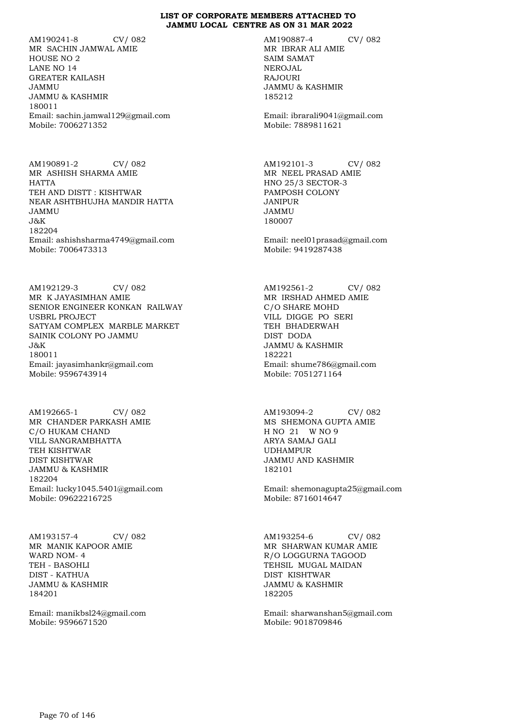AM190241-8 CV/ 082 MR SACHIN JAMWAL AMIE HOUSE NO 2 LANE NO 14 GREATER KAILASH JAMMU JAMMU & KASHMIR 180011 Email: sachin.jamwal129@gmail.com Mobile: 7006271352

AM190891-2 CV/ 082 MR ASHISH SHARMA AMIE HATTA TEH AND DISTT : KISHTWAR NEAR ASHTBHUJHA MANDIR HATTA JAMMU J&K 182204 Email: ashishsharma4749@gmail.com Mobile: 7006473313

AM192129-3 CV/ 082 MR K JAYASIMHAN AMIE SENIOR ENGINEER KONKAN RAILWAY USBRL PROJECT SATYAM COMPLEX MARBLE MARKET SAINIK COLONY PO JAMMU J&K 180011 Email: jayasimhankr@gmail.com Mobile: 9596743914

AM192665-1 CV/ 082 MR CHANDER PARKASH AMIE C/O HUKAM CHAND VILL SANGRAMBHATTA TEH KISHTWAR DIST KISHTWAR JAMMU & KASHMIR 182204 Email: lucky1045.5401@gmail.com Mobile: 09622216725

AM193157-4 CV/ 082 MR MANIK KAPOOR AMIE WARD NOM- 4 TEH - BASOHLI DIST - KATHUA JAMMU & KASHMIR 184201

Email: manikbsl24@gmail.com Mobile: 9596671520

AM190887-4 CV/ 082 MR IBRAR ALI AMIE SAIM SAMAT NEROJAL RAJOURI JAMMU & KASHMIR 185212

Email: ibrarali9041@gmail.com Mobile: 7889811621

AM192101-3 CV/ 082 MR NEEL PRASAD AMIE HNO 25/3 SECTOR-3 PAMPOSH COLONY JANIPUR JAMMU 180007

Email: neel01prasad@gmail.com Mobile: 9419287438

AM192561-2 CV/ 082 MR IRSHAD AHMED AMIE C/O SHARE MOHD VILL DIGGE PO SERI TEH BHADERWAH DIST DODA JAMMU & KASHMIR 182221 Email: shume786@gmail.com Mobile: 7051271164

AM193094-2 CV/ 082 MS SHEMONA GUPTA AMIE H NO 21 W NO 9 ARYA SAMAJ GALI UDHAMPUR JAMMU AND KASHMIR 182101

Email: shemonagupta25@gmail.com Mobile: 8716014647

AM193254-6 CV/ 082 MR SHARWAN KUMAR AMIE R/O LOGGURNA TAGOOD TEHSIL MUGAL MAIDAN DIST KISHTWAR JAMMU & KASHMIR 182205

Email: sharwanshan5@gmail.com Mobile: 9018709846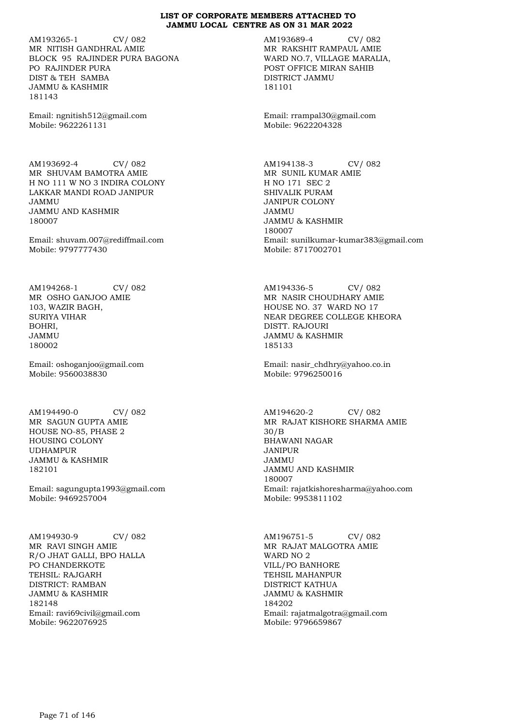AM193265-1 CV/ 082 MR NITISH GANDHRAL AMIE BLOCK 95 RAJINDER PURA BAGONA PO RAJINDER PURA DIST & TEH SAMBA JAMMU & KASHMIR 181143

Email: ngnitish512@gmail.com Mobile: 9622261131

AM193692-4 CV/ 082 MR SHUVAM BAMOTRA AMIE H NO 111 W NO 3 INDIRA COLONY LAKKAR MANDI ROAD JANIPUR JAMMU JAMMU AND KASHMIR 180007

Email: shuvam.007@rediffmail.com Mobile: 9797777430

AM194268-1 CV/ 082 MR OSHO GANJOO AMIE 103, WAZIR BAGH, SURIYA VIHAR BOHRI, JAMMU 180002

Email: oshoganjoo@gmail.com Mobile: 9560038830

AM194490-0 CV/ 082 MR SAGUN GUPTA AMIE HOUSE NO-85, PHASE 2 HOUSING COLONY UDHAMPUR JAMMU & KASHMIR 182101

Email: sagungupta1993@gmail.com Mobile: 9469257004

AM194930-9 CV/ 082 MR RAVI SINGH AMIE R/O JHAT GALLI, BPO HALLA PO CHANDERKOTE TEHSIL: RAJGARH DISTRICT: RAMBAN JAMMU & KASHMIR 182148 Email: ravi69civil@gmail.com Mobile: 9622076925

AM193689-4 CV/ 082 MR RAKSHIT RAMPAUL AMIE WARD NO.7, VILLAGE MARALIA, POST OFFICE MIRAN SAHIB DISTRICT JAMMU 181101

Email: rrampal30@gmail.com Mobile: 9622204328

AM194138-3 CV/ 082 MR SUNIL KUMAR AMIE H NO 171 SEC 2 SHIVALIK PURAM JANIPUR COLONY JAMMU JAMMU & KASHMIR 180007 Email: sunilkumar-kumar383@gmail.com Mobile: 8717002701

AM194336-5 CV/ 082 MR NASIR CHOUDHARY AMIE HOUSE NO. 37 WARD NO 17 NEAR DEGREE COLLEGE KHEORA DISTT. RAJOURI JAMMU & KASHMIR 185133

Email: nasir\_chdhry@yahoo.co.in Mobile: 9796250016

AM194620-2 CV/ 082 MR RAJAT KISHORE SHARMA AMIE 30/B BHAWANI NAGAR JANIPUR JAMMU JAMMU AND KASHMIR 180007 Email: rajatkishoresharma@yahoo.com Mobile: 9953811102

AM196751-5 CV/ 082 MR RAJAT MALGOTRA AMIE WARD NO 2 VILL/PO BANHORE TEHSIL MAHANPUR DISTRICT KATHUA JAMMU & KASHMIR 184202 Email: rajatmalgotra@gmail.com Mobile: 9796659867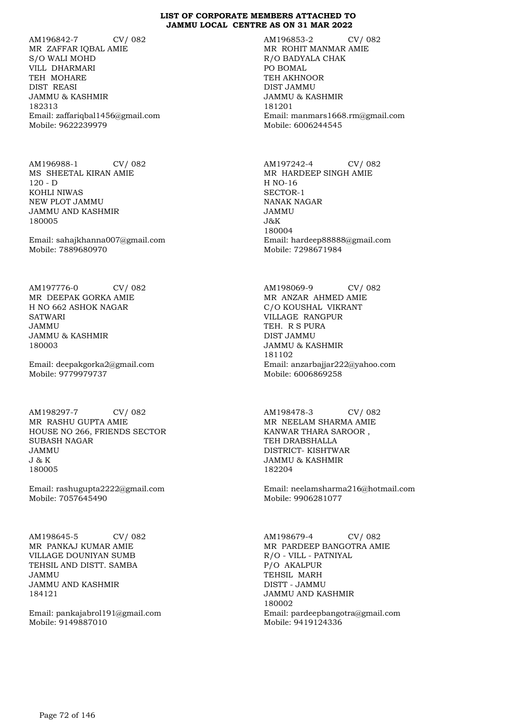AM196842-7 CV/ 082 MR ZAFFAR IQBAL AMIE S/O WALI MOHD VILL DHARMARI TEH MOHARE DIST REASI JAMMU & KASHMIR 182313 Email: zaffariqbal1456@gmail.com Mobile: 9622239979

AM196988-1 CV/ 082 MS SHEETAL KIRAN AMIE 120 - D KOHLI NIWAS NEW PLOT JAMMU JAMMU AND KASHMIR 180005

Email: sahajkhanna007@gmail.com Mobile: 7889680970

AM197776-0 CV/ 082 MR DEEPAK GORKA AMIE H NO 662 ASHOK NAGAR **SATWARI** JAMMU JAMMU & KASHMIR 180003

Email: deepakgorka2@gmail.com Mobile: 9779979737

AM198297-7 CV/ 082 MR RASHU GUPTA AMIE HOUSE NO 266, FRIENDS SECTOR SUBASH NAGAR JAMMU J & K 180005

Email: rashugupta2222@gmail.com Mobile: 7057645490

AM198645-5 CV/ 082 MR PANKAJ KUMAR AMIE VILLAGE DOUNIYAN SUMB TEHSIL AND DISTT. SAMBA JAMMU JAMMU AND KASHMIR 184121

Email: pankajabrol191@gmail.com Mobile: 9149887010

AM196853-2 CV/ 082 MR ROHIT MANMAR AMIE R/O BADYALA CHAK PO BOMAL TEH AKHNOOR DIST JAMMU JAMMU & KASHMIR 181201 Email: manmars1668.rm@gmail.com Mobile: 6006244545

AM197242-4 CV/ 082 MR HARDEEP SINGH AMIE H NO-16 SECTOR-1 NANAK NAGAR JAMMU J&K 180004 Email: hardeep88888@gmail.com Mobile: 7298671984

AM198069-9 CV/ 082 MR ANZAR AHMED AMIE C/O KOUSHAL VIKRANT VILLAGE RANGPUR TEH. R S PURA DIST JAMMU JAMMU & KASHMIR 181102 Email: anzarbajjar222@yahoo.com Mobile: 6006869258

AM198478-3 CV/ 082 MR NEELAM SHARMA AMIE KANWAR THARA SAROOR , TEH DRABSHALLA DISTRICT- KISHTWAR JAMMU & KASHMIR 182204

Email: neelamsharma216@hotmail.com Mobile: 9906281077

AM198679-4 CV/ 082 MR PARDEEP BANGOTRA AMIE R/O - VILL - PATNIYAL P/O AKALPUR TEHSIL MARH DISTT - JAMMU JAMMU AND KASHMIR 180002 Email: pardeepbangotra@gmail.com Mobile: 9419124336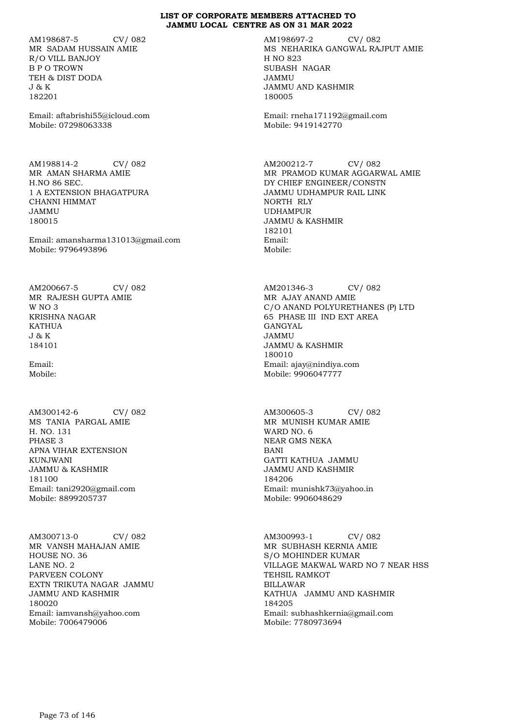AM198687-5 CV/ 082 MR SADAM HUSSAIN AMIE R/O VILL BANJOY B P O TROWN TEH & DIST DODA J & K 182201

Email: aftabrishi55@icloud.com Mobile: 07298063338

AM198814-2 CV/ 082 MR AMAN SHARMA AMIE H.NO 86 SEC. 1 A EXTENSION BHAGATPURA CHANNI HIMMAT JAMMU 180015

Email: amansharma131013@gmail.com Mobile: 9796493896

AM200667-5 CV/ 082 MR RAJESH GUPTA AMIE W<sub>NO</sub> 3 KRISHNA NAGAR KATHUA J & K 184101

Email: Mobile:

AM300142-6 CV/ 082 MS TANIA PARGAL AMIE H. NO. 131 PHASE 3 APNA VIHAR EXTENSION KUNJWANI JAMMU & KASHMIR 181100 Email: tani2920@gmail.com Mobile: 8899205737

AM300713-0 CV/ 082 MR VANSH MAHAJAN AMIE HOUSE NO. 36 LANE NO. 2 PARVEEN COLONY EXTN TRIKUTA NAGAR JAMMU JAMMU AND KASHMIR 180020 Email: iamvansh@yahoo.com Mobile: 7006479006

AM198697-2 CV/ 082 MS NEHARIKA GANGWAL RAJPUT AMIE H NO 823 SUBASH NAGAR JAMMU JAMMU AND KASHMIR 180005

Email: rneha171192@gmail.com Mobile: 9419142770

AM200212-7 CV/ 082 MR PRAMOD KUMAR AGGARWAL AMIE DY CHIEF ENGINEER/CONSTN JAMMU UDHAMPUR RAIL LINK NORTH RLY UDHAMPUR JAMMU & KASHMIR 182101 Email: Mobile:

AM201346-3 CV/ 082 MR AJAY ANAND AMIE C/O ANAND POLYURETHANES (P) LTD 65 PHASE III IND EXT AREA GANGYAL JAMMU JAMMU & KASHMIR 180010 Email: ajay@nindiya.com Mobile: 9906047777

AM300605-3 CV/ 082 MR MUNISH KUMAR AMIE WARD NO. 6 NEAR GMS NEKA BANI GATTI KATHUA JAMMU JAMMU AND KASHMIR 184206 Email: munishk73@yahoo.in Mobile: 9906048629

AM300993-1 CV/ 082 MR SUBHASH KERNIA AMIE S/O MOHINDER KUMAR VILLAGE MAKWAL WARD NO 7 NEAR HSS TEHSIL RAMKOT BILLAWAR KATHUA JAMMU AND KASHMIR 184205 Email: subhashkernia@gmail.com Mobile: 7780973694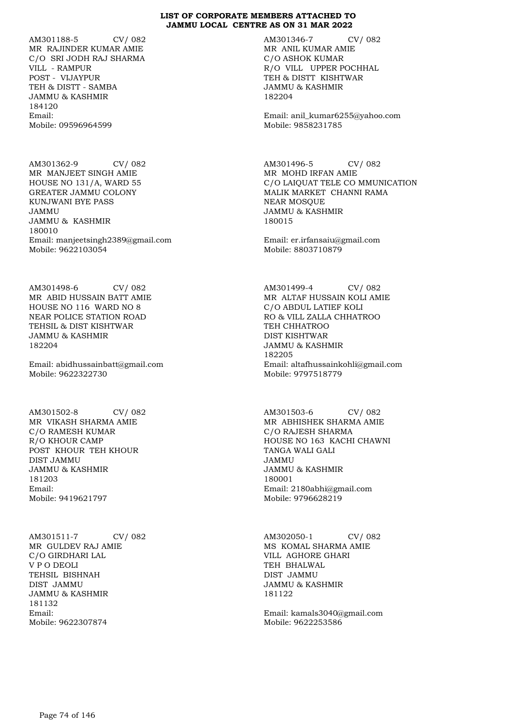AM301188-5 CV/ 082 MR RAJINDER KUMAR AMIE C/O SRI JODH RAJ SHARMA VILL - RAMPUR POST - VIJAYPUR TEH & DISTT - SAMBA JAMMU & KASHMIR 184120 Email: Mobile: 09596964599

AM301362-9 CV/ 082 MR MANJEET SINGH AMIE HOUSE NO 131/A, WARD 55 GREATER JAMMU COLONY KUNJWANI BYE PASS JAMMU JAMMU & KASHMIR 180010 Email: manjeetsingh2389@gmail.com Mobile: 9622103054

AM301498-6 CV/ 082 MR ABID HUSSAIN BATT AMIE HOUSE NO 116 WARD NO 8 NEAR POLICE STATION ROAD TEHSIL & DIST KISHTWAR JAMMU & KASHMIR 182204

Email: abidhussainbatt@gmail.com Mobile: 9622322730

AM301502-8 CV/ 082 MR VIKASH SHARMA AMIE C/O RAMESH KUMAR R/O KHOUR CAMP POST KHOUR TEH KHOUR DIST JAMMU JAMMU & KASHMIR 181203 Email: Mobile: 9419621797

AM301511-7 CV/ 082 MR GULDEV RAJ AMIE C/O GIRDHARI LAL V P O DEOLI TEHSIL BISHNAH DIST JAMMU JAMMU & KASHMIR 181132 Email: Mobile: 9622307874

AM301346-7 CV/ 082 MR ANIL KUMAR AMIE C/O ASHOK KUMAR R/O VILL UPPER POCHHAL TEH & DISTT KISHTWAR JAMMU & KASHMIR 182204

Email: anil\_kumar6255@yahoo.com Mobile: 9858231785

AM301496-5 CV/ 082 MR MOHD IRFAN AMIE C/O LAIQUAT TELE CO MMUNICATION MALIK MARKET CHANNI RAMA NEAR MOSQUE JAMMU & KASHMIR 180015

Email: er.irfansaiu@gmail.com Mobile: 8803710879

AM301499-4 CV/ 082 MR ALTAF HUSSAIN KOLI AMIE C/O ABDUL LATIEF KOLI RO & VILL ZALLA CHHATROO TEH CHHATROO DIST KISHTWAR JAMMU & KASHMIR 182205 Email: altafhussainkohli@gmail.com Mobile: 9797518779

AM301503-6 CV/ 082 MR ABHISHEK SHARMA AMIE C/O RAJESH SHARMA HOUSE NO 163 KACHI CHAWNI TANGA WALI GALI JAMMU JAMMU & KASHMIR 180001 Email: 2180abhi@gmail.com Mobile: 9796628219

AM302050-1 CV/ 082 MS KOMAL SHARMA AMIE VILL AGHORE GHARI TEH BHALWAL DIST JAMMU JAMMU & KASHMIR 181122

Email: kamals3040@gmail.com Mobile: 9622253586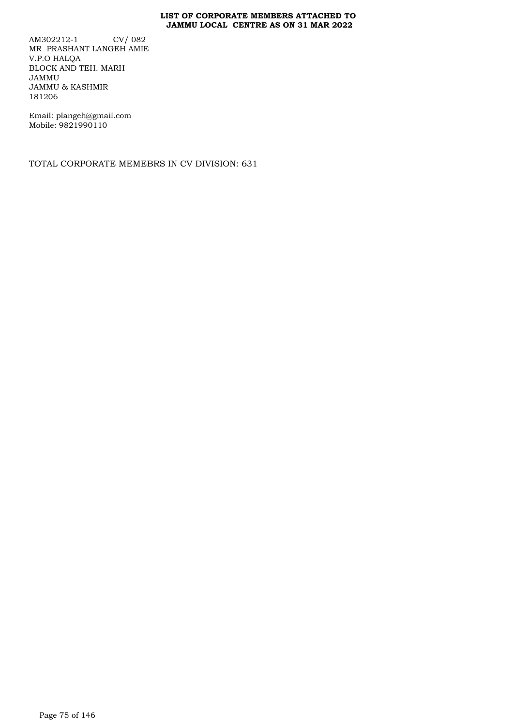AM302212-1 CV/ 082 MR PRASHANT LANGEH AMIE V.P.O HALQA BLOCK AND TEH. MARH JAMMU JAMMU & KASHMIR 181206

Email: plangeh@gmail.com Mobile: 9821990110

TOTAL CORPORATE MEMEBRS IN CV DIVISION: 631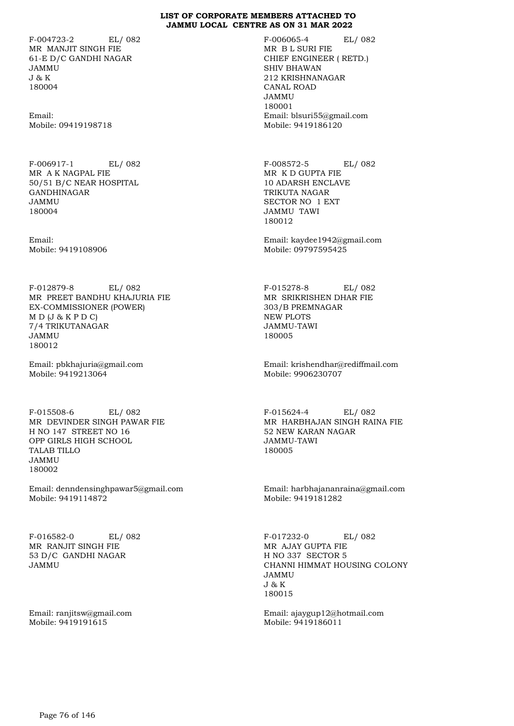F-004723-2 EL/ 082 MR MANJIT SINGH FIE 61-E D/C GANDHI NAGAR JAMMU J & K 180004

Email: Mobile: 09419198718

F-006917-1 EL/ 082 MR A K NAGPAL FIE 50/51 B/C NEAR HOSPITAL GANDHINAGAR JAMMU 180004

Email: Mobile: 9419108906

F-012879-8 EL/ 082 MR PREET BANDHU KHAJURIA FIE EX-COMMISSIONER (POWER)  $M D (J & K P D C)$ 7/4 TRIKUTANAGAR JAMMU 180012

Email: pbkhajuria@gmail.com Mobile: 9419213064

F-015508-6 EL/ 082 MR DEVINDER SINGH PAWAR FIE H NO 147 STREET NO 16 OPP GIRLS HIGH SCHOOL TALAB TILLO JAMMU 180002

Email: denndensinghpawar5@gmail.com Mobile: 9419114872

F-016582-0 EL/ 082 MR RANJIT SINGH FIE 53 D/C GANDHI NAGAR JAMMU

Email: ranjitsw@gmail.com Mobile: 9419191615

F-006065-4 EL/ 082 MR B L SURI FIE CHIEF ENGINEER ( RETD.) SHIV BHAWAN 212 KRISHNANAGAR CANAL ROAD JAMMU 180001 Email: blsuri55@gmail.com Mobile: 9419186120

F-008572-5 EL/ 082 MR K D GUPTA FIE 10 ADARSH ENCLAVE TRIKUTA NAGAR SECTOR NO 1 EXT JAMMU TAWI 180012

Email: kaydee1942@gmail.com Mobile: 09797595425

F-015278-8 EL/ 082 MR SRIKRISHEN DHAR FIE 303/B PREMNAGAR NEW PLOTS JAMMU-TAWI 180005

Email: krishendhar@rediffmail.com Mobile: 9906230707

F-015624-4 EL/ 082 MR HARBHAJAN SINGH RAINA FIE 52 NEW KARAN NAGAR JAMMU-TAWI 180005

Email: harbhajananraina@gmail.com Mobile: 9419181282

F-017232-0 EL/ 082 MR AJAY GUPTA FIE H NO 337 SECTOR 5 CHANNI HIMMAT HOUSING COLONY JAMMU J & K 180015

Email: ajaygup12@hotmail.com Mobile: 9419186011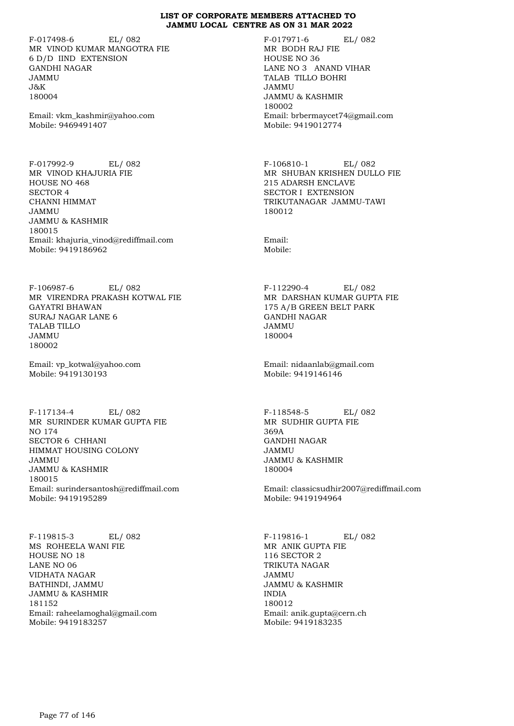F-017498-6 EL/ 082 MR VINOD KUMAR MANGOTRA FIE 6 D/D IIND EXTENSION GANDHI NAGAR JAMMU J&K 180004

Email: vkm\_kashmir@yahoo.com Mobile: 9469491407

F-017992-9 EL/ 082 MR VINOD KHAJURIA FIE HOUSE NO 468 SECTOR 4 CHANNI HIMMAT JAMMU JAMMU & KASHMIR 180015 Email: khajuria\_vinod@rediffmail.com Mobile: 9419186962

F-106987-6 EL/ 082 MR VIRENDRA PRAKASH KOTWAL FIE GAYATRI BHAWAN SURAJ NAGAR LANE 6 TALAB TILLO JAMMU 180002

Email: vp\_kotwal@yahoo.com Mobile: 9419130193

F-117134-4 EL/ 082 MR SURINDER KUMAR GUPTA FIE NO 174 SECTOR 6 CHHANI HIMMAT HOUSING COLONY JAMMU JAMMU & KASHMIR 180015 Email: surindersantosh@rediffmail.com Mobile: 9419195289

F-119815-3 EL/ 082 MS ROHEELA WANI FIE HOUSE NO 18 LANE NO 06 VIDHATA NAGAR BATHINDI, JAMMU JAMMU & KASHMIR 181152 Email: raheelamoghal@gmail.com Mobile: 9419183257

F-017971-6 EL/ 082 MR BODH RAJ FIE HOUSE NO 36 LANE NO 3 ANAND VIHAR TALAB TILLO BOHRI JAMMU JAMMU & KASHMIR 180002 Email: brbermaycet74@gmail.com Mobile: 9419012774

F-106810-1 EL/ 082 MR SHUBAN KRISHEN DULLO FIE 215 ADARSH ENCLAVE SECTOR I EXTENSION TRIKUTANAGAR JAMMU-TAWI 180012

Email: Mobile:

F-112290-4 EL/ 082 MR DARSHAN KUMAR GUPTA FIE 175 A/B GREEN BELT PARK GANDHI NAGAR JAMMU 180004

Email: nidaanlab@gmail.com Mobile: 9419146146

F-118548-5 EL/ 082 MR SUDHIR GUPTA FIE 369A GANDHI NAGAR JAMMU JAMMU & KASHMIR 180004

Email: classicsudhir2007@rediffmail.com Mobile: 9419194964

F-119816-1 EL/ 082 MR ANIK GUPTA FIE 116 SECTOR 2 TRIKUTA NAGAR JAMMU JAMMU & KASHMIR INDIA 180012 Email: anik.gupta@cern.ch Mobile: 9419183235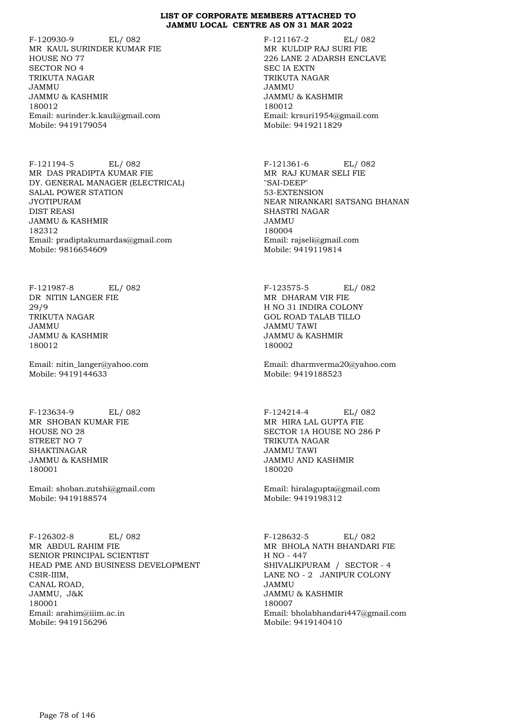F-120930-9 EL/ 082 MR KAUL SURINDER KUMAR FIE HOUSE NO 77 SECTOR NO 4 TRIKUTA NAGAR JAMMU JAMMU & KASHMIR 180012 Email: surinder.k.kaul@gmail.com Mobile: 9419179054

F-121194-5 EL/ 082 MR DAS PRADIPTA KUMAR FIE DY. GENERAL MANAGER (ELECTRICAL) SALAL POWER STATION JYOTIPURAM DIST REASI JAMMU & KASHMIR 182312 Email: pradiptakumardas@gmail.com Mobile: 9816654609

F-121987-8 EL/ 082 DR NITIN LANGER FIE 29/9 TRIKUTA NAGAR JAMMU JAMMU & KASHMIR 180012

Email: nitin\_langer@yahoo.com Mobile: 9419144633

F-123634-9 EL/ 082 MR SHOBAN KUMAR FIE HOUSE NO 28 STREET NO 7 SHAKTINAGAR JAMMU & KASHMIR 180001

Email: shoban.zutshi@gmail.com Mobile: 9419188574

F-126302-8 EL/ 082 MR ABDUL RAHIM FIE SENIOR PRINCIPAL SCIENTIST HEAD PME AND BUSINESS DEVELOPMENT CSIR-IIIM, CANAL ROAD, JAMMU, J&K 180001 Email: arahim@iiim.ac.in Mobile: 9419156296

F-121167-2 EL/ 082 MR KULDIP RAJ SURI FIE 226 LANE 2 ADARSH ENCLAVE SEC IA EXTN TRIKUTA NAGAR JAMMU JAMMU & KASHMIR 180012 Email: krsuri1954@gmail.com Mobile: 9419211829

F-121361-6 EL/ 082 MR RAJ KUMAR SELI FIE "SAI-DEEP" 53-EXTENSION NEAR NIRANKARI SATSANG BHANAN SHASTRI NAGAR JAMMU 180004 Email: rajseli@gmail.com Mobile: 9419119814

F-123575-5 EL/ 082 MR DHARAM VIR FIE H NO 31 INDIRA COLONY GOL ROAD TALAB TILLO JAMMU TAWI JAMMU & KASHMIR 180002

Email: dharmverma20@yahoo.com Mobile: 9419188523

F-124214-4 EL/ 082 MR HIRA LAL GUPTA FIE SECTOR 1A HOUSE NO 286 P TRIKUTA NAGAR JAMMU TAWI JAMMU AND KASHMIR 180020

Email: hiralagupta@gmail.com Mobile: 9419198312

F-128632-5 EL/ 082 MR BHOLA NATH BHANDARI FIE H NO - 447 SHIVALIKPURAM / SECTOR - 4 LANE NO - 2 JANIPUR COLONY JAMMU JAMMU & KASHMIR 180007 Email: bholabhandari447@gmail.com Mobile: 9419140410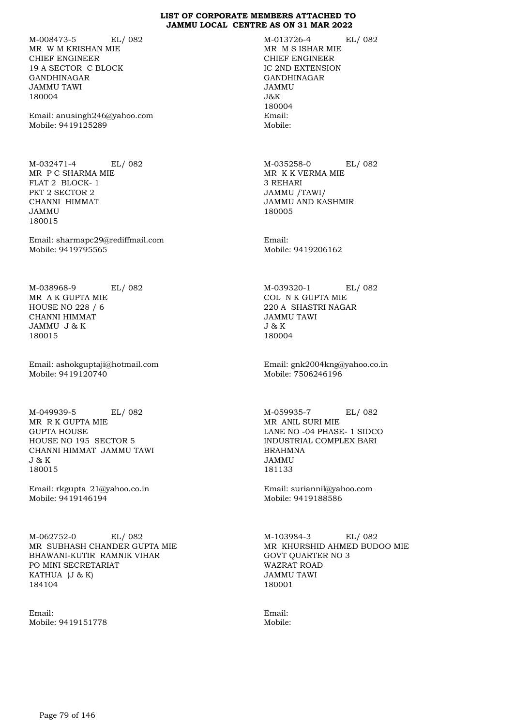M-008473-5 EL/ 082 MR W M KRISHAN MIE CHIEF ENGINEER 19 A SECTOR C BLOCK GANDHINAGAR JAMMU TAWI 180004

Email: anusingh246@yahoo.com Mobile: 9419125289

M-032471-4 EL/ 082 MR P C SHARMA MIE FLAT 2 BLOCK- 1 PKT 2 SECTOR 2 CHANNI HIMMAT JAMMU 180015

Email: sharmapc29@rediffmail.com Mobile: 9419795565

M-038968-9 EL/ 082 MR A K GUPTA MIE HOUSE NO 228 / 6 CHANNI HIMMAT JAMMU J & K 180015

Email: ashokguptaji@hotmail.com Mobile: 9419120740

M-049939-5 EL/ 082 MR R K GUPTA MIE GUPTA HOUSE HOUSE NO 195 SECTOR 5 CHANNI HIMMAT JAMMU TAWI J & K 180015

Email: rkgupta\_21@yahoo.co.in Mobile: 9419146194

M-062752-0 EL/ 082 MR SUBHASH CHANDER GUPTA MIE BHAWANI-KUTIR RAMNIK VIHAR PO MINI SECRETARIAT KATHUA (J & K) 184104

Email: Mobile: 9419151778 M-013726-4 EL/ 082 MR M S ISHAR MIE CHIEF ENGINEER IC 2ND EXTENSION GANDHINAGAR JAMMU J&K 180004 Email: Mobile:

M-035258-0 EL/ 082 MR K K VERMA MIE 3 REHARI JAMMU /TAWI/ JAMMU AND KASHMIR 180005

Email: Mobile: 9419206162

M-039320-1 EL/ 082 COL N K GUPTA MIE 220 A SHASTRI NAGAR JAMMU TAWI J & K 180004

Email: gnk2004kng@yahoo.co.in Mobile: 7506246196

M-059935-7 EL/ 082 MR ANIL SURI MIE LANE NO -04 PHASE- 1 SIDCO INDUSTRIAL COMPLEX BARI BRAHMNA JAMMU 181133

Email: suriannil@yahoo.com Mobile: 9419188586

M-103984-3 EL/ 082 MR KHURSHID AHMED BUDOO MIE GOVT QUARTER NO 3 WAZRAT ROAD JAMMU TAWI 180001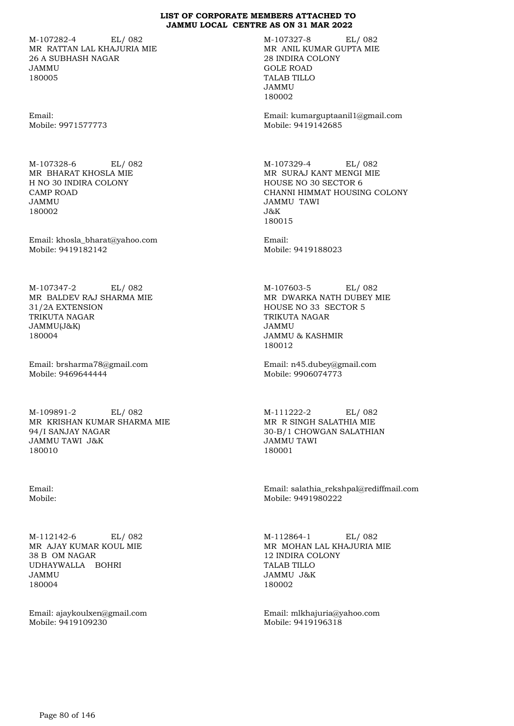M-107282-4 EL/ 082 MR RATTAN LAL KHAJURIA MIE 26 A SUBHASH NAGAR JAMMU 180005

Email: Mobile: 9971577773

M-107328-6 EL/ 082 MR BHARAT KHOSLA MIE H NO 30 INDIRA COLONY CAMP ROAD JAMMU 180002

Email: khosla\_bharat@yahoo.com Mobile: 9419182142

M-107347-2 EL/ 082 MR BALDEV RAJ SHARMA MIE 31/2A EXTENSION TRIKUTA NAGAR JAMMU(J&K) 180004

Email: brsharma78@gmail.com Mobile: 9469644444

M-109891-2 EL/ 082 MR KRISHAN KUMAR SHARMA MIE 94/I SANJAY NAGAR JAMMU TAWI J&K 180010

Email: Mobile:

M-112142-6 EL/ 082 MR AJAY KUMAR KOUL MIE 38 B OM NAGAR UDHAYWALLA BOHRI JAMMU 180004

Email: ajaykoulxen@gmail.com Mobile: 9419109230

M-107327-8 EL/ 082 MR ANIL KUMAR GUPTA MIE 28 INDIRA COLONY GOLE ROAD TALAB TILLO JAMMU 180002

Email: kumarguptaanil1@gmail.com Mobile: 9419142685

M-107329-4 EL/ 082 MR SURAJ KANT MENGI MIE HOUSE NO 30 SECTOR 6 CHANNI HIMMAT HOUSING COLONY JAMMU TAWI  $J\&K$ 180015

Email: Mobile: 9419188023

M-107603-5 EL/ 082 MR DWARKA NATH DUBEY MIE HOUSE NO 33 SECTOR 5 TRIKUTA NAGAR JAMMU JAMMU & KASHMIR 180012

Email: n45.dubey@gmail.com Mobile: 9906074773

M-111222-2 EL/ 082 MR R SINGH SALATHIA MIE 30-B/1 CHOWGAN SALATHIAN JAMMU TAWI 180001

Email: salathia\_rekshpal@rediffmail.com Mobile: 9491980222

M-112864-1 EL/ 082 MR MOHAN LAL KHAJURIA MIE 12 INDIRA COLONY TALAB TILLO JAMMU J&K 180002

Email: mlkhajuria@yahoo.com Mobile: 9419196318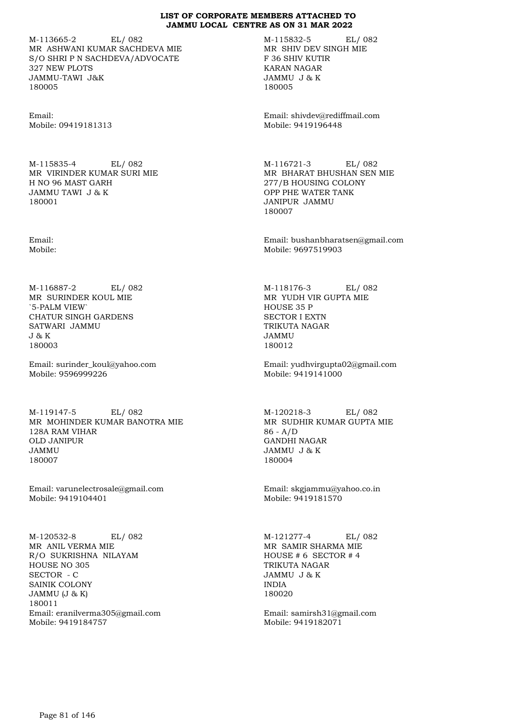M-113665-2 EL/ 082 MR ASHWANI KUMAR SACHDEVA MIE S/O SHRI P N SACHDEVA/ADVOCATE 327 NEW PLOTS JAMMU-TAWI J&K 180005

Email: Mobile: 09419181313

M-115835-4 EL/ 082 MR VIRINDER KUMAR SURI MIE H NO 96 MAST GARH JAMMU TAWI J & K 180001

Email: Mobile:

M-116887-2 EL/ 082 MR SURINDER KOUL MIE `5-PALM VIEW` CHATUR SINGH GARDENS SATWARI JAMMU J & K 180003

Email: surinder\_koul@yahoo.com Mobile: 9596999226

M-119147-5 EL/ 082 MR MOHINDER KUMAR BANOTRA MIE 128A RAM VIHAR OLD JANIPUR JAMMU 180007

Email: varunelectrosale@gmail.com Mobile: 9419104401

M-120532-8 EL/ 082 MR ANIL VERMA MIE R/O SUKRISHNA NILAYAM HOUSE NO 305 SECTOR - C SAINIK COLONY JAMMU (J & K) 180011 Email: eranilverma305@gmail.com Mobile: 9419184757

M-115832-5 EL/ 082 MR SHIV DEV SINGH MIE F 36 SHIV KUTIR KARAN NAGAR JAMMU J & K 180005

Email: shivdev@rediffmail.com Mobile: 9419196448

M-116721-3 EL/ 082 MR BHARAT BHUSHAN SEN MIE 277/B HOUSING COLONY OPP PHE WATER TANK JANIPUR JAMMU 180007

Email: bushanbharatsen@gmail.com Mobile: 9697519903

M-118176-3 EL/ 082 MR YUDH VIR GUPTA MIE HOUSE 35 P SECTOR I EXTN TRIKUTA NAGAR JAMMU 180012

Email: yudhvirgupta02@gmail.com Mobile: 9419141000

M-120218-3 EL/ 082 MR SUDHIR KUMAR GUPTA MIE 86 - A/D GANDHI NAGAR JAMMU J & K 180004

Email: skgjammu@yahoo.co.in Mobile: 9419181570

M-121277-4 EL/ 082 MR SAMIR SHARMA MIE HOUSE # 6 SECTOR # 4 TRIKUTA NAGAR JAMMU J & K INDIA 180020

Email: samirsh31@gmail.com Mobile: 9419182071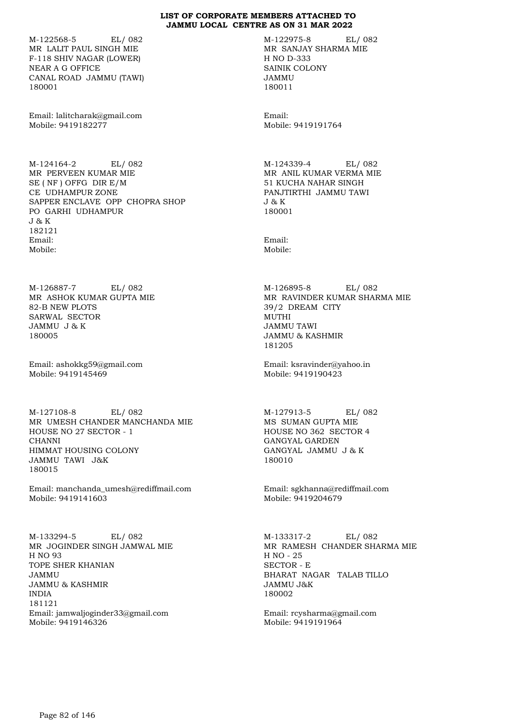M-122568-5 EL/ 082 MR LALIT PAUL SINGH MIE F-118 SHIV NAGAR (LOWER) NEAR A G OFFICE CANAL ROAD JAMMU (TAWI) 180001

Email: lalitcharak@gmail.com Mobile: 9419182277

M-124164-2 EL/ 082 MR PERVEEN KUMAR MIE SE ( NF ) OFFG DIR E/M CE UDHAMPUR ZONE SAPPER ENCLAVE OPP CHOPRA SHOP PO GARHI UDHAMPUR J & K 182121 Email: Mobile:

M-126887-7 EL/ 082 MR ASHOK KUMAR GUPTA MIE 82-B NEW PLOTS SARWAL SECTOR JAMMU J & K 180005

Email: ashokkg59@gmail.com Mobile: 9419145469

M-127108-8 EL/ 082 MR UMESH CHANDER MANCHANDA MIE HOUSE NO 27 SECTOR - 1 CHANNI HIMMAT HOUSING COLONY JAMMU TAWI J&K 180015

Email: manchanda\_umesh@rediffmail.com Mobile: 9419141603

M-133294-5 EL/ 082 MR JOGINDER SINGH JAMWAL MIE H NO 93 TOPE SHER KHANIAN JAMMU JAMMU & KASHMIR INDIA 181121 Email: jamwaljoginder33@gmail.com Mobile: 9419146326

M-122975-8 EL/ 082 MR SANJAY SHARMA MIE H NO D-333 SAINIK COLONY JAMMU 180011

Email: Mobile: 9419191764

M-124339-4 EL/ 082 MR ANIL KUMAR VERMA MIE 51 KUCHA NAHAR SINGH PANJTIRTHI JAMMU TAWI J & K 180001

Email: Mobile:

M-126895-8 EL/ 082 MR RAVINDER KUMAR SHARMA MIE 39/2 DREAM CITY MUTHI JAMMU TAWI JAMMU & KASHMIR 181205

Email: ksravinder@yahoo.in Mobile: 9419190423

M-127913-5 EL/ 082 MS SUMAN GUPTA MIE HOUSE NO 362 SECTOR 4 GANGYAL GARDEN GANGYAL JAMMU J & K 180010

Email: sgkhanna@rediffmail.com Mobile: 9419204679

M-133317-2 EL/ 082 MR RAMESH CHANDER SHARMA MIE H NO - 25 SECTOR - E BHARAT NAGAR TALAB TILLO JAMMU J&K 180002

Email: rcysharma@gmail.com Mobile: 9419191964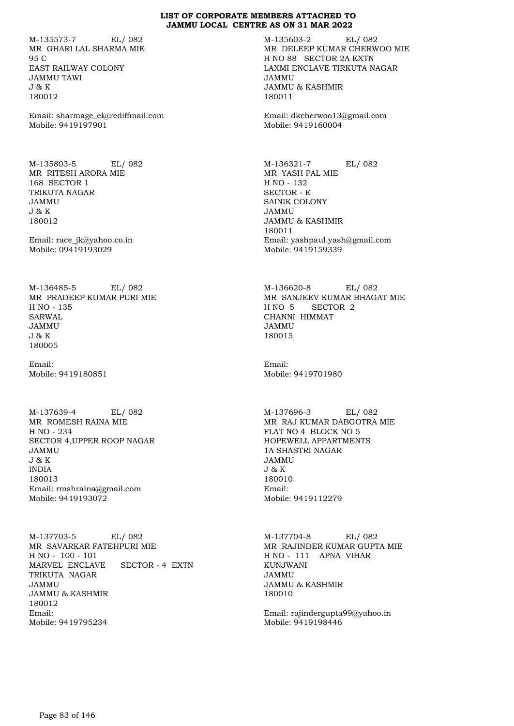M-135573-7 EL/ 082 MR GHARI LAL SHARMA MIE 95 C EAST RAILWAY COLONY JAMMU TAWI J & K 180012

Email: sharmage\_el@rediffmail.com Mobile: 9419197901

M-135803-5 EL/ 082 MR RITESH ARORA MIE 168 SECTOR 1 TRIKUTA NAGAR JAMMU J & K 180012

Email: race\_jk@yahoo.co.in Mobile: 09419193029

M-136485-5 EL/ 082 MR PRADEEP KUMAR PURI MIE H NO - 135 SARWAL JAMMU J & K 180005

Email: Mobile: 9419180851

M-137639-4 EL/ 082 MR ROMESH RAINA MIE H NO - 234 SECTOR 4,UPPER ROOP NAGAR JAMMU J & K INDIA 180013 Email: rmshraina@gmail.com Mobile: 9419193072

M-137703-5 EL/ 082 MR SAVARKAR FATEHPURI MIE H NO - 100 - 101 MARVEL ENCLAVE SECTOR - 4 EXTN TRIKUTA NAGAR JAMMU JAMMU & KASHMIR 180012 Email: Mobile: 9419795234

M-135603-2 EL/ 082 MR DELEEP KUMAR CHERWOO MIE H NO 88 SECTOR 2A EXTN LAXMI ENCLAVE TIRKUTA NAGAR JAMMU JAMMU & KASHMIR 180011

Email: dkcherwoo13@gmail.com Mobile: 9419160004

M-136321-7 EL/ 082 MR YASH PAL MIE H NO - 132 SECTOR - E SAINIK COLONY JAMMU JAMMU & KASHMIR 180011 Email: yashpaul.yash@gmail.com Mobile: 9419159339

M-136620-8 EL/ 082 MR SANJEEV KUMAR BHAGAT MIE H NO 5 SECTOR 2 CHANNI HIMMAT JAMMU 180015

Email: Mobile: 9419701980

M-137696-3 EL/ 082 MR RAJ KUMAR DABGOTRA MIE FLAT NO 4 BLOCK NO 5 HOPEWELL APPARTMENTS 1A SHASTRI NAGAR JAMMU J & K 180010 Email: Mobile: 9419112279

M-137704-8 EL/ 082 MR RAJINDER KUMAR GUPTA MIE H NO - 111 APNA VIHAR KUNJWANI JAMMU JAMMU & KASHMIR 180010

Email: rajindergupta99@yahoo.in Mobile: 9419198446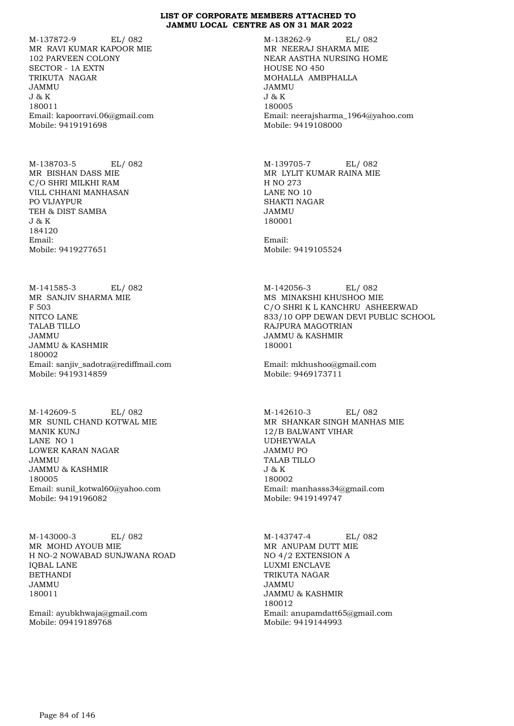M-137872-9 EL/ 082 MR RAVI KUMAR KAPOOR MIE 102 PARVEEN COLONY SECTOR - 1A EXTN TRIKUTA NAGAR JAMMU J & K 180011 Email: kapoorravi.06@gmail.com Mobile: 9419191698

M-138703-5 EL/ 082 MR BISHAN DASS MIE C/O SHRI MILKHI RAM VILL CHHANI MANHASAN PO VIJAYPUR TEH & DIST SAMBA J & K 184120 Email: Mobile: 9419277651

M-141585-3 EL/ 082 MR SANJIV SHARMA MIE F 503 NITCO LANE TALAB TILLO JAMMU JAMMU & KASHMIR 180002 Email: sanjiv\_sadotra@rediffmail.com Mobile: 9419314859

M-142609-5 EL/ 082 MR SUNIL CHAND KOTWAL MIE MANIK KUNJ LANE NO 1 LOWER KARAN NAGAR JAMMU JAMMU & KASHMIR 180005 Email: sunil\_kotwal60@yahoo.com Mobile: 9419196082

M-143000-3 EL/ 082 MR MOHD AYOUB MIE H NO-2 NOWABAD SUNJWANA ROAD IQBAL LANE BETHANDI JAMMU 180011

Email: ayubkhwaja@gmail.com Mobile: 09419189768

M-138262-9 EL/ 082 MR NEERAJ SHARMA MIE NEAR AASTHA NURSING HOME HOUSE NO 450 MOHALLA AMBPHALLA JAMMU J & K 180005 Email: neerajsharma\_1964@yahoo.com Mobile: 9419108000

M-139705-7 EL/ 082 MR LYLIT KUMAR RAINA MIE H NO 273 LANE NO 10 SHAKTI NAGAR JAMMU 180001

Email: Mobile: 9419105524

M-142056-3 EL/ 082 MS MINAKSHI KHUSHOO MIE C/O SHRI K L KANCHRU ASHEERWAD 833/10 OPP DEWAN DEVI PUBLIC SCHOOL RAJPURA MAGOTRIAN JAMMU & KASHMIR 180001

Email: mkhushoo@gmail.com Mobile: 9469173711

M-142610-3 EL/ 082 MR SHANKAR SINGH MANHAS MIE 12/B BALWANT VIHAR UDHEYWALA JAMMU PO TALAB TILLO J & K 180002 Email: manhasss34@gmail.com Mobile: 9419149747

M-143747-4 EL/ 082 MR ANUPAM DUTT MIE NO 4/2 EXTENSION A LUXMI ENCLAVE TRIKUTA NAGAR JAMMU JAMMU & KASHMIR 180012 Email: anupamdatt65@gmail.com Mobile: 9419144993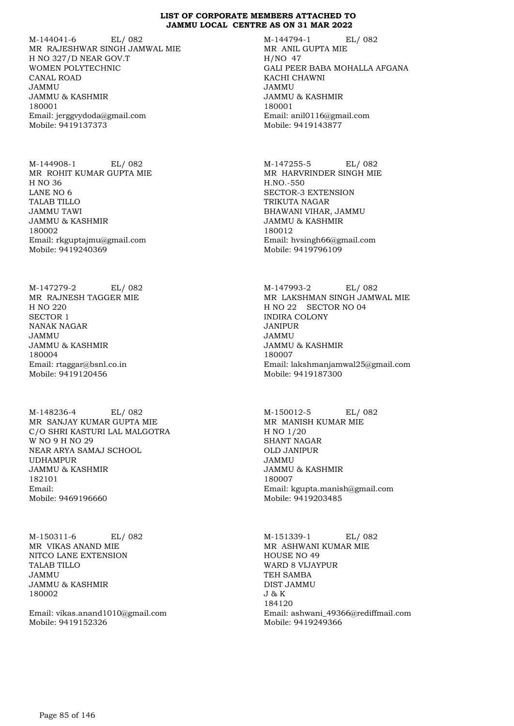M-144041-6 EL/ 082 MR RAJESHWAR SINGH JAMWAL MIE H NO 327/D NEAR GOV.T WOMEN POLYTECHNIC CANAL ROAD JAMMU JAMMU & KASHMIR 180001 Email: jerggvydoda@gmail.com Mobile: 9419137373

M-144908-1 EL/ 082 MR ROHIT KUMAR GUPTA MIE H NO 36 LANE NO 6 TALAB TILLO JAMMU TAWI JAMMU & KASHMIR 180002 Email: rkguptajmu@gmail.com Mobile: 9419240369

M-147279-2 EL/ 082 MR RAJNESH TAGGER MIE H NO 220 SECTOR 1 NANAK NAGAR JAMMU JAMMU & KASHMIR 180004 Email: rtaggar@bsnl.co.in Mobile: 9419120456

M-148236-4 EL/ 082 MR SANJAY KUMAR GUPTA MIE C/O SHRI KASTURI LAL MALGOTRA W NO 9 H NO 29 NEAR ARYA SAMAJ SCHOOL UDHAMPUR JAMMU & KASHMIR 182101 Email: Mobile: 9469196660

M-150311-6 EL/ 082 MR VIKAS ANAND MIE NITCO LANE EXTENSION TALAB TILLO JAMMU JAMMU & KASHMIR 180002

Email: vikas.anand1010@gmail.com Mobile: 9419152326

M-144794-1 EL/ 082 MR ANIL GUPTA MIE H/NO 47 GALI PEER BABA MOHALLA AFGANA KACHI CHAWNI JAMMU JAMMU & KASHMIR 180001 Email: anil0116@gmail.com Mobile: 9419143877

M-147255-5 EL/ 082 MR HARVRINDER SINGH MIE H.NO.-550 SECTOR-3 EXTENSION TRIKUTA NAGAR BHAWANI VIHAR, JAMMU JAMMU & KASHMIR 180012 Email: hvsingh66@gmail.com Mobile: 9419796109

M-147993-2 EL/ 082 MR LAKSHMAN SINGH JAMWAL MIE H NO 22 SECTOR NO 04 INDIRA COLONY JANIPUR JAMMU JAMMU & KASHMIR 180007 Email: lakshmanjamwal25@gmail.com Mobile: 9419187300

M-150012-5 EL/ 082 MR MANISH KUMAR MIE H NO 1/20 SHANT NAGAR OLD JANIPUR JAMMU JAMMU & KASHMIR 180007 Email: kgupta.manish@gmail.com Mobile: 9419203485

M-151339-1 EL/ 082 MR ASHWANI KUMAR MIE HOUSE NO 49 WARD 8 VIJAYPUR TEH SAMBA DIST JAMMU J & K 184120 Email: ashwani\_49366@rediffmail.com Mobile: 9419249366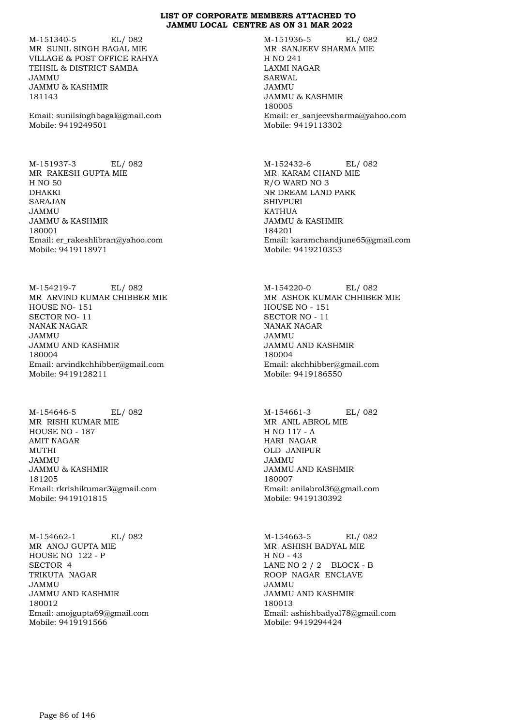M-151340-5 EL/ 082 MR SUNIL SINGH BAGAL MIE VILLAGE & POST OFFICE RAHYA TEHSIL & DISTRICT SAMBA JAMMU JAMMU & KASHMIR 181143

Email: sunilsinghbagal@gmail.com Mobile: 9419249501

M-151937-3 EL/ 082 MR RAKESH GUPTA MIE H NO 50 DHAKKI SARAJAN JAMMU JAMMU & KASHMIR 180001 Email: er\_rakeshlibran@yahoo.com Mobile: 9419118971

M-154219-7 EL/ 082 MR ARVIND KUMAR CHIBBER MIE HOUSE NO- 151 SECTOR NO- 11 NANAK NAGAR JAMMU JAMMU AND KASHMIR 180004 Email: arvindkchhibber@gmail.com Mobile: 9419128211

M-154646-5 EL/ 082 MR RISHI KUMAR MIE HOUSE NO - 187 AMIT NAGAR MUTHI JAMMU JAMMU & KASHMIR 181205 Email: rkrishikumar3@gmail.com Mobile: 9419101815

M-154662-1 EL/ 082 MR ANOJ GUPTA MIE HOUSE NO 122 - P SECTOR 4 TRIKUTA NAGAR JAMMU JAMMU AND KASHMIR 180012 Email: anojgupta69@gmail.com Mobile: 9419191566

M-151936-5 EL/ 082 MR SANJEEV SHARMA MIE H NO 241 LAXMI NAGAR SARWAL JAMMU JAMMU & KASHMIR 180005 Email: er\_sanjeevsharma@yahoo.com Mobile: 9419113302

M-152432-6 EL/ 082 MR KARAM CHAND MIE R/O WARD NO 3 NR DREAM LAND PARK SHIVPURI **KATHUA** JAMMU & KASHMIR 184201 Email: karamchandjune65@gmail.com Mobile: 9419210353

M-154220-0 EL/ 082 MR ASHOK KUMAR CHHIBER MIE HOUSE NO - 151 SECTOR NO - 11 NANAK NAGAR JAMMU JAMMU AND KASHMIR 180004 Email: akchhibber@gmail.com Mobile: 9419186550

M-154661-3 EL/ 082 MR ANIL ABROL MIE H NO 117 - A HARI NAGAR OLD JANIPUR JAMMU JAMMU AND KASHMIR 180007 Email: anilabrol36@gmail.com Mobile: 9419130392

M-154663-5 EL/ 082 MR ASHISH BADYAL MIE H NO - 43 LANE NO 2 / 2 BLOCK - B ROOP NAGAR ENCLAVE JAMMU JAMMU AND KASHMIR 180013 Email: ashishbadyal78@gmail.com Mobile: 9419294424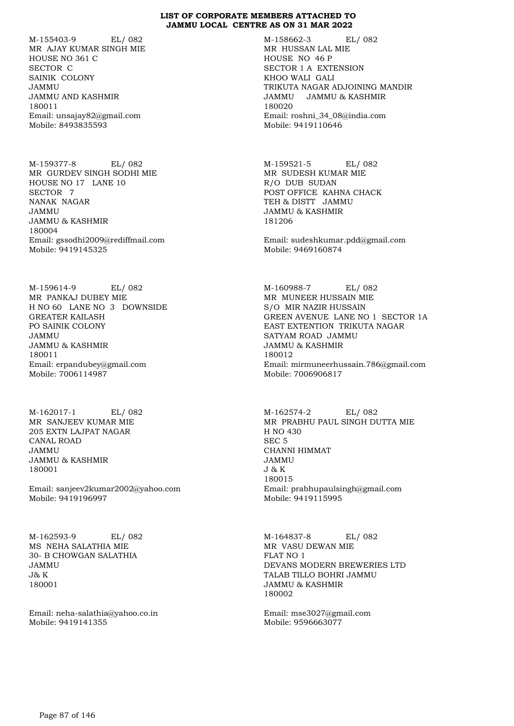M-155403-9 EL/ 082 MR AJAY KUMAR SINGH MIE HOUSE NO 361 C SECTOR C SAINIK COLONY JAMMU JAMMU AND KASHMIR 180011 Email: unsajay82@gmail.com Mobile: 8493835593

M-159377-8 EL/ 082 MR GURDEV SINGH SODHI MIE HOUSE NO 17 LANE 10 SECTOR 7 NANAK NAGAR JAMMU JAMMU & KASHMIR 180004 Email: gssodhi2009@rediffmail.com Mobile: 9419145325

M-159614-9 EL/ 082 MR PANKAJ DUBEY MIE H NO 60 LANE NO 3 DOWNSIDE GREATER KAILASH PO SAINIK COLONY JAMMU JAMMU & KASHMIR 180011 Email: erpandubey@gmail.com Mobile: 7006114987

M-162017-1 EL/ 082 MR SANJEEV KUMAR MIE 205 EXTN LAJPAT NAGAR CANAL ROAD JAMMU JAMMU & KASHMIR 180001

Email: sanjeev2kumar2002@yahoo.com Mobile: 9419196997

M-162593-9 EL/ 082 MS NEHA SALATHIA MIE 30- B CHOWGAN SALATHIA JAMMU  $J\& K$ 180001

Email: neha-salathia@yahoo.co.in Mobile: 9419141355

M-158662-3 EL/ 082 MR HUSSAN LAL MIE HOUSE NO 46 P SECTOR 1 A EXTENSION KHOO WALI GALI TRIKUTA NAGAR ADJOINING MANDIR JAMMU JAMMU & KASHMIR 180020 Email: roshni\_34\_08@india.com Mobile: 9419110646

M-159521-5 EL/ 082 MR SUDESH KUMAR MIE R/O DUB SUDAN POST OFFICE KAHNA CHACK TEH & DISTT JAMMU JAMMU & KASHMIR 181206

Email: sudeshkumar.pdd@gmail.com Mobile: 9469160874

M-160988-7 EL/ 082 MR MUNEER HUSSAIN MIE S/O MIR NAZIR HUSSAIN GREEN AVENUE LANE NO 1 SECTOR 1A EAST EXTENTION TRIKUTA NAGAR SATYAM ROAD JAMMU JAMMU & KASHMIR 180012 Email: mirmuneerhussain.786@gmail.com Mobile: 7006906817

M-162574-2 EL/ 082 MR PRABHU PAUL SINGH DUTTA MIE H NO 430 SEC 5 CHANNI HIMMAT JAMMU J & K 180015 Email: prabhupaulsingh@gmail.com Mobile: 9419115995

M-164837-8 EL/ 082 MR VASU DEWAN MIE FLAT NO 1 DEVANS MODERN BREWERIES LTD TALAB TILLO BOHRI JAMMU JAMMU & KASHMIR 180002

Email: mse3027@gmail.com Mobile: 9596663077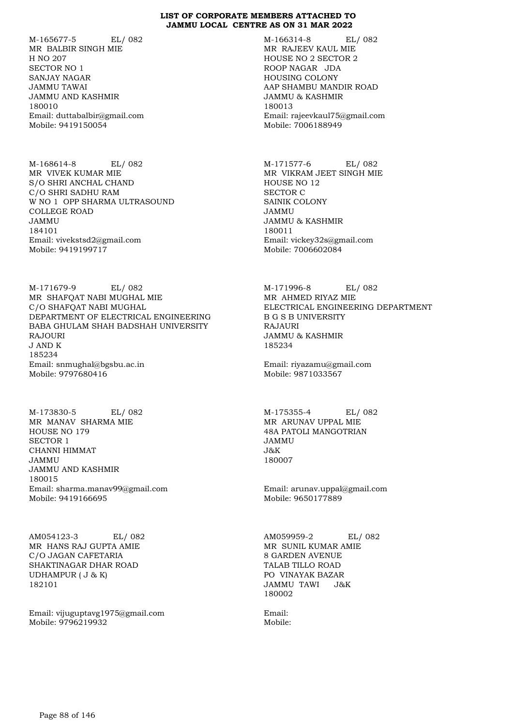M-165677-5 EL/ 082 MR BALBIR SINGH MIE H NO 207 SECTOR NO 1 SANJAY NAGAR JAMMU TAWAI JAMMU AND KASHMIR 180010 Email: duttabalbir@gmail.com Mobile: 9419150054

M-168614-8 EL/ 082 MR VIVEK KUMAR MIE S/O SHRI ANCHAL CHAND C/O SHRI SADHU RAM W NO 1 OPP SHARMA ULTRASOUND COLLEGE ROAD JAMMU 184101 Email: vivekstsd2@gmail.com Mobile: 9419199717

M-171679-9 EL/ 082 MR SHAFQAT NABI MUGHAL MIE C/O SHAFQAT NABI MUGHAL DEPARTMENT OF ELECTRICAL ENGINEERING BABA GHULAM SHAH BADSHAH UNIVERSITY RAJOURI J AND K 185234 Email: snmughal@bgsbu.ac.in Mobile: 9797680416

M-173830-5 EL/ 082 MR MANAV SHARMA MIE HOUSE NO 179 SECTOR 1 CHANNI HIMMAT JAMMU JAMMU AND KASHMIR 180015 Email: sharma.manav99@gmail.com Mobile: 9419166695

AM054123-3 EL/ 082 MR HANS RAJ GUPTA AMIE C/O JAGAN CAFETARIA SHAKTINAGAR DHAR ROAD UDHAMPUR ( J & K) 182101

Email: vijuguptavg1975@gmail.com Mobile: 9796219932

M-166314-8 EL/ 082 MR RAJEEV KAUL MIE HOUSE NO 2 SECTOR 2 ROOP NAGAR JDA HOUSING COLONY AAP SHAMBU MANDIR ROAD JAMMU & KASHMIR 180013 Email: rajeevkaul75@gmail.com Mobile: 7006188949

M-171577-6 EL/ 082 MR VIKRAM JEET SINGH MIE HOUSE NO 12 SECTOR C SAINIK COLONY JAMMU JAMMU & KASHMIR 180011 Email: vickey32s@gmail.com Mobile: 7006602084

M-171996-8 EL/ 082 MR AHMED RIYAZ MIE ELECTRICAL ENGINEERING DEPARTMENT B G S B UNIVERSITY RAJAURI JAMMU & KASHMIR 185234

Email: riyazamu@gmail.com Mobile: 9871033567

M-175355-4 EL/ 082 MR ARUNAV UPPAL MIE 48A PATOLI MANGOTRIAN JAMMU J&K 180007

Email: arunav.uppal@gmail.com Mobile: 9650177889

AM059959-2 EL/ 082 MR SUNIL KUMAR AMIE 8 GARDEN AVENUE TALAB TILLO ROAD PO VINAYAK BAZAR JAMMU TAWI J&K 180002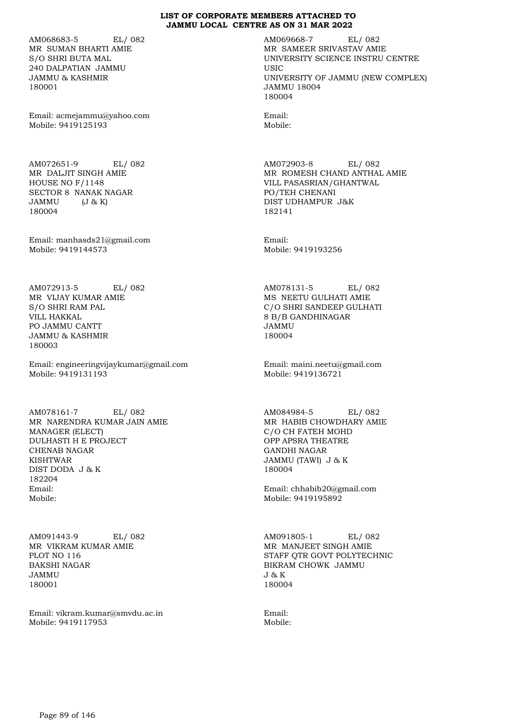AM068683-5 EL/ 082 MR SUMAN BHARTI AMIE S/O SHRI BUTA MAL 240 DALPATIAN JAMMU JAMMU & KASHMIR 180001

Email: acmejammu@yahoo.com Mobile: 9419125193

AM072651-9 EL/ 082 MR DALJIT SINGH AMIE HOUSE NO F/1148 SECTOR 8 NANAK NAGAR JAMMU (J & K) 180004

Email: manhasds21@gmail.com Mobile: 9419144573

AM072913-5 EL/ 082 MR VIJAY KUMAR AMIE S/O SHRI RAM PAL VILL HAKKAL PO JAMMU CANTT JAMMU & KASHMIR 180003

Email: engineeringvijaykumar@gmail.com Mobile: 9419131193

AM078161-7 EL/ 082 MR NARENDRA KUMAR JAIN AMIE MANAGER (ELECT) DULHASTI H E PROJECT CHENAB NAGAR KISHTWAR DIST DODA J & K 182204 Email: Mobile:

AM091443-9 EL/ 082 MR VIKRAM KUMAR AMIE PLOT NO 116 BAKSHI NAGAR JAMMU 180001

Email: vikram.kumar@smvdu.ac.in Mobile: 9419117953

AM069668-7 EL/ 082 MR SAMEER SRIVASTAV AMIE UNIVERSITY SCIENCE INSTRU CENTRE **USIC** UNIVERSITY OF JAMMU (NEW COMPLEX) JAMMU 18004 180004

Email: Mobile:

AM072903-8 EL/ 082 MR ROMESH CHAND ANTHAL AMIE VILL PASASRIAN/GHANTWAL PO/TEH CHENANI DIST UDHAMPUR J&K 182141

Email: Mobile: 9419193256

AM078131-5 EL/ 082 MS NEETU GULHATI AMIE C/O SHRI SANDEEP GULHATI 8 B/B GANDHINAGAR JAMMU 180004

Email: maini.neetu@gmail.com Mobile: 9419136721

AM084984-5 EL/ 082 MR HABIB CHOWDHARY AMIE C/O CH FATEH MOHD OPP APSRA THEATRE GANDHI NAGAR JAMMU (TAWI) J & K 180004

Email: chhabib20@gmail.com Mobile: 9419195892

AM091805-1 EL/ 082 MR MANJEET SINGH AMIE STAFF QTR GOVT POLYTECHNIC BIKRAM CHOWK JAMMU J & K 180004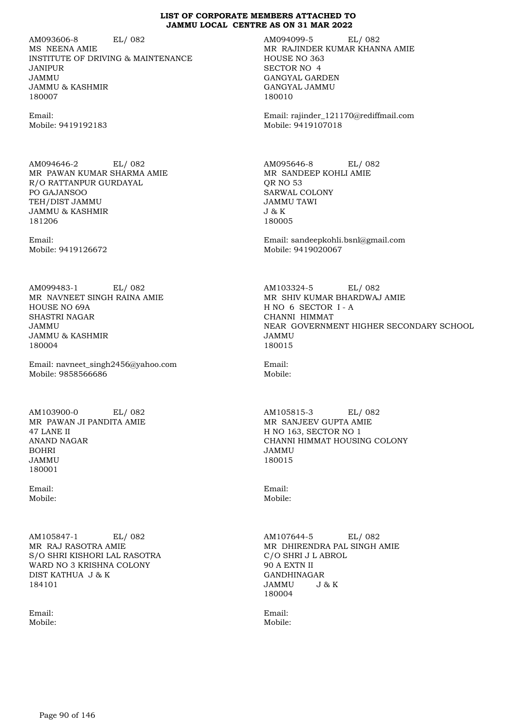AM093606-8 EL/ 082 MS NEENA AMIE INSTITUTE OF DRIVING & MAINTENANCE JANIPUR JAMMU JAMMU & KASHMIR 180007

Email: Mobile: 9419192183

AM094646-2 EL/ 082 MR PAWAN KUMAR SHARMA AMIE R/O RATTANPUR GURDAYAL PO GAJANSOO TEH/DIST JAMMU JAMMU & KASHMIR 181206

Email: Mobile: 9419126672

AM099483-1 EL/ 082 MR NAVNEET SINGH RAINA AMIE HOUSE NO 69A SHASTRI NAGAR JAMMU JAMMU & KASHMIR 180004

Email: navneet\_singh2456@yahoo.com Mobile: 9858566686

AM103900-0 EL/ 082 MR PAWAN JI PANDITA AMIE 47 LANE II ANAND NAGAR BOHRI JAMMU 180001

Email: Mobile:

AM105847-1 EL/ 082 MR RAJ RASOTRA AMIE S/O SHRI KISHORI LAL RASOTRA WARD NO 3 KRISHNA COLONY DIST KATHUA J & K 184101

Email: Mobile: AM094099-5 EL/ 082 MR RAJINDER KUMAR KHANNA AMIE HOUSE NO 363 SECTOR NO 4 GANGYAL GARDEN GANGYAL JAMMU 180010

Email: rajinder\_121170@rediffmail.com Mobile: 9419107018

AM095646-8 EL/ 082 MR SANDEEP KOHLI AMIE QR NO 53 SARWAL COLONY JAMMU TAWI J & K 180005

Email: sandeepkohli.bsnl@gmail.com Mobile: 9419020067

AM103324-5 EL/ 082 MR SHIV KUMAR BHARDWAJ AMIE H NO 6 SECTOR I - A CHANNI HIMMAT NEAR GOVERNMENT HIGHER SECONDARY SCHOOL JAMMU 180015

Email: Mobile:

AM105815-3 EL/ 082 MR SANJEEV GUPTA AMIE H NO 163, SECTOR NO 1 CHANNI HIMMAT HOUSING COLONY JAMMU 180015

Email: Mobile:

AM107644-5 EL/ 082 MR DHIRENDRA PAL SINGH AMIE C/O SHRI J L ABROL 90 A EXTN II GANDHINAGAR<br>JAMMU J&K JAMMU J & K 180004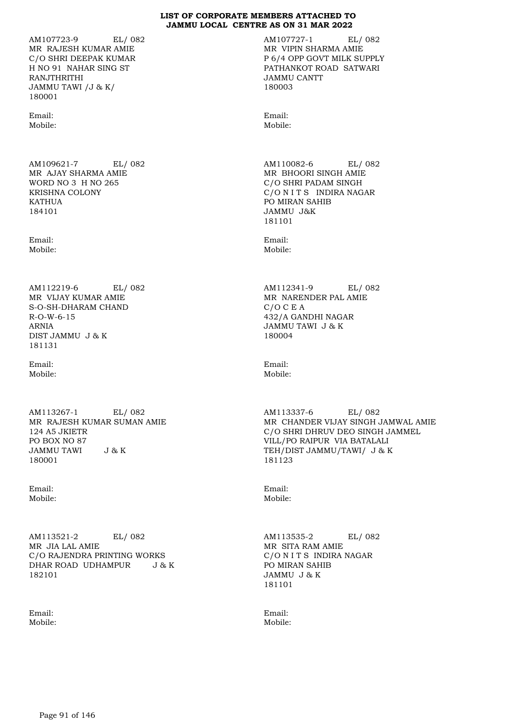AM107723-9 EL/ 082 MR RAJESH KUMAR AMIE C/O SHRI DEEPAK KUMAR H NO 91 NAHAR SING ST RANJTHRITHI JAMMU TAWI /J & K/ 180001

Email: Mobile:

AM109621-7 EL/ 082 MR AJAY SHARMA AMIE WORD NO 3 H NO 265 KRISHNA COLONY KATHUA 184101

Email: Mobile:

AM112219-6 EL/ 082 MR VIJAY KUMAR AMIE S-O-SH-DHARAM CHAND R-O-W-6-15 ARNIA DIST JAMMU J & K 181131

Email: Mobile:

AM113267-1 EL/ 082 MR RAJESH KUMAR SUMAN AMIE 124 A5 JKIETR PO BOX NO 87 JAMMU TAWI J & K 180001

Email: Mobile:

AM113521-2 EL/ 082 MR JIA LAL AMIE C/O RAJENDRA PRINTING WORKS DHAR ROAD UDHAMPUR J & K 182101

Email: Mobile: AM107727-1 EL/ 082 MR VIPIN SHARMA AMIE P 6/4 OPP GOVT MILK SUPPLY PATHANKOT ROAD SATWARI JAMMU CANTT 180003

Email: Mobile:

AM110082-6 EL/ 082 MR BHOORI SINGH AMIE C/O SHRI PADAM SINGH C/O N I T S INDIRA NAGAR PO MIRAN SAHIB JAMMU J&K 181101

Email: Mobile:

AM112341-9 EL/ 082 MR NARENDER PAL AMIE C/O C E A 432/A GANDHI NAGAR JAMMU TAWI J & K 180004

Email: Mobile:

AM113337-6 EL/ 082 MR CHANDER VIJAY SINGH JAMWAL AMIE C/O SHRI DHRUV DEO SINGH JAMMEL VILL/PO RAIPUR VIA BATALALI TEH/DIST JAMMU/TAWI/ J & K 181123

Email: Mobile:

AM113535-2 EL/ 082 MR SITA RAM AMIE C/O N I T S INDIRA NAGAR PO MIRAN SAHIB JAMMU J & K 181101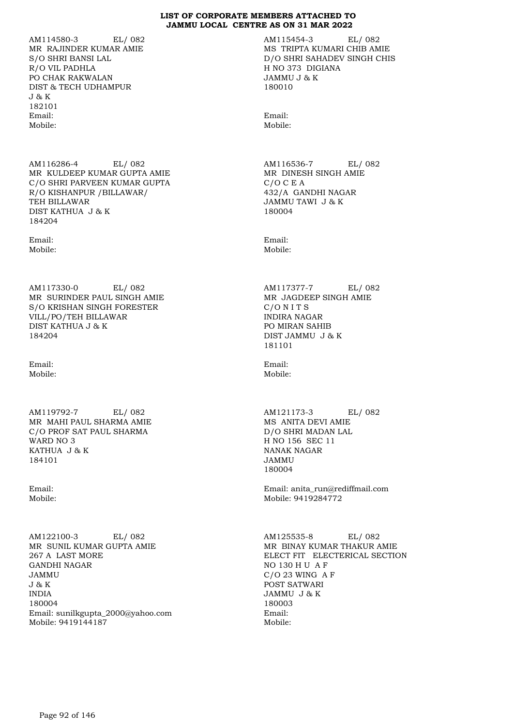AM114580-3 EL/ 082 MR RAJINDER KUMAR AMIE S/O SHRI BANSI LAL R/O VIL PADHLA PO CHAK RAKWALAN DIST & TECH UDHAMPUR J & K 182101 Email: Mobile:

AM116286-4 EL/ 082 MR KULDEEP KUMAR GUPTA AMIE C/O SHRI PARVEEN KUMAR GUPTA R/O KISHANPUR /BILLAWAR/ TEH BILLAWAR DIST KATHUA J & K 184204

Email: Mobile:

AM117330-0 EL/ 082 MR SURINDER PAUL SINGH AMIE S/O KRISHAN SINGH FORESTER VILL/PO/TEH BILLAWAR DIST KATHUA J & K 184204

Email: Mobile:

AM119792-7 EL/ 082 MR MAHI PAUL SHARMA AMIE C/O PROF SAT PAUL SHARMA WARD NO 3 KATHUA J & K 184101

Email: Mobile:

AM122100-3 EL/ 082 MR SUNIL KUMAR GUPTA AMIE 267 A LAST MORE GANDHI NAGAR JAMMU J & K INDIA 180004 Email: sunilkgupta\_2000@yahoo.com Mobile: 9419144187

AM115454-3 EL/ 082 MS TRIPTA KUMARI CHIB AMIE D/O SHRI SAHADEV SINGH CHIS H NO 373 DIGIANA JAMMU J & K 180010

Email: Mobile:

AM116536-7 EL/ 082 MR DINESH SINGH AMIE C/O C E A 432/A GANDHI NAGAR JAMMU TAWI J & K 180004

Email: Mobile:

AM117377-7 EL/ 082 MR JAGDEEP SINGH AMIE C/O N I T S INDIRA NAGAR PO MIRAN SAHIB DIST JAMMU J & K 181101

Email: Mobile:

AM121173-3 EL/ 082 MS ANITA DEVI AMIE D/O SHRI MADAN LAL H NO 156 SEC 11 NANAK NAGAR JAMMU 180004

Email: anita\_run@rediffmail.com Mobile: 9419284772

AM125535-8 EL/ 082 MR BINAY KUMAR THAKUR AMIE ELECT FIT ELECTERICAL SECTION NO 130 H U A F C/O 23 WING A F POST SATWARI JAMMU J & K 180003 Email: Mobile: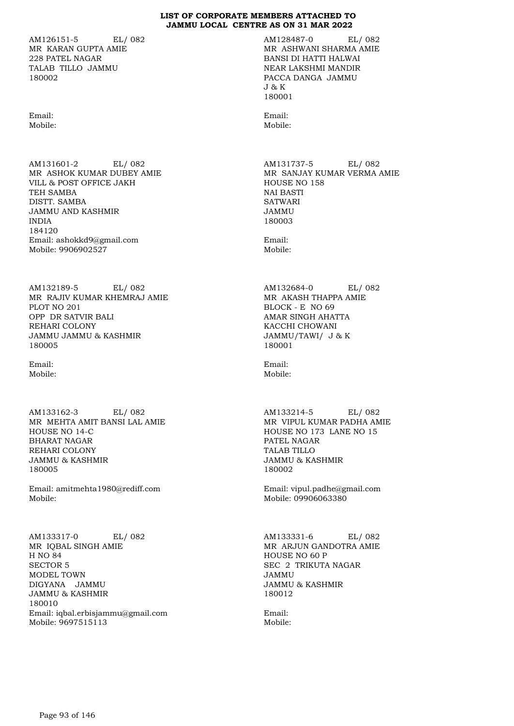AM126151-5 EL/ 082 MR KARAN GUPTA AMIE 228 PATEL NAGAR TALAB TILLO JAMMU 180002

Email: Mobile:

AM131601-2 EL/ 082 MR ASHOK KUMAR DUBEY AMIE VILL & POST OFFICE JAKH TEH SAMBA DISTT. SAMBA JAMMU AND KASHMIR INDIA 184120 Email: ashokkd9@gmail.com Mobile: 9906902527

AM132189-5 EL/ 082 MR RAJIV KUMAR KHEMRAJ AMIE PLOT NO 201 OPP DR SATVIR BALI REHARI COLONY JAMMU JAMMU & KASHMIR 180005

Email: Mobile:

AM133162-3 EL/ 082 MR MEHTA AMIT BANSI LAL AMIE HOUSE NO 14-C BHARAT NAGAR REHARI COLONY JAMMU & KASHMIR 180005

Email: amitmehta1980@rediff.com Mobile:

AM133317-0 EL/ 082 MR IQBAL SINGH AMIE H NO 84 SECTOR 5 MODEL TOWN DIGYANA JAMMU JAMMU & KASHMIR 180010 Email: iqbal.erbisjammu@gmail.com Mobile: 9697515113

AM128487-0 EL/ 082 MR ASHWANI SHARMA AMIE BANSI DI HATTI HALWAI NEAR LAKSHMI MANDIR PACCA DANGA JAMMU J & K 180001

Email: Mobile:

AM131737-5 EL/ 082 MR SANJAY KUMAR VERMA AMIE HOUSE NO 158 NAI BASTI SATWARI JAMMU 180003

Email: Mobile:

AM132684-0 EL/ 082 MR AKASH THAPPA AMIE BLOCK - E NO 69 AMAR SINGH AHATTA KACCHI CHOWANI JAMMU/TAWI/ J & K 180001

Email: Mobile:

AM133214-5 EL/ 082 MR VIPUL KUMAR PADHA AMIE HOUSE NO 173 LANE NO 15 PATEL NAGAR TALAB TILLO JAMMU & KASHMIR 180002

Email: vipul.padhe@gmail.com Mobile: 09906063380

AM133331-6 EL/ 082 MR ARJUN GANDOTRA AMIE HOUSE NO 60 P SEC 2 TRIKUTA NAGAR JAMMU JAMMU & KASHMIR 180012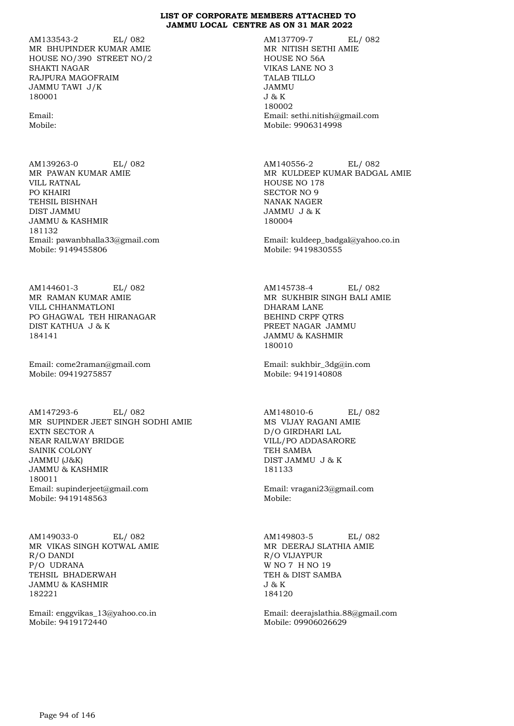AM133543-2 EL/ 082 MR BHUPINDER KUMAR AMIE HOUSE NO/390 STREET NO/2 SHAKTI NAGAR RAJPURA MAGOFRAIM JAMMU TAWI J/K 180001

Email: Mobile:

AM139263-0 EL/ 082 MR PAWAN KUMAR AMIE VILL RATNAL PO KHAIRI TEHSIL BISHNAH DIST JAMMU JAMMU & KASHMIR 181132 Email: pawanbhalla33@gmail.com Mobile: 9149455806

AM144601-3 EL/ 082 MR RAMAN KUMAR AMIE VILL CHHANMATLONI PO GHAGWAL TEH HIRANAGAR DIST KATHUA J & K 184141

Email: come2raman@gmail.com Mobile: 09419275857

AM147293-6 EL/ 082 MR SUPINDER JEET SINGH SODHI AMIE EXTN SECTOR A NEAR RAILWAY BRIDGE SAINIK COLONY JAMMU (J&K) JAMMU & KASHMIR 180011 Email: supinderjeet@gmail.com Mobile: 9419148563

AM149033-0 EL/ 082 MR VIKAS SINGH KOTWAL AMIE R/O DANDI P/O UDRANA TEHSIL BHADERWAH JAMMU & KASHMIR 182221

Email: enggvikas\_13@yahoo.co.in Mobile: 9419172440

AM137709-7 EL/ 082 MR NITISH SETHI AMIE HOUSE NO 56A VIKAS LANE NO 3 TALAB TILLO JAMMU J & K 180002 Email: sethi.nitish@gmail.com Mobile: 9906314998

AM140556-2 EL/ 082 MR KULDEEP KUMAR BADGAL AMIE HOUSE NO 178 SECTOR NO 9 NANAK NAGER JAMMU J & K 180004

Email: kuldeep\_badgal@yahoo.co.in Mobile: 9419830555

AM145738-4 EL/ 082 MR SUKHBIR SINGH BALI AMIE DHARAM LANE BEHIND CRPF QTRS PREET NAGAR JAMMU JAMMU & KASHMIR 180010

Email: sukhbir\_3dg@in.com Mobile: 9419140808

AM148010-6 EL/ 082 MS VIJAY RAGANI AMIE D/O GIRDHARI LAL VILL/PO ADDASARORE TEH SAMBA DIST JAMMU J & K 181133

Email: vragani23@gmail.com Mobile:

AM149803-5 EL/ 082 MR DEERAJ SLATHIA AMIE R/O VIJAYPUR W NO 7 H NO 19 TEH & DIST SAMBA J & K 184120

Email: deerajslathia.88@gmail.com Mobile: 09906026629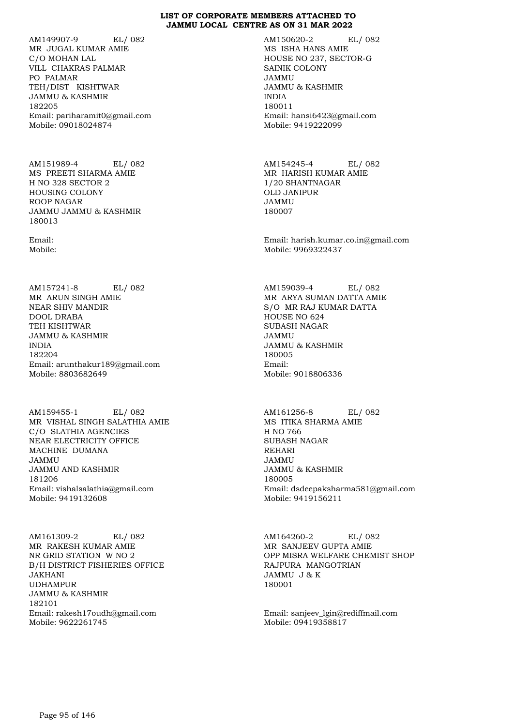AM149907-9 EL/ 082 MR JUGAL KUMAR AMIE C/O MOHAN LAL VILL CHAKRAS PALMAR PO PALMAR TEH/DIST KISHTWAR JAMMU & KASHMIR 182205 Email: pariharamit0@gmail.com Mobile: 09018024874

AM151989-4 EL/ 082 MS PREETI SHARMA AMIE H NO 328 SECTOR 2 HOUSING COLONY ROOP NAGAR JAMMU JAMMU & KASHMIR 180013

Email: Mobile:

AM157241-8 EL/ 082 MR ARUN SINGH AMIE NEAR SHIV MANDIR DOOL DRABA TEH KISHTWAR JAMMU & KASHMIR INDIA 182204 Email: arunthakur189@gmail.com Mobile: 8803682649

AM159455-1 EL/ 082 MR VISHAL SINGH SALATHIA AMIE C/O SLATHIA AGENCIES NEAR ELECTRICITY OFFICE MACHINE DUMANA JAMMU JAMMU AND KASHMIR 181206 Email: vishalsalathia@gmail.com Mobile: 9419132608

AM161309-2 EL/ 082 MR RAKESH KUMAR AMIE NR GRID STATION W NO 2 B/H DISTRICT FISHERIES OFFICE JAKHANI UDHAMPUR JAMMU & KASHMIR 182101 Email: rakesh17oudh@gmail.com Mobile: 9622261745

AM150620-2 EL/ 082 MS ISHA HANS AMIE HOUSE NO 237, SECTOR-G SAINIK COLONY JAMMU JAMMU & KASHMIR INDIA 180011 Email: hansi6423@gmail.com Mobile: 9419222099

AM154245-4 EL/ 082 MR HARISH KUMAR AMIE 1/20 SHANTNAGAR OLD JANIPUR JAMMU 180007

Email: harish.kumar.co.in@gmail.com Mobile: 9969322437

AM159039-4 EL/ 082 MR ARYA SUMAN DATTA AMIE S/O MR RAJ KUMAR DATTA HOUSE NO 624 SUBASH NAGAR JAMMU JAMMU & KASHMIR 180005 Email: Mobile: 9018806336

AM161256-8 EL/ 082 MS ITIKA SHARMA AMIE H NO 766 SUBASH NAGAR REHARI JAMMU JAMMU & KASHMIR 180005 Email: dsdeepaksharma581@gmail.com Mobile: 9419156211

AM164260-2 EL/ 082 MR SANJEEV GUPTA AMIE OPP MISRA WELFARE CHEMIST SHOP RAJPURA MANGOTRIAN JAMMU J & K 180001

Email: sanjeev\_lgin@rediffmail.com Mobile: 09419358817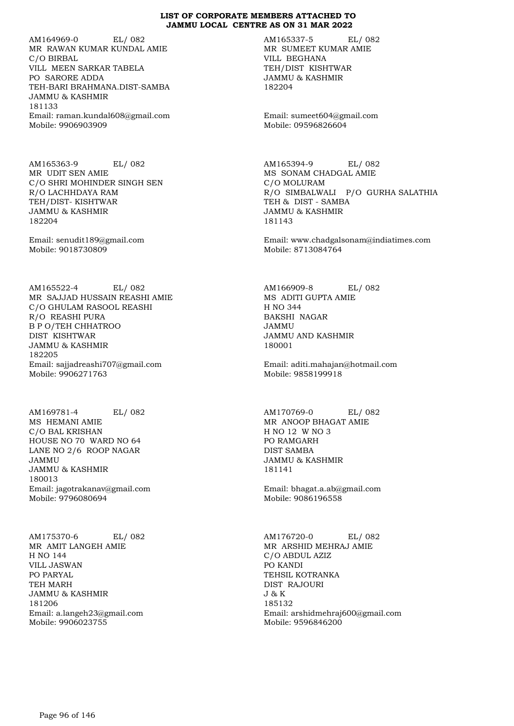AM164969-0 EL/ 082 MR RAWAN KUMAR KUNDAL AMIE C/O BIRBAL VILL MEEN SARKAR TABELA PO SARORE ADDA TEH-BARI BRAHMANA.DIST-SAMBA JAMMU & KASHMIR 181133 Email: raman.kundal608@gmail.com Mobile: 9906903909

AM165363-9 EL/ 082 MR UDIT SEN AMIE C/O SHRI MOHINDER SINGH SEN R/O LACHHDAYA RAM TEH/DIST- KISHTWAR JAMMU & KASHMIR 182204

Email: senudit189@gmail.com Mobile: 9018730809

AM165522-4 EL/ 082 MR SAJJAD HUSSAIN REASHI AMIE C/O GHULAM RASOOL REASHI R/O REASHI PURA B P O/TEH CHHATROO DIST KISHTWAR JAMMU & KASHMIR 182205 Email: sajjadreashi707@gmail.com Mobile: 9906271763

AM169781-4 EL/ 082 MS HEMANI AMIE C/O BAL KRISHAN HOUSE NO 70 WARD NO 64 LANE NO 2/6 ROOP NAGAR JAMMU JAMMU & KASHMIR 180013 Email: jagotrakanav@gmail.com Mobile: 9796080694

AM175370-6 EL/ 082 MR AMIT LANGEH AMIE H NO 144 VILL JASWAN PO PARYAL TEH MARH JAMMU & KASHMIR 181206 Email: a.langeh23@gmail.com Mobile: 9906023755

AM165337-5 EL/ 082 MR SUMEET KUMAR AMIE VILL BEGHANA TEH/DIST KISHTWAR JAMMU & KASHMIR 182204

Email: sumeet604@gmail.com Mobile: 09596826604

AM165394-9 EL/ 082 MS SONAM CHADGAL AMIE C/O MOLURAM R/O SIMBALWALI P/O GURHA SALATHIA TEH & DIST - SAMBA JAMMU & KASHMIR 181143

Email: www.chadgalsonam@indiatimes.com Mobile: 8713084764

AM166909-8 EL/ 082 MS ADITI GUPTA AMIE H NO 344 BAKSHI NAGAR JAMMU JAMMU AND KASHMIR 180001

Email: aditi.mahajan@hotmail.com Mobile: 9858199918

AM170769-0 EL/ 082 MR ANOOP BHAGAT AMIE H NO 12 W NO 3 PO RAMGARH DIST SAMBA JAMMU & KASHMIR 181141

Email: bhagat.a.ab@gmail.com Mobile: 9086196558

AM176720-0 EL/ 082 MR ARSHID MEHRAJ AMIE C/O ABDUL AZIZ PO KANDI TEHSIL KOTRANKA DIST RAJOURI J & K 185132 Email: arshidmehraj600@gmail.com Mobile: 9596846200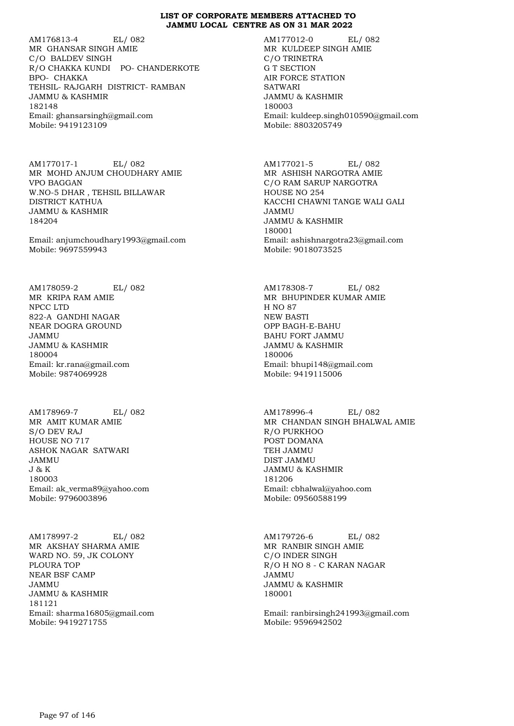AM176813-4 EL/ 082 MR GHANSAR SINGH AMIE C/O BALDEV SINGH R/O CHAKKA KUNDI PO- CHANDERKOTE BPO- CHAKKA TEHSIL- RAJGARH DISTRICT- RAMBAN JAMMU & KASHMIR 182148 Email: ghansarsingh@gmail.com Mobile: 9419123109

AM177017-1 EL/ 082 MR MOHD ANJUM CHOUDHARY AMIE VPO BAGGAN W.NO-5 DHAR , TEHSIL BILLAWAR DISTRICT KATHUA JAMMU & KASHMIR 184204

Email: anjumchoudhary1993@gmail.com Mobile: 9697559943

AM178059-2 EL/ 082 MR KRIPA RAM AMIE NPCC LTD 822-A GANDHI NAGAR NEAR DOGRA GROUND JAMMU JAMMU & KASHMIR 180004 Email: kr.rana@gmail.com Mobile: 9874069928

AM178969-7 EL/ 082 MR AMIT KUMAR AMIE S/O DEV RAJ HOUSE NO 717 ASHOK NAGAR SATWARI JAMMU J & K 180003 Email: ak\_verma89@yahoo.com Mobile: 9796003896

AM178997-2 EL/ 082 MR AKSHAY SHARMA AMIE WARD NO. 59, JK COLONY PLOURA TOP NEAR BSF CAMP JAMMU JAMMU & KASHMIR 181121 Email: sharma16805@gmail.com Mobile: 9419271755

AM177012-0 EL/ 082 MR KULDEEP SINGH AMIE C/O TRINETRA G T SECTION AIR FORCE STATION **SATWARI** JAMMU & KASHMIR 180003 Email: kuldeep.singh010590@gmail.com Mobile: 8803205749

AM177021-5 EL/ 082 MR ASHISH NARGOTRA AMIE C/O RAM SARUP NARGOTRA HOUSE NO 254 KACCHI CHAWNI TANGE WALI GALI JAMMU JAMMU & KASHMIR 180001 Email: ashishnargotra23@gmail.com Mobile: 9018073525

AM178308-7 EL/ 082 MR BHUPINDER KUMAR AMIE H NO 87 NEW BASTI OPP BAGH-E-BAHU BAHU FORT JAMMU JAMMU & KASHMIR 180006 Email: bhupi148@gmail.com Mobile: 9419115006

AM178996-4 EL/ 082 MR CHANDAN SINGH BHALWAL AMIE R/O PURKHOO POST DOMANA TEH JAMMU DIST JAMMU JAMMU & KASHMIR 181206 Email: cbhalwal@yahoo.com Mobile: 09560588199

AM179726-6 EL/ 082 MR RANBIR SINGH AMIE C/O INDER SINGH R/O H NO 8 - C KARAN NAGAR JAMMU JAMMU & KASHMIR 180001

Email: ranbirsingh241993@gmail.com Mobile: 9596942502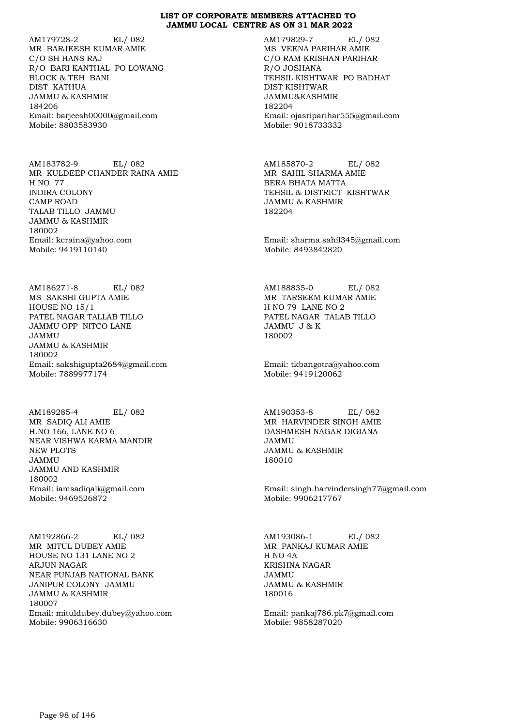AM179728-2 EL/ 082 MR BARJEESH KUMAR AMIE C/O SH HANS RAJ R/O BARI KANTHAL PO LOWANG BLOCK & TEH BANI DIST KATHUA JAMMU & KASHMIR 184206 Email: barjeesh00000@gmail.com Mobile: 8803583930

AM183782-9 EL/ 082 MR KULDEEP CHANDER RAINA AMIE H NO 77 INDIRA COLONY CAMP ROAD TALAB TILLO JAMMU JAMMU & KASHMIR 180002 Email: kcraina@yahoo.com Mobile: 9419110140

AM186271-8 EL/ 082 MS SAKSHI GUPTA AMIE HOUSE NO 15/1 PATEL NAGAR TALLAB TILLO JAMMU OPP NITCO LANE JAMMU JAMMU & KASHMIR 180002 Email: sakshigupta2684@gmail.com Mobile: 7889977174

AM189285-4 EL/ 082 MR SADIQ ALI AMIE H.NO 166, LANE NO 6 NEAR VISHWA KARMA MANDIR NEW PLOTS JAMMU JAMMU AND KASHMIR 180002 Email: iamsadiqali@gmail.com Mobile: 9469526872

AM192866-2 EL/ 082 MR MITUL DUBEY AMIE HOUSE NO 131 LANE NO 2 ARJUN NAGAR NEAR PUNJAB NATIONAL BANK JANIPUR COLONY JAMMU JAMMU & KASHMIR 180007 Email: mituldubey.dubey@yahoo.com Mobile: 9906316630

AM179829-7 EL/ 082 MS VEENA PARIHAR AMIE C/O RAM KRISHAN PARIHAR R/O JOSHANA TEHSIL KISHTWAR PO BADHAT DIST KISHTWAR JAMMU&KASHMIR 182204 Email: ojasriparihar555@gmail.com Mobile: 9018733332

AM185870-2 EL/ 082 MR SAHIL SHARMA AMIE BERA BHATA MATTA TEHSIL & DISTRICT KISHTWAR JAMMU & KASHMIR 182204

Email: sharma.sahil345@gmail.com Mobile: 8493842820

AM188835-0 EL/ 082 MR TARSEEM KUMAR AMIE H NO 79 LANE NO 2 PATEL NAGAR TALAB TILLO JAMMU J & K 180002

Email: tkbangotra@yahoo.com Mobile: 9419120062

AM190353-8 EL/ 082 MR HARVINDER SINGH AMIE DASHMESH NAGAR DIGIANA JAMMU JAMMU & KASHMIR 180010

Email: singh.harvindersingh77@gmail.com Mobile: 9906217767

AM193086-1 EL/ 082 MR PANKAJ KUMAR AMIE H NO 4A KRISHNA NAGAR JAMMU JAMMU & KASHMIR 180016

Email: pankaj786.pk7@gmail.com Mobile: 9858287020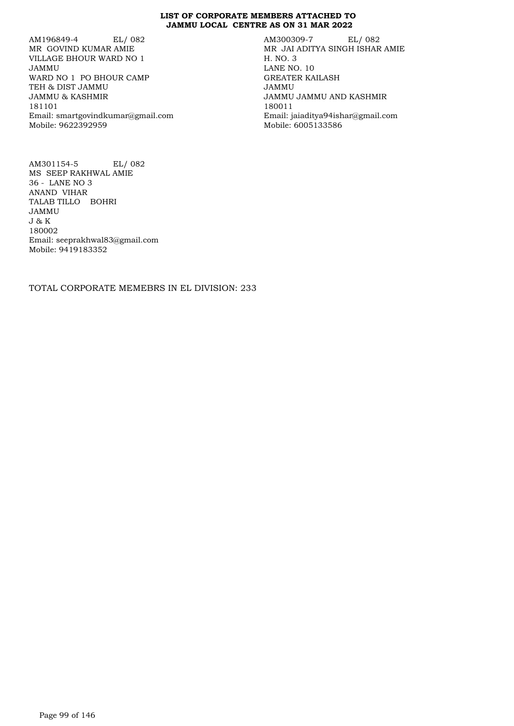AM196849-4 EL/ 082 MR GOVIND KUMAR AMIE VILLAGE BHOUR WARD NO 1 JAMMU WARD NO 1 PO BHOUR CAMP TEH & DIST JAMMU JAMMU & KASHMIR 181101 Email: smartgovindkumar@gmail.com Mobile: 9622392959

AM300309-7 EL/ 082 MR JAI ADITYA SINGH ISHAR AMIE H. NO. 3 LANE NO. 10 GREATER KAILASH JAMMU JAMMU JAMMU AND KASHMIR 180011 Email: jaiaditya94ishar@gmail.com Mobile: 6005133586

AM301154-5 EL/ 082 MS SEEP RAKHWAL AMIE 36 - LANE NO 3 ANAND VIHAR TALAB TILLO BOHRI JAMMU J & K 180002 Email: seeprakhwal83@gmail.com Mobile: 9419183352

TOTAL CORPORATE MEMEBRS IN EL DIVISION: 233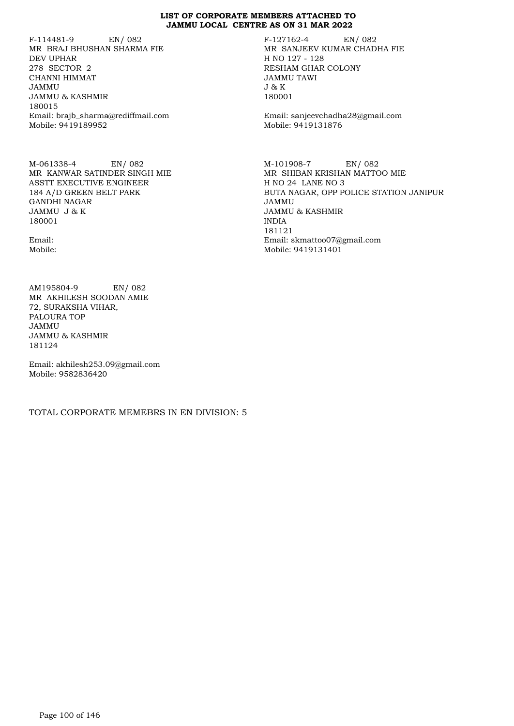F-114481-9 EN/ 082 MR BRAJ BHUSHAN SHARMA FIE DEV UPHAR 278 SECTOR 2 CHANNI HIMMAT JAMMU JAMMU & KASHMIR 180015 Email: brajb\_sharma@rediffmail.com Mobile: 9419189952

M-061338-4 EN/ 082 MR KANWAR SATINDER SINGH MIE ASSTT EXECUTIVE ENGINEER 184 A/D GREEN BELT PARK GANDHI NAGAR JAMMU J & K 180001

Email: Mobile:

AM195804-9 EN/ 082 MR AKHILESH SOODAN AMIE 72, SURAKSHA VIHAR, PALOURA TOP JAMMU JAMMU & KASHMIR 181124

Email: akhilesh253.09@gmail.com Mobile: 9582836420

TOTAL CORPORATE MEMEBRS IN EN DIVISION: 5

F-127162-4 EN/ 082 MR SANJEEV KUMAR CHADHA FIE H NO 127 - 128 RESHAM GHAR COLONY JAMMU TAWI J & K 180001

Email: sanjeevchadha28@gmail.com Mobile: 9419131876

M-101908-7 EN/ 082 MR SHIBAN KRISHAN MATTOO MIE H NO 24 LANE NO 3 BUTA NAGAR, OPP POLICE STATION JANIPUR JAMMU JAMMU & KASHMIR INDIA 181121 Email: skmattoo07@gmail.com Mobile: 9419131401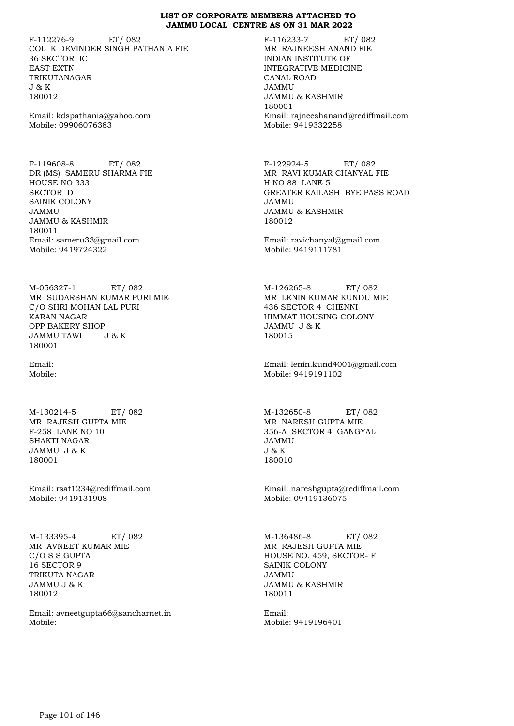F-112276-9 ET/ 082 COL K DEVINDER SINGH PATHANIA FIE 36 SECTOR IC EAST EXTN TRIKUTANAGAR J & K 180012

Email: kdspathania@yahoo.com Mobile: 09906076383

F-119608-8 ET/ 082 DR (MS) SAMERU SHARMA FIE HOUSE NO 333 SECTOR D SAINIK COLONY JAMMU JAMMU & KASHMIR 180011 Email: sameru33@gmail.com Mobile: 9419724322

M-056327-1 ET/ 082 MR SUDARSHAN KUMAR PURI MIE C/O SHRI MOHAN LAL PURI KARAN NAGAR OPP BAKERY SHOP JAMMU TAWI J & K 180001

Email: Mobile:

M-130214-5 ET/ 082 MR RAJESH GUPTA MIE F-258 LANE NO 10 SHAKTI NAGAR JAMMU J & K 180001

Email: rsat1234@rediffmail.com Mobile: 9419131908

M-133395-4 ET/ 082 MR AVNEET KUMAR MIE C/O S S GUPTA 16 SECTOR 9 TRIKUTA NAGAR JAMMU J & K 180012

Email: avneetgupta66@sancharnet.in Mobile:

F-116233-7 ET/ 082 MR RAJNEESH ANAND FIE INDIAN INSTITUTE OF INTEGRATIVE MEDICINE CANAL ROAD JAMMU JAMMU & KASHMIR 180001 Email: rajneeshanand@rediffmail.com Mobile: 9419332258

F-122924-5 ET/ 082 MR RAVI KUMAR CHANYAL FIE H NO 88 LANE 5 GREATER KAILASH BYE PASS ROAD JAMMU JAMMU & KASHMIR 180012

Email: ravichanyal@gmail.com Mobile: 9419111781

M-126265-8 ET/ 082 MR LENIN KUMAR KUNDU MIE 436 SECTOR 4 CHENNI HIMMAT HOUSING COLONY JAMMU J & K 180015

Email: lenin.kund4001@gmail.com Mobile: 9419191102

M-132650-8 ET/ 082 MR NARESH GUPTA MIE 356-A SECTOR 4 GANGYAL JAMMU J & K 180010

Email: nareshgupta@rediffmail.com Mobile: 09419136075

M-136486-8 ET/ 082 MR RAJESH GUPTA MIE HOUSE NO. 459, SECTOR- F SAINIK COLONY JAMMU JAMMU & KASHMIR 180011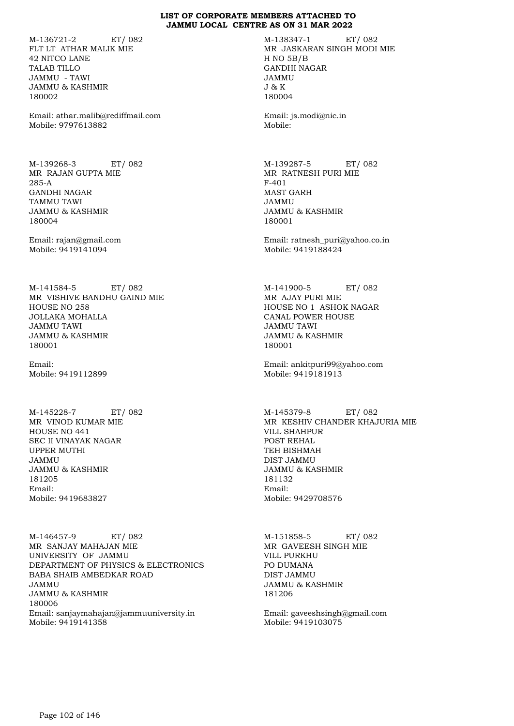M-136721-2 ET/ 082 FLT LT ATHAR MALIK MIE 42 NITCO LANE TALAB TILLO JAMMU - TAWI JAMMU & KASHMIR 180002

Email: athar.malib@rediffmail.com Mobile: 9797613882

M-139268-3 ET/ 082 MR RAJAN GUPTA MIE 285-A GANDHI NAGAR TAMMU TAWI JAMMU & KASHMIR 180004

Email: rajan@gmail.com Mobile: 9419141094

M-141584-5 ET/ 082 MR VISHIVE BANDHU GAIND MIE HOUSE NO 258 JOLLAKA MOHALLA JAMMU TAWI JAMMU & KASHMIR 180001

Email: Mobile: 9419112899

M-145228-7 ET/ 082 MR VINOD KUMAR MIE HOUSE NO 441 SEC II VINAYAK NAGAR UPPER MUTHI JAMMU JAMMU & KASHMIR 181205 Email: Mobile: 9419683827

M-146457-9 ET/ 082 MR SANJAY MAHAJAN MIE UNIVERSITY OF JAMMU DEPARTMENT OF PHYSICS & ELECTRONICS BABA SHAIB AMBEDKAR ROAD JAMMU JAMMU & KASHMIR 180006 Email: sanjaymahajan@jammuuniversity.in Mobile: 9419141358

M-138347-1 ET/ 082 MR JASKARAN SINGH MODI MIE H NO 5B/B GANDHI NAGAR JAMMU J & K 180004

Email: js.modi@nic.in Mobile:

M-139287-5 ET/ 082 MR RATNESH PURI MIE F-401 MAST GARH JAMMU JAMMU & KASHMIR 180001

Email: ratnesh\_puri@yahoo.co.in Mobile: 9419188424

M-141900-5 ET/ 082 MR AJAY PURI MIE HOUSE NO 1 ASHOK NAGAR CANAL POWER HOUSE JAMMU TAWI JAMMU & KASHMIR 180001

Email: ankitpuri99@yahoo.com Mobile: 9419181913

M-145379-8 ET/ 082 MR KESHIV CHANDER KHAJURIA MIE VILL SHAHPUR POST REHAL TEH BISHMAH DIST JAMMU JAMMU & KASHMIR 181132 Email: Mobile: 9429708576

M-151858-5 ET/ 082 MR GAVEESH SINGH MIE VILL PURKHU PO DUMANA DIST JAMMU JAMMU & KASHMIR 181206

Email: gaveeshsingh@gmail.com Mobile: 9419103075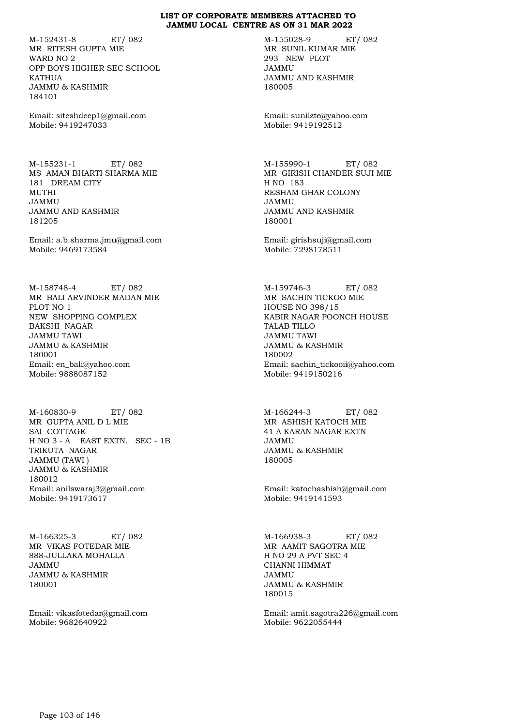M-152431-8 ET/ 082 MR RITESH GUPTA MIE WARD NO 2 OPP BOYS HIGHER SEC SCHOOL KATHUA JAMMU & KASHMIR 184101

Email: siteshdeep1@gmail.com Mobile: 9419247033

M-155231-1 ET/ 082 MS AMAN BHARTI SHARMA MIE 181 DREAM CITY MUTHI JAMMU JAMMU AND KASHMIR 181205

Email: a.b.sharma.jmu@gmail.com Mobile: 9469173584

M-158748-4 ET/ 082 MR BALI ARVINDER MADAN MIE PLOT NO 1 NEW SHOPPING COMPLEX BAKSHI NAGAR JAMMU TAWI JAMMU & KASHMIR 180001 Email: en\_bali@yahoo.com Mobile: 9888087152

M-160830-9 ET/ 082 MR GUPTA ANIL D L MIE SAI COTTAGE H NO 3 - A EAST EXTN. SEC - 1B TRIKUTA NAGAR JAMMU (TAWI ) JAMMU & KASHMIR 180012 Email: anilswaraj3@gmail.com Mobile: 9419173617

M-166325-3 ET/ 082 MR VIKAS FOTEDAR MIE 888-JULLAKA MOHALLA JAMMU JAMMU & KASHMIR 180001

Email: vikasfotedar@gmail.com Mobile: 9682640922

M-155028-9 ET/ 082 MR SUNIL KUMAR MIE 293 NEW PLOT JAMMU JAMMU AND KASHMIR 180005

Email: sunilzte@yahoo.com Mobile: 9419192512

M-155990-1 ET/ 082 MR GIRISH CHANDER SUJI MIE H NO 183 RESHAM GHAR COLONY JAMMU JAMMU AND KASHMIR 180001

Email: girishsuji@gmail.com Mobile: 7298178511

M-159746-3 ET/ 082 MR SACHIN TICKOO MIE HOUSE NO 398/15 KABIR NAGAR POONCH HOUSE TALAB TILLO JAMMU TAWI JAMMU & KASHMIR 180002 Email: sachin\_tickooii@yahoo.com Mobile: 9419150216

M-166244-3 ET/ 082 MR ASHISH KATOCH MIE 41 A KARAN NAGAR EXTN JAMMU JAMMU & KASHMIR 180005

Email: katochashish@gmail.com Mobile: 9419141593

M-166938-3 ET/ 082 MR AAMIT SAGOTRA MIE H NO 29 A PVT SEC 4 CHANNI HIMMAT JAMMU JAMMU & KASHMIR 180015

Email: amit.sagotra226@gmail.com Mobile: 9622055444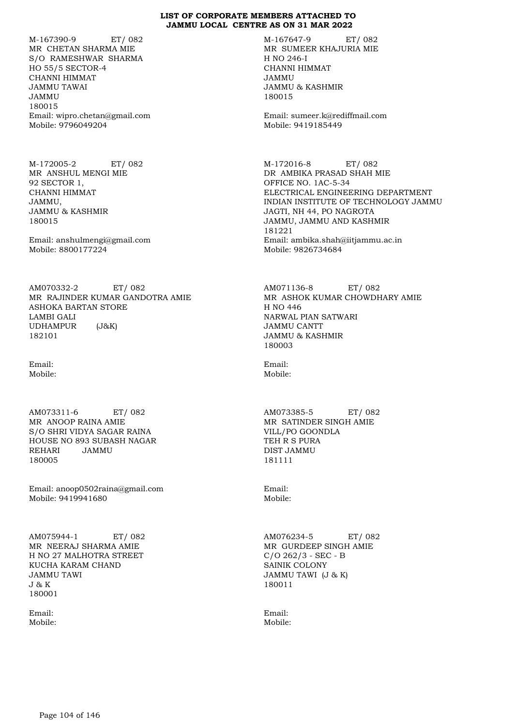M-167390-9 ET/ 082 MR CHETAN SHARMA MIE S/O RAMESHWAR SHARMA HO 55/5 SECTOR-4 CHANNI HIMMAT JAMMU TAWAI JAMMU 180015 Email: wipro.chetan@gmail.com Mobile: 9796049204

M-172005-2 ET/ 082 MR ANSHUL MENGI MIE 92 SECTOR 1, CHANNI HIMMAT JAMMU, JAMMU & KASHMIR 180015

Email: anshulmengi@gmail.com Mobile: 8800177224

AM070332-2 ET/ 082 MR RAJINDER KUMAR GANDOTRA AMIE ASHOKA BARTAN STORE LAMBI GALI UDHAMPUR (J&K) 182101

Email: Mobile:

AM073311-6 ET/ 082 MR ANOOP RAINA AMIE S/O SHRI VIDYA SAGAR RAINA HOUSE NO 893 SUBASH NAGAR REHARI JAMMU 180005

Email: anoop0502raina@gmail.com Mobile: 9419941680

AM075944-1 ET/ 082 MR NEERAJ SHARMA AMIE H NO 27 MALHOTRA STREET KUCHA KARAM CHAND JAMMU TAWI J & K 180001

Email: Mobile: M-167647-9 ET/ 082 MR SUMEER KHAJURIA MIE H NO 246-I CHANNI HIMMAT JAMMU JAMMU & KASHMIR 180015

Email: sumeer.k@rediffmail.com Mobile: 9419185449

M-172016-8 ET/ 082 DR AMBIKA PRASAD SHAH MIE OFFICE NO. 1AC-5-34 ELECTRICAL ENGINEERING DEPARTMENT INDIAN INSTITUTE OF TECHNOLOGY JAMMU JAGTI, NH 44, PO NAGROTA JAMMU, JAMMU AND KASHMIR 181221 Email: ambika.shah@iitjammu.ac.in Mobile: 9826734684

AM071136-8 ET/ 082 MR ASHOK KUMAR CHOWDHARY AMIE H NO 446 NARWAL PIAN SATWARI JAMMU CANTT JAMMU & KASHMIR 180003

Email: Mobile:

AM073385-5 ET/ 082 MR SATINDER SINGH AMIE VILL/PO GOONDLA TEH R S PURA DIST JAMMU 181111

Email: Mobile:

AM076234-5 ET/ 082 MR GURDEEP SINGH AMIE C/O 262/3 - SEC - B SAINIK COLONY JAMMU TAWI (J & K) 180011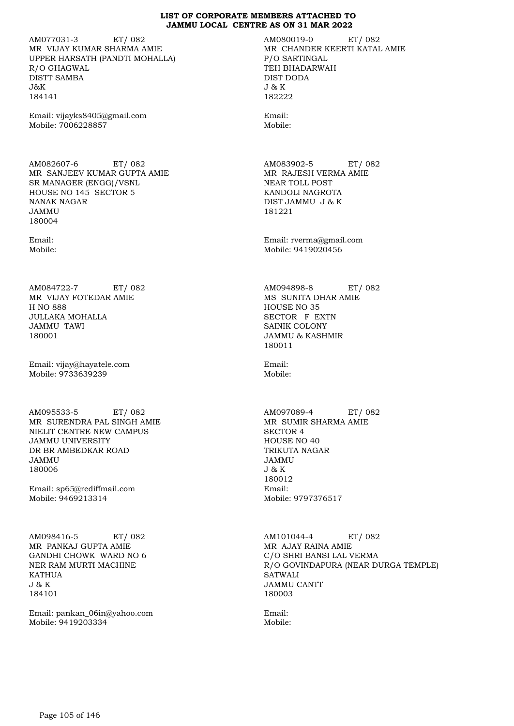AM077031-3 ET/ 082 MR VIJAY KUMAR SHARMA AMIE UPPER HARSATH (PANDTI MOHALLA) R/O GHAGWAL DISTT SAMBA J&K 184141

Email: vijayks8405@gmail.com Mobile: 7006228857

AM082607-6 ET/ 082 MR SANJEEV KUMAR GUPTA AMIE SR MANAGER (ENGG)/VSNL HOUSE NO 145 SECTOR 5 NANAK NAGAR JAMMU 180004

Email: Mobile:

AM084722-7 ET/ 082 MR VIJAY FOTEDAR AMIE H NO 888 JULLAKA MOHALLA JAMMU TAWI 180001

Email: vijay@hayatele.com Mobile: 9733639239

AM095533-5 ET/ 082 MR SURENDRA PAL SINGH AMIE NIELIT CENTRE NEW CAMPUS JAMMU UNIVERSITY DR BR AMBEDKAR ROAD JAMMU 180006

Email: sp65@rediffmail.com Mobile: 9469213314

AM098416-5 ET/ 082 MR PANKAJ GUPTA AMIE GANDHI CHOWK WARD NO 6 NER RAM MURTI MACHINE KATHUA J & K 184101

Email: pankan\_06in@yahoo.com Mobile: 9419203334

AM080019-0 ET/ 082 MR CHANDER KEERTI KATAL AMIE P/O SARTINGAL TEH BHADARWAH DIST DODA J & K 182222

Email: Mobile:

AM083902-5 ET/ 082 MR RAJESH VERMA AMIE NEAR TOLL POST KANDOLI NAGROTA DIST JAMMU J & K 181221

Email: rverma@gmail.com Mobile: 9419020456

AM094898-8 ET/ 082 MS SUNITA DHAR AMIE HOUSE NO 35 SECTOR F EXTN SAINIK COLONY JAMMU & KASHMIR 180011

Email: Mobile:

AM097089-4 ET/ 082 MR SUMIR SHARMA AMIE SECTOR 4 HOUSE NO 40 TRIKUTA NAGAR JAMMU J & K 180012 Email: Mobile: 9797376517

AM101044-4 ET/ 082 MR AJAY RAINA AMIE C/O SHRI BANSI LAL VERMA R/O GOVINDAPURA (NEAR DURGA TEMPLE) SATWALI JAMMU CANTT 180003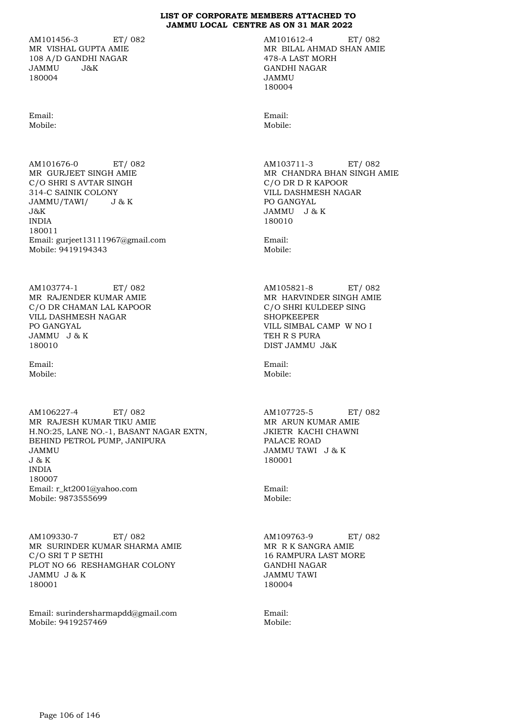AM101456-3 ET/ 082 MR VISHAL GUPTA AMIE 108 A/D GANDHI NAGAR JAMMU J&K 180004

Email: Mobile:

AM101676-0 ET/ 082 MR GURJEET SINGH AMIE C/O SHRI S AVTAR SINGH 314-C SAINIK COLONY JAMMU/TAWI/ J & K J&K INDIA 180011 Email: gurjeet13111967@gmail.com Mobile: 9419194343

AM103774-1 ET/ 082 MR RAJENDER KUMAR AMIE C/O DR CHAMAN LAL KAPOOR VILL DASHMESH NAGAR PO GANGYAL JAMMU J & K 180010

Email: Mobile:

AM106227-4 ET/ 082 MR RAJESH KUMAR TIKU AMIE H.NO:25, LANE NO.-1, BASANT NAGAR EXTN, BEHIND PETROL PUMP, JANIPURA JAMMU J & K INDIA 180007 Email: r\_kt2001@yahoo.com Mobile: 9873555699

AM109330-7 ET/ 082 MR SURINDER KUMAR SHARMA AMIE C/O SRI T P SETHI PLOT NO 66 RESHAMGHAR COLONY JAMMU J & K 180001

Email: surindersharmapdd@gmail.com Mobile: 9419257469

AM101612-4 ET/ 082 MR BILAL AHMAD SHAN AMIE 478-A LAST MORH GANDHI NAGAR JAMMU 180004

Email: Mobile:

AM103711-3 ET/ 082 MR CHANDRA BHAN SINGH AMIE C/O DR D R KAPOOR VILL DASHMESH NAGAR PO GANGYAL JAMMU J & K 180010

Email: Mobile:

AM105821-8 ET/ 082 MR HARVINDER SINGH AMIE C/O SHRI KULDEEP SING SHOPKEEPER VILL SIMBAL CAMP W NO I TEH R S PURA DIST JAMMU J&K

Email: Mobile:

AM107725-5 ET/ 082 MR ARUN KUMAR AMIE JKIETR KACHI CHAWNI PALACE ROAD JAMMU TAWI J & K 180001

Email: Mobile:

AM109763-9 ET/ 082 MR R K SANGRA AMIE 16 RAMPURA LAST MORE GANDHI NAGAR JAMMU TAWI 180004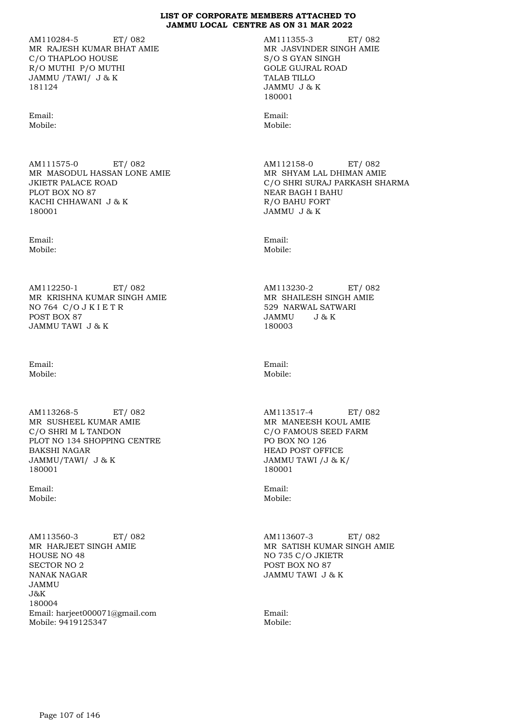AM110284-5 ET/ 082 MR RAJESH KUMAR BHAT AMIE C/O THAPLOO HOUSE R/O MUTHI P/O MUTHI JAMMU /TAWI/ J & K 181124

Email: Mobile:

AM111575-0 ET/ 082 MR MASODUL HASSAN LONE AMIE JKIETR PALACE ROAD PLOT BOX NO 87 KACHI CHHAWANI J & K 180001

Email: Mobile:

AM112250-1 ET/ 082 MR KRISHNA KUMAR SINGH AMIE NO 764 C/O J K I E T R POST BOX 87 JAMMU TAWI J & K

Email: Mobile:

AM113268-5 ET/ 082 MR SUSHEEL KUMAR AMIE C/O SHRI M L TANDON PLOT NO 134 SHOPPING CENTRE BAKSHI NAGAR JAMMU/TAWI/ J & K 180001

Email: Mobile:

AM113560-3 ET/ 082 MR HARJEET SINGH AMIE HOUSE NO 48 SECTOR NO 2 NANAK NAGAR JAMMU J&K 180004 Email: harjeet000071@gmail.com Mobile: 9419125347

AM111355-3 ET/ 082 MR JASVINDER SINGH AMIE S/O S GYAN SINGH GOLE GUJRAL ROAD TALAB TILLO JAMMU J & K 180001

Email: Mobile:

AM112158-0 ET/ 082 MR SHYAM LAL DHIMAN AMIE C/O SHRI SURAJ PARKASH SHARMA NEAR BAGH I BAHU R/O BAHU FORT JAMMU J & K

Email: Mobile:

AM113230-2 ET/ 082 MR SHAILESH SINGH AMIE 529 NARWAL SATWARI JAMMU J & K 180003

Email: Mobile:

AM113517-4 ET/ 082 MR MANEESH KOUL AMIE C/O FAMOUS SEED FARM PO BOX NO 126 HEAD POST OFFICE JAMMU TAWI /J & K/ 180001

Email: Mobile:

AM113607-3 ET/ 082 MR SATISH KUMAR SINGH AMIE NO 735 C/O JKIETR POST BOX NO 87 JAMMU TAWI J & K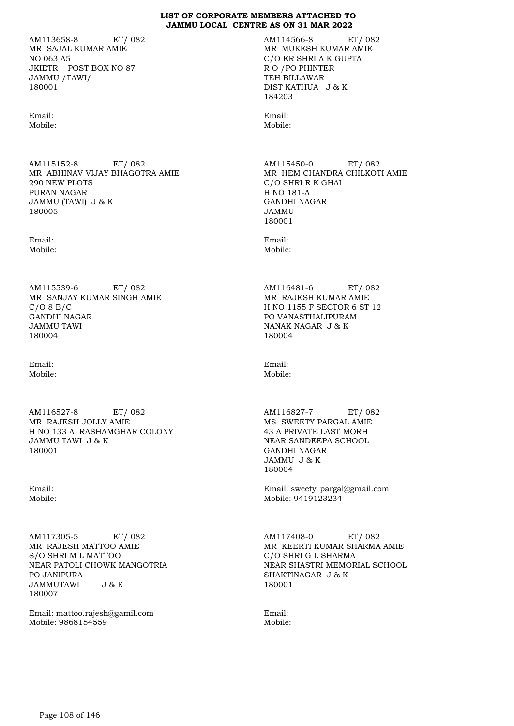AM113658-8 ET/ 082 MR SAJAL KUMAR AMIE NO 063 A5 JKIETR POST BOX NO 87 JAMMU /TAWI/ 180001

Email: Mobile:

AM115152-8 ET/ 082 MR ABHINAV VIJAY BHAGOTRA AMIE 290 NEW PLOTS PURAN NAGAR JAMMU (TAWI) J & K 180005

Email: Mobile:

AM115539-6 ET/ 082 MR SANJAY KUMAR SINGH AMIE  $C/O 8 B/C$ GANDHI NAGAR JAMMU TAWI 180004

Email: Mobile:

AM116527-8 ET/ 082 MR RAJESH JOLLY AMIE H NO 133 A RASHAMGHAR COLONY JAMMU TAWI J & K 180001

Email: Mobile:

AM117305-5 ET/ 082 MR RAJESH MATTOO AMIE S/O SHRI M L MATTOO NEAR PATOLI CHOWK MANGOTRIA PO JANIPURA<br>JAMMUTAWI J&K **JAMMUTAWI** 180007

Email: mattoo.rajesh@gamil.com Mobile: 9868154559

AM114566-8 ET/ 082 MR MUKESH KUMAR AMIE C/O ER SHRI A K GUPTA R O /PO PHINTER TEH BILLAWAR DIST KATHUA J & K 184203

Email: Mobile:

AM115450-0 ET/ 082 MR HEM CHANDRA CHILKOTI AMIE C/O SHRI R K GHAI H NO 181-A GANDHI NAGAR JAMMU 180001

Email: Mobile:

AM116481-6 ET/ 082 MR RAJESH KUMAR AMIE H NO 1155 F SECTOR 6 ST 12 PO VANASTHALIPURAM NANAK NAGAR J & K 180004

Email: Mobile:

AM116827-7 ET/ 082 MS SWEETY PARGAL AMIE 43 A PRIVATE LAST MORH NEAR SANDEEPA SCHOOL GANDHI NAGAR JAMMU J & K 180004

Email: sweety\_pargal@gmail.com Mobile: 9419123234

AM117408-0 ET/ 082 MR KEERTI KUMAR SHARMA AMIE C/O SHRI G L SHARMA NEAR SHASTRI MEMORIAL SCHOOL SHAKTINAGAR J & K 180001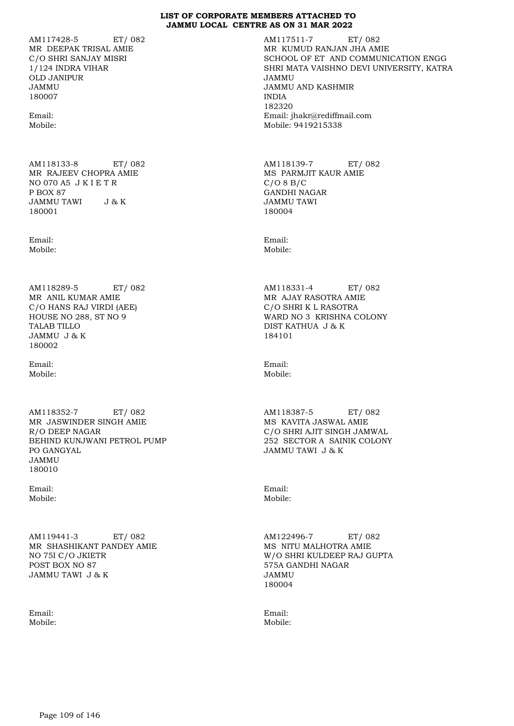AM117428-5 ET/ 082 MR DEEPAK TRISAL AMIE C/O SHRI SANJAY MISRI 1/124 INDRA VIHAR OLD JANIPUR JAMMU 180007

Email: Mobile:

AM118133-8 ET/ 082 MR RAJEEV CHOPRA AMIE NO 070 A5 J K I E T R P BOX 87<br>JAMMU TAWI J & K JAMMU TAWI 180001

Email: Mobile:

AM118289-5 ET/ 082 MR ANIL KUMAR AMIE C/O HANS RAJ VIRDI (AEE) HOUSE NO 288, ST NO 9 TALAB TILLO JAMMU J & K 180002

Email: Mobile:

AM118352-7 ET/ 082 MR JASWINDER SINGH AMIE R/O DEEP NAGAR BEHIND KUNJWANI PETROL PUMP PO GANGYAL JAMMU 180010

Email: Mobile:

AM119441-3 ET/ 082 MR SHASHIKANT PANDEY AMIE NO 75I C/O JKIETR POST BOX NO 87 JAMMU TAWI J & K

Email: Mobile: AM117511-7 ET/ 082 MR KUMUD RANJAN JHA AMIE SCHOOL OF ET AND COMMUNICATION ENGG SHRI MATA VAISHNO DEVI UNIVERSITY, KATRA JAMMU JAMMU AND KASHMIR INDIA 182320 Email: jhakr@rediffmail.com Mobile: 9419215338

AM118139-7 ET/ 082 MS PARMJIT KAUR AMIE  $C/O 8 B/C$ GANDHI NAGAR JAMMU TAWI 180004

Email: Mobile:

AM118331-4 ET/ 082 MR AJAY RASOTRA AMIE C/O SHRI K L RASOTRA WARD NO 3 KRISHNA COLONY DIST KATHUA J & K 184101

Email: Mobile:

AM118387-5 ET/ 082 MS KAVITA JASWAL AMIE C/O SHRI AJIT SINGH JAMWAL 252 SECTOR A SAINIK COLONY JAMMU TAWI J & K

Email: Mobile:

AM122496-7 ET/ 082 MS NITU MALHOTRA AMIE W/O SHRI KULDEEP RAJ GUPTA 575A GANDHI NAGAR JAMMU 180004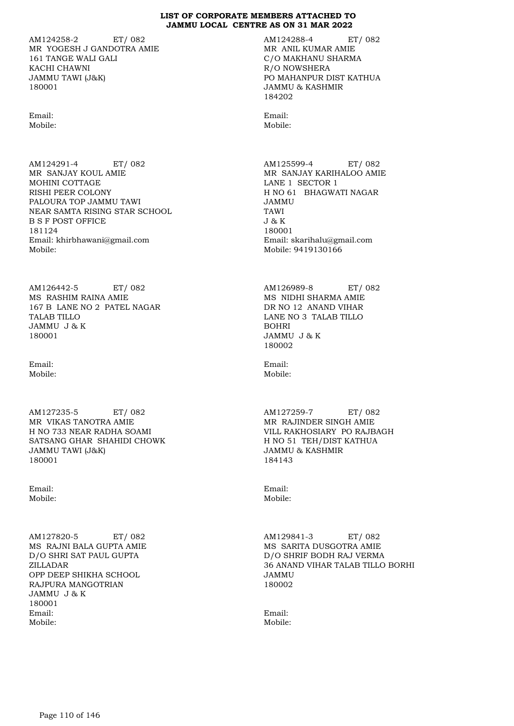AM124258-2 ET/ 082 MR YOGESH J GANDOTRA AMIE 161 TANGE WALI GALI KACHI CHAWNI JAMMU TAWI (J&K) 180001

Email: Mobile:

AM124291-4 ET/ 082 MR SANJAY KOUL AMIE MOHINI COTTAGE RISHI PEER COLONY PALOURA TOP JAMMU TAWI NEAR SAMTA RISING STAR SCHOOL B S F POST OFFICE 181124 Email: khirbhawani@gmail.com Mobile:

AM126442-5 ET/ 082 MS RASHIM RAINA AMIE 167 B LANE NO 2 PATEL NAGAR TALAB TILLO JAMMU J & K 180001

Email: Mobile:

AM127235-5 ET/ 082 MR VIKAS TANOTRA AMIE H NO 733 NEAR RADHA SOAMI SATSANG GHAR SHAHIDI CHOWK JAMMU TAWI (J&K) 180001

Email: Mobile:

AM127820-5 ET/ 082 MS RAJNI BALA GUPTA AMIE D/O SHRI SAT PAUL GUPTA ZILLADAR OPP DEEP SHIKHA SCHOOL RAJPURA MANGOTRIAN JAMMU J & K 180001 Email: Mobile:

AM124288-4 ET/ 082 MR ANIL KUMAR AMIE C/O MAKHANU SHARMA R/O NOWSHERA PO MAHANPUR DIST KATHUA JAMMU & KASHMIR 184202

Email: Mobile:

AM125599-4 ET/ 082 MR SANJAY KARIHALOO AMIE LANE 1 SECTOR 1 H NO 61 BHAGWATI NAGAR JAMMU TAWI J & K 180001 Email: skarihalu@gmail.com Mobile: 9419130166

AM126989-8 ET/ 082 MS NIDHI SHARMA AMIE DR NO 12 ANAND VIHAR LANE NO 3 TALAB TILLO BOHRI JAMMU J & K 180002

Email: Mobile:

AM127259-7 ET/ 082 MR RAJINDER SINGH AMIE VILL RAKHOSIARY PO RAJBAGH H NO 51 TEH/DIST KATHUA JAMMU & KASHMIR 184143

Email: Mobile:

AM129841-3 ET/ 082 MS SARITA DUSGOTRA AMIE D/O SHRIF BODH RAJ VERMA 36 ANAND VIHAR TALAB TILLO BORHI JAMMU 180002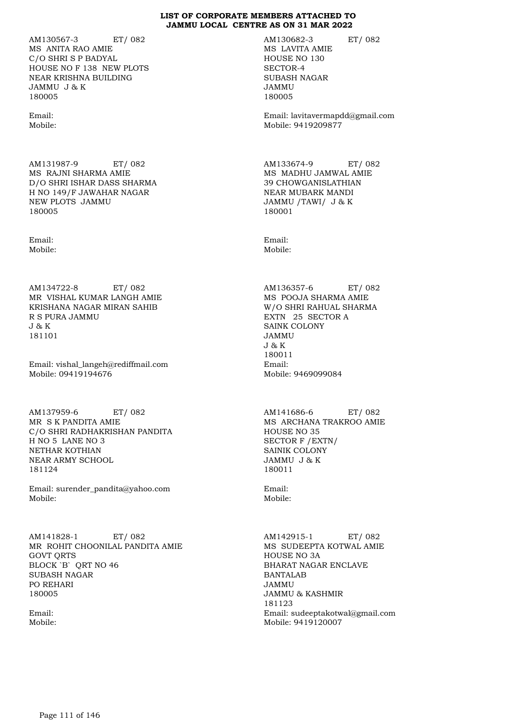AM130567-3 ET/ 082 MS ANITA RAO AMIE C/O SHRI S P BADYAL HOUSE NO F 138 NEW PLOTS NEAR KRISHNA BUILDING JAMMU J & K 180005

Email: Mobile:

AM131987-9 ET/ 082 MS RAJNI SHARMA AMIE D/O SHRI ISHAR DASS SHARMA H NO 149/F JAWAHAR NAGAR NEW PLOTS JAMMU 180005

Email: Mobile:

AM134722-8 ET/ 082 MR VISHAL KUMAR LANGH AMIE KRISHANA NAGAR MIRAN SAHIB R S PURA JAMMU J & K 181101

Email: vishal\_langeh@rediffmail.com Mobile: 09419194676

AM137959-6 ET/ 082 MR S K PANDITA AMIE C/O SHRI RADHAKRISHAN PANDITA H NO 5 LANE NO 3 NETHAR KOTHIAN NEAR ARMY SCHOOL 181124

Email: surender\_pandita@yahoo.com Mobile:

AM141828-1 ET/ 082 MR ROHIT CHOONILAL PANDITA AMIE GOVT QRTS BLOCK `B` QRT NO 46 SUBASH NAGAR PO REHARI 180005

Email: Mobile: AM130682-3 ET/ 082 MS LAVITA AMIE HOUSE NO 130 SECTOR-4 SUBASH NAGAR JAMMU 180005

Email: lavitavermapdd@gmail.com Mobile: 9419209877

AM133674-9 ET/ 082 MS MADHU JAMWAL AMIE 39 CHOWGANISLATHIAN NEAR MUBARK MANDI JAMMU /TAWI/ J & K 180001

Email: Mobile:

AM136357-6 ET/ 082 MS POOJA SHARMA AMIE W/O SHRI RAHUAL SHARMA EXTN 25 SECTOR A SAINK COLONY JAMMU J & K 180011 Email: Mobile: 9469099084

AM141686-6 ET/ 082 MS ARCHANA TRAKROO AMIE HOUSE NO 35 SECTOR F /EXTN/ SAINIK COLONY JAMMU J & K 180011

Email: Mobile:

AM142915-1 ET/ 082 MS SUDEEPTA KOTWAL AMIE HOUSE NO 3A BHARAT NAGAR ENCLAVE BANTALAB JAMMU JAMMU & KASHMIR 181123 Email: sudeeptakotwal@gmail.com Mobile: 9419120007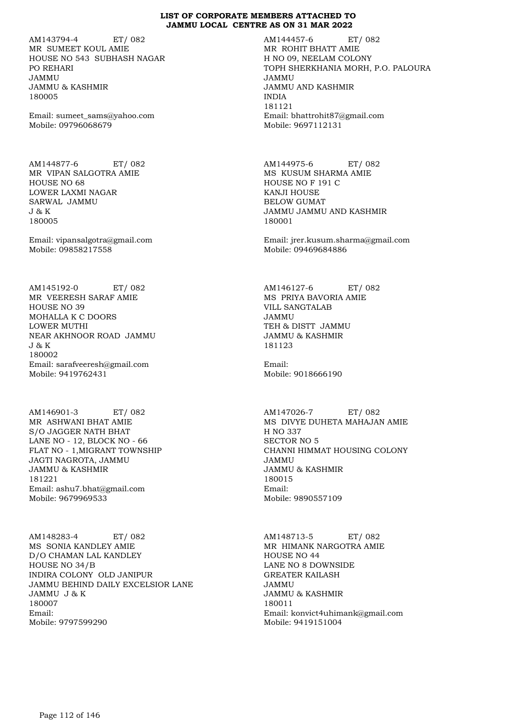AM143794-4 ET/ 082 MR SUMEET KOUL AMIE HOUSE NO 543 SUBHASH NAGAR PO REHARI JAMMU JAMMU & KASHMIR 180005

Email: sumeet\_sams@yahoo.com Mobile: 09796068679

AM144877-6 ET/ 082 MR VIPAN SALGOTRA AMIE HOUSE NO 68 LOWER LAXMI NAGAR SARWAL JAMMU J & K 180005

Email: vipansalgotra@gmail.com Mobile: 09858217558

AM145192-0 ET/ 082 MR VEERESH SARAF AMIE HOUSE NO 39 MOHALLA K C DOORS LOWER MUTHI NEAR AKHNOOR ROAD JAMMU J & K 180002 Email: sarafveeresh@gmail.com Mobile: 9419762431

AM146901-3 ET/ 082 MR ASHWANI BHAT AMIE S/O JAGGER NATH BHAT LANE NO - 12, BLOCK NO - 66 FLAT NO - 1,MIGRANT TOWNSHIP JAGTI NAGROTA, JAMMU JAMMU & KASHMIR 181221 Email: ashu7.bhat@gmail.com Mobile: 9679969533

AM148283-4 ET/ 082 MS SONIA KANDLEY AMIE D/O CHAMAN LAL KANDLEY HOUSE NO 34/B INDIRA COLONY OLD JANIPUR JAMMU BEHIND DAILY EXCELSIOR LANE JAMMU J & K 180007 Email: Mobile: 9797599290

AM144457-6 ET/ 082 MR ROHIT BHATT AMIE H NO 09, NEELAM COLONY TOPH SHERKHANIA MORH, P.O. PALOURA JAMMU JAMMU AND KASHMIR INDIA 181121 Email: bhattrohit87@gmail.com Mobile: 9697112131

AM144975-6 ET/ 082 MS KUSUM SHARMA AMIE HOUSE NO F 191 C KANJI HOUSE BELOW GUMAT JAMMU JAMMU AND KASHMIR 180001

Email: jrer.kusum.sharma@gmail.com Mobile: 09469684886

AM146127-6 ET/ 082 MS PRIYA BAVORIA AMIE VILL SANGTALAB JAMMU TEH & DISTT JAMMU JAMMU & KASHMIR 181123

Email: Mobile: 9018666190

AM147026-7 ET/ 082 MS DIVYE DUHETA MAHAJAN AMIE H NO 337 SECTOR NO 5 CHANNI HIMMAT HOUSING COLONY JAMMU JAMMU & KASHMIR 180015 Email: Mobile: 9890557109

AM148713-5 ET/ 082 MR HIMANK NARGOTRA AMIE HOUSE NO 44 LANE NO 8 DOWNSIDE GREATER KAILASH JAMMU JAMMU & KASHMIR 180011 Email: konvict4uhimank@gmail.com Mobile: 9419151004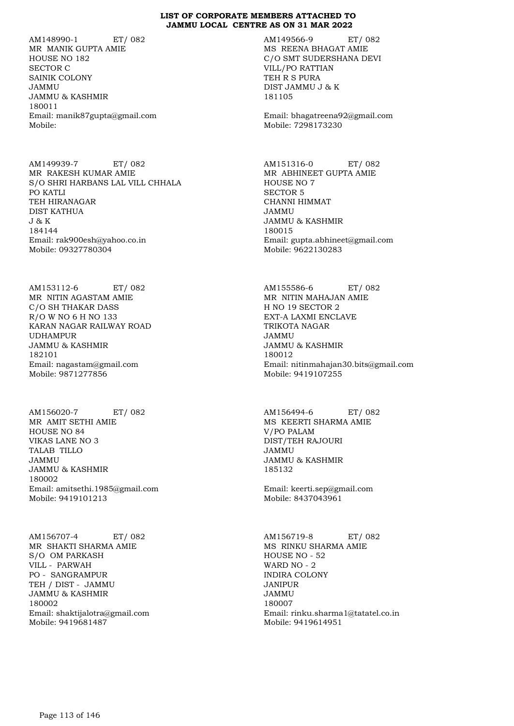AM148990-1 ET/ 082 MR MANIK GUPTA AMIE HOUSE NO 182 SECTOR C SAINIK COLONY JAMMU JAMMU & KASHMIR 180011 Email: manik87gupta@gmail.com Mobile:

AM149939-7 ET/ 082 MR RAKESH KUMAR AMIE S/O SHRI HARBANS LAL VILL CHHALA PO KATLI TEH HIRANAGAR DIST KATHUA J & K 184144 Email: rak900esh@yahoo.co.in Mobile: 09327780304

AM153112-6 ET/ 082 MR NITIN AGASTAM AMIE C/O SH THAKAR DASS R/O W NO 6 H NO 133 KARAN NAGAR RAILWAY ROAD UDHAMPUR JAMMU & KASHMIR 182101 Email: nagastam@gmail.com Mobile: 9871277856

AM156020-7 ET/ 082 MR AMIT SETHI AMIE HOUSE NO 84 VIKAS LANE NO 3 TALAB TILLO JAMMU JAMMU & KASHMIR 180002 Email: amitsethi.1985@gmail.com Mobile: 9419101213

AM156707-4 ET/ 082 MR SHAKTI SHARMA AMIE S/O OM PARKASH VILL - PARWAH PO - SANGRAMPUR TEH / DIST - JAMMU JAMMU & KASHMIR 180002 Email: shaktijalotra@gmail.com Mobile: 9419681487

AM149566-9 ET/ 082 MS REENA BHAGAT AMIE C/O SMT SUDERSHANA DEVI VILL/PO RATTIAN TEH R S PURA DIST JAMMU J & K 181105

Email: bhagatreena92@gmail.com Mobile: 7298173230

AM151316-0 ET/ 082 MR ABHINEET GUPTA AMIE HOUSE NO 7 SECTOR 5 CHANNI HIMMAT JAMMU JAMMU & KASHMIR 180015 Email: gupta.abhineet@gmail.com Mobile: 9622130283

AM155586-6 ET/ 082 MR NITIN MAHAJAN AMIE H NO 19 SECTOR 2 EXT-A LAXMI ENCLAVE TRIKOTA NAGAR JAMMU JAMMU & KASHMIR 180012 Email: nitinmahajan30.bits@gmail.com Mobile: 9419107255

AM156494-6 ET/ 082 MS KEERTI SHARMA AMIE V/PO PALAM DIST/TEH RAJOURI JAMMU JAMMU & KASHMIR 185132

Email: keerti.sep@gmail.com Mobile: 8437043961

AM156719-8 ET/ 082 MS RINKU SHARMA AMIE HOUSE NO - 52 WARD NO - 2 INDIRA COLONY JANIPUR JAMMU 180007 Email: rinku.sharma1@tatatel.co.in Mobile: 9419614951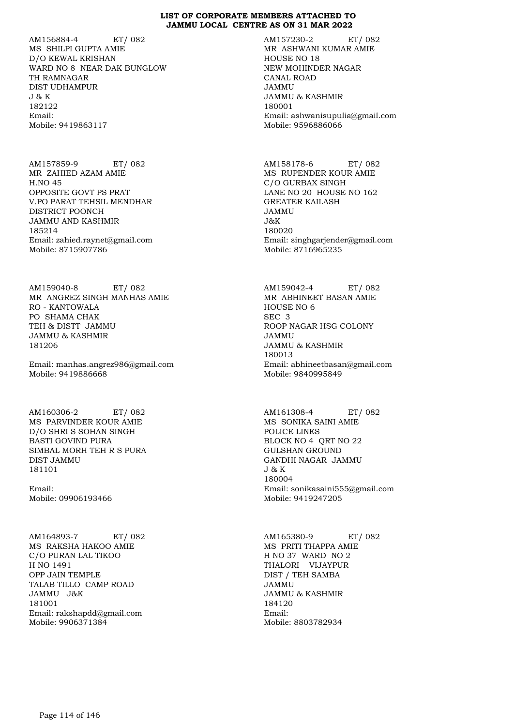AM156884-4 ET/ 082 MS SHILPI GUPTA AMIE D/O KEWAL KRISHAN WARD NO 8 NEAR DAK BUNGLOW TH RAMNAGAR DIST UDHAMPUR J & K 182122 Email: Mobile: 9419863117

AM157859-9 ET/ 082 MR ZAHIED AZAM AMIE H.NO 45 OPPOSITE GOVT PS PRAT V.PO PARAT TEHSIL MENDHAR DISTRICT POONCH JAMMU AND KASHMIR 185214 Email: zahied.raynet@gmail.com Mobile: 8715907786

AM159040-8 ET/ 082 MR ANGREZ SINGH MANHAS AMIE RO - KANTOWALA PO SHAMA CHAK TEH & DISTT JAMMU JAMMU & KASHMIR 181206

Email: manhas.angrez986@gmail.com Mobile: 9419886668

AM160306-2 ET/ 082 MS PARVINDER KOUR AMIE D/O SHRI S SOHAN SINGH BASTI GOVIND PURA SIMBAL MORH TEH R S PURA DIST JAMMU 181101

Email: Mobile: 09906193466

AM164893-7 ET/ 082 MS RAKSHA HAKOO AMIE C/O PURAN LAL TIKOO H NO 1491 OPP JAIN TEMPLE TALAB TILLO CAMP ROAD JAMMU J&K 181001 Email: rakshapdd@gmail.com Mobile: 9906371384

AM157230-2 ET/ 082 MR ASHWANI KUMAR AMIE HOUSE NO 18 NEW MOHINDER NAGAR CANAL ROAD JAMMU JAMMU & KASHMIR 180001 Email: ashwanisupulia@gmail.com Mobile: 9596886066

AM158178-6 ET/ 082 MS RUPENDER KOUR AMIE C/O GURBAX SINGH LANE NO 20 HOUSE NO 162 GREATER KAILASH JAMMU J&K 180020 Email: singhgarjender@gmail.com Mobile: 8716965235

AM159042-4 ET/ 082 MR ABHINEET BASAN AMIE HOUSE NO 6 SEC 3 ROOP NAGAR HSG COLONY JAMMU JAMMU & KASHMIR 180013 Email: abhineetbasan@gmail.com Mobile: 9840995849

AM161308-4 ET/ 082 MS SONIKA SAINI AMIE POLICE LINES BLOCK NO 4 QRT NO 22 GULSHAN GROUND GANDHI NAGAR JAMMU J & K 180004 Email: sonikasaini555@gmail.com Mobile: 9419247205

AM165380-9 ET/ 082 MS PRITI THAPPA AMIE H NO 37 WARD NO 2 THALORI VIJAYPUR DIST / TEH SAMBA JAMMU JAMMU & KASHMIR 184120 Email: Mobile: 8803782934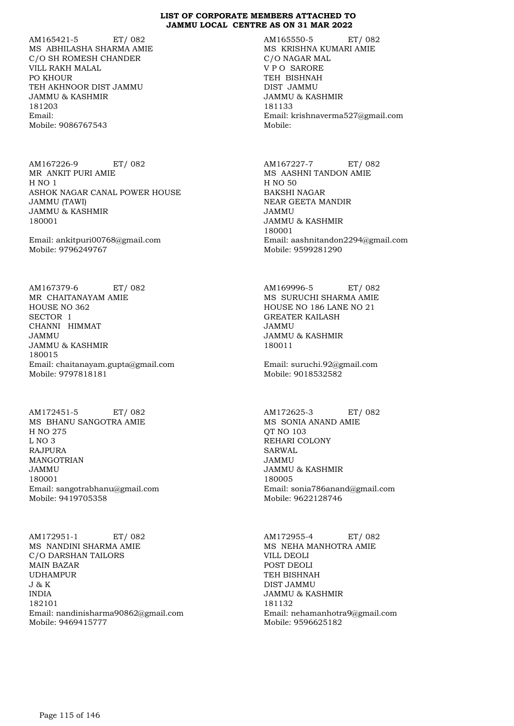AM165421-5 ET/ 082 MS ABHILASHA SHARMA AMIE C/O SH ROMESH CHANDER VILL RAKH MALAL PO KHOUR TEH AKHNOOR DIST JAMMU JAMMU & KASHMIR 181203 Email: Mobile: 9086767543

AM167226-9 ET/ 082 MR ANKIT PURI AMIE H NO 1 ASHOK NAGAR CANAL POWER HOUSE JAMMU (TAWI) JAMMU & KASHMIR 180001

Email: ankitpuri00768@gmail.com Mobile: 9796249767

AM167379-6 ET/ 082 MR CHAITANAYAM AMIE HOUSE NO 362 SECTOR 1 CHANNI HIMMAT JAMMU JAMMU & KASHMIR 180015 Email: chaitanayam.gupta@gmail.com Mobile: 9797818181

AM172451-5 ET/ 082 MS BHANU SANGOTRA AMIE H NO 275 L NO 3 RAJPURA MANGOTRIAN JAMMU 180001 Email: sangotrabhanu@gmail.com Mobile: 9419705358

AM172951-1 ET/ 082 MS NANDINI SHARMA AMIE C/O DARSHAN TAILORS MAIN BAZAR UDHAMPUR J & K INDIA 182101 Email: nandinisharma90862@gmail.com Mobile: 9469415777

AM165550-5 ET/ 082 MS KRISHNA KUMARI AMIE C/O NAGAR MAL V P O SARORE TEH BISHNAH DIST JAMMU JAMMU & KASHMIR 181133 Email: krishnaverma527@gmail.com Mobile:

AM167227-7 ET/ 082 MS AASHNI TANDON AMIE H NO 50 BAKSHI NAGAR NEAR GEETA MANDIR JAMMU JAMMU & KASHMIR 180001 Email: aashnitandon2294@gmail.com Mobile: 9599281290

AM169996-5 ET/ 082 MS SURUCHI SHARMA AMIE HOUSE NO 186 LANE NO 21 GREATER KAILASH JAMMU JAMMU & KASHMIR 180011

Email: suruchi.92@gmail.com Mobile: 9018532582

AM172625-3 ET/ 082 MS SONIA ANAND AMIE QT NO 103 REHARI COLONY SARWAL JAMMU JAMMU & KASHMIR 180005 Email: sonia786anand@gmail.com Mobile: 9622128746

AM172955-4 ET/ 082 MS NEHA MANHOTRA AMIE VILL DEOLI POST DEOLI TEH BISHNAH DIST JAMMU JAMMU & KASHMIR 181132 Email: nehamanhotra9@gmail.com Mobile: 9596625182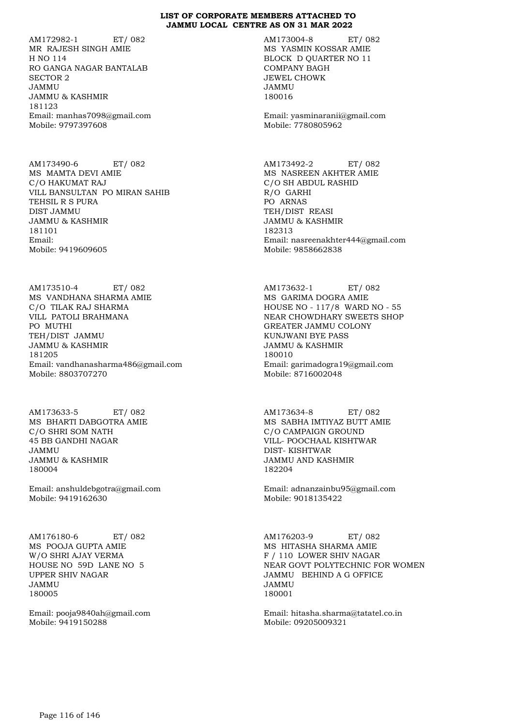AM172982-1 ET/ 082 MR RAJESH SINGH AMIE H NO 114 RO GANGA NAGAR BANTALAB SECTOR 2 JAMMU JAMMU & KASHMIR 181123 Email: manhas7098@gmail.com Mobile: 9797397608

AM173490-6 ET/ 082 MS MAMTA DEVI AMIE C/O HAKUMAT RAJ VILL BANSULTAN PO MIRAN SAHIB TEHSIL R S PURA DIST JAMMU JAMMU & KASHMIR 181101 Email: Mobile: 9419609605

AM173510-4 ET/ 082 MS VANDHANA SHARMA AMIE C/O TILAK RAJ SHARMA VILL PATOLI BRAHMANA PO MUTHI TEH/DIST JAMMU JAMMU & KASHMIR 181205 Email: vandhanasharma486@gmail.com Mobile: 8803707270

AM173633-5 ET/ 082 MS BHARTI DABGOTRA AMIE C/O SHRI SOM NATH 45 BB GANDHI NAGAR JAMMU JAMMU & KASHMIR 180004

Email: anshuldebgotra@gmail.com Mobile: 9419162630

AM176180-6 ET/ 082 MS POOJA GUPTA AMIE W/O SHRI AJAY VERMA HOUSE NO 59D LANE NO 5 UPPER SHIV NAGAR JAMMU 180005

Email: pooja9840ah@gmail.com Mobile: 9419150288

AM173004-8 ET/ 082 MS YASMIN KOSSAR AMIE BLOCK D QUARTER NO 11 COMPANY BAGH JEWEL CHOWK JAMMU 180016

Email: yasminaranii@gmail.com Mobile: 7780805962

AM173492-2 ET/ 082 MS NASREEN AKHTER AMIE C/O SH ABDUL RASHID R/O GARHI PO ARNAS TEH/DIST REASI JAMMU & KASHMIR 182313 Email: nasreenakhter444@gmail.com Mobile: 9858662838

AM173632-1 ET/ 082 MS GARIMA DOGRA AMIE HOUSE NO - 117/8 WARD NO - 55 NEAR CHOWDHARY SWEETS SHOP GREATER JAMMU COLONY KUNJWANI BYE PASS JAMMU & KASHMIR 180010 Email: garimadogra19@gmail.com Mobile: 8716002048

AM173634-8 ET/ 082 MS SABHA IMTIYAZ BUTT AMIE C/O CAMPAIGN GROUND VILL- POOCHAAL KISHTWAR DIST- KISHTWAR JAMMU AND KASHMIR 182204

Email: adnanzainbu95@gmail.com Mobile: 9018135422

AM176203-9 ET/ 082 MS HITASHA SHARMA AMIE F / 110 LOWER SHIV NAGAR NEAR GOVT POLYTECHNIC FOR WOMEN JAMMU BEHIND A G OFFICE JAMMU 180001

Email: hitasha.sharma@tatatel.co.in Mobile: 09205009321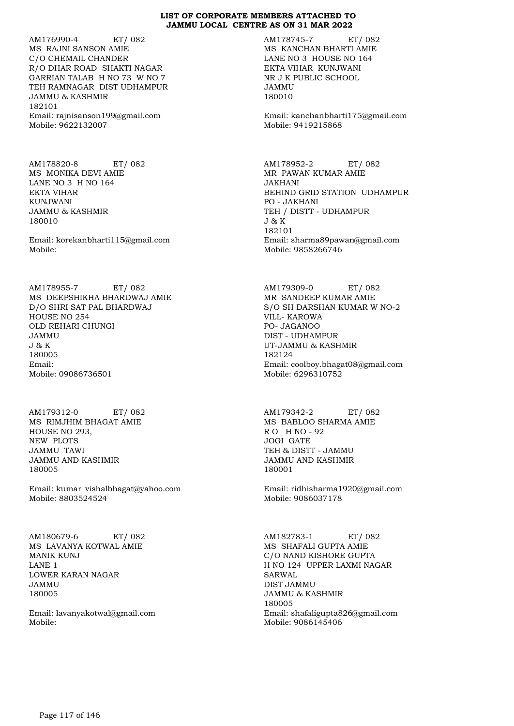AM176990-4 ET/ 082 MS RAJNI SANSON AMIE C/O CHEMAIL CHANDER R/O DHAR ROAD SHAKTI NAGAR GARRIAN TALAB H NO 73 W NO 7 TEH RAMNAGAR DIST UDHAMPUR JAMMU & KASHMIR 182101 Email: rajnisanson199@gmail.com Mobile: 9622132007

AM178820-8 ET/ 082 MS MONIKA DEVI AMIE LANE NO 3 H NO 164 EKTA VIHAR KUNJWANI JAMMU & KASHMIR 180010

Email: korekanbharti115@gmail.com Mobile:

AM178955-7 ET/ 082 MS DEEPSHIKHA BHARDWAJ AMIE D/O SHRI SAT PAL BHARDWAJ HOUSE NO 254 OLD REHARI CHUNGI JAMMU J & K 180005 Email: Mobile: 09086736501

AM179312-0 ET/ 082 MS RIMJHIM BHAGAT AMIE HOUSE NO 293, NEW PLOTS JAMMU TAWI JAMMU AND KASHMIR 180005

Email: kumar\_vishalbhagat@yahoo.com Mobile: 8803524524

AM180679-6 ET/ 082 MS LAVANYA KOTWAL AMIE MANIK KUNJ LANE 1 LOWER KARAN NAGAR JAMMU 180005

Email: lavanyakotwal@gmail.com Mobile:

AM178745-7 ET/ 082 MS KANCHAN BHARTI AMIE LANE NO 3 HOUSE NO 164 EKTA VIHAR KUNJWANI NR J K PUBLIC SCHOOL JAMMU 180010

Email: kanchanbharti175@gmail.com Mobile: 9419215868

AM178952-2 ET/ 082 MR PAWAN KUMAR AMIE JAKHANI BEHIND GRID STATION UDHAMPUR PO - JAKHANI TEH / DISTT - UDHAMPUR J & K 182101 Email: sharma89pawan@gmail.com Mobile: 9858266746

AM179309-0 ET/ 082 MR SANDEEP KUMAR AMIE S/O SH DARSHAN KUMAR W NO-2 VILL- KAROWA PO- JAGANOO DIST - UDHAMPUR UT-JAMMU & KASHMIR 182124 Email: coolboy.bhagat08@gmail.com Mobile: 6296310752

AM179342-2 ET/ 082 MS BABLOO SHARMA AMIE R O H NO - 92 JOGI GATE TEH & DISTT - JAMMU JAMMU AND KASHMIR 180001

Email: ridhisharma1920@gmail.com Mobile: 9086037178

AM182783-1 ET/ 082 MS SHAFALI GUPTA AMIE C/O NAND KISHORE GUPTA H NO 124 UPPER LAXMI NAGAR SARWAL DIST JAMMU JAMMU & KASHMIR 180005 Email: shafaligupta826@gmail.com Mobile: 9086145406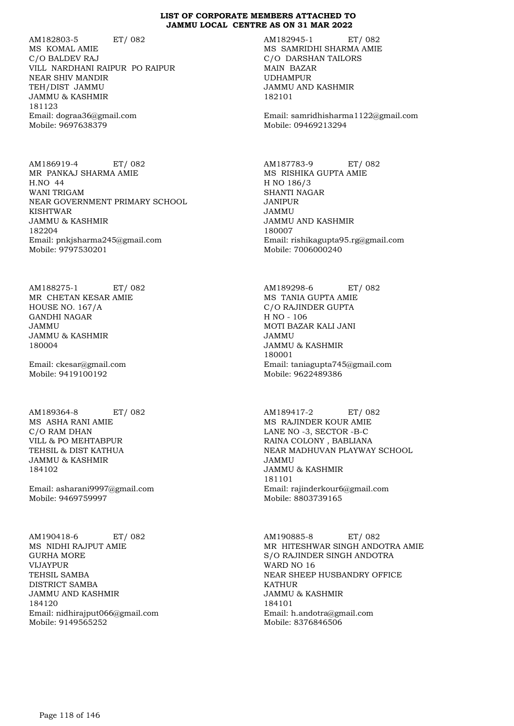AM182803-5 ET/ 082 MS KOMAL AMIE C/O BALDEV RAJ VILL NARDHANI RAIPUR PO RAIPUR NEAR SHIV MANDIR TEH/DIST JAMMU JAMMU & KASHMIR 181123 Email: dograa36@gmail.com Mobile: 9697638379

AM186919-4 ET/ 082 MR PANKAJ SHARMA AMIE H.NO 44 WANI TRIGAM NEAR GOVERNMENT PRIMARY SCHOOL KISHTWAR JAMMU & KASHMIR 182204 Email: pnkjsharma245@gmail.com Mobile: 9797530201

AM188275-1 ET/ 082 MR CHETAN KESAR AMIE HOUSE NO. 167/A GANDHI NAGAR JAMMU JAMMU & KASHMIR 180004

Email: ckesar@gmail.com Mobile: 9419100192

AM189364-8 ET/ 082 MS ASHA RANI AMIE C/O RAM DHAN VILL & PO MEHTABPUR TEHSIL & DIST KATHUA JAMMU & KASHMIR 184102

Email: asharani9997@gmail.com Mobile: 9469759997

AM190418-6 ET/ 082 MS NIDHI RAJPUT AMIE GURHA MORE VIJAYPUR TEHSIL SAMBA DISTRICT SAMBA JAMMU AND KASHMIR 184120 Email: nidhirajput066@gmail.com Mobile: 9149565252

AM182945-1 ET/ 082 MS SAMRIDHI SHARMA AMIE C/O DARSHAN TAILORS MAIN BAZAR UDHAMPUR JAMMU AND KASHMIR 182101

Email: samridhisharma1122@gmail.com Mobile: 09469213294

AM187783-9 ET/ 082 MS RISHIKA GUPTA AMIE H NO 186/3 SHANTI NAGAR JANIPUR JAMMU JAMMU AND KASHMIR 180007 Email: rishikagupta95.rg@gmail.com Mobile: 7006000240

AM189298-6 ET/ 082 MS TANIA GUPTA AMIE C/O RAJINDER GUPTA H NO - 106 MOTI BAZAR KALI JANI JAMMU JAMMU & KASHMIR 180001 Email: taniagupta745@gmail.com Mobile: 9622489386

AM189417-2 ET/ 082 MS RAJINDER KOUR AMIE LANE NO -3, SECTOR -B-C RAINA COLONY , BABLIANA NEAR MADHUVAN PLAYWAY SCHOOL JAMMU JAMMU & KASHMIR 181101 Email: rajinderkour6@gmail.com Mobile: 8803739165

AM190885-8 ET/ 082 MR HITESHWAR SINGH ANDOTRA AMIE S/O RAJINDER SINGH ANDOTRA WARD NO 16 NEAR SHEEP HUSBANDRY OFFICE KATHUR JAMMU & KASHMIR 184101 Email: h.andotra@gmail.com Mobile: 8376846506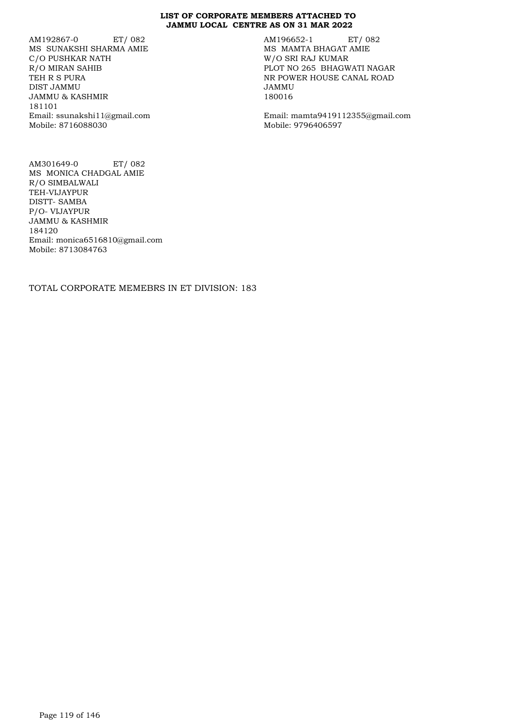AM192867-0 ET/ 082 MS SUNAKSHI SHARMA AMIE C/O PUSHKAR NATH R/O MIRAN SAHIB TEH R S PURA DIST JAMMU JAMMU & KASHMIR 181101 Email: ssunakshi11@gmail.com Mobile: 8716088030

AM196652-1 ET/ 082 MS MAMTA BHAGAT AMIE W/O SRI RAJ KUMAR PLOT NO 265 BHAGWATI NAGAR NR POWER HOUSE CANAL ROAD JAMMU 180016

Email: mamta9419112355@gmail.com Mobile: 9796406597

AM301649-0 ET/ 082 MS MONICA CHADGAL AMIE R/O SIMBALWALI TEH-VIJAYPUR DISTT- SAMBA P/O- VIJAYPUR JAMMU & KASHMIR 184120 Email: monica6516810@gmail.com Mobile: 8713084763

TOTAL CORPORATE MEMEBRS IN ET DIVISION: 183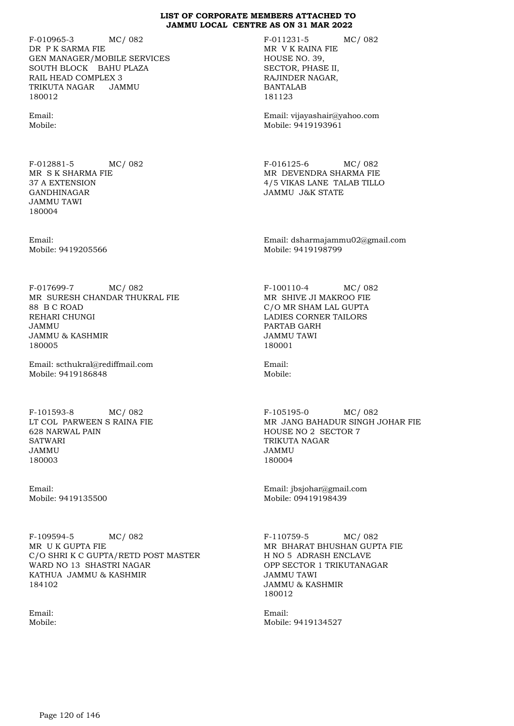F-010965-3 MC/ 082 DR P K SARMA FIE GEN MANAGER/MOBILE SERVICES SOUTH BLOCK BAHU PLAZA RAIL HEAD COMPLEX 3 TRIKUTA NAGAR JAMMU 180012

Email: Mobile:

F-012881-5 MC/ 082 MR S K SHARMA FIE 37 A EXTENSION GANDHINAGAR JAMMU TAWI 180004

Email: Mobile: 9419205566

F-017699-7 MC/ 082 MR SURESH CHANDAR THUKRAL FIE 88 B C ROAD REHARI CHUNGI JAMMU JAMMU & KASHMIR 180005

Email: scthukral@rediffmail.com Mobile: 9419186848

F-101593-8 MC/ 082 LT COL PARWEEN S RAINA FIE 628 NARWAL PAIN **SATWARI** JAMMU 180003

Email: Mobile: 9419135500

F-109594-5 MC/ 082 MR U K GUPTA FIE C/O SHRI K C GUPTA/RETD POST MASTER WARD NO 13 SHASTRI NAGAR KATHUA JAMMU & KASHMIR 184102

Email: Mobile: F-011231-5 MC/ 082 MR V K RAINA FIE HOUSE NO. 39, SECTOR, PHASE II, RAJINDER NAGAR, BANTALAB 181123

Email: vijayashair@yahoo.com Mobile: 9419193961

F-016125-6 MC/ 082 MR DEVENDRA SHARMA FIE 4/5 VIKAS LANE TALAB TILLO JAMMU J&K STATE

Email: dsharmajammu02@gmail.com Mobile: 9419198799

F-100110-4 MC/ 082 MR SHIVE JI MAKROO FIE C/O MR SHAM LAL GUPTA LADIES CORNER TAILORS PARTAB GARH JAMMU TAWI 180001

Email: Mobile:

F-105195-0 MC/ 082 MR JANG BAHADUR SINGH JOHAR FIE HOUSE NO 2 SECTOR 7 TRIKUTA NAGAR JAMMU 180004

Email: jbsjohar@gmail.com Mobile: 09419198439

F-110759-5 MC/ 082 MR BHARAT BHUSHAN GUPTA FIE H NO 5 ADRASH ENCLAVE OPP SECTOR 1 TRIKUTANAGAR JAMMU TAWI JAMMU & KASHMIR 180012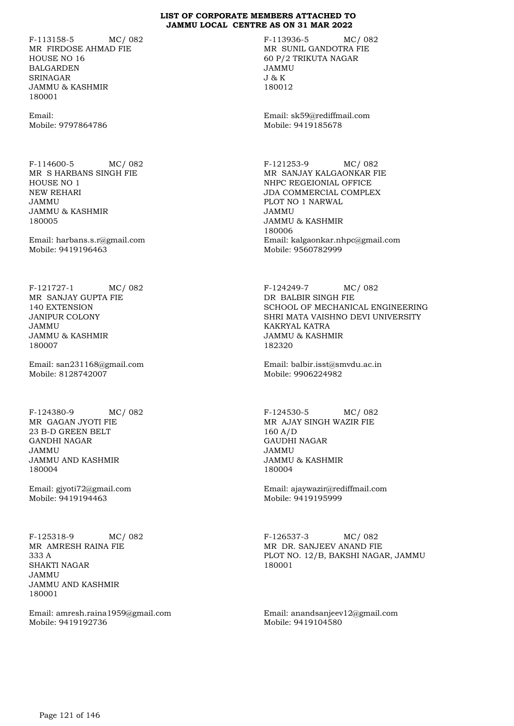F-113158-5 MC/ 082 MR FIRDOSE AHMAD FIE HOUSE NO 16 BALGARDEN SRINAGAR JAMMU & KASHMIR 180001

Email: Mobile: 9797864786

F-114600-5 MC/ 082 MR S HARBANS SINGH FIE HOUSE NO 1 NEW REHARI JAMMU JAMMU & KASHMIR 180005

Email: harbans.s.r@gmail.com Mobile: 9419196463

F-121727-1 MC/ 082 MR SANJAY GUPTA FIE 140 EXTENSION JANIPUR COLONY JAMMU JAMMU & KASHMIR 180007

Email: san231168@gmail.com Mobile: 8128742007

F-124380-9 MC/ 082 MR GAGAN JYOTI FIE 23 B-D GREEN BELT GANDHI NAGAR JAMMU JAMMU AND KASHMIR 180004

Email: gjyoti72@gmail.com Mobile: 9419194463

F-125318-9 MC/ 082 MR AMRESH RAINA FIE 333 A SHAKTI NAGAR JAMMU JAMMU AND KASHMIR 180001

Email: amresh.raina1959@gmail.com Mobile: 9419192736

F-113936-5 MC/ 082 MR SUNIL GANDOTRA FIE 60 P/2 TRIKUTA NAGAR JAMMU J & K 180012

Email: sk59@rediffmail.com Mobile: 9419185678

F-121253-9 MC/ 082 MR SANJAY KALGAONKAR FIE NHPC REGEIONIAL OFFICE JDA COMMERCIAL COMPLEX PLOT NO 1 NARWAL JAMMU JAMMU & KASHMIR 180006 Email: kalgaonkar.nhpc@gmail.com Mobile: 9560782999

F-124249-7 MC/ 082 DR BALBIR SINGH FIE SCHOOL OF MECHANICAL ENGINEERING SHRI MATA VAISHNO DEVI UNIVERSITY KAKRYAL KATRA JAMMU & KASHMIR 182320

Email: balbir.isst@smvdu.ac.in Mobile: 9906224982

F-124530-5 MC/ 082 MR AJAY SINGH WAZIR FIE 160 A/D GAUDHI NAGAR JAMMU JAMMU & KASHMIR 180004

Email: ajaywazir@rediffmail.com Mobile: 9419195999

F-126537-3 MC/ 082 MR DR. SANJEEV ANAND FIE PLOT NO. 12/B, BAKSHI NAGAR, JAMMU 180001

Email: anandsanjeev12@gmail.com Mobile: 9419104580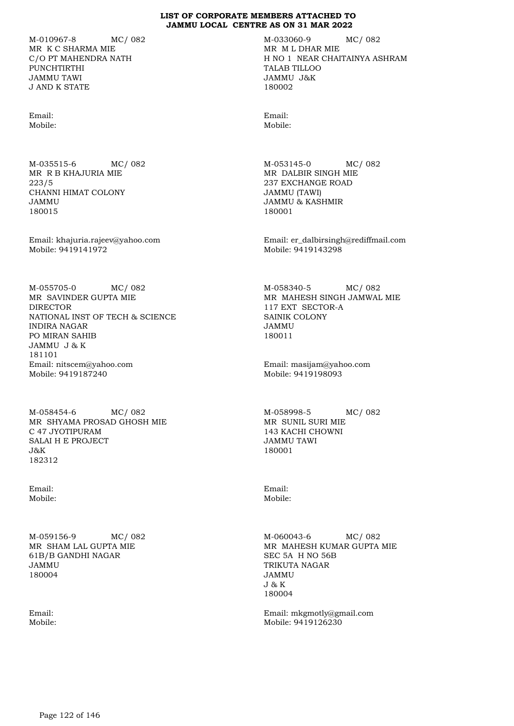M-010967-8 MC/ 082 MR K C SHARMA MIE C/O PT MAHENDRA NATH PUNCHTIRTHI JAMMU TAWI J AND K STATE

Email: Mobile:

M-035515-6 MC/ 082 MR R B KHAJURIA MIE 223/5 CHANNI HIMAT COLONY JAMMU 180015

Email: khajuria.rajeev@yahoo.com Mobile: 9419141972

M-055705-0 MC/ 082 MR SAVINDER GUPTA MIE DIRECTOR NATIONAL INST OF TECH & SCIENCE INDIRA NAGAR PO MIRAN SAHIB JAMMU J & K 181101 Email: nitscem@yahoo.com Mobile: 9419187240

M-058454-6 MC/ 082 MR SHYAMA PROSAD GHOSH MIE C 47 JYOTIPURAM SALAI H E PROJECT J&K 182312

Email: Mobile:

M-059156-9 MC/ 082 MR SHAM LAL GUPTA MIE 61B/B GANDHI NAGAR JAMMU 180004

Email: Mobile: M-033060-9 MC/ 082 MR M L DHAR MIE H NO 1 NEAR CHAITAINYA ASHRAM TALAB TILLOO JAMMU J&K 180002

Email: Mobile:

M-053145-0 MC/ 082 MR DALBIR SINGH MIE 237 EXCHANGE ROAD JAMMU (TAWI) JAMMU & KASHMIR 180001

Email: er\_dalbirsingh@rediffmail.com Mobile: 9419143298

M-058340-5 MC/ 082 MR MAHESH SINGH JAMWAL MIE 117 EXT SECTOR-A SAINIK COLONY JAMMU 180011

Email: masijam@yahoo.com Mobile: 9419198093

M-058998-5 MC/ 082 MR SUNIL SURI MIE 143 KACHI CHOWNI JAMMU TAWI 180001

Email: Mobile:

M-060043-6 MC/ 082 MR MAHESH KUMAR GUPTA MIE SEC 5A H NO 56B TRIKUTA NAGAR JAMMU J & K 180004

Email: mkgmotly@gmail.com Mobile: 9419126230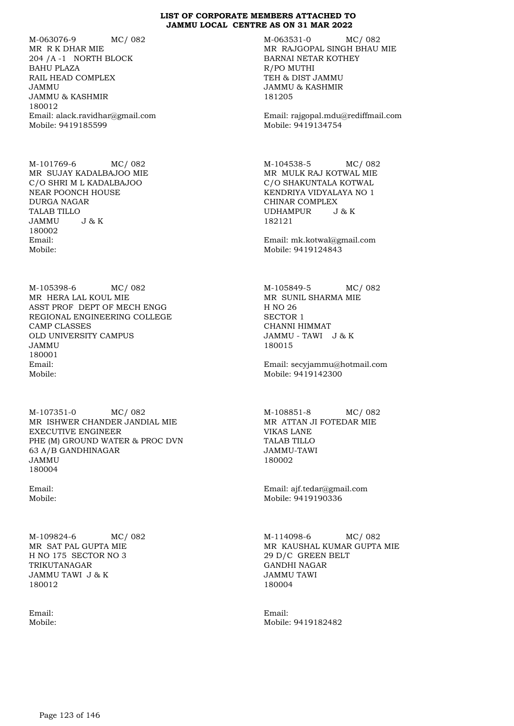M-063076-9 MC/ 082 MR R K DHAR MIE 204 /A -1 NORTH BLOCK BAHU PLAZA RAIL HEAD COMPLEX JAMMU JAMMU & KASHMIR 180012 Email: alack.ravidhar@gmail.com Mobile: 9419185599

M-101769-6 MC/ 082 MR SUJAY KADALBAJOO MIE C/O SHRI M L KADALBAJOO NEAR POONCH HOUSE DURGA NAGAR TALAB TILLO JAMMU J & K 180002 Email: Mobile:

M-105398-6 MC/ 082 MR HERA LAL KOUL MIE ASST PROF DEPT OF MECH ENGG REGIONAL ENGINEERING COLLEGE CAMP CLASSES OLD UNIVERSITY CAMPUS JAMMU 180001 Email: Mobile:

M-107351-0 MC/ 082 MR ISHWER CHANDER JANDIAL MIE EXECUTIVE ENGINEER PHE (M) GROUND WATER & PROC DVN 63 A/B GANDHINAGAR JAMMU 180004

Email: Mobile:

M-109824-6 MC/ 082 MR SAT PAL GUPTA MIE H NO 175 SECTOR NO 3 TRIKUTANAGAR JAMMU TAWI J & K 180012

Email: Mobile: M-063531-0 MC/ 082 MR RAJGOPAL SINGH BHAU MIE BARNAI NETAR KOTHEY R/PO MUTHI TEH & DIST JAMMU JAMMU & KASHMIR 181205

Email: rajgopal.mdu@rediffmail.com Mobile: 9419134754

M-104538-5 MC/ 082 MR MULK RAJ KOTWAL MIE C/O SHAKUNTALA KOTWAL KENDRIYA VIDYALAYA NO 1 CHINAR COMPLEX UDHAMPUR J & K 182121

Email: mk.kotwal@gmail.com Mobile: 9419124843

M-105849-5 MC/ 082 MR SUNIL SHARMA MIE H NO 26 SECTOR 1 CHANNI HIMMAT JAMMU - TAWI J & K 180015

Email: secyjammu@hotmail.com Mobile: 9419142300

M-108851-8 MC/ 082 MR ATTAN JI FOTEDAR MIE VIKAS LANE TALAB TILLO JAMMU-TAWI 180002

Email: ajf.tedar@gmail.com Mobile: 9419190336

M-114098-6 MC/ 082 MR KAUSHAL KUMAR GUPTA MIE 29 D/C GREEN BELT GANDHI NAGAR JAMMU TAWI 180004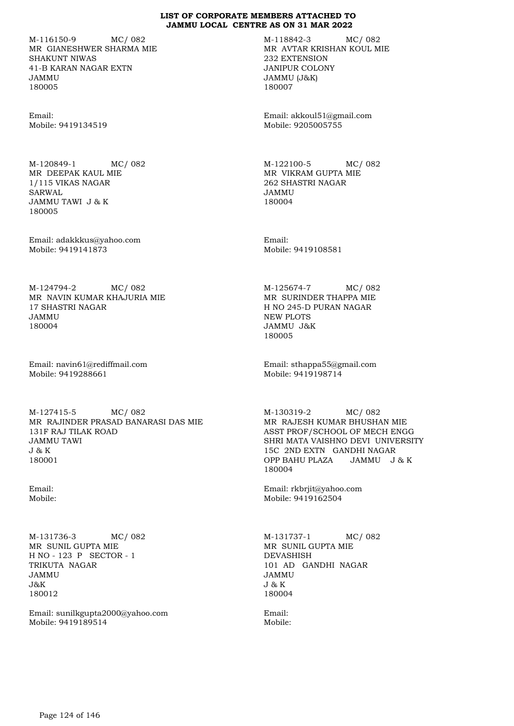M-116150-9 MC/ 082 MR GIANESHWER SHARMA MIE SHAKUNT NIWAS 41-B KARAN NAGAR EXTN JAMMU 180005

Email: Mobile: 9419134519

M-120849-1 MC/ 082 MR DEEPAK KAUL MIE 1/115 VIKAS NAGAR SARWAL JAMMU TAWI J & K 180005

Email: adakkkus@yahoo.com Mobile: 9419141873

M-124794-2 MC/ 082 MR NAVIN KUMAR KHAJURIA MIE 17 SHASTRI NAGAR JAMMU 180004

Email: navin61@rediffmail.com Mobile: 9419288661

M-127415-5 MC/ 082 MR RAJINDER PRASAD BANARASI DAS MIE 131F RAJ TILAK ROAD JAMMU TAWI J & K 180001

Email: Mobile:

M-131736-3 MC/ 082 MR SUNIL GUPTA MIE H NO - 123 P SECTOR - 1 TRIKUTA NAGAR JAMMU  $J\&K$ 180012

Email: sunilkgupta2000@yahoo.com Mobile: 9419189514

M-118842-3 MC/ 082 MR AVTAR KRISHAN KOUL MIE 232 EXTENSION JANIPUR COLONY JAMMU (J&K) 180007

Email: akkoul51@gmail.com Mobile: 9205005755

M-122100-5 MC/ 082 MR VIKRAM GUPTA MIE 262 SHASTRI NAGAR JAMMU 180004

Email: Mobile: 9419108581

M-125674-7 MC/ 082 MR SURINDER THAPPA MIE H NO 245-D PURAN NAGAR NEW PLOTS JAMMU J&K 180005

Email: sthappa55@gmail.com Mobile: 9419198714

M-130319-2 MC/ 082 MR RAJESH KUMAR BHUSHAN MIE ASST PROF/SCHOOL OF MECH ENGG SHRI MATA VAISHNO DEVI UNIVERSITY 15C 2ND EXTN GANDHI NAGAR OPP BAHU PLAZA JAMMU J & K 180004

Email: rkbrjit@yahoo.com Mobile: 9419162504

M-131737-1 MC/ 082 MR SUNIL GUPTA MIE DEVASHISH 101 AD GANDHI NAGAR JAMMU J & K 180004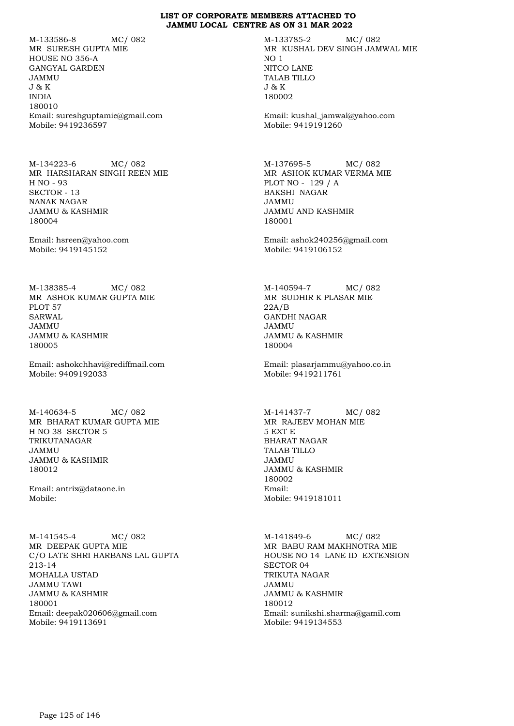M-133586-8 MC/ 082 MR SURESH GUPTA MIE HOUSE NO 356-A GANGYAL GARDEN JAMMU J & K INDIA 180010 Email: sureshguptamie@gmail.com Mobile: 9419236597

M-134223-6 MC/ 082 MR HARSHARAN SINGH REEN MIE H NO - 93 SECTOR - 13 NANAK NAGAR JAMMU & KASHMIR 180004

Email: hsreen@yahoo.com Mobile: 9419145152

M-138385-4 MC/ 082 MR ASHOK KUMAR GUPTA MIE PLOT 57 SARWAL JAMMU JAMMU & KASHMIR 180005

Email: ashokchhavi@rediffmail.com Mobile: 9409192033

M-140634-5 MC/ 082 MR BHARAT KUMAR GUPTA MIE H NO 38 SECTOR 5 TRIKUTANAGAR JAMMU JAMMU & KASHMIR 180012

Email: antrix@dataone.in Mobile:

M-141545-4 MC/ 082 MR DEEPAK GUPTA MIE C/O LATE SHRI HARBANS LAL GUPTA 213-14 MOHALLA USTAD JAMMU TAWI JAMMU & KASHMIR 180001 Email: deepak020606@gmail.com Mobile: 9419113691

M-133785-2 MC/ 082 MR KUSHAL DEV SINGH JAMWAL MIE NO 1 NITCO LANE TALAB TILLO J & K 180002

Email: kushal\_jamwal@yahoo.com Mobile: 9419191260

M-137695-5 MC/ 082 MR ASHOK KUMAR VERMA MIE PLOT NO - 129 / A BAKSHI NAGAR JAMMU JAMMU AND KASHMIR 180001

Email: ashok240256@gmail.com Mobile: 9419106152

M-140594-7 MC/ 082 MR SUDHIR K PLASAR MIE 22A/B GANDHI NAGAR JAMMU JAMMU & KASHMIR 180004

Email: plasarjammu@yahoo.co.in Mobile: 9419211761

M-141437-7 MC/ 082 MR RAJEEV MOHAN MIE 5 EXT E BHARAT NAGAR TALAB TILLO JAMMU JAMMU & KASHMIR 180002 Email: Mobile: 9419181011

M-141849-6 MC/ 082 MR BABU RAM MAKHNOTRA MIE HOUSE NO 14 LANE ID EXTENSION SECTOR 04 TRIKUTA NAGAR JAMMU JAMMU & KASHMIR 180012 Email: sunikshi.sharma@gamil.com Mobile: 9419134553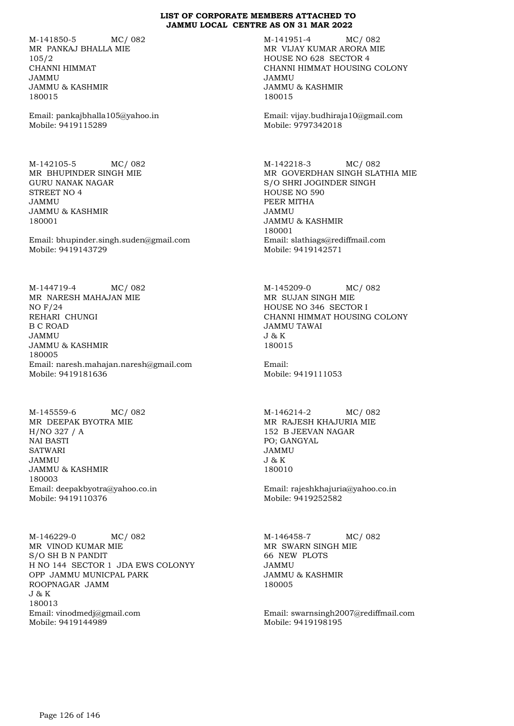M-141850-5 MC/ 082 MR PANKAJ BHALLA MIE 105/2 CHANNI HIMMAT JAMMU JAMMU & KASHMIR 180015

Email: pankajbhalla105@yahoo.in Mobile: 9419115289

M-142105-5 MC/ 082 MR BHUPINDER SINGH MIE GURU NANAK NAGAR STREET NO 4 JAMMU JAMMU & KASHMIR 180001

Email: bhupinder.singh.suden@gmail.com Mobile: 9419143729

M-144719-4 MC/ 082 MR NARESH MAHAJAN MIE NO F/24 REHARI CHUNGI B C ROAD JAMMU JAMMU & KASHMIR 180005 Email: naresh.mahajan.naresh@gmail.com Mobile: 9419181636

M-145559-6 MC/ 082 MR DEEPAK BYOTRA MIE H/NO 327 / A NAI BASTI **SATWARI** JAMMU JAMMU & KASHMIR 180003 Email: deepakbyotra@yahoo.co.in Mobile: 9419110376

M-146229-0 MC/ 082 MR VINOD KUMAR MIE S/O SH B N PANDIT H NO 144 SECTOR 1 JDA EWS COLONYY OPP JAMMU MUNICPAL PARK ROOPNAGAR JAMM J & K 180013 Email: vinodmedj@gmail.com Mobile: 9419144989

M-141951-4 MC/ 082 MR VIJAY KUMAR ARORA MIE HOUSE NO 628 SECTOR 4 CHANNI HIMMAT HOUSING COLONY JAMMU JAMMU & KASHMIR 180015

Email: vijay.budhiraja10@gmail.com Mobile: 9797342018

M-142218-3 MC/ 082 MR GOVERDHAN SINGH SLATHIA MIE S/O SHRI JOGINDER SINGH HOUSE NO 590 PEER MITHA JAMMU JAMMU & KASHMIR 180001 Email: slathiags@rediffmail.com Mobile: 9419142571

M-145209-0 MC/ 082 MR SUJAN SINGH MIE HOUSE NO 346 SECTOR I CHANNI HIMMAT HOUSING COLONY JAMMU TAWAI J & K 180015

Email: Mobile: 9419111053

M-146214-2 MC/ 082 MR RAJESH KHAJURIA MIE 152 B JEEVAN NAGAR PO; GANGYAL JAMMU J & K 180010

Email: rajeshkhajuria@yahoo.co.in Mobile: 9419252582

M-146458-7 MC/ 082 MR SWARN SINGH MIE 66 NEW PLOTS JAMMU JAMMU & KASHMIR 180005

Email: swarnsingh2007@rediffmail.com Mobile: 9419198195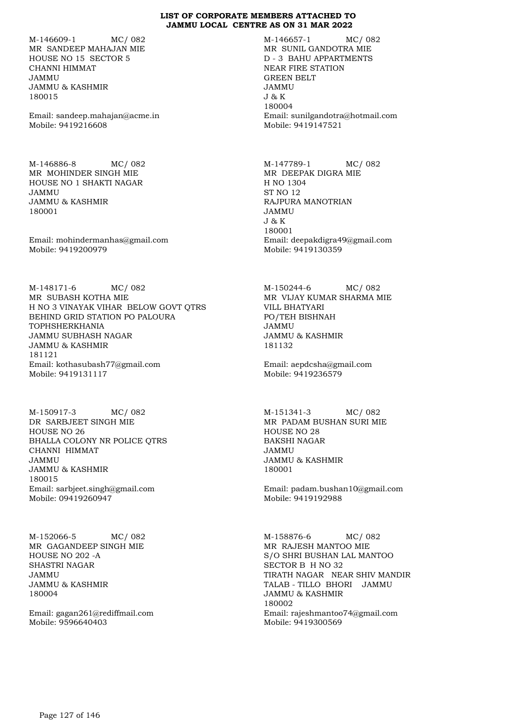M-146609-1 MC/ 082 MR SANDEEP MAHAJAN MIE HOUSE NO 15 SECTOR 5 CHANNI HIMMAT JAMMU JAMMU & KASHMIR 180015

Email: sandeep.mahajan@acme.in Mobile: 9419216608

M-146886-8 MC/ 082 MR MOHINDER SINGH MIE HOUSE NO 1 SHAKTI NAGAR JAMMU JAMMU & KASHMIR 180001

Email: mohindermanhas@gmail.com Mobile: 9419200979

M-148171-6 MC/ 082 MR SUBASH KOTHA MIE H NO 3 VINAYAK VIHAR BELOW GOVT QTRS BEHIND GRID STATION PO PALOURA TOPHSHERKHANIA JAMMU SUBHASH NAGAR JAMMU & KASHMIR 181121 Email: kothasubash77@gmail.com Mobile: 9419131117

M-150917-3 MC/ 082 DR SARBJEET SINGH MIE HOUSE NO 26 BHALLA COLONY NR POLICE QTRS CHANNI HIMMAT JAMMU JAMMU & KASHMIR 180015 Email: sarbjeet.singh@gmail.com Mobile: 09419260947

M-152066-5 MC/ 082 MR GAGANDEEP SINGH MIE HOUSE NO 202 -A SHASTRI NAGAR JAMMU JAMMU & KASHMIR 180004

Email: gagan261@rediffmail.com Mobile: 9596640403

M-146657-1 MC/ 082 MR SUNIL GANDOTRA MIE D - 3 BAHU APPARTMENTS NEAR FIRE STATION GREEN BELT JAMMU J & K 180004 Email: sunilgandotra@hotmail.com Mobile: 9419147521

M-147789-1 MC/ 082 MR DEEPAK DIGRA MIE H NO 1304 ST NO 12 RAJPURA MANOTRIAN JAMMU J & K 180001 Email: deepakdigra49@gmail.com Mobile: 9419130359

M-150244-6 MC/ 082 MR VIJAY KUMAR SHARMA MIE VILL BHATYARI PO/TEH BISHNAH JAMMU JAMMU & KASHMIR 181132

Email: aepdcsha@gmail.com Mobile: 9419236579

M-151341-3 MC/ 082 MR PADAM BUSHAN SURI MIE HOUSE NO 28 BAKSHI NAGAR JAMMU JAMMU & KASHMIR 180001

Email: padam.bushan10@gmail.com Mobile: 9419192988

M-158876-6 MC/ 082 MR RAJESH MANTOO MIE S/O SHRI BUSHAN LAL MANTOO SECTOR B H NO 32 TIRATH NAGAR NEAR SHIV MANDIR TALAB - TILLO BHORI JAMMU JAMMU & KASHMIR 180002 Email: rajeshmantoo74@gmail.com Mobile: 9419300569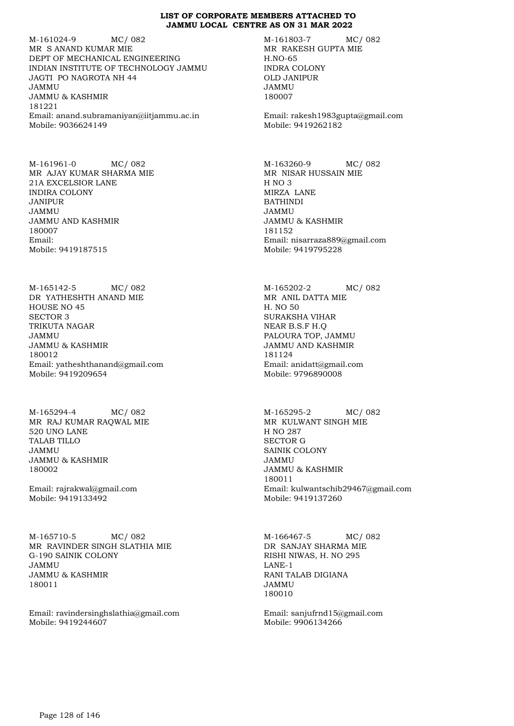M-161024-9 MC/ 082 MR S ANAND KUMAR MIE DEPT OF MECHANICAL ENGINEERING INDIAN INSTITUTE OF TECHNOLOGY JAMMU JAGTI PO NAGROTA NH 44 JAMMU JAMMU & KASHMIR 181221 Email: anand.subramaniyan@iitjammu.ac.in Mobile: 9036624149

M-161961-0 MC/ 082 MR AJAY KUMAR SHARMA MIE 21A EXCELSIOR LANE INDIRA COLONY JANIPUR JAMMU JAMMU AND KASHMIR 180007 Email: Mobile: 9419187515

M-165142-5 MC/ 082 DR YATHESHTH ANAND MIE HOUSE NO 45 SECTOR 3 TRIKUTA NAGAR JAMMU JAMMU & KASHMIR 180012 Email: yatheshthanand@gmail.com Mobile: 9419209654

M-165294-4 MC/ 082 MR RAJ KUMAR RAQWAL MIE 520 UNO LANE TALAB TILLO JAMMU JAMMU & KASHMIR 180002

Email: rajrakwal@gmail.com Mobile: 9419133492

M-165710-5 MC/ 082 MR RAVINDER SINGH SLATHIA MIE G-190 SAINIK COLONY JAMMU JAMMU & KASHMIR 180011

Email: ravindersinghslathia@gmail.com Mobile: 9419244607

M-161803-7 MC/ 082 MR RAKESH GUPTA MIE H.NO-65 INDRA COLONY OLD JANIPUR JAMMU 180007

Email: rakesh1983gupta@gmail.com Mobile: 9419262182

M-163260-9 MC/ 082 MR NISAR HUSSAIN MIE H NO 3 MIRZA LANE BATHINDI JAMMU JAMMU & KASHMIR 181152 Email: nisarraza889@gmail.com Mobile: 9419795228

M-165202-2 MC/ 082 MR ANIL DATTA MIE H. NO 50 SURAKSHA VIHAR NEAR B.S.F H.Q PALOURA TOP, JAMMU JAMMU AND KASHMIR 181124 Email: anidatt@gmail.com Mobile: 9796890008

M-165295-2 MC/ 082 MR KULWANT SINGH MIE H NO 287 SECTOR G SAINIK COLONY JAMMU JAMMU & KASHMIR 180011 Email: kulwantschib29467@gmail.com Mobile: 9419137260

M-166467-5 MC/ 082 DR SANJAY SHARMA MIE RISHI NIWAS, H. NO 295 LANE-1 RANI TALAB DIGIANA JAMMU 180010

Email: sanjufrnd15@gmail.com Mobile: 9906134266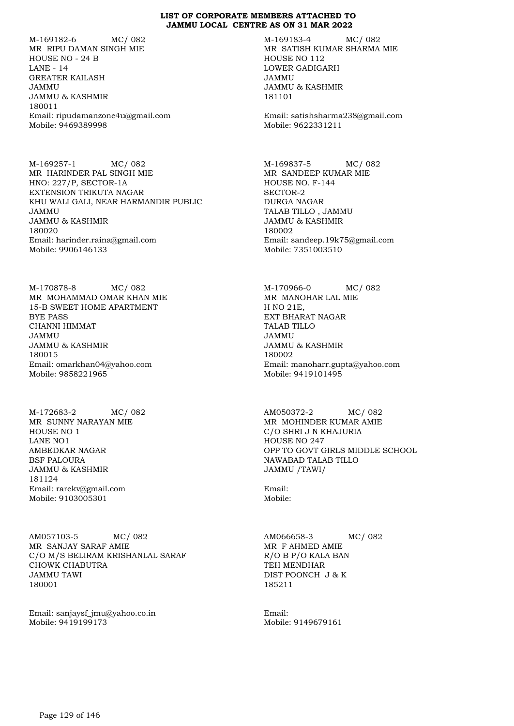M-169182-6 MC/ 082 MR RIPU DAMAN SINGH MIE HOUSE NO - 24 B LANE - 14 GREATER KAILASH JAMMU JAMMU & KASHMIR 180011 Email: ripudamanzone4u@gmail.com Mobile: 9469389998

M-169257-1 MC/ 082 MR HARINDER PAL SINGH MIE HNO: 227/P, SECTOR-1A EXTENSION TRIKUTA NAGAR KHU WALI GALI, NEAR HARMANDIR PUBLIC JAMMU JAMMU & KASHMIR 180020 Email: harinder.raina@gmail.com Mobile: 9906146133

M-170878-8 MC/ 082 MR MOHAMMAD OMAR KHAN MIE 15-B SWEET HOME APARTMENT BYE PASS CHANNI HIMMAT JAMMU JAMMU & KASHMIR 180015 Email: omarkhan04@yahoo.com Mobile: 9858221965

M-172683-2 MC/ 082 MR SUNNY NARAYAN MIE HOUSE NO 1 LANE NO1 AMBEDKAR NAGAR BSF PALOURA JAMMU & KASHMIR 181124 Email: rarekv@gmail.com Mobile: 9103005301

AM057103-5 MC/ 082 MR SANJAY SARAF AMIE C/O M/S BELIRAM KRISHANLAL SARAF CHOWK CHABUTRA JAMMU TAWI 180001

Email: sanjaysf\_jmu@yahoo.co.in Mobile: 9419199173

M-169183-4 MC/ 082 MR SATISH KUMAR SHARMA MIE HOUSE NO 112 LOWER GADIGARH JAMMU JAMMU & KASHMIR 181101

Email: satishsharma238@gmail.com Mobile: 9622331211

M-169837-5 MC/ 082 MR SANDEEP KUMAR MIE HOUSE NO. F-144 SECTOR-2 DURGA NAGAR TALAB TILLO , JAMMU JAMMU & KASHMIR 180002 Email: sandeep.19k75@gmail.com Mobile: 7351003510

M-170966-0 MC/ 082 MR MANOHAR LAL MIE H NO 21E, EXT BHARAT NAGAR TALAB TILLO JAMMU JAMMU & KASHMIR 180002 Email: manoharr.gupta@yahoo.com Mobile: 9419101495

AM050372-2 MC/ 082 MR MOHINDER KUMAR AMIE C/O SHRI J N KHAJURIA HOUSE NO 247 OPP TO GOVT GIRLS MIDDLE SCHOOL NAWABAD TALAB TILLO JAMMU /TAWI/

Email: Mobile:

AM066658-3 MC/ 082 MR F AHMED AMIE R/O B P/O KALA BAN TEH MENDHAR DIST POONCH J & K 185211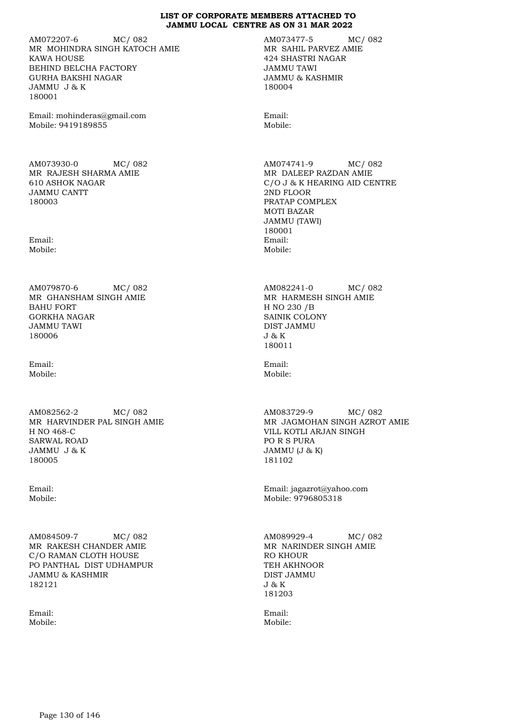AM072207-6 MC/ 082 MR MOHINDRA SINGH KATOCH AMIE KAWA HOUSE BEHIND BELCHA FACTORY GURHA BAKSHI NAGAR JAMMU J & K 180001

Email: mohinderas@gmail.com Mobile: 9419189855

AM073930-0 MC/ 082 MR RAJESH SHARMA AMIE 610 ASHOK NAGAR JAMMU CANTT 180003

Email: Mobile:

AM079870-6 MC/ 082 MR GHANSHAM SINGH AMIE BAHU FORT GORKHA NAGAR JAMMU TAWI 180006

Email: Mobile:

AM082562-2 MC/ 082 MR HARVINDER PAL SINGH AMIE H NO 468-C SARWAL ROAD JAMMU J & K 180005

Email: Mobile:

AM084509-7 MC/ 082 MR RAKESH CHANDER AMIE C/O RAMAN CLOTH HOUSE PO PANTHAL DIST UDHAMPUR JAMMU & KASHMIR 182121

Email: Mobile: AM073477-5 MC/ 082 MR SAHIL PARVEZ AMIE 424 SHASTRI NAGAR JAMMU TAWI JAMMU & KASHMIR 180004

Email: Mobile:

AM074741-9 MC/ 082 MR DALEEP RAZDAN AMIE C/O J & K HEARING AID CENTRE 2ND FLOOR PRATAP COMPLEX MOTI BAZAR JAMMU (TAWI) 180001 Email: Mobile:

AM082241-0 MC/ 082 MR HARMESH SINGH AMIE H NO 230 /B SAINIK COLONY DIST JAMMU J & K 180011

Email: Mobile:

AM083729-9 MC/ 082 MR JAGMOHAN SINGH AZROT AMIE VILL KOTLI ARJAN SINGH PO R S PURA JAMMU (J & K) 181102

Email: jagazrot@yahoo.com Mobile: 9796805318

AM089929-4 MC/ 082 MR NARINDER SINGH AMIE RO KHOUR TEH AKHNOOR DIST JAMMU J & K 181203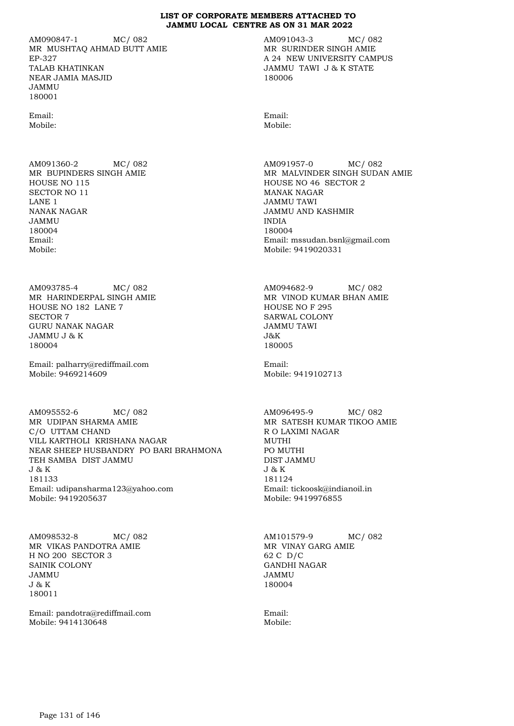AM090847-1 MC/ 082 MR MUSHTAQ AHMAD BUTT AMIE EP-327 TALAB KHATINKAN NEAR JAMIA MASJID JAMMU 180001

Email: Mobile:

AM091360-2 MC/ 082 MR BUPINDERS SINGH AMIE HOUSE NO 115 SECTOR NO 11 LANE 1 NANAK NAGAR JAMMU 180004 Email: Mobile:

AM093785-4 MC/ 082 MR HARINDERPAL SINGH AMIE HOUSE NO 182 LANE 7 SECTOR 7 GURU NANAK NAGAR JAMMU J & K 180004

Email: palharry@rediffmail.com Mobile: 9469214609

AM095552-6 MC/ 082 MR UDIPAN SHARMA AMIE C/O UTTAM CHAND VILL KARTHOLI KRISHANA NAGAR NEAR SHEEP HUSBANDRY PO BARI BRAHMONA TEH SAMBA DIST JAMMU J & K 181133 Email: udipansharma123@yahoo.com Mobile: 9419205637

AM098532-8 MC/ 082 MR VIKAS PANDOTRA AMIE H NO 200 SECTOR 3 SAINIK COLONY JAMMU J & K 180011

Email: pandotra@rediffmail.com Mobile: 9414130648

AM091043-3 MC/ 082 MR SURINDER SINGH AMIE A 24 NEW UNIVERSITY CAMPUS JAMMU TAWI J & K STATE 180006

Email: Mobile:

AM091957-0 MC/ 082 MR MALVINDER SINGH SUDAN AMIE HOUSE NO 46 SECTOR 2 MANAK NAGAR JAMMU TAWI JAMMU AND KASHMIR INDIA 180004 Email: mssudan.bsnl@gmail.com Mobile: 9419020331

AM094682-9 MC/ 082 MR VINOD KUMAR BHAN AMIE HOUSE NO F 295 SARWAL COLONY JAMMU TAWI J&K 180005

Email: Mobile: 9419102713

AM096495-9 MC/ 082 MR SATESH KUMAR TIKOO AMIE R O LAXIMI NAGAR MUTHI PO MUTHI DIST JAMMU J & K 181124 Email: tickoosk@indianoil.in Mobile: 9419976855

AM101579-9 MC/ 082 MR VINAY GARG AMIE 62 C D/C GANDHI NAGAR JAMMU 180004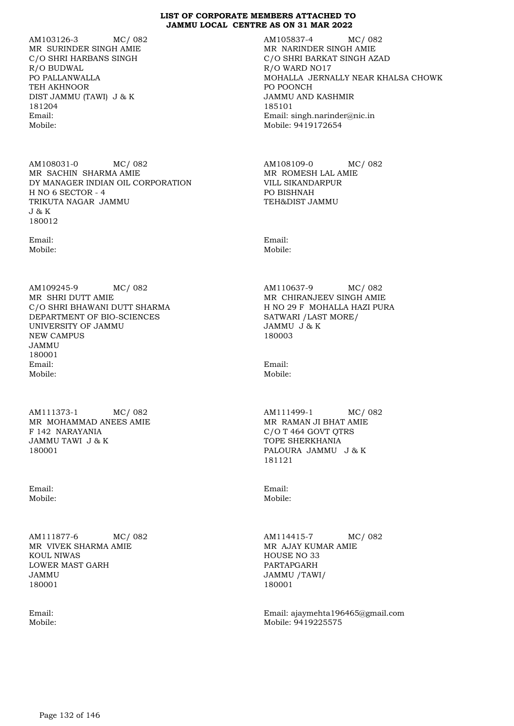AM103126-3 MC/ 082 MR SURINDER SINGH AMIE C/O SHRI HARBANS SINGH R/O BUDWAL PO PALLANWALLA TEH AKHNOOR DIST JAMMU (TAWI) J & K 181204 Email: Mobile:

AM108031-0 MC/ 082 MR SACHIN SHARMA AMIE DY MANAGER INDIAN OIL CORPORATION H NO 6 SECTOR - 4 TRIKUTA NAGAR JAMMU J & K 180012

Email: Mobile:

AM109245-9 MC/ 082 MR SHRI DUTT AMIE C/O SHRI BHAWANI DUTT SHARMA DEPARTMENT OF BIO-SCIENCES UNIVERSITY OF JAMMU NEW CAMPUS JAMMU 180001 Email: Mobile:

AM111373-1 MC/ 082 MR MOHAMMAD ANEES AMIE F 142 NARAYANIA JAMMU TAWI J & K 180001

Email: Mobile:

AM111877-6 MC/ 082 MR VIVEK SHARMA AMIE KOUL NIWAS LOWER MAST GARH JAMMU 180001

Email: Mobile: AM105837-4 MC/ 082 MR NARINDER SINGH AMIE C/O SHRI BARKAT SINGH AZAD R/O WARD NO17 MOHALLA JERNALLY NEAR KHALSA CHOWK PO POONCH JAMMU AND KASHMIR 185101 Email: singh.narinder@nic.in Mobile: 9419172654

AM108109-0 MC/ 082 MR ROMESH LAL AMIE VILL SIKANDARPUR PO BISHNAH TEH&DIST JAMMU

Email: Mobile:

AM110637-9 MC/ 082 MR CHIRANJEEV SINGH AMIE H NO 29 F MOHALLA HAZI PURA SATWARI /LAST MORE/ JAMMU J & K 180003

Email: Mobile:

AM111499-1 MC/ 082 MR RAMAN JI BHAT AMIE C/O T 464 GOVT QTRS TOPE SHERKHANIA PALOURA JAMMU J & K 181121

Email: Mobile:

AM114415-7 MC/ 082 MR AJAY KUMAR AMIE HOUSE NO 33 PARTAPGARH JAMMU /TAWI/ 180001

Email: ajaymehta196465@gmail.com Mobile: 9419225575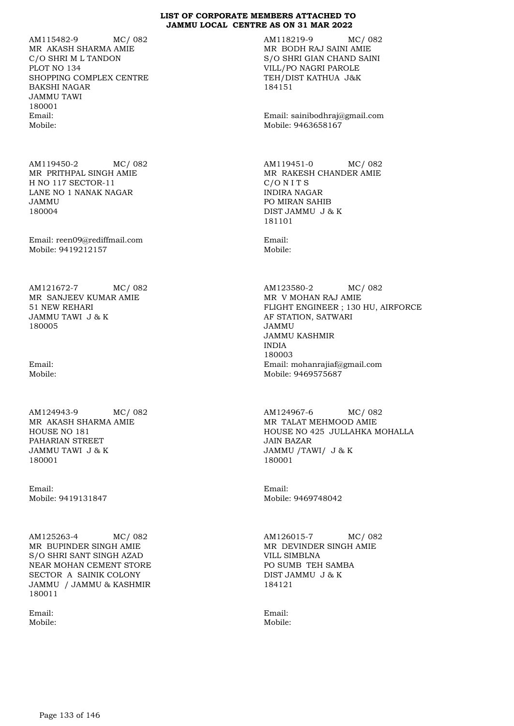AM115482-9 MC/ 082 MR AKASH SHARMA AMIE C/O SHRI M L TANDON PLOT NO 134 SHOPPING COMPLEX CENTRE BAKSHI NAGAR JAMMU TAWI 180001 Email: Mobile:

AM119450-2 MC/ 082 MR PRITHPAL SINGH AMIE H NO 117 SECTOR-11 LANE NO 1 NANAK NAGAR JAMMU 180004

Email: reen09@rediffmail.com Mobile: 9419212157

AM121672-7 MC/ 082 MR SANJEEV KUMAR AMIE 51 NEW REHARI JAMMU TAWI J & K 180005

Email: Mobile:

AM124943-9 MC/ 082 MR AKASH SHARMA AMIE HOUSE NO 181 PAHARIAN STREET JAMMU TAWI J & K 180001

Email: Mobile: 9419131847

AM125263-4 MC/ 082 MR BUPINDER SINGH AMIE S/O SHRI SANT SINGH AZAD NEAR MOHAN CEMENT STORE SECTOR A SAINIK COLONY JAMMU / JAMMU & KASHMIR 180011

Email: Mobile: AM118219-9 MC/ 082 MR BODH RAJ SAINI AMIE S/O SHRI GIAN CHAND SAINI VILL/PO NAGRI PAROLE TEH/DIST KATHUA J&K 184151

Email: sainibodhraj@gmail.com Mobile: 9463658167

AM119451-0 MC/ 082 MR RAKESH CHANDER AMIE C/O N I T S INDIRA NAGAR PO MIRAN SAHIB DIST JAMMU J & K 181101

Email: Mobile:

AM123580-2 MC/ 082 MR V MOHAN RAJ AMIE FLIGHT ENGINEER ; 130 HU, AIRFORCE AF STATION, SATWARI JAMMU JAMMU KASHMIR INDIA 180003 Email: mohanrajiaf@gmail.com Mobile: 9469575687

AM124967-6 MC/ 082 MR TALAT MEHMOOD AMIE HOUSE NO 425 JULLAHKA MOHALLA JAIN BAZAR JAMMU /TAWI/ J & K 180001

Email: Mobile: 9469748042

AM126015-7 MC/ 082 MR DEVINDER SINGH AMIE VILL SIMBLNA PO SUMB TEH SAMBA DIST JAMMU J & K 184121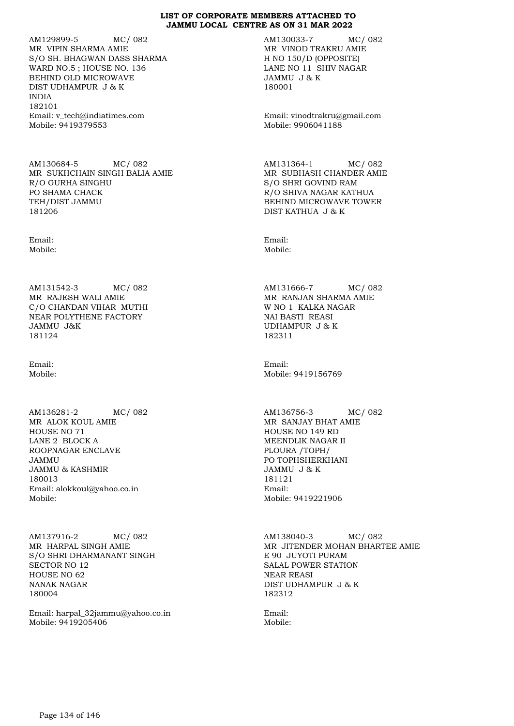AM129899-5 MC/ 082 MR VIPIN SHARMA AMIE S/O SH. BHAGWAN DASS SHARMA WARD NO.5 ; HOUSE NO. 136 BEHIND OLD MICROWAVE DIST UDHAMPUR J & K INDIA 182101 Email: v\_tech@indiatimes.com Mobile: 9419379553

AM130684-5 MC/ 082 MR SUKHCHAIN SINGH BALIA AMIE R/O GURHA SINGHU PO SHAMA CHACK TEH/DIST JAMMU 181206

Email: Mobile:

AM131542-3 MC/ 082 MR RAJESH WALI AMIE C/O CHANDAN VIHAR MUTHI NEAR POLYTHENE FACTORY JAMMU J&K 181124

Email: Mobile:

AM136281-2 MC/ 082 MR ALOK KOUL AMIE HOUSE NO 71 LANE 2 BLOCK A ROOPNAGAR ENCLAVE JAMMU JAMMU & KASHMIR 180013 Email: alokkoul@yahoo.co.in Mobile:

AM137916-2 MC/ 082 MR HARPAL SINGH AMIE S/O SHRI DHARMANANT SINGH SECTOR NO 12 HOUSE NO 62 NANAK NAGAR 180004

Email: harpal\_32jammu@yahoo.co.in Mobile: 9419205406

AM130033-7 MC/ 082 MR VINOD TRAKRU AMIE H NO 150/D (OPPOSITE) LANE NO 11 SHIV NAGAR JAMMU J & K 180001

Email: vinodtrakru@gmail.com Mobile: 9906041188

AM131364-1 MC/ 082 MR SUBHASH CHANDER AMIE S/O SHRI GOVIND RAM R/O SHIVA NAGAR KATHUA BEHIND MICROWAVE TOWER DIST KATHUA J & K

Email: Mobile:

AM131666-7 MC/ 082 MR RANJAN SHARMA AMIE W NO 1 KALKA NAGAR NAI BASTI REASI UDHAMPUR J & K 182311

Email: Mobile: 9419156769

AM136756-3 MC/ 082 MR SANJAY BHAT AMIE HOUSE NO 149 RD MEENDLIK NAGAR II PLOURA /TOPH/ PO TOPHSHERKHANI JAMMU J & K 181121 Email: Mobile: 9419221906

AM138040-3 MC/ 082 MR JITENDER MOHAN BHARTEE AMIE E 90 JUYOTI PURAM SALAL POWER STATION NEAR REASI DIST UDHAMPUR J & K 182312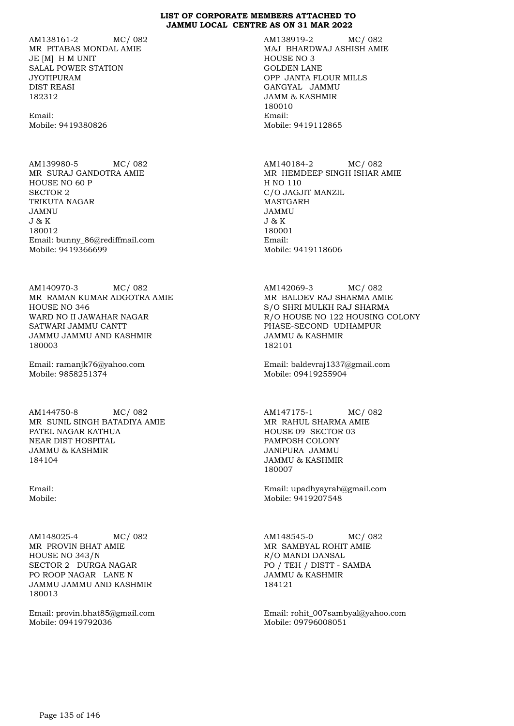AM138161-2 MC/ 082 MR PITABAS MONDAL AMIE JE [M] H M UNIT SALAL POWER STATION JYOTIPURAM DIST REASI 182312

Email: Mobile: 9419380826

AM139980-5 MC/ 082 MR SURAJ GANDOTRA AMIE HOUSE NO 60 P SECTOR 2 TRIKUTA NAGAR JAMNU J & K 180012 Email: bunny\_86@rediffmail.com Mobile: 9419366699

AM140970-3 MC/ 082 MR RAMAN KUMAR ADGOTRA AMIE HOUSE NO 346 WARD NO II JAWAHAR NAGAR SATWARI JAMMU CANTT JAMMU JAMMU AND KASHMIR 180003

Email: ramanjk76@yahoo.com Mobile: 9858251374

AM144750-8 MC/ 082 MR SUNIL SINGH BATADIYA AMIE PATEL NAGAR KATHUA NEAR DIST HOSPITAL JAMMU & KASHMIR 184104

Email: Mobile:

AM148025-4 MC/ 082 MR PROVIN BHAT AMIE HOUSE NO 343/N SECTOR 2 DURGA NAGAR PO ROOP NAGAR LANE N JAMMU JAMMU AND KASHMIR 180013

Email: provin.bhat85@gmail.com Mobile: 09419792036

AM138919-2 MC/ 082 MAJ BHARDWAJ ASHISH AMIE HOUSE NO 3 GOLDEN LANE OPP JANTA FLOUR MILLS GANGYAL JAMMU JAMM & KASHMIR 180010 Email: Mobile: 9419112865

AM140184-2 MC/ 082 MR HEMDEEP SINGH ISHAR AMIE H NO 110 C/O JAGJIT MANZIL MASTGARH JAMMU J & K 180001 Email: Mobile: 9419118606

AM142069-3 MC/ 082 MR BALDEV RAJ SHARMA AMIE S/O SHRI MULKH RAJ SHARMA R/O HOUSE NO 122 HOUSING COLONY PHASE-SECOND UDHAMPUR JAMMU & KASHMIR 182101

Email: baldevraj1337@gmail.com Mobile: 09419255904

AM147175-1 MC/ 082 MR RAHUL SHARMA AMIE HOUSE 09 SECTOR 03 PAMPOSH COLONY JANIPURA JAMMU JAMMU & KASHMIR 180007

Email: upadhyayrah@gmail.com Mobile: 9419207548

AM148545-0 MC/ 082 MR SAMBYAL ROHIT AMIE R/O MANDI DANSAL PO / TEH / DISTT - SAMBA JAMMU & KASHMIR 184121

Email: rohit\_007sambyal@yahoo.com Mobile: 09796008051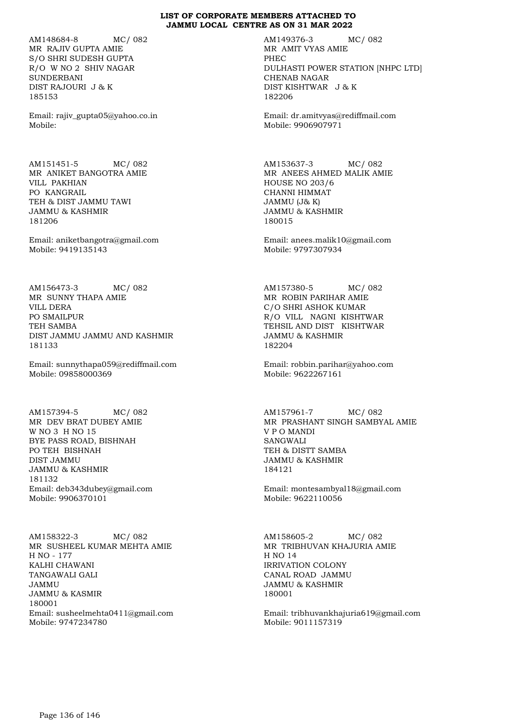AM148684-8 MC/ 082 MR RAJIV GUPTA AMIE S/O SHRI SUDESH GUPTA R/O W NO 2 SHIV NAGAR SUNDERBANI DIST RAJOURI J & K 185153

Email: rajiv\_gupta05@yahoo.co.in Mobile:

AM151451-5 MC/ 082 MR ANIKET BANGOTRA AMIE VILL PAKHIAN PO KANGRAIL TEH & DIST JAMMU TAWI JAMMU & KASHMIR 181206

Email: aniketbangotra@gmail.com Mobile: 9419135143

AM156473-3 MC/ 082 MR SUNNY THAPA AMIE VILL DERA PO SMAILPUR TEH SAMBA DIST JAMMU JAMMU AND KASHMIR 181133

Email: sunnythapa059@rediffmail.com Mobile: 09858000369

AM157394-5 MC/ 082 MR DEV BRAT DUBEY AMIE W NO 3 H NO 15 BYE PASS ROAD, BISHNAH PO TEH BISHNAH DIST JAMMU JAMMU & KASHMIR 181132 Email: deb343dubey@gmail.com Mobile: 9906370101

AM158322-3 MC/ 082 MR SUSHEEL KUMAR MEHTA AMIE H NO - 177 KALHI CHAWANI TANGAWALI GALI JAMMU JAMMU & KASMIR 180001 Email: susheelmehta0411@gmail.com Mobile: 9747234780

AM149376-3 MC/ 082 MR AMIT VYAS AMIE PHEC DULHASTI POWER STATION [NHPC LTD] CHENAB NAGAR DIST KISHTWAR J & K 182206

Email: dr.amitvyas@rediffmail.com Mobile: 9906907971

AM153637-3 MC/ 082 MR ANEES AHMED MALIK AMIE HOUSE NO 203/6 CHANNI HIMMAT JAMMU (J& K) JAMMU & KASHMIR 180015

Email: anees.malik10@gmail.com Mobile: 9797307934

AM157380-5 MC/ 082 MR ROBIN PARIHAR AMIE C/O SHRI ASHOK KUMAR R/O VILL NAGNI KISHTWAR TEHSIL AND DIST KISHTWAR JAMMU & KASHMIR 182204

Email: robbin.parihar@yahoo.com Mobile: 9622267161

AM157961-7 MC/ 082 MR PRASHANT SINGH SAMBYAL AMIE V P O MANDI SANGWALI TEH & DISTT SAMBA JAMMU & KASHMIR 184121

Email: montesambyal18@gmail.com Mobile: 9622110056

AM158605-2 MC/ 082 MR TRIBHUVAN KHAJURIA AMIE H NO 14 IRRIVATION COLONY CANAL ROAD JAMMU JAMMU & KASHMIR 180001

Email: tribhuvankhajuria619@gmail.com Mobile: 9011157319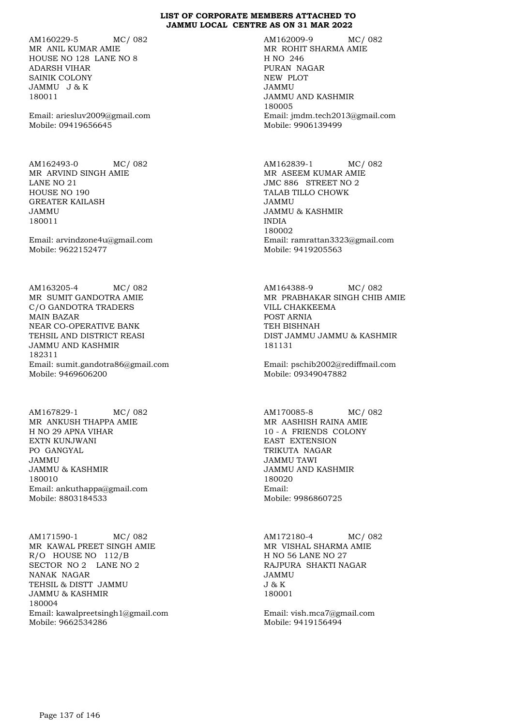AM160229-5 MC/ 082 MR ANIL KUMAR AMIE HOUSE NO 128 LANE NO 8 ADARSH VIHAR SAINIK COLONY JAMMU J & K 180011

Email: ariesluv2009@gmail.com Mobile: 09419656645

AM162493-0 MC/ 082 MR ARVIND SINGH AMIE LANE NO 21 HOUSE NO 190 GREATER KAILASH JAMMU 180011

Email: arvindzone4u@gmail.com Mobile: 9622152477

AM163205-4 MC/ 082 MR SUMIT GANDOTRA AMIE C/O GANDOTRA TRADERS MAIN BAZAR NEAR CO-OPERATIVE BANK TEHSIL AND DISTRICT REASI JAMMU AND KASHMIR 182311 Email: sumit.gandotra86@gmail.com Mobile: 9469606200

AM167829-1 MC/ 082 MR ANKUSH THAPPA AMIE H NO 29 APNA VIHAR EXTN KUNJWANI PO GANGYAL JAMMU JAMMU & KASHMIR 180010 Email: ankuthappa@gmail.com Mobile: 8803184533

AM171590-1 MC/ 082 MR KAWAL PREET SINGH AMIE R/O HOUSE NO 112/B SECTOR NO 2 LANE NO 2 NANAK NAGAR TEHSIL & DISTT JAMMU JAMMU & KASHMIR 180004 Email: kawalpreetsingh1@gmail.com Mobile: 9662534286

AM162009-9 MC/ 082 MR ROHIT SHARMA AMIE H NO 246 PURAN NAGAR NEW PLOT JAMMU JAMMU AND KASHMIR 180005 Email: jmdm.tech2013@gmail.com Mobile: 9906139499

AM162839-1 MC/ 082 MR ASEEM KUMAR AMIE JMC 886 STREET NO 2 TALAB TILLO CHOWK JAMMU JAMMU & KASHMIR INDIA 180002 Email: ramrattan3323@gmail.com Mobile: 9419205563

AM164388-9 MC/ 082 MR PRABHAKAR SINGH CHIB AMIE VILL CHAKKEEMA POST ARNIA TEH BISHNAH DIST JAMMU JAMMU & KASHMIR 181131

Email: pschib2002@rediffmail.com Mobile: 09349047882

AM170085-8 MC/ 082 MR AASHISH RAINA AMIE 10 - A FRIENDS COLONY EAST EXTENSION TRIKUTA NAGAR JAMMU TAWI JAMMU AND KASHMIR 180020 Email: Mobile: 9986860725

AM172180-4 MC/ 082 MR VISHAL SHARMA AMIE H NO 56 LANE NO 27 RAJPURA SHAKTI NAGAR JAMMU J & K 180001

Email: vish.mca7@gmail.com Mobile: 9419156494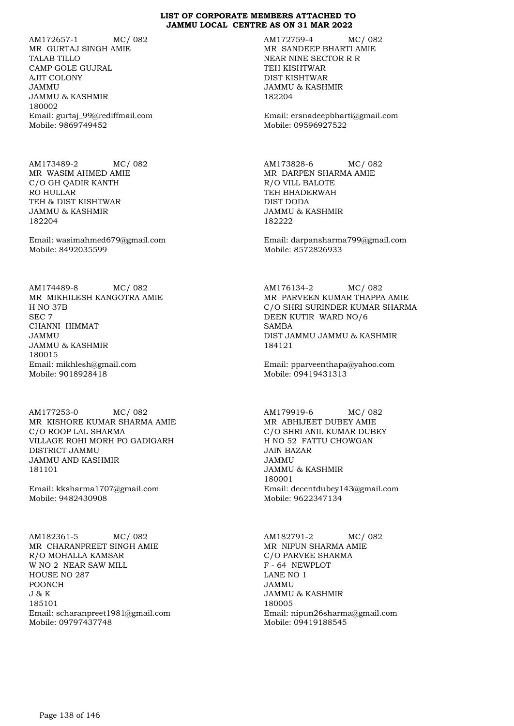AM172657-1 MC/ 082 MR GURTAJ SINGH AMIE TALAB TILLO CAMP GOLE GUJRAL AJIT COLONY JAMMU JAMMU & KASHMIR 180002 Email: gurtaj\_99@rediffmail.com Mobile: 9869749452

AM173489-2 MC/ 082 MR WASIM AHMED AMIE C/O GH QADIR KANTH RO HULLAR TEH & DIST KISHTWAR JAMMU & KASHMIR 182204

Email: wasimahmed679@gmail.com Mobile: 8492035599

AM174489-8 MC/ 082 MR MIKHILESH KANGOTRA AMIE H NO 37B SEC 7 CHANNI HIMMAT JAMMU JAMMU & KASHMIR 180015 Email: mikhlesh@gmail.com Mobile: 9018928418

AM177253-0 MC/ 082 MR KISHORE KUMAR SHARMA AMIE C/O ROOP LAL SHARMA VILLAGE ROHI MORH PO GADIGARH DISTRICT JAMMU JAMMU AND KASHMIR 181101

Email: kksharma1707@gmail.com Mobile: 9482430908

AM182361-5 MC/ 082 MR CHARANPREET SINGH AMIE R/O MOHALLA KAMSAR W NO 2 NEAR SAW MILL HOUSE NO 287 POONCH J & K 185101 Email: scharanpreet1981@gmail.com Mobile: 09797437748

AM172759-4 MC/ 082 MR SANDEEP BHARTI AMIE NEAR NINE SECTOR R R TEH KISHTWAR DIST KISHTWAR JAMMU & KASHMIR 182204

Email: ersnadeepbharti@gmail.com Mobile: 09596927522

AM173828-6 MC/ 082 MR DARPEN SHARMA AMIE R/O VILL BALOTE TEH BHADERWAH DIST DODA JAMMU & KASHMIR 182222

Email: darpansharma799@gmail.com Mobile: 8572826933

AM176134-2 MC/ 082 MR PARVEEN KUMAR THAPPA AMIE C/O SHRI SURINDER KUMAR SHARMA DEEN KUTIR WARD NO/6 SAMBA DIST JAMMU JAMMU & KASHMIR 184121

Email: pparveenthapa@yahoo.com Mobile: 09419431313

AM179919-6 MC/ 082 MR ABHIJEET DUBEY AMIE C/O SHRI ANIL KUMAR DUBEY H NO 52 FATTU CHOWGAN JAIN BAZAR JAMMU JAMMU & KASHMIR 180001 Email: decentdubey143@gmail.com Mobile: 9622347134

AM182791-2 MC/ 082 MR NIPUN SHARMA AMIE C/O PARVEE SHARMA F - 64 NEWPLOT LANE NO 1 JAMMU JAMMU & KASHMIR 180005 Email: nipun26sharma@gmail.com Mobile: 09419188545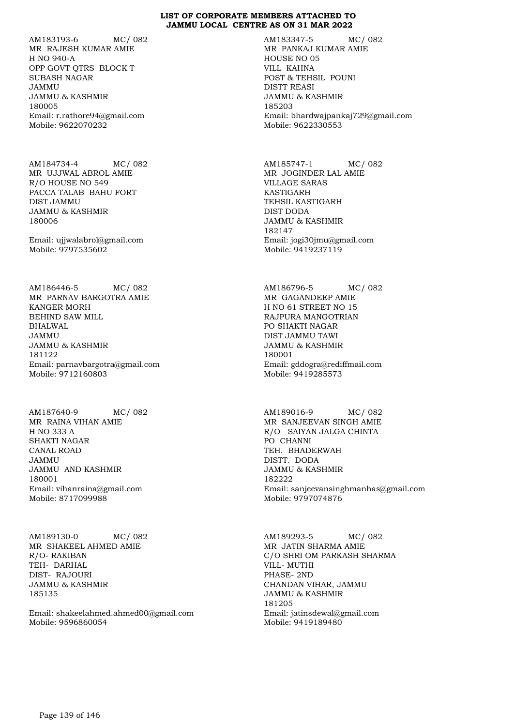AM183193-6 MC/ 082 MR RAJESH KUMAR AMIE H NO 940-A OPP GOVT QTRS BLOCK T SUBASH NAGAR JAMMU JAMMU & KASHMIR 180005 Email: r.rathore94@gmail.com Mobile: 9622070232

AM184734-4 MC/ 082 MR UJJWAL ABROL AMIE R/O HOUSE NO 549 PACCA TALAB BAHU FORT DIST JAMMU JAMMU & KASHMIR 180006

Email: ujjwalabrol@gmail.com Mobile: 9797535602

AM186446-5 MC/ 082 MR PARNAV BARGOTRA AMIE KANGER MORH BEHIND SAW MILL BHALWAL JAMMU JAMMU & KASHMIR 181122 Email: parnavbargotra@gmail.com Mobile: 9712160803

AM187640-9 MC/ 082 MR RAINA VIHAN AMIE H NO 333 A SHAKTI NAGAR CANAL ROAD JAMMU JAMMU AND KASHMIR 180001 Email: vihanraina@gmail.com Mobile: 8717099988

AM189130-0 MC/ 082 MR SHAKEEL AHMED AMIE R/O- RAKIBAN TEH- DARHAL DIST- RAJOURI JAMMU & KASHMIR 185135

Email: shakeelahmed.ahmed00@gmail.com Mobile: 9596860054

AM183347-5 MC/ 082 MR PANKAJ KUMAR AMIE HOUSE NO 05 VILL KAHNA POST & TEHSIL POUNI DISTT REASI JAMMU & KASHMIR 185203 Email: bhardwajpankaj729@gmail.com Mobile: 9622330553

AM185747-1 MC/ 082 MR JOGINDER LAL AMIE VILLAGE SARAS KASTIGARH TEHSIL KASTIGARH DIST DODA JAMMU & KASHMIR 182147 Email: jogi30jmu@gmail.com Mobile: 9419237119

AM186796-5 MC/ 082 MR GAGANDEEP AMIE H NO 61 STREET NO 15 RAJPURA MANGOTRIAN PO SHAKTI NAGAR DIST JAMMU TAWI JAMMU & KASHMIR 180001 Email: gddogra@rediffmail.com Mobile: 9419285573

AM189016-9 MC/ 082 MR SANJEEVAN SINGH AMIE R/O SAIYAN JALGA CHINTA PO CHANNI TEH. BHADERWAH DISTT. DODA JAMMU & KASHMIR 182222 Email: sanjeevansinghmanhas@gmail.com Mobile: 9797074876

AM189293-5 MC/ 082 MR JATIN SHARMA AMIE C/O SHRI OM PARKASH SHARMA VILL- MUTHI PHASE- 2ND CHANDAN VIHAR, JAMMU JAMMU & KASHMIR 181205 Email: jatinsdewal@gmail.com Mobile: 9419189480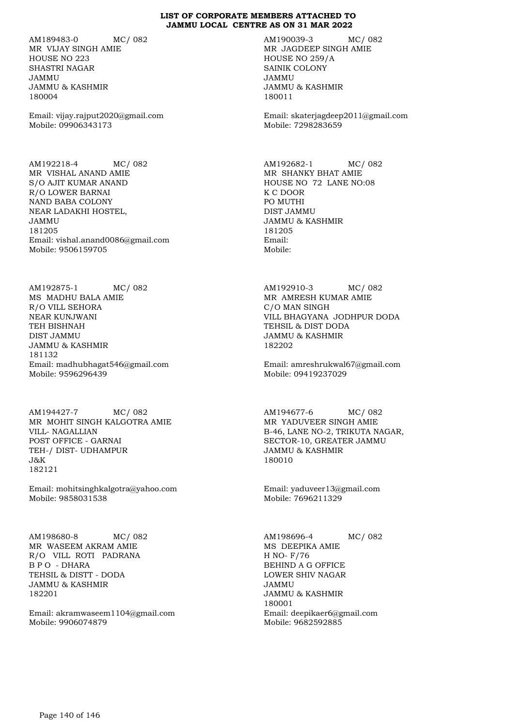AM189483-0 MC/ 082 MR VIJAY SINGH AMIE HOUSE NO 223 SHASTRI NAGAR JAMMU JAMMU & KASHMIR 180004

Email: vijay.rajput2020@gmail.com Mobile: 09906343173

AM192218-4 MC/ 082 MR VISHAL ANAND AMIE S/O AJIT KUMAR ANAND R/O LOWER BARNAI NAND BABA COLONY NEAR LADAKHI HOSTEL, JAMMU 181205 Email: vishal.anand0086@gmail.com Mobile: 9506159705

AM192875-1 MC/ 082 MS MADHU BALA AMIE R/O VILL SEHORA NEAR KUNJWANI TEH BISHNAH DIST JAMMU JAMMU & KASHMIR 181132 Email: madhubhagat546@gmail.com Mobile: 9596296439

AM194427-7 MC/ 082 MR MOHIT SINGH KALGOTRA AMIE VILL- NAGALLIAN POST OFFICE - GARNAI TEH-/ DIST- UDHAMPUR J&K 182121

Email: mohitsinghkalgotra@yahoo.com Mobile: 9858031538

AM198680-8 MC/ 082 MR WASEEM AKRAM AMIE R/O VILL ROTI PADRANA B P O - DHARA TEHSIL & DISTT - DODA JAMMU & KASHMIR 182201

Email: akramwaseem1104@gmail.com Mobile: 9906074879

AM190039-3 MC/ 082 MR JAGDEEP SINGH AMIE HOUSE NO 259/A SAINIK COLONY JAMMU JAMMU & KASHMIR 180011

Email: skaterjagdeep2011@gmail.com Mobile: 7298283659

AM192682-1 MC/ 082 MR SHANKY BHAT AMIE HOUSE NO 72 LANE NO:08 K C DOOR PO MUTHI DIST JAMMU JAMMU & KASHMIR 181205 Email: Mobile:

AM192910-3 MC/ 082 MR AMRESH KUMAR AMIE C/O MAN SINGH VILL BHAGYANA JODHPUR DODA TEHSIL & DIST DODA JAMMU & KASHMIR 182202

Email: amreshrukwal67@gmail.com Mobile: 09419237029

AM194677-6 MC/ 082 MR YADUVEER SINGH AMIE B-46, LANE NO-2, TRIKUTA NAGAR, SECTOR-10, GREATER JAMMU JAMMU & KASHMIR 180010

Email: yaduveer13@gmail.com Mobile: 7696211329

AM198696-4 MC/ 082 MS DEEPIKA AMIE H NO- F/76 BEHIND A G OFFICE LOWER SHIV NAGAR JAMMU JAMMU & KASHMIR 180001 Email: deepikaer6@gmail.com Mobile: 9682592885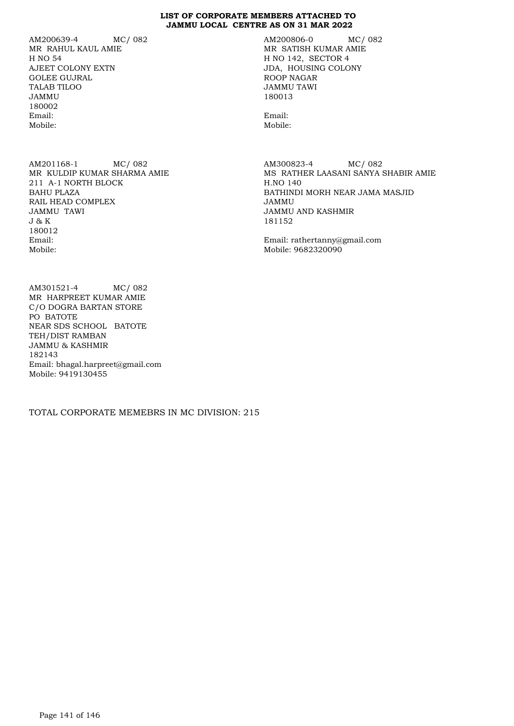AM200639-4 MC/ 082 MR RAHUL KAUL AMIE H NO 54 AJEET COLONY EXTN GOLEE GUJRAL TALAB TILOO JAMMU 180002 Email: Mobile:

AM201168-1 MC/ 082 MR KULDIP KUMAR SHARMA AMIE 211 A-1 NORTH BLOCK BAHU PLAZA RAIL HEAD COMPLEX JAMMU TAWI J & K 180012 Email: Mobile:

AM301521-4 MC/ 082 MR HARPREET KUMAR AMIE C/O DOGRA BARTAN STORE PO BATOTE NEAR SDS SCHOOL BATOTE TEH/DIST RAMBAN JAMMU & KASHMIR 182143 Email: bhagal.harpreet@gmail.com Mobile: 9419130455

TOTAL CORPORATE MEMEBRS IN MC DIVISION: 215

AM200806-0 MC/ 082 MR SATISH KUMAR AMIE H NO 142, SECTOR 4 JDA, HOUSING COLONY ROOP NAGAR JAMMU TAWI 180013

Email: Mobile:

AM300823-4 MC/ 082 MS RATHER LAASANI SANYA SHABIR AMIE H.NO 140 BATHINDI MORH NEAR JAMA MASJID JAMMU JAMMU AND KASHMIR 181152

Email: rathertanny@gmail.com Mobile: 9682320090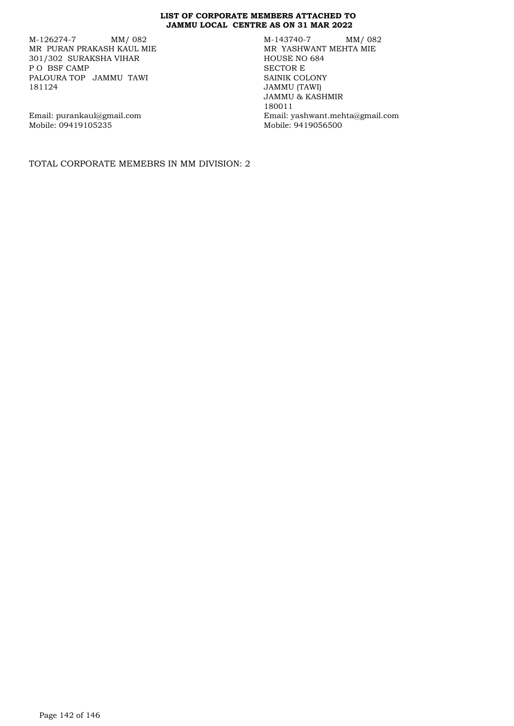M-126274-7 MM/ 082 MR PURAN PRAKASH KAUL MIE 301/302 SURAKSHA VIHAR P O BSF CAMP PALOURA TOP JAMMU TAWI 181124

M-143740-7 MM/ 082 MR YASHWANT MEHTA MIE HOUSE NO 684 SECTOR E SAINIK COLONY JAMMU (TAWI) JAMMU & KASHMIR 180011 Email: yashwant.mehta@gmail.com Mobile: 9419056500

Email: purankaul@gmail.com Mobile: 09419105235

TOTAL CORPORATE MEMEBRS IN MM DIVISION: 2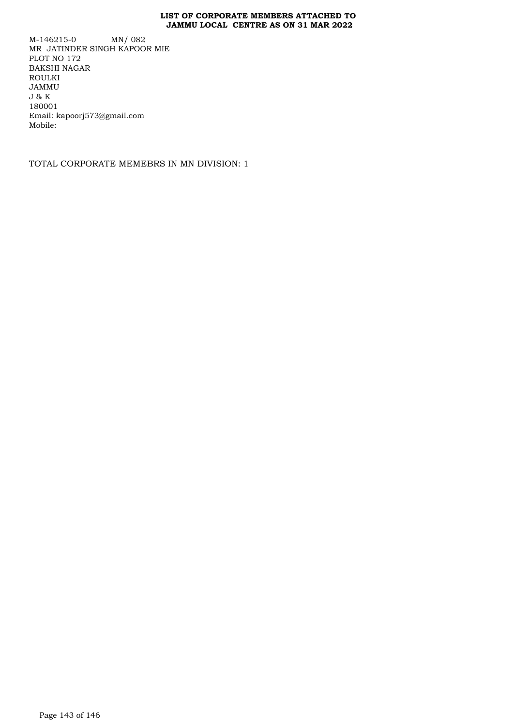M-146215-0 MN/ 082 MR JATINDER SINGH KAPOOR MIE PLOT NO 172 BAKSHI NAGAR ROULKI JAMMU J & K 180001 Email: kapoorj573@gmail.com Mobile:

TOTAL CORPORATE MEMEBRS IN MN DIVISION: 1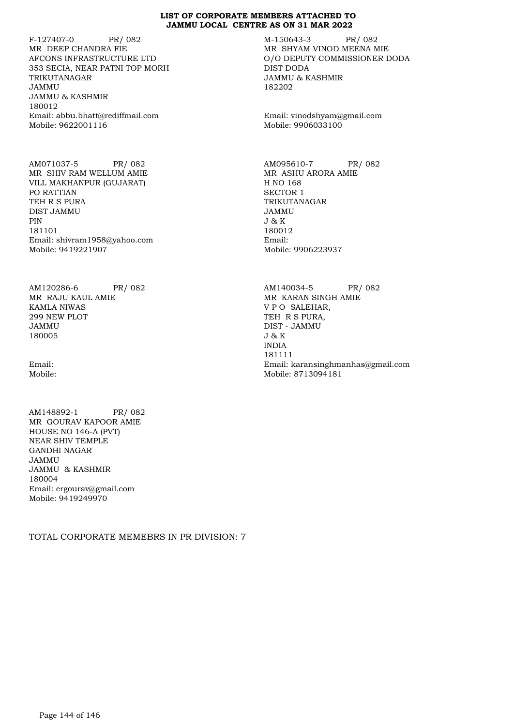F-127407-0 PR/ 082 MR DEEP CHANDRA FIE AFCONS INFRASTRUCTURE LTD 353 SECIA, NEAR PATNI TOP MORH TRIKUTANAGAR JAMMU JAMMU & KASHMIR 180012 Email: abbu.bhatt@rediffmail.com Mobile: 9622001116

AM071037-5 PR/ 082 MR SHIV RAM WELLUM AMIE VILL MAKHANPUR (GUJARAT) PO RATTIAN TEH R S PURA DIST JAMMU PIN **PIN** 181101 Email: shivram1958@yahoo.com Mobile: 9419221907

AM120286-6 PR/ 082 MR RAJU KAUL AMIE KAMLA NIWAS 299 NEW PLOT JAMMU 180005

Email: Mobile:

AM148892-1 PR/ 082 MR GOURAV KAPOOR AMIE HOUSE NO 146-A (PVT) NEAR SHIV TEMPLE GANDHI NAGAR JAMMU JAMMU & KASHMIR 180004 Email: ergourav@gmail.com Mobile: 9419249970

TOTAL CORPORATE MEMEBRS IN PR DIVISION: 7

M-150643-3 PR/ 082 MR SHYAM VINOD MEENA MIE O/O DEPUTY COMMISSIONER DODA DIST DODA JAMMU & KASHMIR 182202

Email: vinodshyam@gmail.com Mobile: 9906033100

AM095610-7 PR/ 082 MR ASHU ARORA AMIE H NO 168 SECTOR 1 TRIKUTANAGAR JAMMU J & K 180012 Email: Mobile: 9906223937

AM140034-5 PR/ 082 MR KARAN SINGH AMIE V P O SALEHAR, TEH R S PURA, DIST - JAMMU J & K INDIA 181111 Email: karansinghmanhas@gmail.com Mobile: 8713094181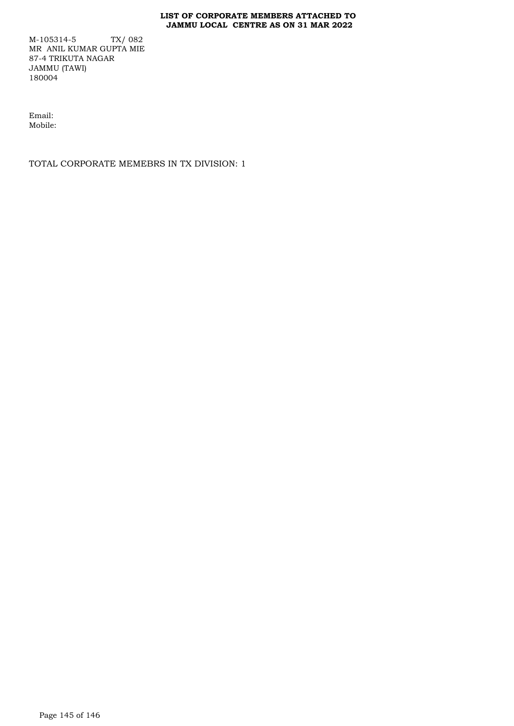## **LIST OF CORPORATE MEMBERS ATTACHED TO JAMMU LOCAL CENTRE AS ON 31 MAR 2022**

M-105314-5 TX/ 082 MR ANIL KUMAR GUPTA MIE 87-4 TRIKUTA NAGAR JAMMU (TAWI) 180004

Email: Mobile:

TOTAL CORPORATE MEMEBRS IN TX DIVISION: 1